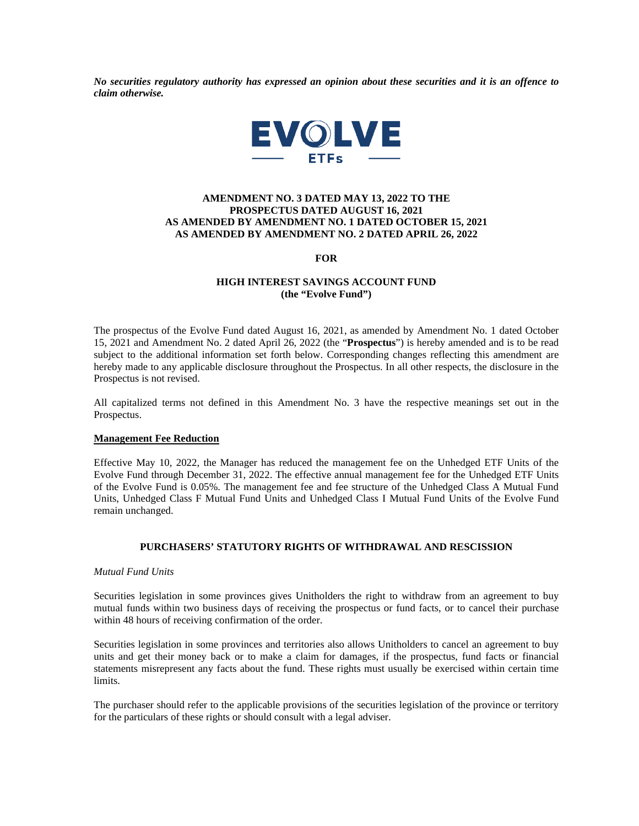*No securities regulatory authority has expressed an opinion about these securities and it is an offence to claim otherwise.* 



# **AMENDMENT NO. 3 DATED MAY 13, 2022 TO THE PROSPECTUS DATED AUGUST 16, 2021 AS AMENDED BY AMENDMENT NO. 1 DATED OCTOBER 15, 2021 AS AMENDED BY AMENDMENT NO. 2 DATED APRIL 26, 2022**

**FOR** 

# **HIGH INTEREST SAVINGS ACCOUNT FUND (the "Evolve Fund")**

The prospectus of the Evolve Fund dated August 16, 2021, as amended by Amendment No. 1 dated October 15, 2021 and Amendment No. 2 dated April 26, 2022 (the "**Prospectus**") is hereby amended and is to be read subject to the additional information set forth below. Corresponding changes reflecting this amendment are hereby made to any applicable disclosure throughout the Prospectus. In all other respects, the disclosure in the Prospectus is not revised.

All capitalized terms not defined in this Amendment No. 3 have the respective meanings set out in the Prospectus.

### **Management Fee Reduction**

Effective May 10, 2022, the Manager has reduced the management fee on the Unhedged ETF Units of the Evolve Fund through December 31, 2022. The effective annual management fee for the Unhedged ETF Units of the Evolve Fund is 0.05%. The management fee and fee structure of the Unhedged Class A Mutual Fund Units, Unhedged Class F Mutual Fund Units and Unhedged Class I Mutual Fund Units of the Evolve Fund remain unchanged.

# **PURCHASERS' STATUTORY RIGHTS OF WITHDRAWAL AND RESCISSION**

### *Mutual Fund Units*

Securities legislation in some provinces gives Unitholders the right to withdraw from an agreement to buy mutual funds within two business days of receiving the prospectus or fund facts, or to cancel their purchase within 48 hours of receiving confirmation of the order.

Securities legislation in some provinces and territories also allows Unitholders to cancel an agreement to buy units and get their money back or to make a claim for damages, if the prospectus, fund facts or financial statements misrepresent any facts about the fund. These rights must usually be exercised within certain time limits.

The purchaser should refer to the applicable provisions of the securities legislation of the province or territory for the particulars of these rights or should consult with a legal adviser.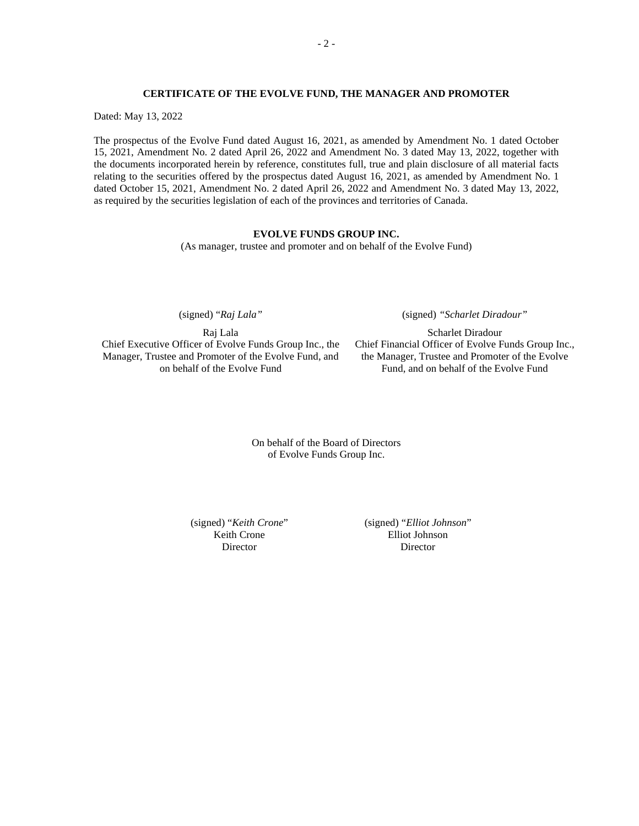### **CERTIFICATE OF THE EVOLVE FUND, THE MANAGER AND PROMOTER**

Dated: May 13, 2022

The prospectus of the Evolve Fund dated August 16, 2021, as amended by Amendment No. 1 dated October 15, 2021, Amendment No. 2 dated April 26, 2022 and Amendment No. 3 dated May 13, 2022, together with the documents incorporated herein by reference, constitutes full, true and plain disclosure of all material facts relating to the securities offered by the prospectus dated August 16, 2021, as amended by Amendment No. 1 dated October 15, 2021, Amendment No. 2 dated April 26, 2022 and Amendment No. 3 dated May 13, 2022, as required by the securities legislation of each of the provinces and territories of Canada.

## **EVOLVE FUNDS GROUP INC.**

(As manager, trustee and promoter and on behalf of the Evolve Fund)

(signed) "*Raj Lala"* 

Raj Lala Chief Executive Officer of Evolve Funds Group Inc., the Manager, Trustee and Promoter of the Evolve Fund, and on behalf of the Evolve Fund

(signed) *"Scharlet Diradour"*

Scharlet Diradour Chief Financial Officer of Evolve Funds Group Inc., the Manager, Trustee and Promoter of the Evolve Fund, and on behalf of the Evolve Fund

On behalf of the Board of Directors of Evolve Funds Group Inc.

(signed) "*Keith Crone*" Keith Crone **Director** 

(signed) "*Elliot Johnson*" Elliot Johnson Director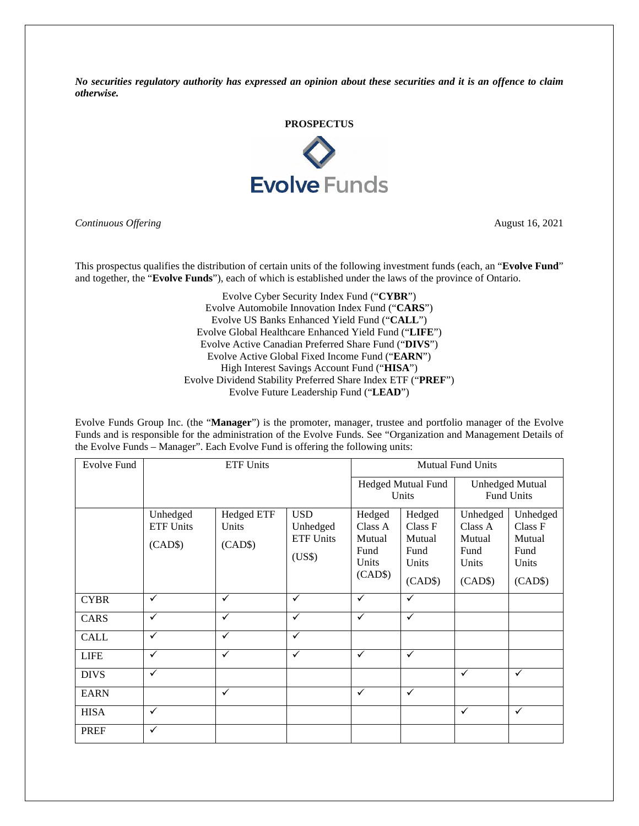*No securities regulatory authority has expressed an opinion about these securities and it is an offence to claim otherwise.* 



*Continuous Offering* August 16, 2021

This prospectus qualifies the distribution of certain units of the following investment funds (each, an "**Evolve Fund**" and together, the "**Evolve Funds**"), each of which is established under the laws of the province of Ontario.

> Evolve Cyber Security Index Fund ("**CYBR**") Evolve Automobile Innovation Index Fund ("**CARS**") Evolve US Banks Enhanced Yield Fund ("**CALL**") Evolve Global Healthcare Enhanced Yield Fund ("**LIFE**") Evolve Active Canadian Preferred Share Fund ("**DIVS**") Evolve Active Global Fixed Income Fund ("**EARN**") High Interest Savings Account Fund ("**HISA**") Evolve Dividend Stability Preferred Share Index ETF ("**PREF**") Evolve Future Leadership Fund ("**LEAD**")

Evolve Funds Group Inc. (the "**Manager**") is the promoter, manager, trustee and portfolio manager of the Evolve Funds and is responsible for the administration of the Evolve Funds. See "Organization and Management Details of the Evolve Funds – Manager". Each Evolve Fund is offering the following units:

| <b>Evolve Fund</b> | <b>ETF Units</b>                        |                                       |                                                      | <b>Mutual Fund Units</b>                                |                                                         |                                                           |                                                           |
|--------------------|-----------------------------------------|---------------------------------------|------------------------------------------------------|---------------------------------------------------------|---------------------------------------------------------|-----------------------------------------------------------|-----------------------------------------------------------|
|                    |                                         |                                       |                                                      | Hedged Mutual Fund<br>Units                             |                                                         | <b>Unhedged Mutual</b><br>Fund Units                      |                                                           |
|                    | Unhedged<br><b>ETF Units</b><br>(CAD\$) | <b>Hedged ETF</b><br>Units<br>(CAD\$) | <b>USD</b><br>Unhedged<br><b>ETF Units</b><br>(US\$) | Hedged<br>Class A<br>Mutual<br>Fund<br>Units<br>(CAD\$) | Hedged<br>Class F<br>Mutual<br>Fund<br>Units<br>(CAD\$) | Unhedged<br>Class A<br>Mutual<br>Fund<br>Units<br>(CAD\$) | Unhedged<br>Class F<br>Mutual<br>Fund<br>Units<br>(CAD\$) |
| <b>CYBR</b>        | $\checkmark$                            | $\checkmark$                          | $\checkmark$                                         | $\checkmark$                                            | $\checkmark$                                            |                                                           |                                                           |
| CARS               | $\checkmark$                            | $\checkmark$                          | $\checkmark$                                         | $\checkmark$                                            | $\checkmark$                                            |                                                           |                                                           |
| <b>CALL</b>        | $\checkmark$                            | $\checkmark$                          | ✓                                                    |                                                         |                                                         |                                                           |                                                           |
| <b>LIFE</b>        | $\checkmark$                            | $\checkmark$                          | $\checkmark$                                         | $\checkmark$                                            | $\checkmark$                                            |                                                           |                                                           |
| <b>DIVS</b>        | $\checkmark$                            |                                       |                                                      |                                                         |                                                         | $\checkmark$                                              | $\checkmark$                                              |
| <b>EARN</b>        |                                         | $\checkmark$                          |                                                      | $\checkmark$                                            | $\checkmark$                                            |                                                           |                                                           |
| <b>HISA</b>        | ✓                                       |                                       |                                                      |                                                         |                                                         | $\checkmark$                                              | $\checkmark$                                              |
| <b>PREF</b>        | $\checkmark$                            |                                       |                                                      |                                                         |                                                         |                                                           |                                                           |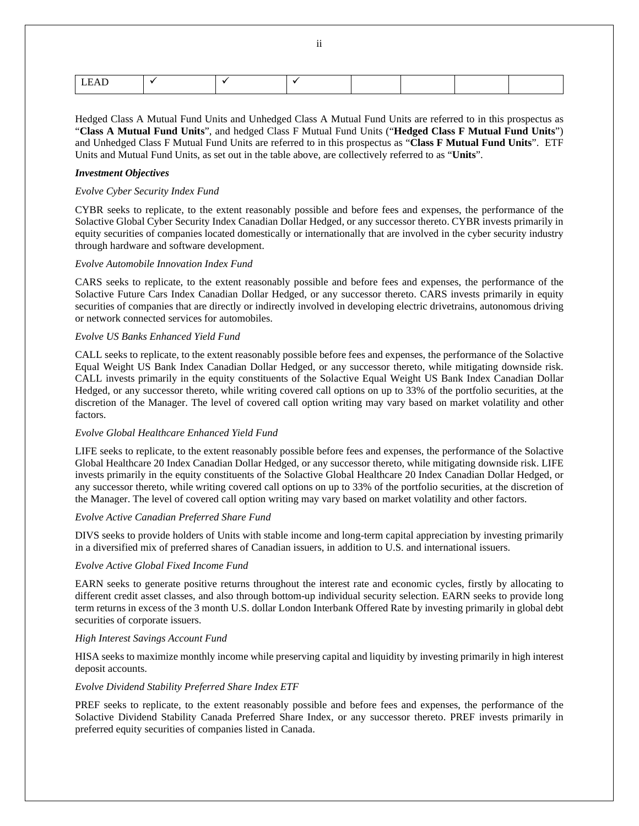|--|--|--|--|--|--|--|

Hedged Class A Mutual Fund Units and Unhedged Class A Mutual Fund Units are referred to in this prospectus as "**Class A Mutual Fund Units**", and hedged Class F Mutual Fund Units ("**Hedged Class F Mutual Fund Units**") and Unhedged Class F Mutual Fund Units are referred to in this prospectus as "**Class F Mutual Fund Units**". ETF Units and Mutual Fund Units, as set out in the table above, are collectively referred to as "**Units**".

#### *Investment Objectives*

#### *Evolve Cyber Security Index Fund*

CYBR seeks to replicate, to the extent reasonably possible and before fees and expenses, the performance of the Solactive Global Cyber Security Index Canadian Dollar Hedged, or any successor thereto. CYBR invests primarily in equity securities of companies located domestically or internationally that are involved in the cyber security industry through hardware and software development.

#### *Evolve Automobile Innovation Index Fund*

CARS seeks to replicate, to the extent reasonably possible and before fees and expenses, the performance of the Solactive Future Cars Index Canadian Dollar Hedged, or any successor thereto. CARS invests primarily in equity securities of companies that are directly or indirectly involved in developing electric drivetrains, autonomous driving or network connected services for automobiles.

#### *Evolve US Banks Enhanced Yield Fund*

CALL seeks to replicate, to the extent reasonably possible before fees and expenses, the performance of the Solactive Equal Weight US Bank Index Canadian Dollar Hedged, or any successor thereto, while mitigating downside risk. CALL invests primarily in the equity constituents of the Solactive Equal Weight US Bank Index Canadian Dollar Hedged, or any successor thereto, while writing covered call options on up to 33% of the portfolio securities, at the discretion of the Manager. The level of covered call option writing may vary based on market volatility and other factors.

### *Evolve Global Healthcare Enhanced Yield Fund*

LIFE seeks to replicate, to the extent reasonably possible before fees and expenses, the performance of the Solactive Global Healthcare 20 Index Canadian Dollar Hedged, or any successor thereto, while mitigating downside risk. LIFE invests primarily in the equity constituents of the Solactive Global Healthcare 20 Index Canadian Dollar Hedged, or any successor thereto, while writing covered call options on up to 33% of the portfolio securities, at the discretion of the Manager. The level of covered call option writing may vary based on market volatility and other factors.

### *Evolve Active Canadian Preferred Share Fund*

DIVS seeks to provide holders of Units with stable income and long-term capital appreciation by investing primarily in a diversified mix of preferred shares of Canadian issuers, in addition to U.S. and international issuers.

### *Evolve Active Global Fixed Income Fund*

EARN seeks to generate positive returns throughout the interest rate and economic cycles, firstly by allocating to different credit asset classes, and also through bottom-up individual security selection. EARN seeks to provide long term returns in excess of the 3 month U.S. dollar London Interbank Offered Rate by investing primarily in global debt securities of corporate issuers.

### *High Interest Savings Account Fund*

HISA seeks to maximize monthly income while preserving capital and liquidity by investing primarily in high interest deposit accounts.

### *Evolve Dividend Stability Preferred Share Index ETF*

PREF seeks to replicate, to the extent reasonably possible and before fees and expenses, the performance of the Solactive Dividend Stability Canada Preferred Share Index, or any successor thereto. PREF invests primarily in preferred equity securities of companies listed in Canada.

ii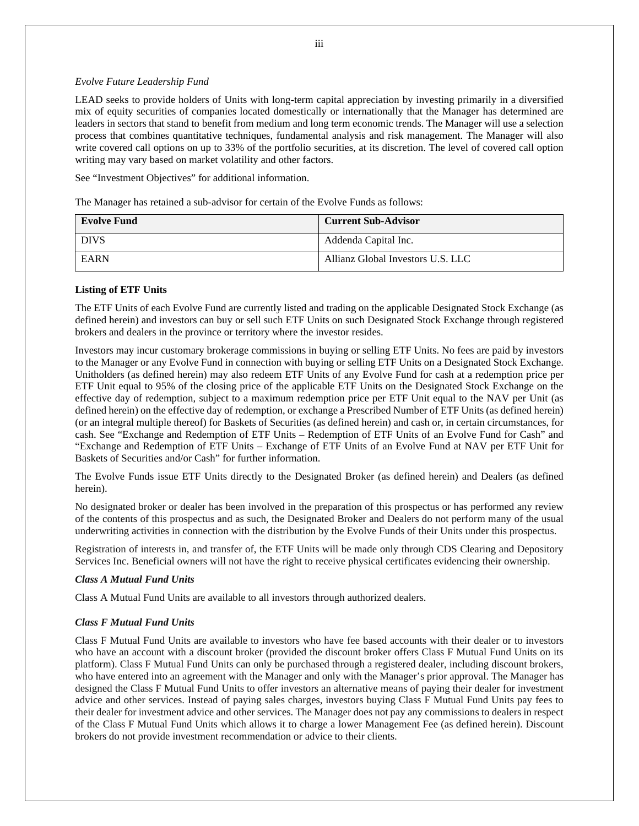#### *Evolve Future Leadership Fund*

LEAD seeks to provide holders of Units with long-term capital appreciation by investing primarily in a diversified mix of equity securities of companies located domestically or internationally that the Manager has determined are leaders in sectors that stand to benefit from medium and long term economic trends. The Manager will use a selection process that combines quantitative techniques, fundamental analysis and risk management. The Manager will also write covered call options on up to 33% of the portfolio securities, at its discretion. The level of covered call option writing may vary based on market volatility and other factors.

See "Investment Objectives" for additional information.

The Manager has retained a sub-advisor for certain of the Evolve Funds as follows:

| <b>Evolve Fund</b> | <b>Current Sub-Advisor</b>        |
|--------------------|-----------------------------------|
| <b>DIVS</b>        | Addenda Capital Inc.              |
| <b>EARN</b>        | Allianz Global Investors U.S. LLC |

### **Listing of ETF Units**

The ETF Units of each Evolve Fund are currently listed and trading on the applicable Designated Stock Exchange (as defined herein) and investors can buy or sell such ETF Units on such Designated Stock Exchange through registered brokers and dealers in the province or territory where the investor resides.

Investors may incur customary brokerage commissions in buying or selling ETF Units. No fees are paid by investors to the Manager or any Evolve Fund in connection with buying or selling ETF Units on a Designated Stock Exchange. Unitholders (as defined herein) may also redeem ETF Units of any Evolve Fund for cash at a redemption price per ETF Unit equal to 95% of the closing price of the applicable ETF Units on the Designated Stock Exchange on the effective day of redemption, subject to a maximum redemption price per ETF Unit equal to the NAV per Unit (as defined herein) on the effective day of redemption, or exchange a Prescribed Number of ETF Units (as defined herein) (or an integral multiple thereof) for Baskets of Securities (as defined herein) and cash or, in certain circumstances, for cash. See "Exchange and Redemption of ETF Units – Redemption of ETF Units of an Evolve Fund for Cash" and "Exchange and Redemption of ETF Units – Exchange of ETF Units of an Evolve Fund at NAV per ETF Unit for Baskets of Securities and/or Cash" for further information.

The Evolve Funds issue ETF Units directly to the Designated Broker (as defined herein) and Dealers (as defined herein).

No designated broker or dealer has been involved in the preparation of this prospectus or has performed any review of the contents of this prospectus and as such, the Designated Broker and Dealers do not perform many of the usual underwriting activities in connection with the distribution by the Evolve Funds of their Units under this prospectus.

Registration of interests in, and transfer of, the ETF Units will be made only through CDS Clearing and Depository Services Inc. Beneficial owners will not have the right to receive physical certificates evidencing their ownership.

# *Class A Mutual Fund Units*

Class A Mutual Fund Units are available to all investors through authorized dealers.

### *Class F Mutual Fund Units*

Class F Mutual Fund Units are available to investors who have fee based accounts with their dealer or to investors who have an account with a discount broker (provided the discount broker offers Class F Mutual Fund Units on its platform). Class F Mutual Fund Units can only be purchased through a registered dealer, including discount brokers, who have entered into an agreement with the Manager and only with the Manager's prior approval. The Manager has designed the Class F Mutual Fund Units to offer investors an alternative means of paying their dealer for investment advice and other services. Instead of paying sales charges, investors buying Class F Mutual Fund Units pay fees to their dealer for investment advice and other services. The Manager does not pay any commissions to dealers in respect of the Class F Mutual Fund Units which allows it to charge a lower Management Fee (as defined herein). Discount brokers do not provide investment recommendation or advice to their clients.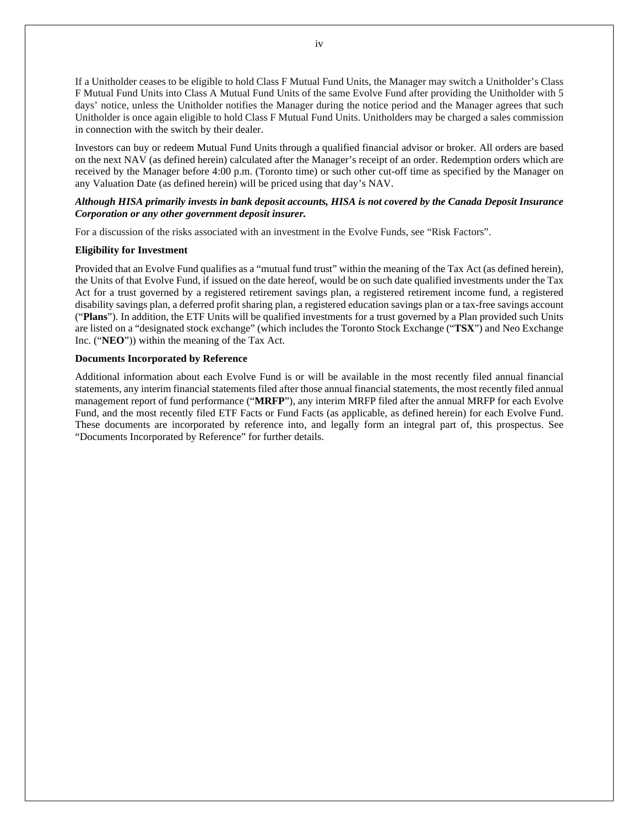If a Unitholder ceases to be eligible to hold Class F Mutual Fund Units, the Manager may switch a Unitholder's Class F Mutual Fund Units into Class A Mutual Fund Units of the same Evolve Fund after providing the Unitholder with 5 days' notice, unless the Unitholder notifies the Manager during the notice period and the Manager agrees that such Unitholder is once again eligible to hold Class F Mutual Fund Units. Unitholders may be charged a sales commission in connection with the switch by their dealer.

Investors can buy or redeem Mutual Fund Units through a qualified financial advisor or broker. All orders are based on the next NAV (as defined herein) calculated after the Manager's receipt of an order. Redemption orders which are received by the Manager before 4:00 p.m. (Toronto time) or such other cut-off time as specified by the Manager on any Valuation Date (as defined herein) will be priced using that day's NAV.

# *Although HISA primarily invests in bank deposit accounts, HISA is not covered by the Canada Deposit Insurance Corporation or any other government deposit insurer.*

For a discussion of the risks associated with an investment in the Evolve Funds, see "Risk Factors".

### **Eligibility for Investment**

Provided that an Evolve Fund qualifies as a "mutual fund trust" within the meaning of the Tax Act (as defined herein), the Units of that Evolve Fund, if issued on the date hereof, would be on such date qualified investments under the Tax Act for a trust governed by a registered retirement savings plan, a registered retirement income fund, a registered disability savings plan, a deferred profit sharing plan, a registered education savings plan or a tax-free savings account ("**Plans**"). In addition, the ETF Units will be qualified investments for a trust governed by a Plan provided such Units are listed on a "designated stock exchange" (which includes the Toronto Stock Exchange ("**TSX**") and Neo Exchange Inc. ("**NEO**")) within the meaning of the Tax Act.

#### **Documents Incorporated by Reference**

Additional information about each Evolve Fund is or will be available in the most recently filed annual financial statements, any interim financial statements filed after those annual financial statements, the most recently filed annual management report of fund performance ("**MRFP**"), any interim MRFP filed after the annual MRFP for each Evolve Fund, and the most recently filed ETF Facts or Fund Facts (as applicable, as defined herein) for each Evolve Fund. These documents are incorporated by reference into, and legally form an integral part of, this prospectus. See "Documents Incorporated by Reference" for further details.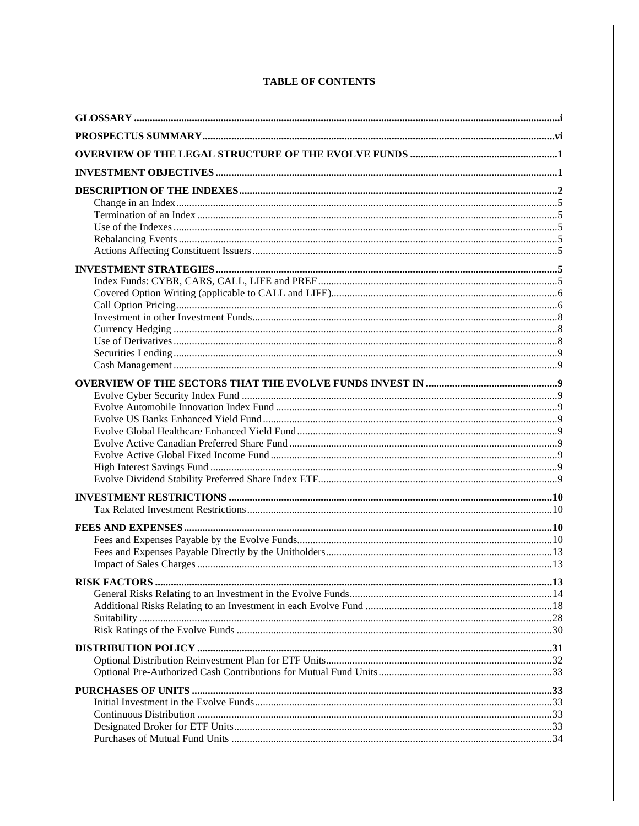| Purchases of Mutual Fund Units | 34 |
|--------------------------------|----|

# **TABLE OF CONTENTS**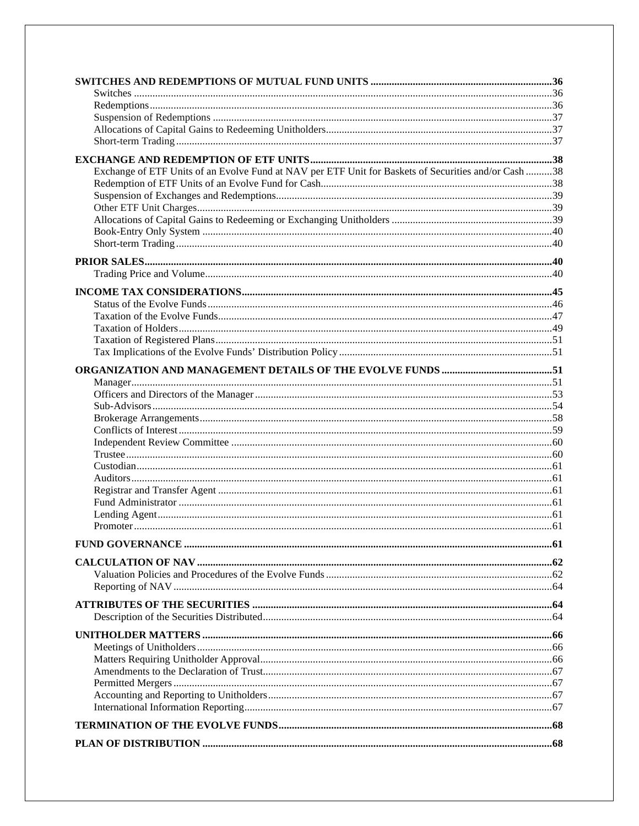| Exchange of ETF Units of an Evolve Fund at NAV per ETF Unit for Baskets of Securities and/or Cash 38 |  |
|------------------------------------------------------------------------------------------------------|--|
|                                                                                                      |  |
|                                                                                                      |  |
|                                                                                                      |  |
|                                                                                                      |  |
|                                                                                                      |  |
|                                                                                                      |  |
|                                                                                                      |  |
|                                                                                                      |  |
|                                                                                                      |  |
|                                                                                                      |  |
|                                                                                                      |  |
|                                                                                                      |  |
|                                                                                                      |  |
|                                                                                                      |  |
|                                                                                                      |  |
|                                                                                                      |  |
|                                                                                                      |  |
|                                                                                                      |  |
|                                                                                                      |  |
|                                                                                                      |  |
|                                                                                                      |  |
|                                                                                                      |  |
|                                                                                                      |  |
|                                                                                                      |  |
|                                                                                                      |  |
|                                                                                                      |  |
|                                                                                                      |  |
|                                                                                                      |  |
|                                                                                                      |  |
|                                                                                                      |  |
|                                                                                                      |  |
|                                                                                                      |  |
|                                                                                                      |  |
|                                                                                                      |  |
|                                                                                                      |  |
|                                                                                                      |  |
|                                                                                                      |  |
|                                                                                                      |  |
|                                                                                                      |  |
|                                                                                                      |  |
|                                                                                                      |  |
|                                                                                                      |  |
|                                                                                                      |  |
|                                                                                                      |  |
|                                                                                                      |  |
|                                                                                                      |  |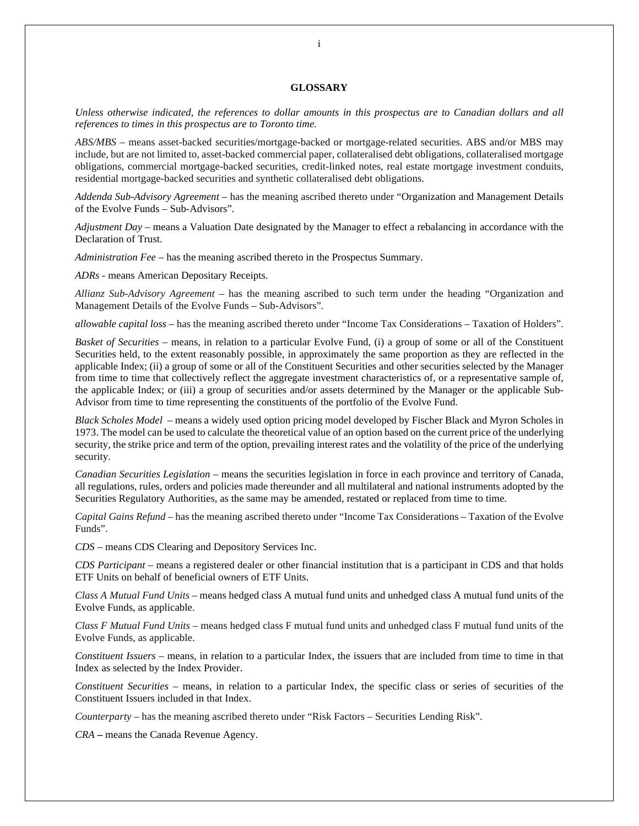#### **GLOSSARY**

*Unless otherwise indicated, the references to dollar amounts in this prospectus are to Canadian dollars and all references to times in this prospectus are to Toronto time.* 

*ABS/MBS –* means asset-backed securities/mortgage-backed or mortgage-related securities. ABS and/or MBS may include, but are not limited to, asset-backed commercial paper, collateralised debt obligations, collateralised mortgage obligations, commercial mortgage-backed securities, credit-linked notes, real estate mortgage investment conduits, residential mortgage-backed securities and synthetic collateralised debt obligations.

*Addenda Sub-Advisory Agreement* – has the meaning ascribed thereto under "Organization and Management Details of the Evolve Funds – Sub-Advisors".

*Adjustment Day* – means a Valuation Date designated by the Manager to effect a rebalancing in accordance with the Declaration of Trust.

*Administration Fee* – has the meaning ascribed thereto in the Prospectus Summary.

*ADRs* - means American Depositary Receipts.

*Allianz Sub-Advisory Agreement –* has the meaning ascribed to such term under the heading "Organization and Management Details of the Evolve Funds – Sub-Advisors"*.*

*allowable capital loss* – has the meaning ascribed thereto under "Income Tax Considerations – Taxation of Holders".

*Basket of Securities* – means, in relation to a particular Evolve Fund, (i) a group of some or all of the Constituent Securities held, to the extent reasonably possible, in approximately the same proportion as they are reflected in the applicable Index; (ii) a group of some or all of the Constituent Securities and other securities selected by the Manager from time to time that collectively reflect the aggregate investment characteristics of, or a representative sample of, the applicable Index; or (iii) a group of securities and/or assets determined by the Manager or the applicable Sub-Advisor from time to time representing the constituents of the portfolio of the Evolve Fund.

*Black Scholes Model* – means a widely used option pricing model developed by Fischer Black and Myron Scholes in 1973. The model can be used to calculate the theoretical value of an option based on the current price of the underlying security, the strike price and term of the option, prevailing interest rates and the volatility of the price of the underlying security.

*Canadian Securities Legislation* – means the securities legislation in force in each province and territory of Canada, all regulations, rules, orders and policies made thereunder and all multilateral and national instruments adopted by the Securities Regulatory Authorities, as the same may be amended, restated or replaced from time to time.

*Capital Gains Refund* – has the meaning ascribed thereto under "Income Tax Considerations – Taxation of the Evolve Funds".

*CDS* – means CDS Clearing and Depository Services Inc.

*CDS Participant* – means a registered dealer or other financial institution that is a participant in CDS and that holds ETF Units on behalf of beneficial owners of ETF Units.

*Class A Mutual Fund Units* – means hedged class A mutual fund units and unhedged class A mutual fund units of the Evolve Funds, as applicable.

*Class F Mutual Fund Units* – means hedged class F mutual fund units and unhedged class F mutual fund units of the Evolve Funds, as applicable.

*Constituent Issuers –* means*,* in relation to a particular Index, the issuers that are included from time to time in that Index as selected by the Index Provider.

*Constituent Securities –* means*,* in relation to a particular Index, the specific class or series of securities of the Constituent Issuers included in that Index.

*Counterparty* – has the meaning ascribed thereto under "Risk Factors – Securities Lending Risk".

*CRA* **–** means the Canada Revenue Agency.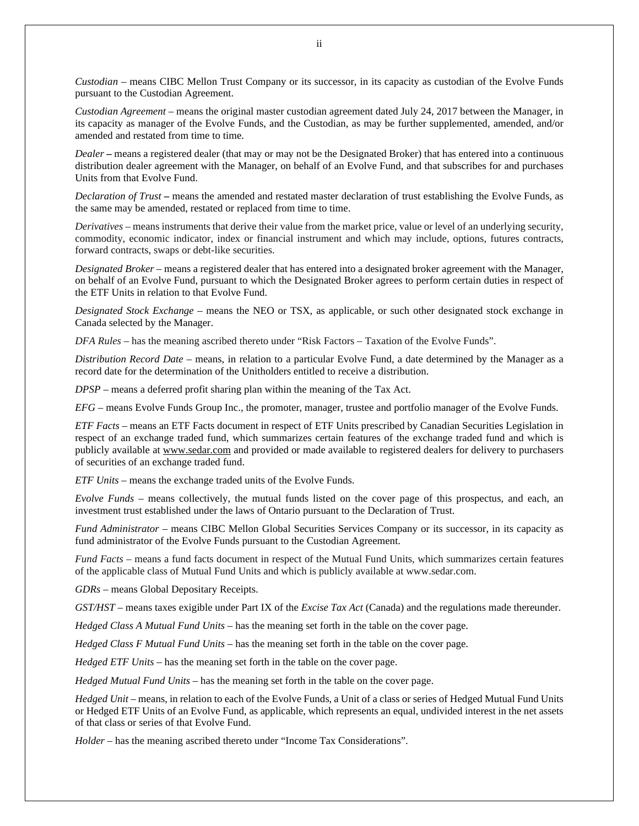*Custodian* – means CIBC Mellon Trust Company or its successor, in its capacity as custodian of the Evolve Funds pursuant to the Custodian Agreement.

*Custodian Agreement* – means the original master custodian agreement dated July 24, 2017 between the Manager, in its capacity as manager of the Evolve Funds, and the Custodian, as may be further supplemented, amended, and/or amended and restated from time to time.

*Dealer* **–** means a registered dealer (that may or may not be the Designated Broker) that has entered into a continuous distribution dealer agreement with the Manager, on behalf of an Evolve Fund, and that subscribes for and purchases Units from that Evolve Fund.

*Declaration of Trust* **–** means the amended and restated master declaration of trust establishing the Evolve Funds, as the same may be amended, restated or replaced from time to time.

*Derivatives –* means instruments that derive their value from the market price, value or level of an underlying security, commodity, economic indicator, index or financial instrument and which may include, options, futures contracts, forward contracts, swaps or debt-like securities.

*Designated Broker* – means a registered dealer that has entered into a designated broker agreement with the Manager, on behalf of an Evolve Fund, pursuant to which the Designated Broker agrees to perform certain duties in respect of the ETF Units in relation to that Evolve Fund.

*Designated Stock Exchange* – means the NEO or TSX, as applicable, or such other designated stock exchange in Canada selected by the Manager.

*DFA Rules* – has the meaning ascribed thereto under "Risk Factors – Taxation of the Evolve Funds".

*Distribution Record Date* – means, in relation to a particular Evolve Fund, a date determined by the Manager as a record date for the determination of the Unitholders entitled to receive a distribution.

*DPSP* – means a deferred profit sharing plan within the meaning of the Tax Act.

*EFG* – means Evolve Funds Group Inc., the promoter, manager, trustee and portfolio manager of the Evolve Funds.

*ETF Facts* – means an ETF Facts document in respect of ETF Units prescribed by Canadian Securities Legislation in respect of an exchange traded fund, which summarizes certain features of the exchange traded fund and which is publicly available at www.sedar.com and provided or made available to registered dealers for delivery to purchasers of securities of an exchange traded fund.

*ETF Units –* means the exchange traded units of the Evolve Funds.

*Evolve Funds* – means collectively, the mutual funds listed on the cover page of this prospectus, and each, an investment trust established under the laws of Ontario pursuant to the Declaration of Trust.

*Fund Administrator* – means CIBC Mellon Global Securities Services Company or its successor, in its capacity as fund administrator of the Evolve Funds pursuant to the Custodian Agreement.

*Fund Facts –* means a fund facts document in respect of the Mutual Fund Units, which summarizes certain features of the applicable class of Mutual Fund Units and which is publicly available at www.sedar.com.

*GDRs* – means Global Depositary Receipts.

*GST/HST* – means taxes exigible under Part IX of the *Excise Tax Act* (Canada) and the regulations made thereunder.

*Hedged Class A Mutual Fund Units* – has the meaning set forth in the table on the cover page.

*Hedged Class F Mutual Fund Units* – has the meaning set forth in the table on the cover page.

*Hedged ETF Units –* has the meaning set forth in the table on the cover page.

*Hedged Mutual Fund Units* – has the meaning set forth in the table on the cover page.

*Hedged Unit* – means, in relation to each of the Evolve Funds, a Unit of a class or series of Hedged Mutual Fund Units or Hedged ETF Units of an Evolve Fund, as applicable, which represents an equal, undivided interest in the net assets of that class or series of that Evolve Fund.

*Holder* – has the meaning ascribed thereto under "Income Tax Considerations".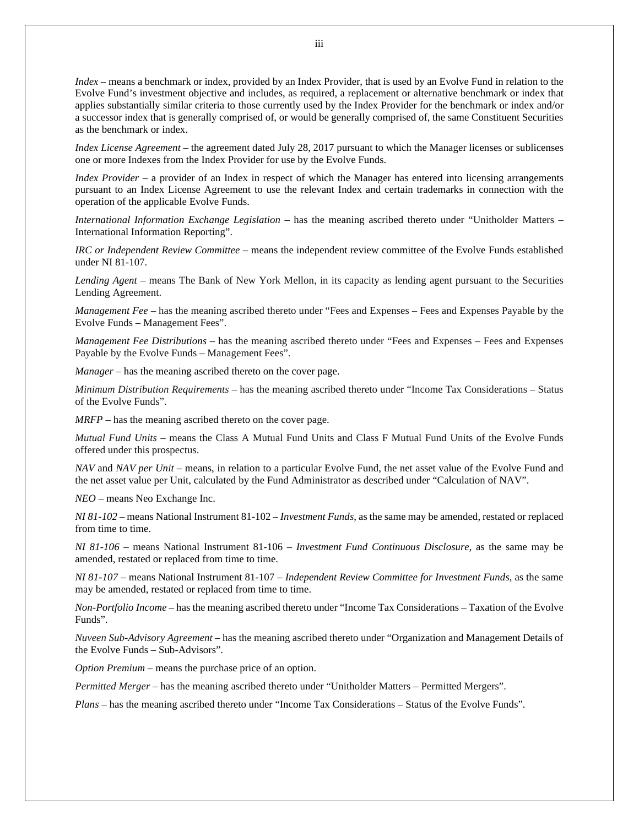*Index* – means a benchmark or index, provided by an Index Provider, that is used by an Evolve Fund in relation to the Evolve Fund's investment objective and includes, as required, a replacement or alternative benchmark or index that applies substantially similar criteria to those currently used by the Index Provider for the benchmark or index and/or a successor index that is generally comprised of, or would be generally comprised of, the same Constituent Securities as the benchmark or index.

*Index License Agreement* – the agreement dated July 28, 2017 pursuant to which the Manager licenses or sublicenses one or more Indexes from the Index Provider for use by the Evolve Funds.

*Index Provider* – a provider of an Index in respect of which the Manager has entered into licensing arrangements pursuant to an Index License Agreement to use the relevant Index and certain trademarks in connection with the operation of the applicable Evolve Funds.

*International Information Exchange Legislation –* has the meaning ascribed thereto under "Unitholder Matters – International Information Reporting".

*IRC or Independent Review Committee –* means the independent review committee of the Evolve Funds established under NI 81-107.

*Lending Agent –* means The Bank of New York Mellon, in its capacity as lending agent pursuant to the Securities Lending Agreement.

*Management Fee –* has the meaning ascribed thereto under "Fees and Expenses – Fees and Expenses Payable by the Evolve Funds – Management Fees".

*Management Fee Distributions –* has the meaning ascribed thereto under "Fees and Expenses – Fees and Expenses Payable by the Evolve Funds – Management Fees".

*Manager* – has the meaning ascribed thereto on the cover page.

*Minimum Distribution Requirements* – has the meaning ascribed thereto under "Income Tax Considerations – Status of the Evolve Funds".

*MRFP* – has the meaning ascribed thereto on the cover page.

*Mutual Fund Units* – means the Class A Mutual Fund Units and Class F Mutual Fund Units of the Evolve Funds offered under this prospectus.

*NAV* and *NAV per Unit* – means, in relation to a particular Evolve Fund, the net asset value of the Evolve Fund and the net asset value per Unit, calculated by the Fund Administrator as described under "Calculation of NAV".

*NEO –* means Neo Exchange Inc.

*NI 81-102* – means National Instrument 81-102 – *Investment Funds*, as the same may be amended, restated or replaced from time to time.

*NI 81-106* – means National Instrument 81-106 – *Investment Fund Continuous Disclosure*, as the same may be amended, restated or replaced from time to time.

*NI 81-107* – means National Instrument 81-107 – *Independent Review Committee for Investment Funds*, as the same may be amended, restated or replaced from time to time.

*Non-Portfolio Income –* has the meaning ascribed thereto under "Income Tax Considerations – Taxation of the Evolve Funds".

*Nuveen Sub-Advisory Agreement* – has the meaning ascribed thereto under "Organization and Management Details of the Evolve Funds – Sub-Advisors".

*Option Premium* – means the purchase price of an option.

*Permitted Merger* – has the meaning ascribed thereto under "Unitholder Matters – Permitted Mergers".

*Plans* – has the meaning ascribed thereto under "Income Tax Considerations – Status of the Evolve Funds".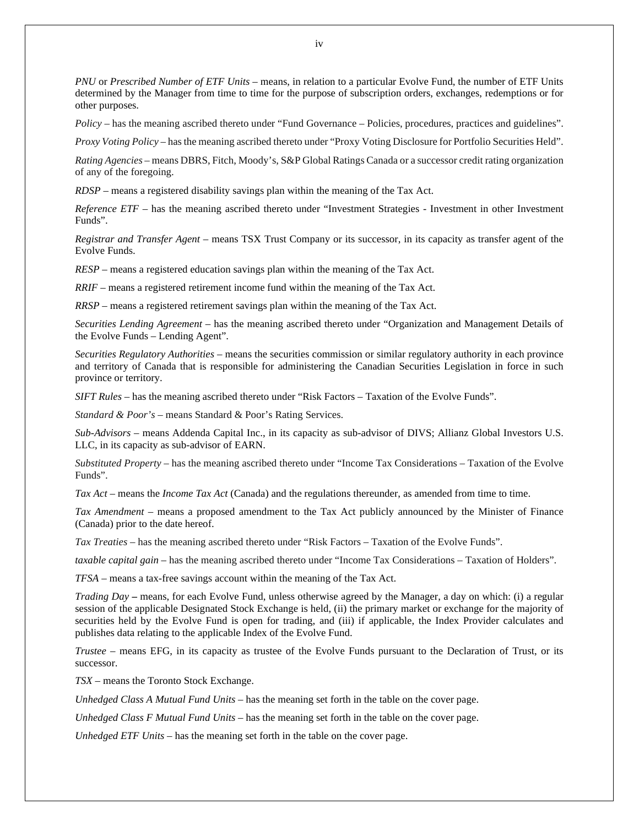*PNU* or *Prescribed Number of ETF Units* – means, in relation to a particular Evolve Fund, the number of ETF Units determined by the Manager from time to time for the purpose of subscription orders, exchanges, redemptions or for other purposes.

*Policy –* has the meaning ascribed thereto under "Fund Governance – Policies, procedures, practices and guidelines".

*Proxy Voting Policy* – has the meaning ascribed thereto under "Proxy Voting Disclosure for Portfolio Securities Held".

*Rating Agencies –* means DBRS, Fitch, Moody's, S&P Global Ratings Canada or a successor credit rating organization of any of the foregoing.

*RDSP* – means a registered disability savings plan within the meaning of the Tax Act.

*Reference ETF* – has the meaning ascribed thereto under "Investment Strategies - Investment in other Investment Funds".

*Registrar and Transfer Agent* – means TSX Trust Company or its successor, in its capacity as transfer agent of the Evolve Funds.

*RESP* – means a registered education savings plan within the meaning of the Tax Act.

*RRIF* – means a registered retirement income fund within the meaning of the Tax Act.

*RRSP* – means a registered retirement savings plan within the meaning of the Tax Act.

*Securities Lending Agreement* – has the meaning ascribed thereto under "Organization and Management Details of the Evolve Funds – Lending Agent".

*Securities Regulatory Authorities* – means the securities commission or similar regulatory authority in each province and territory of Canada that is responsible for administering the Canadian Securities Legislation in force in such province or territory.

*SIFT Rules* – has the meaning ascribed thereto under "Risk Factors – Taxation of the Evolve Funds".

*Standard & Poor's* – means Standard & Poor's Rating Services.

*Sub-Advisors* – means Addenda Capital Inc., in its capacity as sub-advisor of DIVS; Allianz Global Investors U.S. LLC, in its capacity as sub-advisor of EARN.

*Substituted Property* – has the meaning ascribed thereto under "Income Tax Considerations – Taxation of the Evolve Funds".

*Tax Act* – means the *Income Tax Act* (Canada) and the regulations thereunder, as amended from time to time.

*Tax Amendment* – means a proposed amendment to the Tax Act publicly announced by the Minister of Finance (Canada) prior to the date hereof.

*Tax Treaties* – has the meaning ascribed thereto under "Risk Factors – Taxation of the Evolve Funds".

*taxable capital gain* – has the meaning ascribed thereto under "Income Tax Considerations – Taxation of Holders".

*TFSA* – means a tax-free savings account within the meaning of the Tax Act.

*Trading Day* **–** means, for each Evolve Fund, unless otherwise agreed by the Manager, a day on which: (i) a regular session of the applicable Designated Stock Exchange is held, (ii) the primary market or exchange for the majority of securities held by the Evolve Fund is open for trading, and (iii) if applicable, the Index Provider calculates and publishes data relating to the applicable Index of the Evolve Fund.

*Trustee* – means EFG, in its capacity as trustee of the Evolve Funds pursuant to the Declaration of Trust, or its successor.

*TSX* – means the Toronto Stock Exchange.

*Unhedged Class A Mutual Fund Units –* has the meaning set forth in the table on the cover page.

*Unhedged Class F Mutual Fund Units –* has the meaning set forth in the table on the cover page.

*Unhedged ETF Units –* has the meaning set forth in the table on the cover page.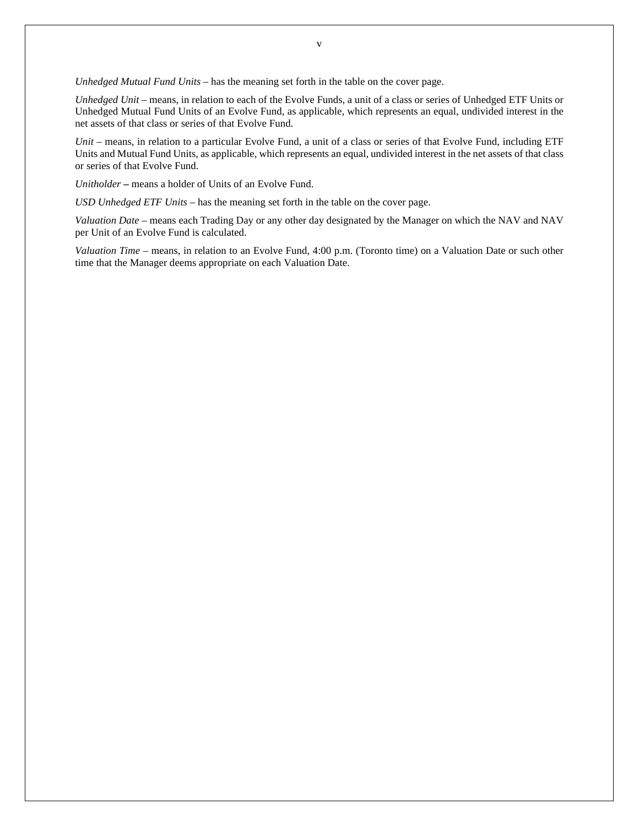*Unhedged Mutual Fund Units –* has the meaning set forth in the table on the cover page.

*Unhedged Unit* – means, in relation to each of the Evolve Funds, a unit of a class or series of Unhedged ETF Units or Unhedged Mutual Fund Units of an Evolve Fund, as applicable, which represents an equal, undivided interest in the net assets of that class or series of that Evolve Fund.

*Unit* – means, in relation to a particular Evolve Fund, a unit of a class or series of that Evolve Fund, including ETF Units and Mutual Fund Units, as applicable, which represents an equal, undivided interest in the net assets of that class or series of that Evolve Fund.

*Unitholder* **–** means a holder of Units of an Evolve Fund.

*USD Unhedged ETF Units –* has the meaning set forth in the table on the cover page.

*Valuation Date* – means each Trading Day or any other day designated by the Manager on which the NAV and NAV per Unit of an Evolve Fund is calculated.

*Valuation Time* – means, in relation to an Evolve Fund, 4:00 p.m. (Toronto time) on a Valuation Date or such other time that the Manager deems appropriate on each Valuation Date.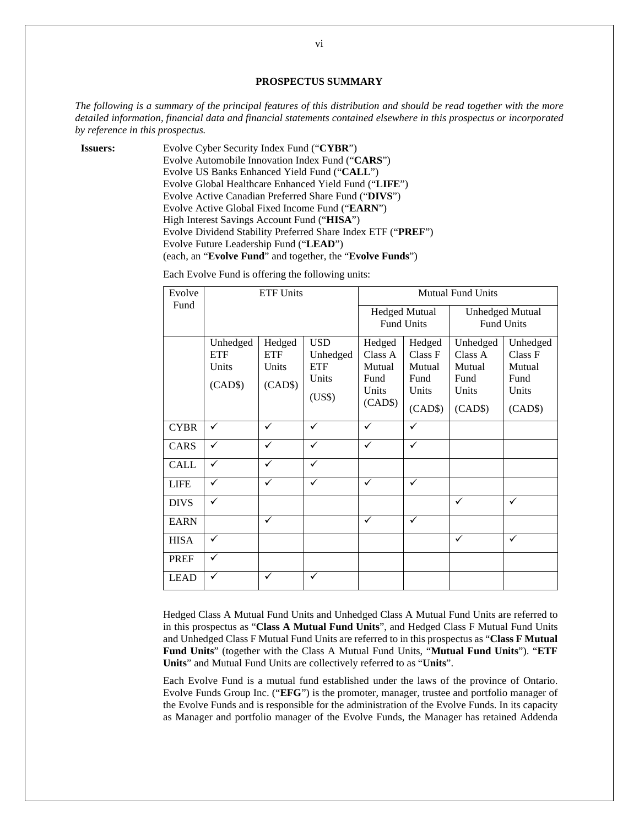### **PROSPECTUS SUMMARY**

*The following is a summary of the principal features of this distribution and should be read together with the more detailed information, financial data and financial statements contained elsewhere in this prospectus or incorporated by reference in this prospectus.* 

**Issuers:** Evolve Cyber Security Index Fund ("**CYBR**") Evolve Automobile Innovation Index Fund ("**CARS**") Evolve US Banks Enhanced Yield Fund ("**CALL**") Evolve Global Healthcare Enhanced Yield Fund ("**LIFE**") Evolve Active Canadian Preferred Share Fund ("**DIVS**") Evolve Active Global Fixed Income Fund ("**EARN**") High Interest Savings Account Fund ("**HISA**") Evolve Dividend Stability Preferred Share Index ETF ("**PREF**") Evolve Future Leadership Fund ("**LEAD**") (each, an "**Evolve Fund**" and together, the "**Evolve Funds**")

| Evolve      | <b>ETF Units</b>                           |                                          |                                                         | <b>Mutual Fund Units</b>                                |                                                         |                                                           |                                                           |
|-------------|--------------------------------------------|------------------------------------------|---------------------------------------------------------|---------------------------------------------------------|---------------------------------------------------------|-----------------------------------------------------------|-----------------------------------------------------------|
| Fund        |                                            |                                          |                                                         |                                                         | <b>Hedged Mutual</b><br><b>Fund Units</b>               | <b>Fund Units</b>                                         | <b>Unhedged Mutual</b>                                    |
|             | Unhedged<br><b>ETF</b><br>Units<br>(CAD\$) | Hedged<br><b>ETF</b><br>Units<br>(CAD\$) | <b>USD</b><br>Unhedged<br><b>ETF</b><br>Units<br>(US\$) | Hedged<br>Class A<br>Mutual<br>Fund<br>Units<br>(CAD\$) | Hedged<br>Class F<br>Mutual<br>Fund<br>Units<br>(CAD\$) | Unhedged<br>Class A<br>Mutual<br>Fund<br>Units<br>(CAD\$) | Unhedged<br>Class F<br>Mutual<br>Fund<br>Units<br>(CAD\$) |
| <b>CYBR</b> | ✓                                          | ✓                                        | ✓                                                       | ✓                                                       | ✓                                                       |                                                           |                                                           |
| CARS        | ✓                                          | ✓                                        | ✓                                                       | ✓                                                       | $\checkmark$                                            |                                                           |                                                           |
| <b>CALL</b> | $\checkmark$                               | $\checkmark$                             | $\checkmark$                                            |                                                         |                                                         |                                                           |                                                           |
| <b>LIFE</b> | ✓                                          | ✓                                        | ✓                                                       | ✓                                                       | ✓                                                       |                                                           |                                                           |
| <b>DIVS</b> | $\checkmark$                               |                                          |                                                         |                                                         |                                                         | $\checkmark$                                              | ✓                                                         |
| <b>EARN</b> |                                            | ✓                                        |                                                         | ✓                                                       | $\checkmark$                                            |                                                           |                                                           |
| <b>HISA</b> | $\checkmark$                               |                                          |                                                         |                                                         |                                                         | $\checkmark$                                              | $\checkmark$                                              |
| <b>PREF</b> | ✓                                          |                                          |                                                         |                                                         |                                                         |                                                           |                                                           |
| <b>LEAD</b> | ✓                                          | ✓                                        | ✓                                                       |                                                         |                                                         |                                                           |                                                           |

Each Evolve Fund is offering the following units:

Hedged Class A Mutual Fund Units and Unhedged Class A Mutual Fund Units are referred to in this prospectus as "**Class A Mutual Fund Units**", and Hedged Class F Mutual Fund Units and Unhedged Class F Mutual Fund Units are referred to in this prospectus as "**Class F Mutual Fund Units**" (together with the Class A Mutual Fund Units, "**Mutual Fund Units**"). "**ETF Units**" and Mutual Fund Units are collectively referred to as "**Units**".

Each Evolve Fund is a mutual fund established under the laws of the province of Ontario. Evolve Funds Group Inc. ("**EFG**") is the promoter, manager, trustee and portfolio manager of the Evolve Funds and is responsible for the administration of the Evolve Funds. In its capacity as Manager and portfolio manager of the Evolve Funds, the Manager has retained Addenda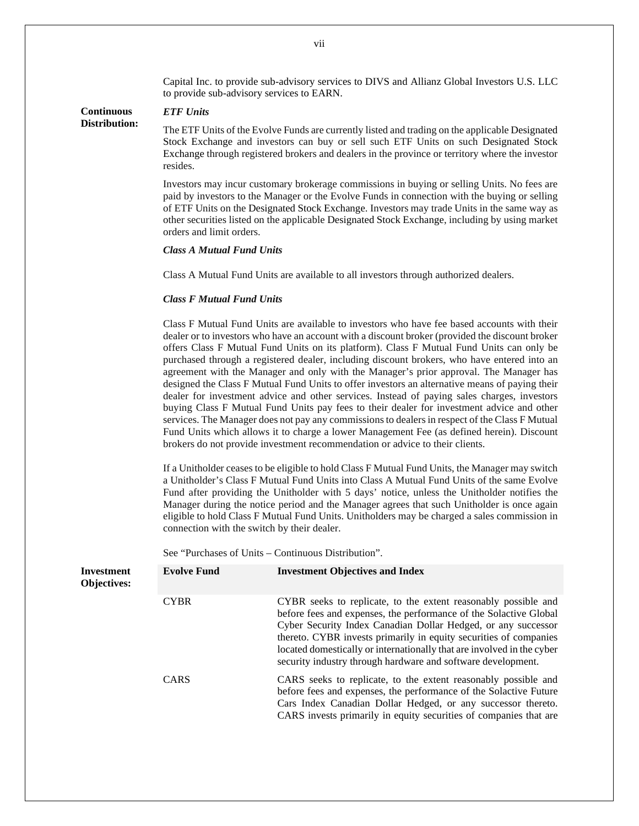Capital Inc. to provide sub-advisory services to DIVS and Allianz Global Investors U.S. LLC to provide sub-advisory services to EARN.

#### **Continuous Distribution:**  *ETF Units*

The ETF Units of the Evolve Funds are currently listed and trading on the applicable Designated Stock Exchange and investors can buy or sell such ETF Units on such Designated Stock Exchange through registered brokers and dealers in the province or territory where the investor resides.

Investors may incur customary brokerage commissions in buying or selling Units. No fees are paid by investors to the Manager or the Evolve Funds in connection with the buying or selling of ETF Units on the Designated Stock Exchange. Investors may trade Units in the same way as other securities listed on the applicable Designated Stock Exchange, including by using market orders and limit orders.

# *Class A Mutual Fund Units*

Class A Mutual Fund Units are available to all investors through authorized dealers.

#### *Class F Mutual Fund Units*

Class F Mutual Fund Units are available to investors who have fee based accounts with their dealer or to investors who have an account with a discount broker (provided the discount broker offers Class F Mutual Fund Units on its platform). Class F Mutual Fund Units can only be purchased through a registered dealer, including discount brokers, who have entered into an agreement with the Manager and only with the Manager's prior approval. The Manager has designed the Class F Mutual Fund Units to offer investors an alternative means of paying their dealer for investment advice and other services. Instead of paying sales charges, investors buying Class F Mutual Fund Units pay fees to their dealer for investment advice and other services. The Manager does not pay any commissions to dealers in respect of the Class F Mutual Fund Units which allows it to charge a lower Management Fee (as defined herein). Discount brokers do not provide investment recommendation or advice to their clients.

If a Unitholder ceases to be eligible to hold Class F Mutual Fund Units, the Manager may switch a Unitholder's Class F Mutual Fund Units into Class A Mutual Fund Units of the same Evolve Fund after providing the Unitholder with 5 days' notice, unless the Unitholder notifies the Manager during the notice period and the Manager agrees that such Unitholder is once again eligible to hold Class F Mutual Fund Units. Unitholders may be charged a sales commission in connection with the switch by their dealer.

See "Purchases of Units – Continuous Distribution".

| <b>Investment</b><br><b>Objectives:</b> | <b>Evolve Fund</b> | <b>Investment Objectives and Index</b>                                                                                                                                                                                                                                                                                                                                                                              |
|-----------------------------------------|--------------------|---------------------------------------------------------------------------------------------------------------------------------------------------------------------------------------------------------------------------------------------------------------------------------------------------------------------------------------------------------------------------------------------------------------------|
|                                         | <b>CYBR</b>        | CYBR seeks to replicate, to the extent reasonably possible and<br>before fees and expenses, the performance of the Solactive Global<br>Cyber Security Index Canadian Dollar Hedged, or any successor<br>thereto. CYBR invests primarily in equity securities of companies<br>located domestically or internationally that are involved in the cyber<br>security industry through hardware and software development. |
|                                         | <b>CARS</b>        | CARS seeks to replicate, to the extent reasonably possible and<br>before fees and expenses, the performance of the Solactive Future<br>Cars Index Canadian Dollar Hedged, or any successor thereto.<br>CARS invests primarily in equity securities of companies that are                                                                                                                                            |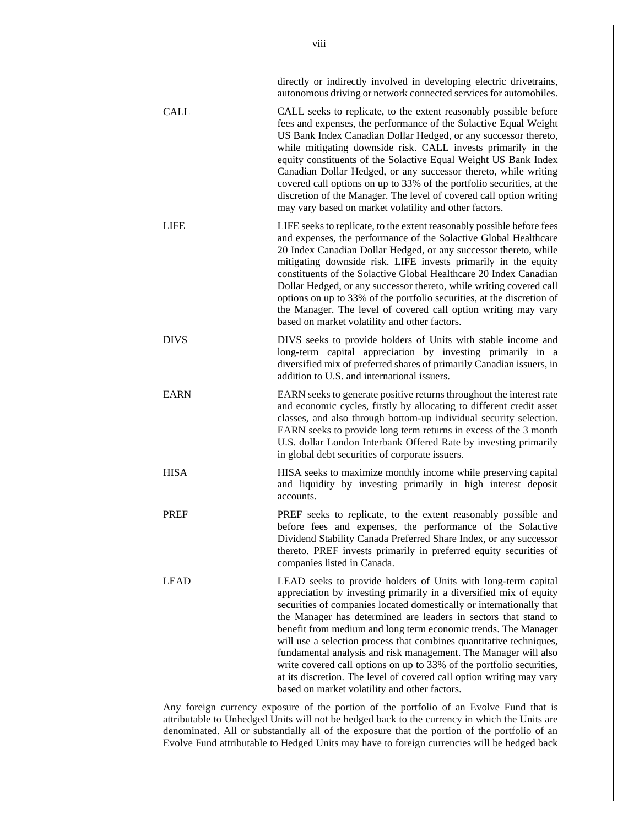directly or indirectly involved in developing electric drivetrains, autonomous driving or network connected services for automobiles.

- CALL CALL seeks to replicate, to the extent reasonably possible before fees and expenses, the performance of the Solactive Equal Weight US Bank Index Canadian Dollar Hedged, or any successor thereto, while mitigating downside risk. CALL invests primarily in the equity constituents of the Solactive Equal Weight US Bank Index Canadian Dollar Hedged, or any successor thereto, while writing covered call options on up to 33% of the portfolio securities, at the discretion of the Manager. The level of covered call option writing may vary based on market volatility and other factors.
	- LIFE LIFE seeks to replicate, to the extent reasonably possible before fees and expenses, the performance of the Solactive Global Healthcare 20 Index Canadian Dollar Hedged, or any successor thereto, while mitigating downside risk. LIFE invests primarily in the equity constituents of the Solactive Global Healthcare 20 Index Canadian Dollar Hedged, or any successor thereto, while writing covered call options on up to 33% of the portfolio securities, at the discretion of the Manager. The level of covered call option writing may vary based on market volatility and other factors.
	- DIVS DIVS seeks to provide holders of Units with stable income and long-term capital appreciation by investing primarily in a diversified mix of preferred shares of primarily Canadian issuers, in addition to U.S. and international issuers.
	- EARN EARN seeks to generate positive returns throughout the interest rate and economic cycles, firstly by allocating to different credit asset classes, and also through bottom-up individual security selection. EARN seeks to provide long term returns in excess of the 3 month U.S. dollar London Interbank Offered Rate by investing primarily in global debt securities of corporate issuers.
	- HISA HISA seeks to maximize monthly income while preserving capital and liquidity by investing primarily in high interest deposit accounts.
	- PREF SEE SEEKS to replicate, to the extent reasonably possible and before fees and expenses, the performance of the Solactive Dividend Stability Canada Preferred Share Index, or any successor thereto. PREF invests primarily in preferred equity securities of companies listed in Canada.
- LEAD LEAD seeks to provide holders of Units with long-term capital appreciation by investing primarily in a diversified mix of equity securities of companies located domestically or internationally that the Manager has determined are leaders in sectors that stand to benefit from medium and long term economic trends. The Manager will use a selection process that combines quantitative techniques, fundamental analysis and risk management. The Manager will also write covered call options on up to 33% of the portfolio securities, at its discretion. The level of covered call option writing may vary based on market volatility and other factors.

Any foreign currency exposure of the portion of the portfolio of an Evolve Fund that is attributable to Unhedged Units will not be hedged back to the currency in which the Units are denominated. All or substantially all of the exposure that the portion of the portfolio of an Evolve Fund attributable to Hedged Units may have to foreign currencies will be hedged back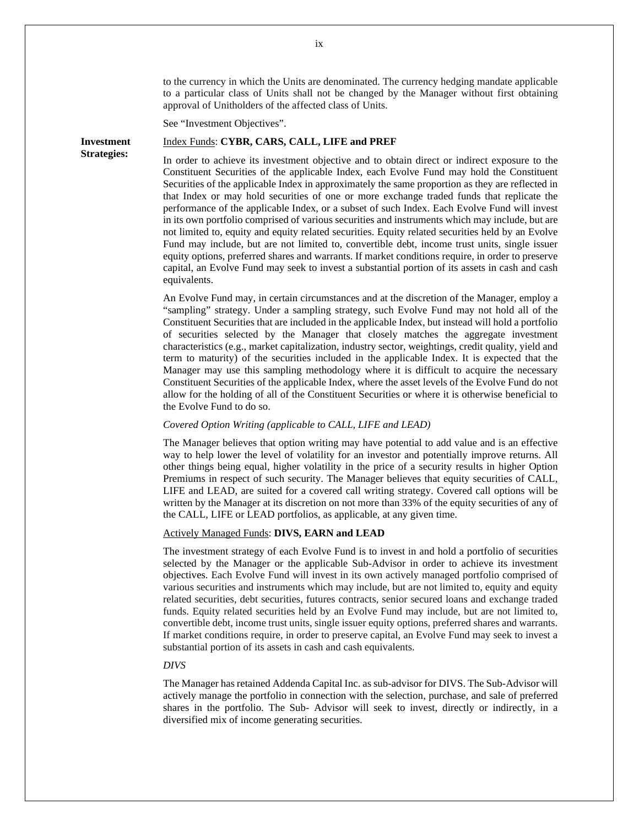to the currency in which the Units are denominated. The currency hedging mandate applicable to a particular class of Units shall not be changed by the Manager without first obtaining approval of Unitholders of the affected class of Units.

See "Investment Objectives".

**Strategies:** 

#### **Investment**  Index Funds: **CYBR, CARS, CALL, LIFE and PREF**

In order to achieve its investment objective and to obtain direct or indirect exposure to the Constituent Securities of the applicable Index, each Evolve Fund may hold the Constituent Securities of the applicable Index in approximately the same proportion as they are reflected in that Index or may hold securities of one or more exchange traded funds that replicate the performance of the applicable Index, or a subset of such Index. Each Evolve Fund will invest in its own portfolio comprised of various securities and instruments which may include, but are not limited to, equity and equity related securities. Equity related securities held by an Evolve Fund may include, but are not limited to, convertible debt, income trust units, single issuer equity options, preferred shares and warrants. If market conditions require, in order to preserve capital, an Evolve Fund may seek to invest a substantial portion of its assets in cash and cash equivalents.

An Evolve Fund may, in certain circumstances and at the discretion of the Manager, employ a "sampling" strategy. Under a sampling strategy, such Evolve Fund may not hold all of the Constituent Securities that are included in the applicable Index, but instead will hold a portfolio of securities selected by the Manager that closely matches the aggregate investment characteristics (e.g., market capitalization, industry sector, weightings, credit quality, yield and term to maturity) of the securities included in the applicable Index. It is expected that the Manager may use this sampling methodology where it is difficult to acquire the necessary Constituent Securities of the applicable Index, where the asset levels of the Evolve Fund do not allow for the holding of all of the Constituent Securities or where it is otherwise beneficial to the Evolve Fund to do so.

#### *Covered Option Writing (applicable to CALL, LIFE and LEAD)*

The Manager believes that option writing may have potential to add value and is an effective way to help lower the level of volatility for an investor and potentially improve returns. All other things being equal, higher volatility in the price of a security results in higher Option Premiums in respect of such security. The Manager believes that equity securities of CALL, LIFE and LEAD, are suited for a covered call writing strategy. Covered call options will be written by the Manager at its discretion on not more than 33% of the equity securities of any of the CALL, LIFE or LEAD portfolios, as applicable, at any given time.

### Actively Managed Funds: **DIVS, EARN and LEAD**

The investment strategy of each Evolve Fund is to invest in and hold a portfolio of securities selected by the Manager or the applicable Sub-Advisor in order to achieve its investment objectives. Each Evolve Fund will invest in its own actively managed portfolio comprised of various securities and instruments which may include, but are not limited to, equity and equity related securities, debt securities, futures contracts, senior secured loans and exchange traded funds. Equity related securities held by an Evolve Fund may include, but are not limited to, convertible debt, income trust units, single issuer equity options, preferred shares and warrants. If market conditions require, in order to preserve capital, an Evolve Fund may seek to invest a substantial portion of its assets in cash and cash equivalents.

# *DIVS*

The Manager has retained Addenda Capital Inc. as sub-advisor for DIVS. The Sub-Advisor will actively manage the portfolio in connection with the selection, purchase, and sale of preferred shares in the portfolio. The Sub- Advisor will seek to invest, directly or indirectly, in a diversified mix of income generating securities.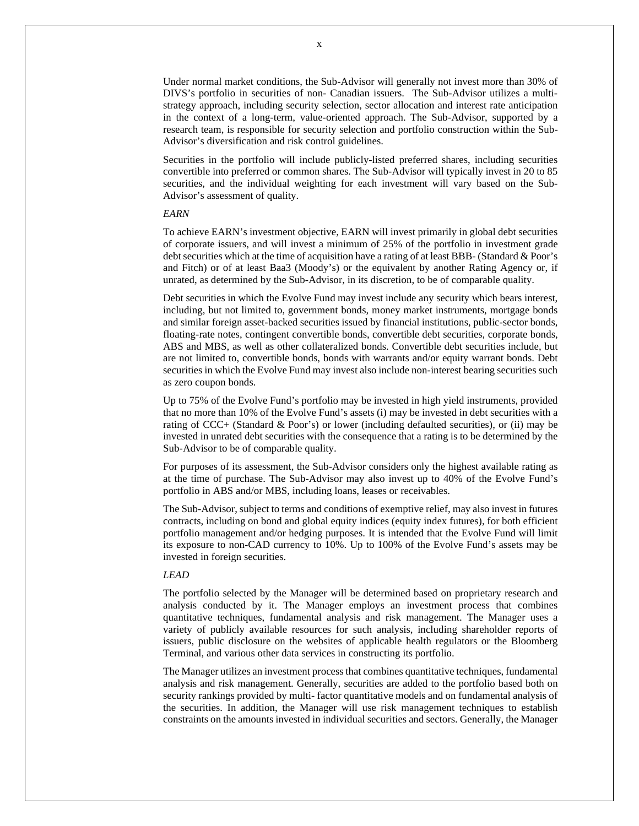Under normal market conditions, the Sub-Advisor will generally not invest more than 30% of DIVS's portfolio in securities of non- Canadian issuers. The Sub-Advisor utilizes a multistrategy approach, including security selection, sector allocation and interest rate anticipation in the context of a long-term, value-oriented approach. The Sub-Advisor, supported by a research team, is responsible for security selection and portfolio construction within the Sub-Advisor's diversification and risk control guidelines.

Securities in the portfolio will include publicly-listed preferred shares, including securities convertible into preferred or common shares. The Sub-Advisor will typically invest in 20 to 85 securities, and the individual weighting for each investment will vary based on the Sub-Advisor's assessment of quality.

#### *EARN*

To achieve EARN's investment objective, EARN will invest primarily in global debt securities of corporate issuers, and will invest a minimum of 25% of the portfolio in investment grade debt securities which at the time of acquisition have a rating of at least BBB- (Standard & Poor's and Fitch) or of at least Baa3 (Moody's) or the equivalent by another Rating Agency or, if unrated, as determined by the Sub-Advisor, in its discretion, to be of comparable quality.

Debt securities in which the Evolve Fund may invest include any security which bears interest, including, but not limited to, government bonds, money market instruments, mortgage bonds and similar foreign asset-backed securities issued by financial institutions, public-sector bonds, floating-rate notes, contingent convertible bonds, convertible debt securities, corporate bonds, ABS and MBS, as well as other collateralized bonds. Convertible debt securities include, but are not limited to, convertible bonds, bonds with warrants and/or equity warrant bonds. Debt securities in which the Evolve Fund may invest also include non-interest bearing securities such as zero coupon bonds.

Up to 75% of the Evolve Fund's portfolio may be invested in high yield instruments, provided that no more than 10% of the Evolve Fund's assets (i) may be invested in debt securities with a rating of CCC+ (Standard & Poor's) or lower (including defaulted securities), or (ii) may be invested in unrated debt securities with the consequence that a rating is to be determined by the Sub-Advisor to be of comparable quality.

For purposes of its assessment, the Sub-Advisor considers only the highest available rating as at the time of purchase. The Sub-Advisor may also invest up to 40% of the Evolve Fund's portfolio in ABS and/or MBS, including loans, leases or receivables.

The Sub-Advisor, subject to terms and conditions of exemptive relief, may also invest in futures contracts, including on bond and global equity indices (equity index futures), for both efficient portfolio management and/or hedging purposes. It is intended that the Evolve Fund will limit its exposure to non-CAD currency to 10%. Up to 100% of the Evolve Fund's assets may be invested in foreign securities.

#### *LEAD*

The portfolio selected by the Manager will be determined based on proprietary research and analysis conducted by it. The Manager employs an investment process that combines quantitative techniques, fundamental analysis and risk management. The Manager uses a variety of publicly available resources for such analysis, including shareholder reports of issuers, public disclosure on the websites of applicable health regulators or the Bloomberg Terminal, and various other data services in constructing its portfolio.

The Manager utilizes an investment process that combines quantitative techniques, fundamental analysis and risk management. Generally, securities are added to the portfolio based both on security rankings provided by multi- factor quantitative models and on fundamental analysis of the securities. In addition, the Manager will use risk management techniques to establish constraints on the amounts invested in individual securities and sectors. Generally, the Manager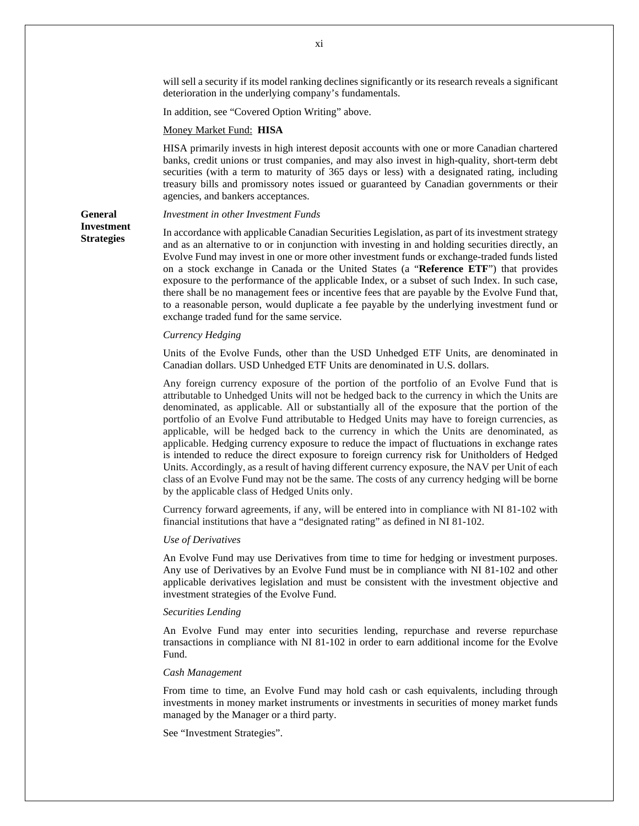will sell a security if its model ranking declines significantly or its research reveals a significant deterioration in the underlying company's fundamentals.

In addition, see "Covered Option Writing" above.

#### Money Market Fund: **HISA**

HISA primarily invests in high interest deposit accounts with one or more Canadian chartered banks, credit unions or trust companies, and may also invest in high-quality, short-term debt securities (with a term to maturity of 365 days or less) with a designated rating, including treasury bills and promissory notes issued or guaranteed by Canadian governments or their agencies, and bankers acceptances.

# **General Investment Strategies**

#### *Investment in other Investment Funds*

In accordance with applicable Canadian Securities Legislation, as part of its investment strategy and as an alternative to or in conjunction with investing in and holding securities directly, an Evolve Fund may invest in one or more other investment funds or exchange-traded funds listed on a stock exchange in Canada or the United States (a "**Reference ETF**") that provides exposure to the performance of the applicable Index, or a subset of such Index. In such case, there shall be no management fees or incentive fees that are payable by the Evolve Fund that, to a reasonable person, would duplicate a fee payable by the underlying investment fund or exchange traded fund for the same service.

#### *Currency Hedging*

Units of the Evolve Funds, other than the USD Unhedged ETF Units, are denominated in Canadian dollars. USD Unhedged ETF Units are denominated in U.S. dollars.

Any foreign currency exposure of the portion of the portfolio of an Evolve Fund that is attributable to Unhedged Units will not be hedged back to the currency in which the Units are denominated, as applicable. All or substantially all of the exposure that the portion of the portfolio of an Evolve Fund attributable to Hedged Units may have to foreign currencies, as applicable, will be hedged back to the currency in which the Units are denominated, as applicable. Hedging currency exposure to reduce the impact of fluctuations in exchange rates is intended to reduce the direct exposure to foreign currency risk for Unitholders of Hedged Units. Accordingly, as a result of having different currency exposure, the NAV per Unit of each class of an Evolve Fund may not be the same. The costs of any currency hedging will be borne by the applicable class of Hedged Units only.

Currency forward agreements, if any, will be entered into in compliance with NI 81-102 with financial institutions that have a "designated rating" as defined in NI 81-102.

# *Use of Derivatives*

An Evolve Fund may use Derivatives from time to time for hedging or investment purposes. Any use of Derivatives by an Evolve Fund must be in compliance with NI 81-102 and other applicable derivatives legislation and must be consistent with the investment objective and investment strategies of the Evolve Fund.

#### *Securities Lending*

An Evolve Fund may enter into securities lending, repurchase and reverse repurchase transactions in compliance with NI 81-102 in order to earn additional income for the Evolve Fund.

#### *Cash Management*

From time to time, an Evolve Fund may hold cash or cash equivalents, including through investments in money market instruments or investments in securities of money market funds managed by the Manager or a third party.

See "Investment Strategies".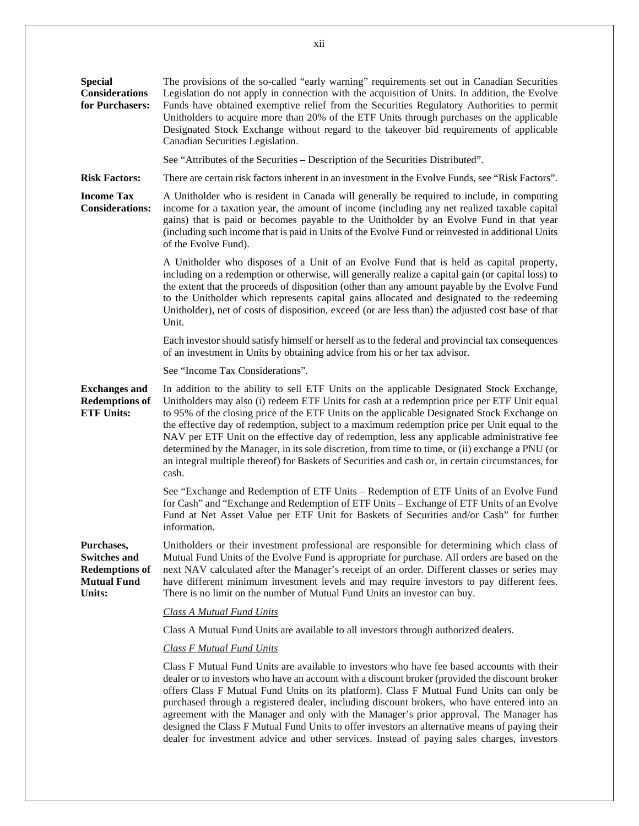| <b>Special</b><br><b>Considerations</b><br>for Purchasers:                                 | The provisions of the so-called "early warning" requirements set out in Canadian Securities<br>Legislation do not apply in connection with the acquisition of Units. In addition, the Evolve<br>Funds have obtained exemptive relief from the Securities Regulatory Authorities to permit<br>Unitholders to acquire more than 20% of the ETF Units through purchases on the applicable<br>Designated Stock Exchange without regard to the takeover bid requirements of applicable<br>Canadian Securities Legislation.                                                                                                                                                                                     |
|--------------------------------------------------------------------------------------------|-----------------------------------------------------------------------------------------------------------------------------------------------------------------------------------------------------------------------------------------------------------------------------------------------------------------------------------------------------------------------------------------------------------------------------------------------------------------------------------------------------------------------------------------------------------------------------------------------------------------------------------------------------------------------------------------------------------|
|                                                                                            | See "Attributes of the Securities – Description of the Securities Distributed".                                                                                                                                                                                                                                                                                                                                                                                                                                                                                                                                                                                                                           |
| <b>Risk Factors:</b>                                                                       | There are certain risk factors inherent in an investment in the Evolve Funds, see "Risk Factors".                                                                                                                                                                                                                                                                                                                                                                                                                                                                                                                                                                                                         |
| <b>Income Tax</b><br><b>Considerations:</b>                                                | A Unitholder who is resident in Canada will generally be required to include, in computing<br>income for a taxation year, the amount of income (including any net realized taxable capital<br>gains) that is paid or becomes payable to the Unitholder by an Evolve Fund in that year<br>(including such income that is paid in Units of the Evolve Fund or reinvested in additional Units<br>of the Evolve Fund).                                                                                                                                                                                                                                                                                        |
|                                                                                            | A Unitholder who disposes of a Unit of an Evolve Fund that is held as capital property,<br>including on a redemption or otherwise, will generally realize a capital gain (or capital loss) to<br>the extent that the proceeds of disposition (other than any amount payable by the Evolve Fund<br>to the Unitholder which represents capital gains allocated and designated to the redeeming<br>Unitholder), net of costs of disposition, exceed (or are less than) the adjusted cost base of that<br>Unit.                                                                                                                                                                                               |
|                                                                                            | Each investor should satisfy himself or herself as to the federal and provincial tax consequences<br>of an investment in Units by obtaining advice from his or her tax advisor.                                                                                                                                                                                                                                                                                                                                                                                                                                                                                                                           |
|                                                                                            | See "Income Tax Considerations".                                                                                                                                                                                                                                                                                                                                                                                                                                                                                                                                                                                                                                                                          |
| <b>Exchanges and</b><br><b>Redemptions of</b><br><b>ETF Units:</b>                         | In addition to the ability to sell ETF Units on the applicable Designated Stock Exchange,<br>Unitholders may also (i) redeem ETF Units for cash at a redemption price per ETF Unit equal<br>to 95% of the closing price of the ETF Units on the applicable Designated Stock Exchange on<br>the effective day of redemption, subject to a maximum redemption price per Unit equal to the<br>NAV per ETF Unit on the effective day of redemption, less any applicable administrative fee<br>determined by the Manager, in its sole discretion, from time to time, or (ii) exchange a PNU (or<br>an integral multiple thereof) for Baskets of Securities and cash or, in certain circumstances, for<br>cash. |
|                                                                                            | See "Exchange and Redemption of ETF Units – Redemption of ETF Units of an Evolve Fund<br>for Cash" and "Exchange and Redemption of ETF Units - Exchange of ETF Units of an Evolve<br>Fund at Net Asset Value per ETF Unit for Baskets of Securities and/or Cash" for further<br>information.                                                                                                                                                                                                                                                                                                                                                                                                              |
| Purchases,<br><b>Switches and</b><br><b>Redemptions of</b><br><b>Mutual Fund</b><br>Units: | Unitholders or their investment professional are responsible for determining which class of<br>Mutual Fund Units of the Evolve Fund is appropriate for purchase. All orders are based on the<br>next NAV calculated after the Manager's receipt of an order. Different classes or series may<br>have different minimum investment levels and may require investors to pay different fees.<br>There is no limit on the number of Mutual Fund Units an investor can buy.                                                                                                                                                                                                                                    |
|                                                                                            | <b>Class A Mutual Fund Units</b>                                                                                                                                                                                                                                                                                                                                                                                                                                                                                                                                                                                                                                                                          |
|                                                                                            | Class A Mutual Fund Units are available to all investors through authorized dealers.                                                                                                                                                                                                                                                                                                                                                                                                                                                                                                                                                                                                                      |
|                                                                                            | <b>Class F Mutual Fund Units</b>                                                                                                                                                                                                                                                                                                                                                                                                                                                                                                                                                                                                                                                                          |
|                                                                                            | Class F Mutual Fund Units are available to investors who have fee based accounts with their<br>dealer or to investors who have an account with a discount broker (provided the discount broker<br>offers Class F Mutual Fund Units on its platform). Class F Mutual Fund Units can only be<br>purchased through a registered dealer, including discount brokers, who have entered into an<br>agreement with the Manager and only with the Manager's prior approval. The Manager has<br>designed the Class F Mutual Fund Units to offer investors an alternative means of paying their<br>dealer for investment advice and other services. Instead of paying sales charges, investors                      |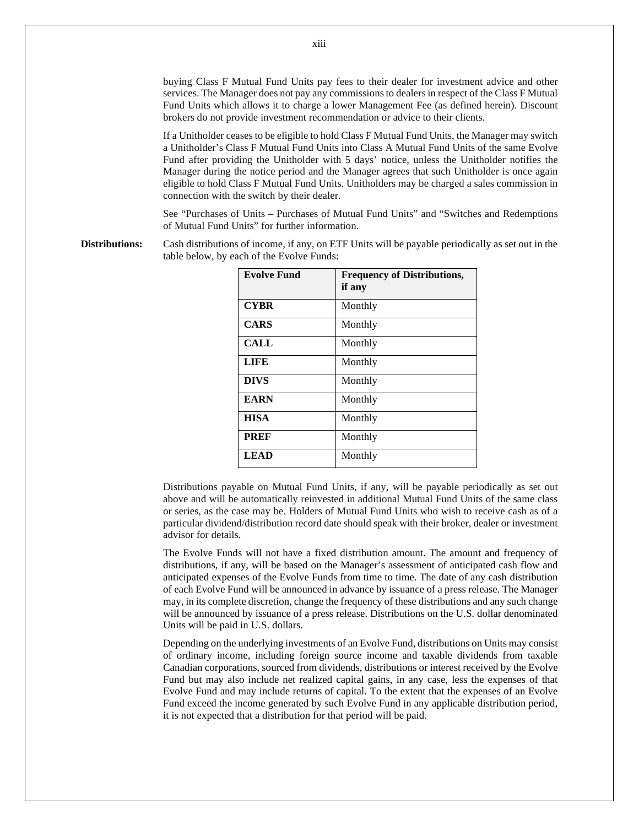buying Class F Mutual Fund Units pay fees to their dealer for investment advice and other services. The Manager does not pay any commissions to dealers in respect of the Class F Mutual Fund Units which allows it to charge a lower Management Fee (as defined herein). Discount brokers do not provide investment recommendation or advice to their clients.

If a Unitholder ceases to be eligible to hold Class F Mutual Fund Units, the Manager may switch a Unitholder's Class F Mutual Fund Units into Class A Mutual Fund Units of the same Evolve Fund after providing the Unitholder with 5 days' notice, unless the Unitholder notifies the Manager during the notice period and the Manager agrees that such Unitholder is once again eligible to hold Class F Mutual Fund Units. Unitholders may be charged a sales commission in connection with the switch by their dealer.

See "Purchases of Units – Purchases of Mutual Fund Units" and "Switches and Redemptions of Mutual Fund Units" for further information.

**Distributions:** Cash distributions of income, if any, on ETF Units will be payable periodically as set out in the table below, by each of the Evolve Funds:

| <b>Evolve Fund</b> | <b>Frequency of Distributions,</b><br>if any |
|--------------------|----------------------------------------------|
| <b>CYBR</b>        | Monthly                                      |
| <b>CARS</b>        | Monthly                                      |
| <b>CALL</b>        | Monthly                                      |
| <b>LIFE</b>        | Monthly                                      |
| <b>DIVS</b>        | Monthly                                      |
| <b>EARN</b>        | Monthly                                      |
| <b>HISA</b>        | Monthly                                      |
| <b>PREF</b>        | Monthly                                      |
| <b>LEAD</b>        | Monthly                                      |

Distributions payable on Mutual Fund Units, if any, will be payable periodically as set out above and will be automatically reinvested in additional Mutual Fund Units of the same class or series, as the case may be. Holders of Mutual Fund Units who wish to receive cash as of a particular dividend/distribution record date should speak with their broker, dealer or investment advisor for details.

The Evolve Funds will not have a fixed distribution amount. The amount and frequency of distributions, if any, will be based on the Manager's assessment of anticipated cash flow and anticipated expenses of the Evolve Funds from time to time. The date of any cash distribution of each Evolve Fund will be announced in advance by issuance of a press release. The Manager may, in its complete discretion, change the frequency of these distributions and any such change will be announced by issuance of a press release. Distributions on the U.S. dollar denominated Units will be paid in U.S. dollars.

Depending on the underlying investments of an Evolve Fund, distributions on Units may consist of ordinary income, including foreign source income and taxable dividends from taxable Canadian corporations, sourced from dividends, distributions or interest received by the Evolve Fund but may also include net realized capital gains, in any case, less the expenses of that Evolve Fund and may include returns of capital. To the extent that the expenses of an Evolve Fund exceed the income generated by such Evolve Fund in any applicable distribution period, it is not expected that a distribution for that period will be paid.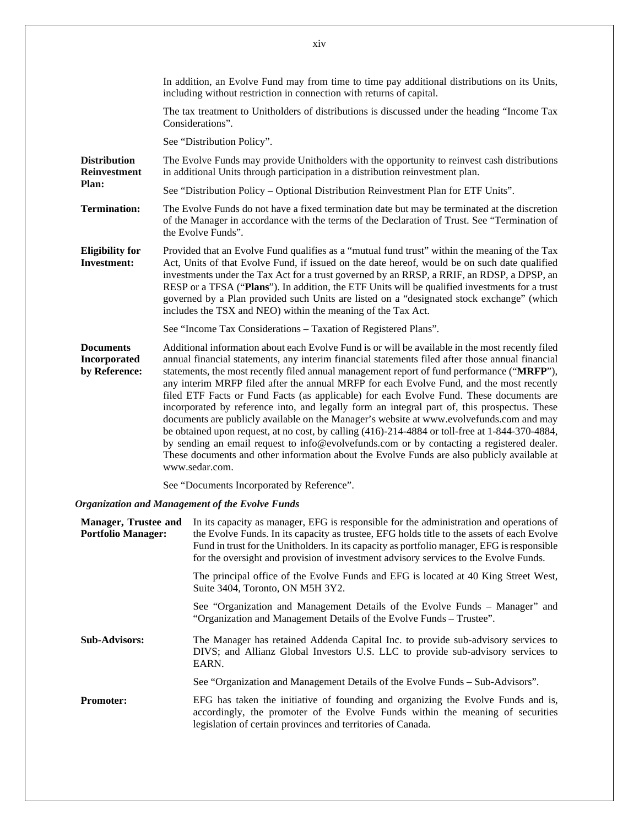|                                                          | In addition, an Evolve Fund may from time to time pay additional distributions on its Units,<br>including without restriction in connection with returns of capital.                                                                                                                                                                                                                                                                                                                                                                                                                                                                                                                                                                                                                                                                                                                                                                                                                                   |
|----------------------------------------------------------|--------------------------------------------------------------------------------------------------------------------------------------------------------------------------------------------------------------------------------------------------------------------------------------------------------------------------------------------------------------------------------------------------------------------------------------------------------------------------------------------------------------------------------------------------------------------------------------------------------------------------------------------------------------------------------------------------------------------------------------------------------------------------------------------------------------------------------------------------------------------------------------------------------------------------------------------------------------------------------------------------------|
|                                                          | The tax treatment to Unitholders of distributions is discussed under the heading "Income Tax<br>Considerations".                                                                                                                                                                                                                                                                                                                                                                                                                                                                                                                                                                                                                                                                                                                                                                                                                                                                                       |
|                                                          | See "Distribution Policy".                                                                                                                                                                                                                                                                                                                                                                                                                                                                                                                                                                                                                                                                                                                                                                                                                                                                                                                                                                             |
| <b>Distribution</b><br><b>Reinvestment</b>               | The Evolve Funds may provide Unitholders with the opportunity to reinvest cash distributions<br>in additional Units through participation in a distribution reinvestment plan.                                                                                                                                                                                                                                                                                                                                                                                                                                                                                                                                                                                                                                                                                                                                                                                                                         |
| Plan:                                                    | See "Distribution Policy - Optional Distribution Reinvestment Plan for ETF Units".                                                                                                                                                                                                                                                                                                                                                                                                                                                                                                                                                                                                                                                                                                                                                                                                                                                                                                                     |
| <b>Termination:</b>                                      | The Evolve Funds do not have a fixed termination date but may be terminated at the discretion<br>of the Manager in accordance with the terms of the Declaration of Trust. See "Termination of<br>the Evolve Funds".                                                                                                                                                                                                                                                                                                                                                                                                                                                                                                                                                                                                                                                                                                                                                                                    |
| <b>Eligibility for</b><br><b>Investment:</b>             | Provided that an Evolve Fund qualifies as a "mutual fund trust" within the meaning of the Tax<br>Act, Units of that Evolve Fund, if issued on the date hereof, would be on such date qualified<br>investments under the Tax Act for a trust governed by an RRSP, a RRIF, an RDSP, a DPSP, an<br>RESP or a TFSA ("Plans"). In addition, the ETF Units will be qualified investments for a trust<br>governed by a Plan provided such Units are listed on a "designated stock exchange" (which<br>includes the TSX and NEO) within the meaning of the Tax Act.                                                                                                                                                                                                                                                                                                                                                                                                                                            |
|                                                          | See "Income Tax Considerations - Taxation of Registered Plans".                                                                                                                                                                                                                                                                                                                                                                                                                                                                                                                                                                                                                                                                                                                                                                                                                                                                                                                                        |
| <b>Documents</b><br><b>Incorporated</b><br>by Reference: | Additional information about each Evolve Fund is or will be available in the most recently filed<br>annual financial statements, any interim financial statements filed after those annual financial<br>statements, the most recently filed annual management report of fund performance ("MRFP"),<br>any interim MRFP filed after the annual MRFP for each Evolve Fund, and the most recently<br>filed ETF Facts or Fund Facts (as applicable) for each Evolve Fund. These documents are<br>incorporated by reference into, and legally form an integral part of, this prospectus. These<br>documents are publicly available on the Manager's website at www.evolvefunds.com and may<br>be obtained upon request, at no cost, by calling (416)-214-4884 or toll-free at 1-844-370-4884,<br>by sending an email request to info@evolvefunds.com or by contacting a registered dealer.<br>These documents and other information about the Evolve Funds are also publicly available at<br>www.sedar.com. |

See "Documents Incorporated by Reference".

# *Organization and Management of the Evolve Funds*

| <b>Manager, Trustee and</b><br><b>Portfolio Manager:</b> | In its capacity as manager, EFG is responsible for the administration and operations of<br>the Evolve Funds. In its capacity as trustee, EFG holds title to the assets of each Evolve<br>Fund in trust for the Unitholders. In its capacity as portfolio manager, EFG is responsible<br>for the oversight and provision of investment advisory services to the Evolve Funds. |
|----------------------------------------------------------|------------------------------------------------------------------------------------------------------------------------------------------------------------------------------------------------------------------------------------------------------------------------------------------------------------------------------------------------------------------------------|
|                                                          | The principal office of the Evolve Funds and EFG is located at 40 King Street West,<br>Suite 3404, Toronto, ON M5H 3Y2.                                                                                                                                                                                                                                                      |
|                                                          | See "Organization and Management Details of the Evolve Funds – Manager" and<br>"Organization and Management Details of the Evolve Funds – Trustee".                                                                                                                                                                                                                          |
| <b>Sub-Advisors:</b>                                     | The Manager has retained Addenda Capital Inc. to provide sub-advisory services to<br>DIVS; and Allianz Global Investors U.S. LLC to provide sub-advisory services to<br>EARN.                                                                                                                                                                                                |
|                                                          | See "Organization and Management Details of the Evolve Funds – Sub-Advisors".                                                                                                                                                                                                                                                                                                |
| <b>Promoter:</b>                                         | EFG has taken the initiative of founding and organizing the Evolve Funds and is,<br>accordingly, the promoter of the Evolve Funds within the meaning of securities<br>legislation of certain provinces and territories of Canada.                                                                                                                                            |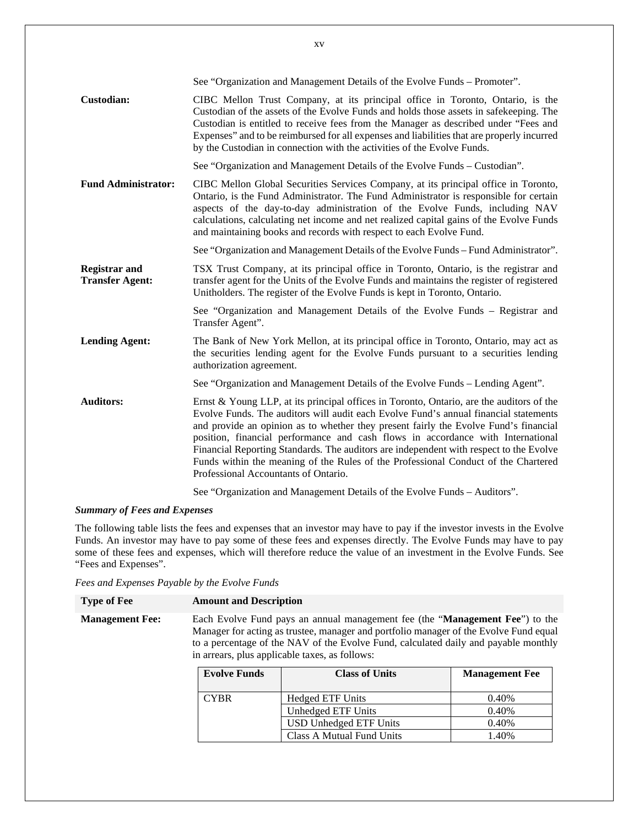|                                                | See "Organization and Management Details of the Evolve Funds - Promoter".                                                                                                                                                                                                                                                                                                                                                                                                                                                                                                           |
|------------------------------------------------|-------------------------------------------------------------------------------------------------------------------------------------------------------------------------------------------------------------------------------------------------------------------------------------------------------------------------------------------------------------------------------------------------------------------------------------------------------------------------------------------------------------------------------------------------------------------------------------|
| <b>Custodian:</b>                              | CIBC Mellon Trust Company, at its principal office in Toronto, Ontario, is the<br>Custodian of the assets of the Evolve Funds and holds those assets in safekeeping. The<br>Custodian is entitled to receive fees from the Manager as described under "Fees and<br>Expenses" and to be reimbursed for all expenses and liabilities that are properly incurred<br>by the Custodian in connection with the activities of the Evolve Funds.                                                                                                                                            |
|                                                | See "Organization and Management Details of the Evolve Funds - Custodian".                                                                                                                                                                                                                                                                                                                                                                                                                                                                                                          |
| <b>Fund Administrator:</b>                     | CIBC Mellon Global Securities Services Company, at its principal office in Toronto,<br>Ontario, is the Fund Administrator. The Fund Administrator is responsible for certain<br>aspects of the day-to-day administration of the Evolve Funds, including NAV<br>calculations, calculating net income and net realized capital gains of the Evolve Funds<br>and maintaining books and records with respect to each Evolve Fund.                                                                                                                                                       |
|                                                | See "Organization and Management Details of the Evolve Funds – Fund Administrator".                                                                                                                                                                                                                                                                                                                                                                                                                                                                                                 |
| <b>Registrar and</b><br><b>Transfer Agent:</b> | TSX Trust Company, at its principal office in Toronto, Ontario, is the registrar and<br>transfer agent for the Units of the Evolve Funds and maintains the register of registered<br>Unitholders. The register of the Evolve Funds is kept in Toronto, Ontario.                                                                                                                                                                                                                                                                                                                     |
|                                                | See "Organization and Management Details of the Evolve Funds – Registrar and<br>Transfer Agent".                                                                                                                                                                                                                                                                                                                                                                                                                                                                                    |
| <b>Lending Agent:</b>                          | The Bank of New York Mellon, at its principal office in Toronto, Ontario, may act as<br>the securities lending agent for the Evolve Funds pursuant to a securities lending<br>authorization agreement.                                                                                                                                                                                                                                                                                                                                                                              |
|                                                | See "Organization and Management Details of the Evolve Funds – Lending Agent".                                                                                                                                                                                                                                                                                                                                                                                                                                                                                                      |
| <b>Auditors:</b>                               | Ernst & Young LLP, at its principal offices in Toronto, Ontario, are the auditors of the<br>Evolve Funds. The auditors will audit each Evolve Fund's annual financial statements<br>and provide an opinion as to whether they present fairly the Evolve Fund's financial<br>position, financial performance and cash flows in accordance with International<br>Financial Reporting Standards. The auditors are independent with respect to the Evolve<br>Funds within the meaning of the Rules of the Professional Conduct of the Chartered<br>Professional Accountants of Ontario. |
|                                                | See "Organization and Management Details of the Evolve Funds – Auditors".                                                                                                                                                                                                                                                                                                                                                                                                                                                                                                           |

# *Summary of Fees and Expenses*

The following table lists the fees and expenses that an investor may have to pay if the investor invests in the Evolve Funds. An investor may have to pay some of these fees and expenses directly. The Evolve Funds may have to pay some of these fees and expenses, which will therefore reduce the value of an investment in the Evolve Funds. See "Fees and Expenses".

|  | Fees and Expenses Payable by the Evolve Funds |  |  |  |
|--|-----------------------------------------------|--|--|--|
|  |                                               |  |  |  |

| <b>Type of Fee</b>     | <b>Amount and Description</b>                                                         |
|------------------------|---------------------------------------------------------------------------------------|
| <b>Management Fee:</b> | Each Evolve Fund pays an annual management fee (the " <b>Management Fee</b> ") to the |
|                        | Manager for acting as trustee, manager and portfolio manager of the Evolve Fund equal |
|                        | to a percentage of the NAV of the Evolve Fund, calculated daily and payable monthly   |
|                        | in arrears, plus applicable taxes, as follows:                                        |

| <b>Evolve Funds</b> | <b>Class of Units</b>         | <b>Management Fee</b> |
|---------------------|-------------------------------|-----------------------|
| <b>CYBR</b>         | <b>Hedged ETF Units</b>       | 0.40%                 |
|                     | Unhedged ETF Units            | 0.40%                 |
|                     | <b>USD Unhedged ETF Units</b> | 0.40%                 |
|                     | Class A Mutual Fund Units     | 1.40%                 |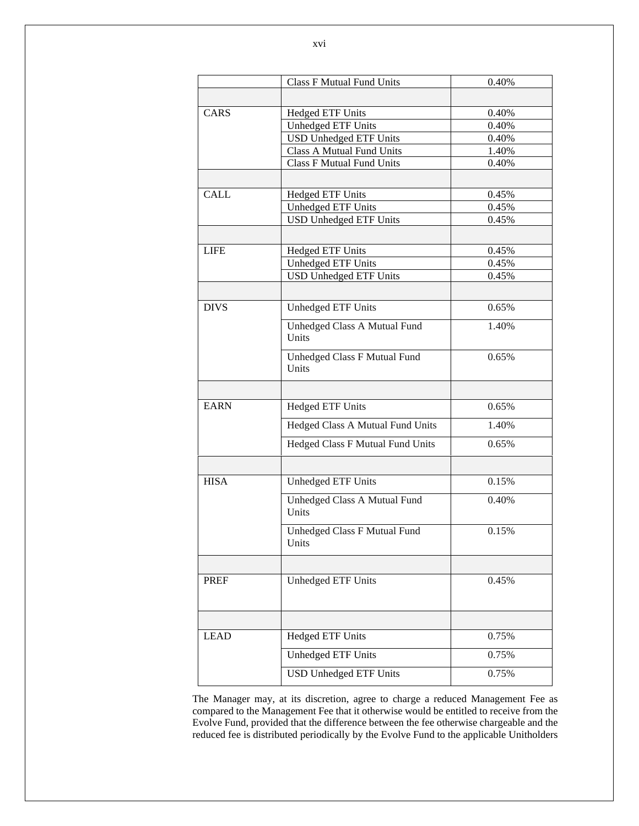|             | <b>Class F Mutual Fund Units</b>      | 0.40% |
|-------------|---------------------------------------|-------|
|             |                                       |       |
| CARS        | <b>Hedged ETF Units</b>               | 0.40% |
|             | Unhedged ETF Units                    | 0.40% |
|             | <b>USD Unhedged ETF Units</b>         | 0.40% |
|             | <b>Class A Mutual Fund Units</b>      | 1.40% |
|             | <b>Class F Mutual Fund Units</b>      | 0.40% |
|             |                                       |       |
| <b>CALL</b> | <b>Hedged ETF Units</b>               | 0.45% |
|             | <b>Unhedged ETF Units</b>             | 0.45% |
|             | <b>USD Unhedged ETF Units</b>         | 0.45% |
|             |                                       |       |
| <b>LIFE</b> | <b>Hedged ETF Units</b>               | 0.45% |
|             | Unhedged ETF Units                    | 0.45% |
|             | <b>USD Unhedged ETF Units</b>         | 0.45% |
|             |                                       |       |
| <b>DIVS</b> | Unhedged ETF Units                    | 0.65% |
|             | Unhedged Class A Mutual Fund<br>Units | 1.40% |
|             | Unhedged Class F Mutual Fund<br>Units | 0.65% |
|             |                                       |       |
| <b>EARN</b> | <b>Hedged ETF Units</b>               | 0.65% |
|             | Hedged Class A Mutual Fund Units      | 1.40% |
|             | Hedged Class F Mutual Fund Units      | 0.65% |
|             |                                       |       |
| <b>HISA</b> | <b>Unhedged ETF Units</b>             | 0.15% |
|             | Unhedged Class A Mutual Fund<br>Units | 0.40% |
|             | Unhedged Class F Mutual Fund<br>Units | 0.15% |
|             |                                       |       |
| <b>PREF</b> | Unhedged ETF Units                    | 0.45% |
|             |                                       |       |
|             |                                       |       |
| <b>LEAD</b> | <b>Hedged ETF Units</b>               | 0.75% |
|             | Unhedged ETF Units                    | 0.75% |

The Manager may, at its discretion, agree to charge a reduced Management Fee as compared to the Management Fee that it otherwise would be entitled to receive from the Evolve Fund, provided that the difference between the fee otherwise chargeable and the reduced fee is distributed periodically by the Evolve Fund to the applicable Unitholders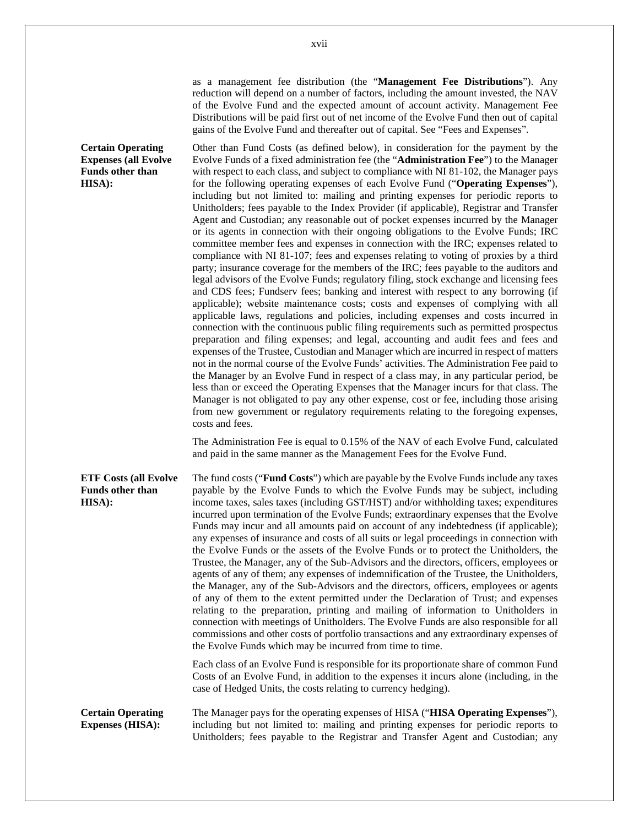as a management fee distribution (the "**Management Fee Distributions**"). Any reduction will depend on a number of factors, including the amount invested, the NAV of the Evolve Fund and the expected amount of account activity. Management Fee Distributions will be paid first out of net income of the Evolve Fund then out of capital gains of the Evolve Fund and thereafter out of capital. See "Fees and Expenses".

Other than Fund Costs (as defined below), in consideration for the payment by the Evolve Funds of a fixed administration fee (the "**Administration Fee**") to the Manager with respect to each class, and subject to compliance with NI 81-102, the Manager pays for the following operating expenses of each Evolve Fund ("**Operating Expenses**"), including but not limited to: mailing and printing expenses for periodic reports to Unitholders; fees payable to the Index Provider (if applicable), Registrar and Transfer Agent and Custodian; any reasonable out of pocket expenses incurred by the Manager or its agents in connection with their ongoing obligations to the Evolve Funds; IRC committee member fees and expenses in connection with the IRC; expenses related to compliance with NI 81-107; fees and expenses relating to voting of proxies by a third party; insurance coverage for the members of the IRC; fees payable to the auditors and legal advisors of the Evolve Funds; regulatory filing, stock exchange and licensing fees and CDS fees; Fundserv fees; banking and interest with respect to any borrowing (if applicable); website maintenance costs; costs and expenses of complying with all applicable laws, regulations and policies, including expenses and costs incurred in connection with the continuous public filing requirements such as permitted prospectus preparation and filing expenses; and legal, accounting and audit fees and fees and expenses of the Trustee, Custodian and Manager which are incurred in respect of matters not in the normal course of the Evolve Funds' activities. The Administration Fee paid to the Manager by an Evolve Fund in respect of a class may, in any particular period, be less than or exceed the Operating Expenses that the Manager incurs for that class. The Manager is not obligated to pay any other expense, cost or fee, including those arising from new government or regulatory requirements relating to the foregoing expenses, costs and fees.

The Administration Fee is equal to 0.15% of the NAV of each Evolve Fund, calculated and paid in the same manner as the Management Fees for the Evolve Fund.

**ETF Costs (all Evolve Funds other than HISA):**  The fund costs ("**Fund Costs**") which are payable by the Evolve Funds include any taxes payable by the Evolve Funds to which the Evolve Funds may be subject, including income taxes, sales taxes (including GST/HST) and/or withholding taxes; expenditures incurred upon termination of the Evolve Funds; extraordinary expenses that the Evolve Funds may incur and all amounts paid on account of any indebtedness (if applicable); any expenses of insurance and costs of all suits or legal proceedings in connection with the Evolve Funds or the assets of the Evolve Funds or to protect the Unitholders, the Trustee, the Manager, any of the Sub-Advisors and the directors, officers, employees or agents of any of them; any expenses of indemnification of the Trustee, the Unitholders, the Manager, any of the Sub-Advisors and the directors, officers, employees or agents of any of them to the extent permitted under the Declaration of Trust; and expenses relating to the preparation, printing and mailing of information to Unitholders in connection with meetings of Unitholders. The Evolve Funds are also responsible for all commissions and other costs of portfolio transactions and any extraordinary expenses of the Evolve Funds which may be incurred from time to time.

> Each class of an Evolve Fund is responsible for its proportionate share of common Fund Costs of an Evolve Fund, in addition to the expenses it incurs alone (including, in the case of Hedged Units, the costs relating to currency hedging).

**Certain Operating Expenses (HISA):**  The Manager pays for the operating expenses of HISA ("**HISA Operating Expenses**"), including but not limited to: mailing and printing expenses for periodic reports to Unitholders; fees payable to the Registrar and Transfer Agent and Custodian; any

xvii

**Certain Operating Expenses (all Evolve Funds other than HISA):**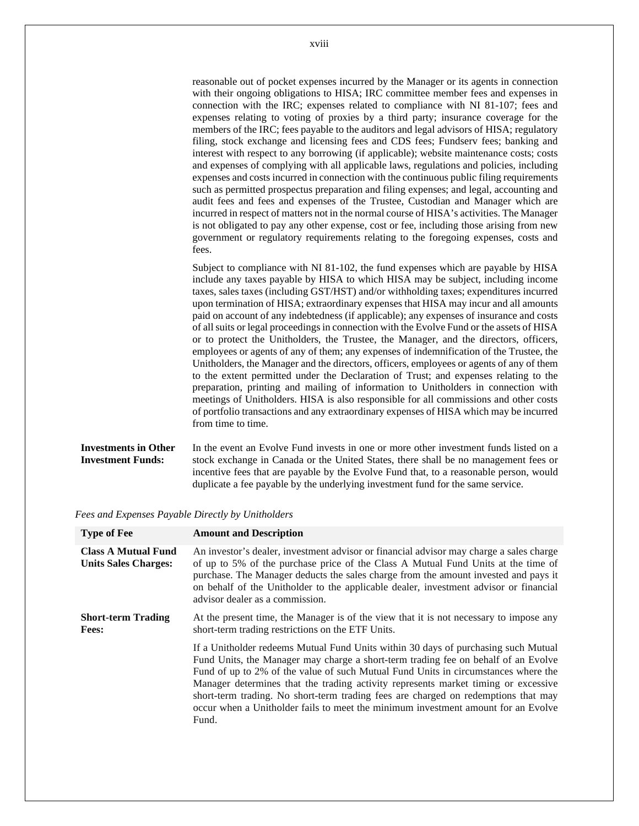| reasonable out of pocket expenses incurred by the Manager or its agents in connection     |
|-------------------------------------------------------------------------------------------|
| with their ongoing obligations to HISA; IRC committee member fees and expenses in         |
| connection with the IRC; expenses related to compliance with NI 81-107; fees and          |
| expenses relating to voting of proxies by a third party; insurance coverage for the       |
| members of the IRC; fees payable to the auditors and legal advisors of HISA; regulatory   |
| filing, stock exchange and licensing fees and CDS fees; Fundserv fees; banking and        |
| interest with respect to any borrowing (if applicable); website maintenance costs; costs  |
| and expenses of complying with all applicable laws, regulations and policies, including   |
| expenses and costs incurred in connection with the continuous public filing requirements  |
| such as permitted prospectus preparation and filing expenses; and legal, accounting and   |
| audit fees and fees and expenses of the Trustee, Custodian and Manager which are          |
| incurred in respect of matters not in the normal course of HISA's activities. The Manager |
| is not obligated to pay any other expense, cost or fee, including those arising from new  |
| government or regulatory requirements relating to the foregoing expenses, costs and       |
| fees.                                                                                     |

Subject to compliance with NI 81-102, the fund expenses which are payable by HISA include any taxes payable by HISA to which HISA may be subject, including income taxes, sales taxes (including GST/HST) and/or withholding taxes; expenditures incurred upon termination of HISA; extraordinary expenses that HISA may incur and all amounts paid on account of any indebtedness (if applicable); any expenses of insurance and costs of all suits or legal proceedings in connection with the Evolve Fund or the assets of HISA or to protect the Unitholders, the Trustee, the Manager, and the directors, officers, employees or agents of any of them; any expenses of indemnification of the Trustee, the Unitholders, the Manager and the directors, officers, employees or agents of any of them to the extent permitted under the Declaration of Trust; and expenses relating to the preparation, printing and mailing of information to Unitholders in connection with meetings of Unitholders. HISA is also responsible for all commissions and other costs of portfolio transactions and any extraordinary expenses of HISA which may be incurred from time to time.

#### **Investments in Other Investment Funds:**  In the event an Evolve Fund invests in one or more other investment funds listed on a stock exchange in Canada or the United States, there shall be no management fees or incentive fees that are payable by the Evolve Fund that, to a reasonable person, would duplicate a fee payable by the underlying investment fund for the same service.

*Fees and Expenses Payable Directly by Unitholders* 

| <b>Type of Fee</b>                                        | <b>Amount and Description</b>                                                                                                                                                                                                                                                                                                                                                                                                                                                                                                            |
|-----------------------------------------------------------|------------------------------------------------------------------------------------------------------------------------------------------------------------------------------------------------------------------------------------------------------------------------------------------------------------------------------------------------------------------------------------------------------------------------------------------------------------------------------------------------------------------------------------------|
| <b>Class A Mutual Fund</b><br><b>Units Sales Charges:</b> | An investor's dealer, investment advisor or financial advisor may charge a sales charge<br>of up to 5% of the purchase price of the Class A Mutual Fund Units at the time of<br>purchase. The Manager deducts the sales charge from the amount invested and pays it<br>on behalf of the Unitholder to the applicable dealer, investment advisor or financial<br>advisor dealer as a commission.                                                                                                                                          |
| <b>Short-term Trading</b><br><b>Fees:</b>                 | At the present time, the Manager is of the view that it is not necessary to impose any<br>short-term trading restrictions on the ETF Units.                                                                                                                                                                                                                                                                                                                                                                                              |
|                                                           | If a Unitholder redeems Mutual Fund Units within 30 days of purchasing such Mutual<br>Fund Units, the Manager may charge a short-term trading fee on behalf of an Evolve<br>Fund of up to 2% of the value of such Mutual Fund Units in circumstances where the<br>Manager determines that the trading activity represents market timing or excessive<br>short-term trading. No short-term trading fees are charged on redemptions that may<br>occur when a Unitholder fails to meet the minimum investment amount for an Evolve<br>Fund. |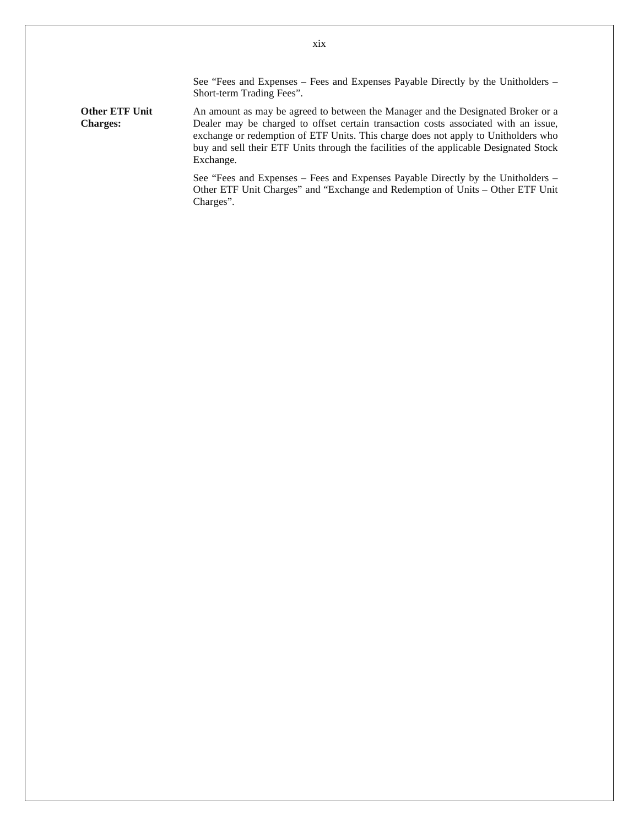See "Fees and Expenses – Fees and Expenses Payable Directly by the Unitholders – Short-term Trading Fees".

**Other ETF Unit Charges:**  An amount as may be agreed to between the Manager and the Designated Broker or a Dealer may be charged to offset certain transaction costs associated with an issue, exchange or redemption of ETF Units. This charge does not apply to Unitholders who buy and sell their ETF Units through the facilities of the applicable Designated Stock Exchange.

> See "Fees and Expenses – Fees and Expenses Payable Directly by the Unitholders – Other ETF Unit Charges" and "Exchange and Redemption of Units – Other ETF Unit Charges".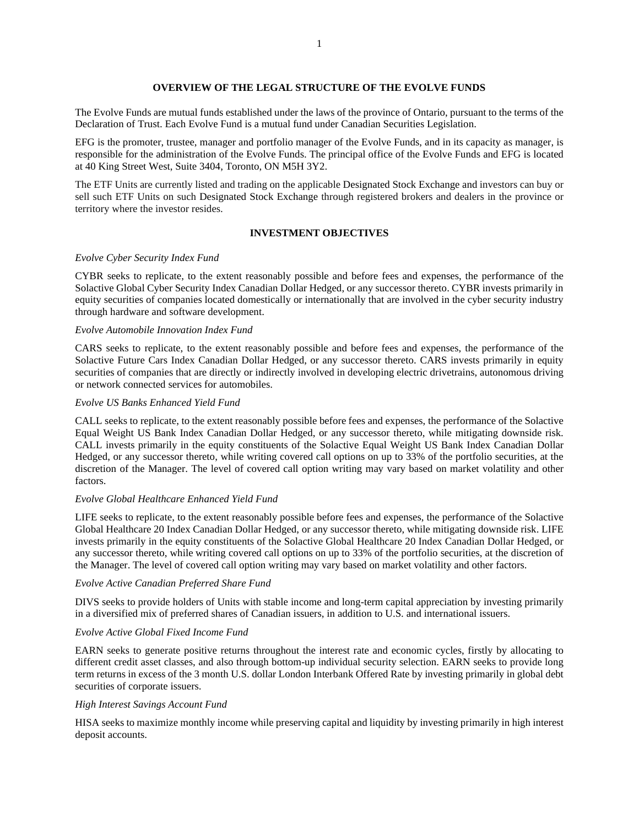# **OVERVIEW OF THE LEGAL STRUCTURE OF THE EVOLVE FUNDS**

The Evolve Funds are mutual funds established under the laws of the province of Ontario, pursuant to the terms of the Declaration of Trust. Each Evolve Fund is a mutual fund under Canadian Securities Legislation.

EFG is the promoter, trustee, manager and portfolio manager of the Evolve Funds, and in its capacity as manager, is responsible for the administration of the Evolve Funds. The principal office of the Evolve Funds and EFG is located at 40 King Street West, Suite 3404, Toronto, ON M5H 3Y2.

The ETF Units are currently listed and trading on the applicable Designated Stock Exchange and investors can buy or sell such ETF Units on such Designated Stock Exchange through registered brokers and dealers in the province or territory where the investor resides.

### **INVESTMENT OBJECTIVES**

#### *Evolve Cyber Security Index Fund*

CYBR seeks to replicate, to the extent reasonably possible and before fees and expenses, the performance of the Solactive Global Cyber Security Index Canadian Dollar Hedged, or any successor thereto. CYBR invests primarily in equity securities of companies located domestically or internationally that are involved in the cyber security industry through hardware and software development.

#### *Evolve Automobile Innovation Index Fund*

CARS seeks to replicate, to the extent reasonably possible and before fees and expenses, the performance of the Solactive Future Cars Index Canadian Dollar Hedged, or any successor thereto. CARS invests primarily in equity securities of companies that are directly or indirectly involved in developing electric drivetrains, autonomous driving or network connected services for automobiles.

#### *Evolve US Banks Enhanced Yield Fund*

CALL seeks to replicate, to the extent reasonably possible before fees and expenses, the performance of the Solactive Equal Weight US Bank Index Canadian Dollar Hedged, or any successor thereto, while mitigating downside risk. CALL invests primarily in the equity constituents of the Solactive Equal Weight US Bank Index Canadian Dollar Hedged, or any successor thereto, while writing covered call options on up to 33% of the portfolio securities, at the discretion of the Manager. The level of covered call option writing may vary based on market volatility and other factors.

#### *Evolve Global Healthcare Enhanced Yield Fund*

LIFE seeks to replicate, to the extent reasonably possible before fees and expenses, the performance of the Solactive Global Healthcare 20 Index Canadian Dollar Hedged, or any successor thereto, while mitigating downside risk. LIFE invests primarily in the equity constituents of the Solactive Global Healthcare 20 Index Canadian Dollar Hedged, or any successor thereto, while writing covered call options on up to 33% of the portfolio securities, at the discretion of the Manager. The level of covered call option writing may vary based on market volatility and other factors.

#### *Evolve Active Canadian Preferred Share Fund*

DIVS seeks to provide holders of Units with stable income and long-term capital appreciation by investing primarily in a diversified mix of preferred shares of Canadian issuers, in addition to U.S. and international issuers.

#### *Evolve Active Global Fixed Income Fund*

EARN seeks to generate positive returns throughout the interest rate and economic cycles, firstly by allocating to different credit asset classes, and also through bottom-up individual security selection. EARN seeks to provide long term returns in excess of the 3 month U.S. dollar London Interbank Offered Rate by investing primarily in global debt securities of corporate issuers.

#### *High Interest Savings Account Fund*

HISA seeks to maximize monthly income while preserving capital and liquidity by investing primarily in high interest deposit accounts.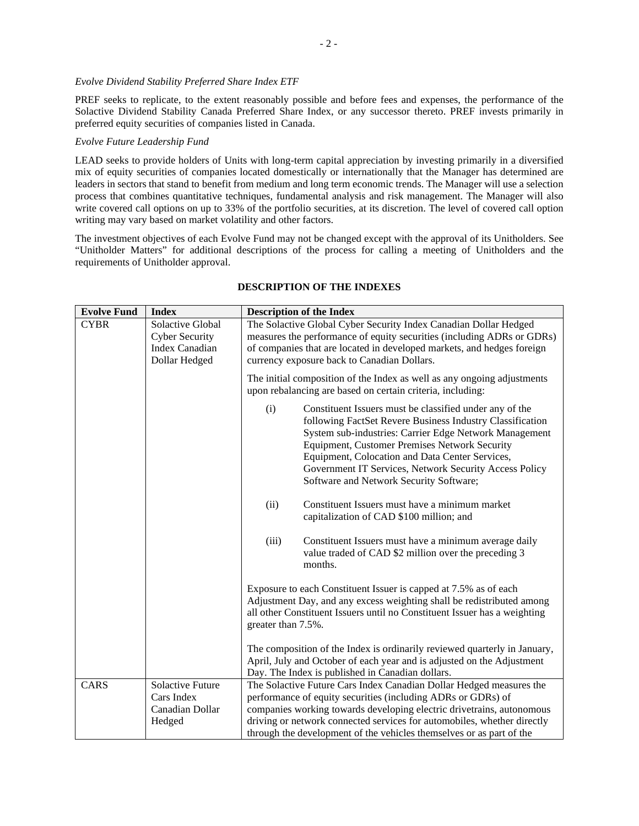# *Evolve Dividend Stability Preferred Share Index ETF*

PREF seeks to replicate, to the extent reasonably possible and before fees and expenses, the performance of the Solactive Dividend Stability Canada Preferred Share Index, or any successor thereto. PREF invests primarily in preferred equity securities of companies listed in Canada.

# *Evolve Future Leadership Fund*

LEAD seeks to provide holders of Units with long-term capital appreciation by investing primarily in a diversified mix of equity securities of companies located domestically or internationally that the Manager has determined are leaders in sectors that stand to benefit from medium and long term economic trends. The Manager will use a selection process that combines quantitative techniques, fundamental analysis and risk management. The Manager will also write covered call options on up to 33% of the portfolio securities, at its discretion. The level of covered call option writing may vary based on market volatility and other factors.

The investment objectives of each Evolve Fund may not be changed except with the approval of its Unitholders. See "Unitholder Matters" for additional descriptions of the process for calling a meeting of Unitholders and the requirements of Unitholder approval.

| <b>Evolve Fund</b> | <b>Index</b>                                                                        | <b>Description of the Index</b>                                                                                                                                                                                                                                                                                                                                                                                                                                                                                                                                               |  |
|--------------------|-------------------------------------------------------------------------------------|-------------------------------------------------------------------------------------------------------------------------------------------------------------------------------------------------------------------------------------------------------------------------------------------------------------------------------------------------------------------------------------------------------------------------------------------------------------------------------------------------------------------------------------------------------------------------------|--|
| <b>CYBR</b>        | Solactive Global<br><b>Cyber Security</b><br><b>Index Canadian</b><br>Dollar Hedged | The Solactive Global Cyber Security Index Canadian Dollar Hedged<br>measures the performance of equity securities (including ADRs or GDRs)<br>of companies that are located in developed markets, and hedges foreign<br>currency exposure back to Canadian Dollars.                                                                                                                                                                                                                                                                                                           |  |
|                    |                                                                                     | The initial composition of the Index as well as any ongoing adjustments<br>upon rebalancing are based on certain criteria, including:                                                                                                                                                                                                                                                                                                                                                                                                                                         |  |
|                    |                                                                                     | Constituent Issuers must be classified under any of the<br>(i)<br>following FactSet Revere Business Industry Classification<br>System sub-industries: Carrier Edge Network Management<br><b>Equipment, Customer Premises Network Security</b><br>Equipment, Colocation and Data Center Services,<br>Government IT Services, Network Security Access Policy<br>Software and Network Security Software;<br>Constituent Issuers must have a minimum market<br>(ii)<br>capitalization of CAD \$100 million; and<br>(iii)<br>Constituent Issuers must have a minimum average daily |  |
|                    |                                                                                     | value traded of CAD \$2 million over the preceding 3<br>months.                                                                                                                                                                                                                                                                                                                                                                                                                                                                                                               |  |
|                    |                                                                                     | Exposure to each Constituent Issuer is capped at 7.5% as of each<br>Adjustment Day, and any excess weighting shall be redistributed among<br>all other Constituent Issuers until no Constituent Issuer has a weighting<br>greater than 7.5%.                                                                                                                                                                                                                                                                                                                                  |  |
|                    |                                                                                     | The composition of the Index is ordinarily reviewed quarterly in January,<br>April, July and October of each year and is adjusted on the Adjustment<br>Day. The Index is published in Canadian dollars.                                                                                                                                                                                                                                                                                                                                                                       |  |
| CARS               | <b>Solactive Future</b><br>Cars Index<br>Canadian Dollar<br>Hedged                  | The Solactive Future Cars Index Canadian Dollar Hedged measures the<br>performance of equity securities (including ADRs or GDRs) of<br>companies working towards developing electric drivetrains, autonomous<br>driving or network connected services for automobiles, whether directly<br>through the development of the vehicles themselves or as part of the                                                                                                                                                                                                               |  |

# **DESCRIPTION OF THE INDEXES**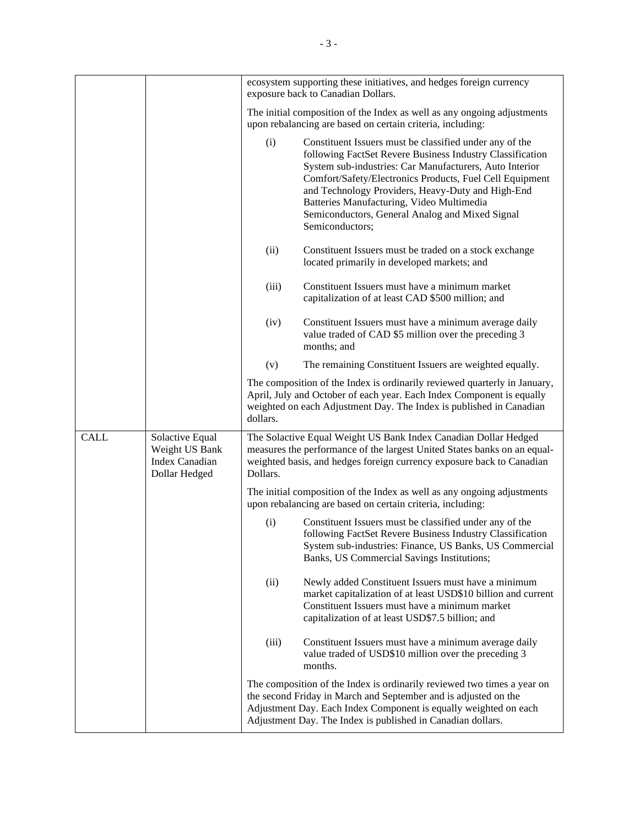|             |                                                                             |          | ecosystem supporting these initiatives, and hedges foreign currency<br>exposure back to Canadian Dollars.                                                                                                                                                                                                                                                                                                           |
|-------------|-----------------------------------------------------------------------------|----------|---------------------------------------------------------------------------------------------------------------------------------------------------------------------------------------------------------------------------------------------------------------------------------------------------------------------------------------------------------------------------------------------------------------------|
|             |                                                                             |          | The initial composition of the Index as well as any ongoing adjustments<br>upon rebalancing are based on certain criteria, including:                                                                                                                                                                                                                                                                               |
|             |                                                                             | (i)      | Constituent Issuers must be classified under any of the<br>following FactSet Revere Business Industry Classification<br>System sub-industries: Car Manufacturers, Auto Interior<br>Comfort/Safety/Electronics Products, Fuel Cell Equipment<br>and Technology Providers, Heavy-Duty and High-End<br>Batteries Manufacturing, Video Multimedia<br>Semiconductors, General Analog and Mixed Signal<br>Semiconductors; |
|             |                                                                             | (ii)     | Constituent Issuers must be traded on a stock exchange<br>located primarily in developed markets; and                                                                                                                                                                                                                                                                                                               |
|             |                                                                             | (iii)    | Constituent Issuers must have a minimum market<br>capitalization of at least CAD \$500 million; and                                                                                                                                                                                                                                                                                                                 |
|             |                                                                             | (iv)     | Constituent Issuers must have a minimum average daily<br>value traded of CAD \$5 million over the preceding 3<br>months; and                                                                                                                                                                                                                                                                                        |
|             |                                                                             | (v)      | The remaining Constituent Issuers are weighted equally.                                                                                                                                                                                                                                                                                                                                                             |
|             |                                                                             | dollars. | The composition of the Index is ordinarily reviewed quarterly in January,<br>April, July and October of each year. Each Index Component is equally<br>weighted on each Adjustment Day. The Index is published in Canadian                                                                                                                                                                                           |
| <b>CALL</b> | Solactive Equal<br>Weight US Bank<br><b>Index Canadian</b><br>Dollar Hedged | Dollars. | The Solactive Equal Weight US Bank Index Canadian Dollar Hedged<br>measures the performance of the largest United States banks on an equal-<br>weighted basis, and hedges foreign currency exposure back to Canadian                                                                                                                                                                                                |
|             |                                                                             |          | The initial composition of the Index as well as any ongoing adjustments<br>upon rebalancing are based on certain criteria, including:                                                                                                                                                                                                                                                                               |
|             |                                                                             | (i)      | Constituent Issuers must be classified under any of the<br>following FactSet Revere Business Industry Classification<br>System sub-industries: Finance, US Banks, US Commercial<br>Banks, US Commercial Savings Institutions;                                                                                                                                                                                       |
|             |                                                                             | (ii)     | Newly added Constituent Issuers must have a minimum<br>market capitalization of at least USD\$10 billion and current<br>Constituent Issuers must have a minimum market<br>capitalization of at least USD\$7.5 billion; and                                                                                                                                                                                          |
|             |                                                                             | (iii)    | Constituent Issuers must have a minimum average daily<br>value traded of USD\$10 million over the preceding 3<br>months.                                                                                                                                                                                                                                                                                            |
|             |                                                                             |          | The composition of the Index is ordinarily reviewed two times a year on<br>the second Friday in March and September and is adjusted on the<br>Adjustment Day. Each Index Component is equally weighted on each<br>Adjustment Day. The Index is published in Canadian dollars.                                                                                                                                       |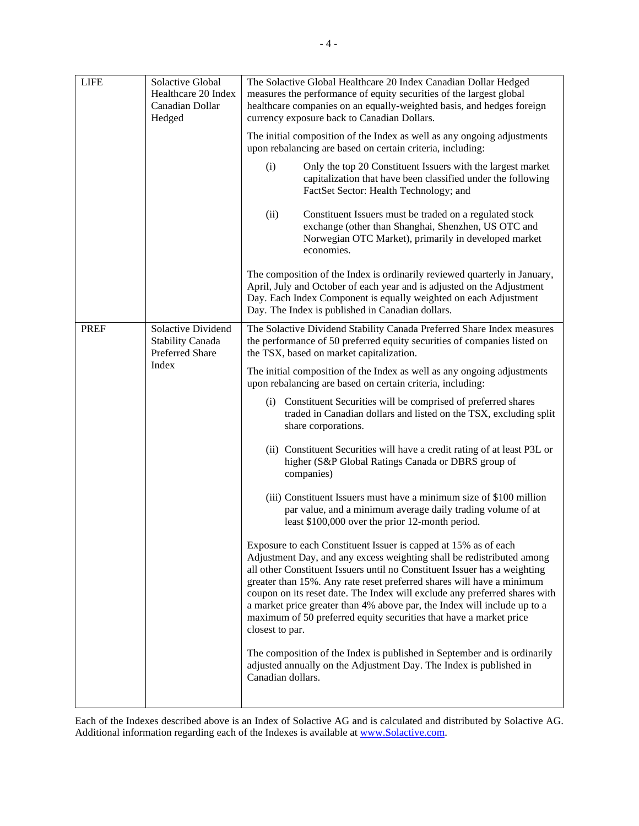| <b>LIFE</b> | Solactive Global<br>Healthcare 20 Index<br>Canadian Dollar<br>Hedged | The Solactive Global Healthcare 20 Index Canadian Dollar Hedged<br>measures the performance of equity securities of the largest global<br>healthcare companies on an equally-weighted basis, and hedges foreign<br>currency exposure back to Canadian Dollars.                                                                                                                                                                                                                                                                                    |  |  |
|-------------|----------------------------------------------------------------------|---------------------------------------------------------------------------------------------------------------------------------------------------------------------------------------------------------------------------------------------------------------------------------------------------------------------------------------------------------------------------------------------------------------------------------------------------------------------------------------------------------------------------------------------------|--|--|
|             |                                                                      | The initial composition of the Index as well as any ongoing adjustments<br>upon rebalancing are based on certain criteria, including:                                                                                                                                                                                                                                                                                                                                                                                                             |  |  |
|             |                                                                      | (i)<br>Only the top 20 Constituent Issuers with the largest market<br>capitalization that have been classified under the following<br>FactSet Sector: Health Technology; and                                                                                                                                                                                                                                                                                                                                                                      |  |  |
|             |                                                                      | (ii)<br>Constituent Issuers must be traded on a regulated stock<br>exchange (other than Shanghai, Shenzhen, US OTC and<br>Norwegian OTC Market), primarily in developed market<br>economies.                                                                                                                                                                                                                                                                                                                                                      |  |  |
|             |                                                                      | The composition of the Index is ordinarily reviewed quarterly in January,<br>April, July and October of each year and is adjusted on the Adjustment<br>Day. Each Index Component is equally weighted on each Adjustment<br>Day. The Index is published in Canadian dollars.                                                                                                                                                                                                                                                                       |  |  |
| <b>PREF</b> | Solactive Dividend<br><b>Stability Canada</b><br>Preferred Share     | The Solactive Dividend Stability Canada Preferred Share Index measures<br>the performance of 50 preferred equity securities of companies listed on<br>the TSX, based on market capitalization.                                                                                                                                                                                                                                                                                                                                                    |  |  |
|             | Index                                                                | The initial composition of the Index as well as any ongoing adjustments<br>upon rebalancing are based on certain criteria, including:                                                                                                                                                                                                                                                                                                                                                                                                             |  |  |
|             |                                                                      | Constituent Securities will be comprised of preferred shares<br>(1)<br>traded in Canadian dollars and listed on the TSX, excluding split<br>share corporations.                                                                                                                                                                                                                                                                                                                                                                                   |  |  |
|             |                                                                      | (ii) Constituent Securities will have a credit rating of at least P3L or<br>higher (S&P Global Ratings Canada or DBRS group of<br>companies)                                                                                                                                                                                                                                                                                                                                                                                                      |  |  |
|             |                                                                      | (iii) Constituent Issuers must have a minimum size of \$100 million<br>par value, and a minimum average daily trading volume of at<br>least \$100,000 over the prior 12-month period.                                                                                                                                                                                                                                                                                                                                                             |  |  |
|             |                                                                      | Exposure to each Constituent Issuer is capped at 15% as of each<br>Adjustment Day, and any excess weighting shall be redistributed among<br>all other Constituent Issuers until no Constituent Issuer has a weighting<br>greater than 15%. Any rate reset preferred shares will have a minimum<br>coupon on its reset date. The Index will exclude any preferred shares with<br>a market price greater than 4% above par, the Index will include up to a<br>maximum of 50 preferred equity securities that have a market price<br>closest to par. |  |  |
|             |                                                                      | The composition of the Index is published in September and is ordinarily<br>adjusted annually on the Adjustment Day. The Index is published in<br>Canadian dollars.                                                                                                                                                                                                                                                                                                                                                                               |  |  |

Each of the Indexes described above is an Index of Solactive AG and is calculated and distributed by Solactive AG. Additional information regarding each of the Indexes is available at www.Solactive.com.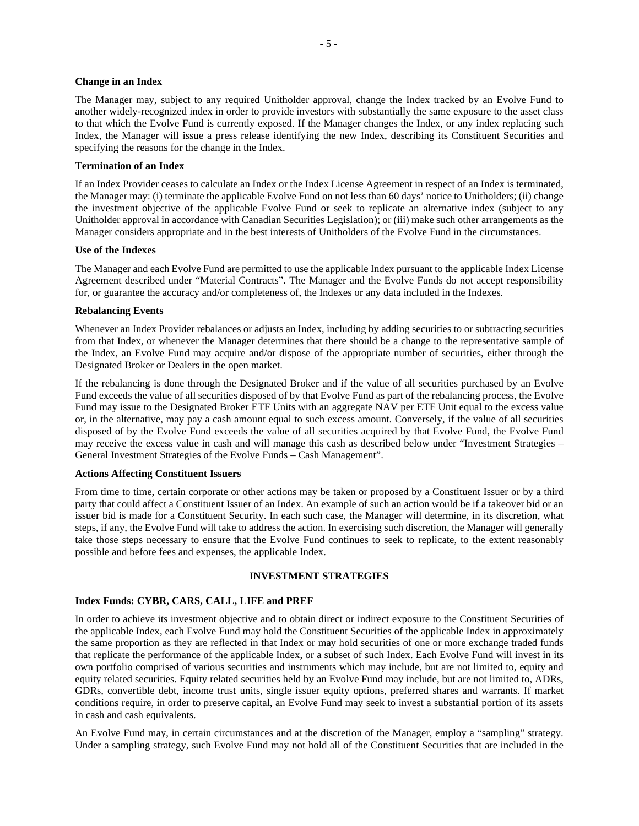#### **Change in an Index**

The Manager may, subject to any required Unitholder approval, change the Index tracked by an Evolve Fund to another widely-recognized index in order to provide investors with substantially the same exposure to the asset class to that which the Evolve Fund is currently exposed. If the Manager changes the Index, or any index replacing such Index, the Manager will issue a press release identifying the new Index, describing its Constituent Securities and specifying the reasons for the change in the Index.

### **Termination of an Index**

If an Index Provider ceases to calculate an Index or the Index License Agreement in respect of an Index is terminated, the Manager may: (i) terminate the applicable Evolve Fund on not less than 60 days' notice to Unitholders; (ii) change the investment objective of the applicable Evolve Fund or seek to replicate an alternative index (subject to any Unitholder approval in accordance with Canadian Securities Legislation); or (iii) make such other arrangements as the Manager considers appropriate and in the best interests of Unitholders of the Evolve Fund in the circumstances.

#### **Use of the Indexes**

The Manager and each Evolve Fund are permitted to use the applicable Index pursuant to the applicable Index License Agreement described under "Material Contracts". The Manager and the Evolve Funds do not accept responsibility for, or guarantee the accuracy and/or completeness of, the Indexes or any data included in the Indexes.

#### **Rebalancing Events**

Whenever an Index Provider rebalances or adjusts an Index, including by adding securities to or subtracting securities from that Index, or whenever the Manager determines that there should be a change to the representative sample of the Index, an Evolve Fund may acquire and/or dispose of the appropriate number of securities, either through the Designated Broker or Dealers in the open market.

If the rebalancing is done through the Designated Broker and if the value of all securities purchased by an Evolve Fund exceeds the value of all securities disposed of by that Evolve Fund as part of the rebalancing process, the Evolve Fund may issue to the Designated Broker ETF Units with an aggregate NAV per ETF Unit equal to the excess value or, in the alternative, may pay a cash amount equal to such excess amount. Conversely, if the value of all securities disposed of by the Evolve Fund exceeds the value of all securities acquired by that Evolve Fund, the Evolve Fund may receive the excess value in cash and will manage this cash as described below under "Investment Strategies – General Investment Strategies of the Evolve Funds – Cash Management".

### **Actions Affecting Constituent Issuers**

From time to time, certain corporate or other actions may be taken or proposed by a Constituent Issuer or by a third party that could affect a Constituent Issuer of an Index. An example of such an action would be if a takeover bid or an issuer bid is made for a Constituent Security. In each such case, the Manager will determine, in its discretion, what steps, if any, the Evolve Fund will take to address the action. In exercising such discretion, the Manager will generally take those steps necessary to ensure that the Evolve Fund continues to seek to replicate, to the extent reasonably possible and before fees and expenses, the applicable Index.

## **INVESTMENT STRATEGIES**

### **Index Funds: CYBR, CARS, CALL, LIFE and PREF**

In order to achieve its investment objective and to obtain direct or indirect exposure to the Constituent Securities of the applicable Index, each Evolve Fund may hold the Constituent Securities of the applicable Index in approximately the same proportion as they are reflected in that Index or may hold securities of one or more exchange traded funds that replicate the performance of the applicable Index, or a subset of such Index. Each Evolve Fund will invest in its own portfolio comprised of various securities and instruments which may include, but are not limited to, equity and equity related securities. Equity related securities held by an Evolve Fund may include, but are not limited to, ADRs, GDRs, convertible debt, income trust units, single issuer equity options, preferred shares and warrants. If market conditions require, in order to preserve capital, an Evolve Fund may seek to invest a substantial portion of its assets in cash and cash equivalents.

An Evolve Fund may, in certain circumstances and at the discretion of the Manager, employ a "sampling" strategy. Under a sampling strategy, such Evolve Fund may not hold all of the Constituent Securities that are included in the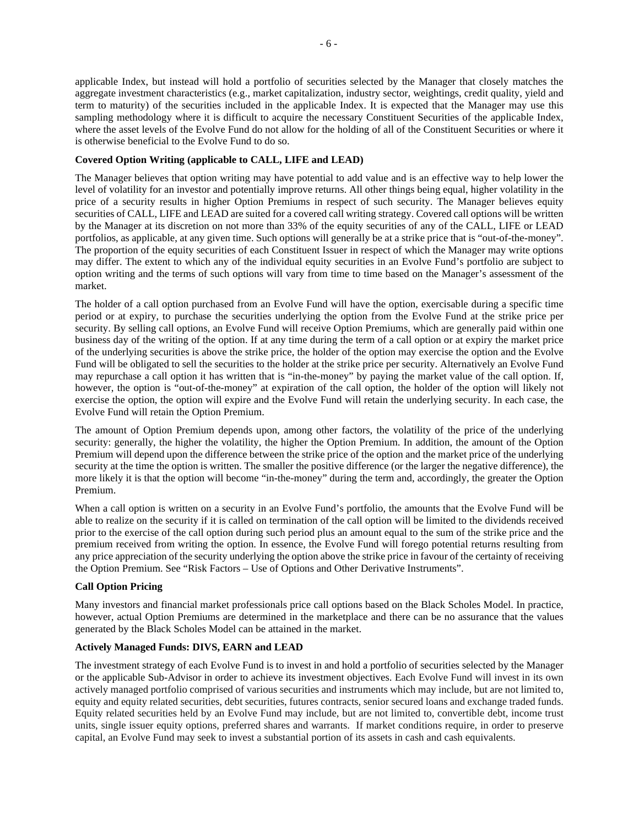applicable Index, but instead will hold a portfolio of securities selected by the Manager that closely matches the aggregate investment characteristics (e.g., market capitalization, industry sector, weightings, credit quality, yield and term to maturity) of the securities included in the applicable Index. It is expected that the Manager may use this sampling methodology where it is difficult to acquire the necessary Constituent Securities of the applicable Index, where the asset levels of the Evolve Fund do not allow for the holding of all of the Constituent Securities or where it is otherwise beneficial to the Evolve Fund to do so.

# **Covered Option Writing (applicable to CALL, LIFE and LEAD)**

The Manager believes that option writing may have potential to add value and is an effective way to help lower the level of volatility for an investor and potentially improve returns. All other things being equal, higher volatility in the price of a security results in higher Option Premiums in respect of such security. The Manager believes equity securities of CALL, LIFE and LEAD are suited for a covered call writing strategy. Covered call options will be written by the Manager at its discretion on not more than 33% of the equity securities of any of the CALL, LIFE or LEAD portfolios, as applicable, at any given time. Such options will generally be at a strike price that is "out-of-the-money". The proportion of the equity securities of each Constituent Issuer in respect of which the Manager may write options may differ. The extent to which any of the individual equity securities in an Evolve Fund's portfolio are subject to option writing and the terms of such options will vary from time to time based on the Manager's assessment of the market.

The holder of a call option purchased from an Evolve Fund will have the option, exercisable during a specific time period or at expiry, to purchase the securities underlying the option from the Evolve Fund at the strike price per security. By selling call options, an Evolve Fund will receive Option Premiums, which are generally paid within one business day of the writing of the option. If at any time during the term of a call option or at expiry the market price of the underlying securities is above the strike price, the holder of the option may exercise the option and the Evolve Fund will be obligated to sell the securities to the holder at the strike price per security. Alternatively an Evolve Fund may repurchase a call option it has written that is "in-the-money" by paying the market value of the call option. If, however, the option is "out-of-the-money" at expiration of the call option, the holder of the option will likely not exercise the option, the option will expire and the Evolve Fund will retain the underlying security. In each case, the Evolve Fund will retain the Option Premium.

The amount of Option Premium depends upon, among other factors, the volatility of the price of the underlying security: generally, the higher the volatility, the higher the Option Premium. In addition, the amount of the Option Premium will depend upon the difference between the strike price of the option and the market price of the underlying security at the time the option is written. The smaller the positive difference (or the larger the negative difference), the more likely it is that the option will become "in-the-money" during the term and, accordingly, the greater the Option Premium.

When a call option is written on a security in an Evolve Fund's portfolio, the amounts that the Evolve Fund will be able to realize on the security if it is called on termination of the call option will be limited to the dividends received prior to the exercise of the call option during such period plus an amount equal to the sum of the strike price and the premium received from writing the option. In essence, the Evolve Fund will forego potential returns resulting from any price appreciation of the security underlying the option above the strike price in favour of the certainty of receiving the Option Premium. See "Risk Factors – Use of Options and Other Derivative Instruments".

# **Call Option Pricing**

Many investors and financial market professionals price call options based on the Black Scholes Model. In practice, however, actual Option Premiums are determined in the marketplace and there can be no assurance that the values generated by the Black Scholes Model can be attained in the market.

# **Actively Managed Funds: DIVS, EARN and LEAD**

The investment strategy of each Evolve Fund is to invest in and hold a portfolio of securities selected by the Manager or the applicable Sub-Advisor in order to achieve its investment objectives. Each Evolve Fund will invest in its own actively managed portfolio comprised of various securities and instruments which may include, but are not limited to, equity and equity related securities, debt securities, futures contracts, senior secured loans and exchange traded funds. Equity related securities held by an Evolve Fund may include, but are not limited to, convertible debt, income trust units, single issuer equity options, preferred shares and warrants. If market conditions require, in order to preserve capital, an Evolve Fund may seek to invest a substantial portion of its assets in cash and cash equivalents.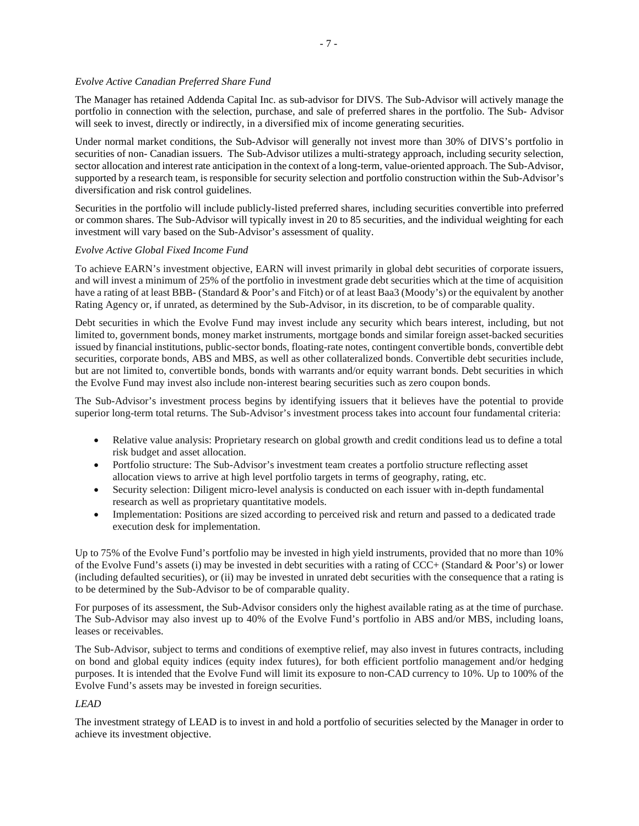# *Evolve Active Canadian Preferred Share Fund*

The Manager has retained Addenda Capital Inc. as sub-advisor for DIVS. The Sub-Advisor will actively manage the portfolio in connection with the selection, purchase, and sale of preferred shares in the portfolio. The Sub- Advisor will seek to invest, directly or indirectly, in a diversified mix of income generating securities.

Under normal market conditions, the Sub-Advisor will generally not invest more than 30% of DIVS's portfolio in securities of non- Canadian issuers. The Sub-Advisor utilizes a multi-strategy approach, including security selection, sector allocation and interest rate anticipation in the context of a long-term, value-oriented approach. The Sub-Advisor, supported by a research team, is responsible for security selection and portfolio construction within the Sub-Advisor's diversification and risk control guidelines.

Securities in the portfolio will include publicly-listed preferred shares, including securities convertible into preferred or common shares. The Sub-Advisor will typically invest in 20 to 85 securities, and the individual weighting for each investment will vary based on the Sub-Advisor's assessment of quality.

# *Evolve Active Global Fixed Income Fund*

To achieve EARN's investment objective, EARN will invest primarily in global debt securities of corporate issuers, and will invest a minimum of 25% of the portfolio in investment grade debt securities which at the time of acquisition have a rating of at least BBB- (Standard & Poor's and Fitch) or of at least Baa3 (Moody's) or the equivalent by another Rating Agency or, if unrated, as determined by the Sub-Advisor, in its discretion, to be of comparable quality.

Debt securities in which the Evolve Fund may invest include any security which bears interest, including, but not limited to, government bonds, money market instruments, mortgage bonds and similar foreign asset-backed securities issued by financial institutions, public-sector bonds, floating-rate notes, contingent convertible bonds, convertible debt securities, corporate bonds, ABS and MBS, as well as other collateralized bonds. Convertible debt securities include, but are not limited to, convertible bonds, bonds with warrants and/or equity warrant bonds. Debt securities in which the Evolve Fund may invest also include non-interest bearing securities such as zero coupon bonds.

The Sub-Advisor's investment process begins by identifying issuers that it believes have the potential to provide superior long-term total returns. The Sub-Advisor's investment process takes into account four fundamental criteria:

- Relative value analysis: Proprietary research on global growth and credit conditions lead us to define a total risk budget and asset allocation.
- Portfolio structure: The Sub-Advisor's investment team creates a portfolio structure reflecting asset allocation views to arrive at high level portfolio targets in terms of geography, rating, etc.
- Security selection: Diligent micro-level analysis is conducted on each issuer with in-depth fundamental research as well as proprietary quantitative models.
- Implementation: Positions are sized according to perceived risk and return and passed to a dedicated trade execution desk for implementation.

Up to 75% of the Evolve Fund's portfolio may be invested in high yield instruments, provided that no more than 10% of the Evolve Fund's assets (i) may be invested in debt securities with a rating of CCC+ (Standard & Poor's) or lower (including defaulted securities), or (ii) may be invested in unrated debt securities with the consequence that a rating is to be determined by the Sub-Advisor to be of comparable quality.

For purposes of its assessment, the Sub-Advisor considers only the highest available rating as at the time of purchase. The Sub-Advisor may also invest up to 40% of the Evolve Fund's portfolio in ABS and/or MBS, including loans, leases or receivables.

The Sub-Advisor, subject to terms and conditions of exemptive relief, may also invest in futures contracts, including on bond and global equity indices (equity index futures), for both efficient portfolio management and/or hedging purposes. It is intended that the Evolve Fund will limit its exposure to non-CAD currency to 10%. Up to 100% of the Evolve Fund's assets may be invested in foreign securities.

# *LEAD*

The investment strategy of LEAD is to invest in and hold a portfolio of securities selected by the Manager in order to achieve its investment objective.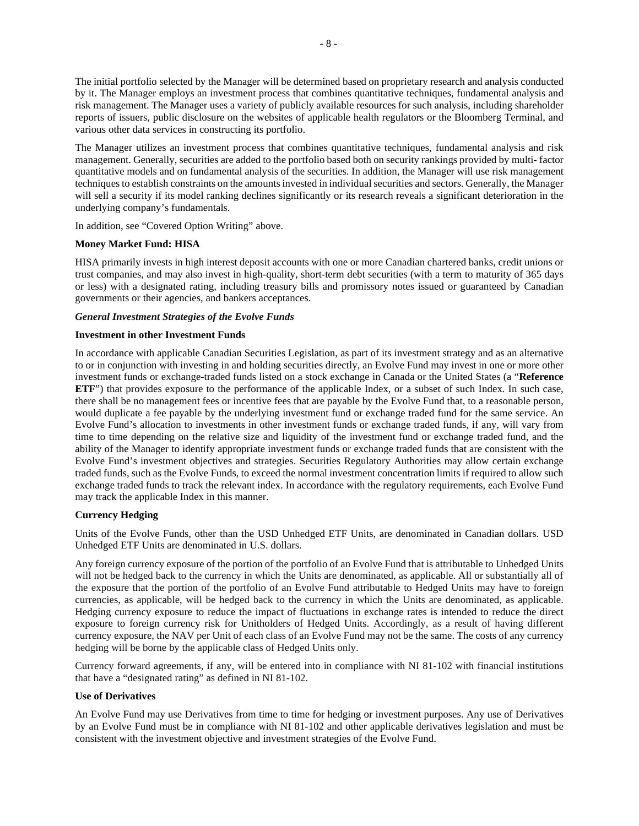The initial portfolio selected by the Manager will be determined based on proprietary research and analysis conducted by it. The Manager employs an investment process that combines quantitative techniques, fundamental analysis and risk management. The Manager uses a variety of publicly available resources for such analysis, including shareholder reports of issuers, public disclosure on the websites of applicable health regulators or the Bloomberg Terminal, and various other data services in constructing its portfolio.

The Manager utilizes an investment process that combines quantitative techniques, fundamental analysis and risk management. Generally, securities are added to the portfolio based both on security rankings provided by multi- factor quantitative models and on fundamental analysis of the securities. In addition, the Manager will use risk management techniques to establish constraints on the amounts invested in individual securities and sectors. Generally, the Manager will sell a security if its model ranking declines significantly or its research reveals a significant deterioration in the underlying company's fundamentals.

In addition, see "Covered Option Writing" above.

# **Money Market Fund: HISA**

HISA primarily invests in high interest deposit accounts with one or more Canadian chartered banks, credit unions or trust companies, and may also invest in high-quality, short-term debt securities (with a term to maturity of 365 days or less) with a designated rating, including treasury bills and promissory notes issued or guaranteed by Canadian governments or their agencies, and bankers acceptances.

# *General Investment Strategies of the Evolve Funds*

# **Investment in other Investment Funds**

In accordance with applicable Canadian Securities Legislation, as part of its investment strategy and as an alternative to or in conjunction with investing in and holding securities directly, an Evolve Fund may invest in one or more other investment funds or exchange-traded funds listed on a stock exchange in Canada or the United States (a "**Reference ETF**") that provides exposure to the performance of the applicable Index, or a subset of such Index. In such case, there shall be no management fees or incentive fees that are payable by the Evolve Fund that, to a reasonable person, would duplicate a fee payable by the underlying investment fund or exchange traded fund for the same service. An Evolve Fund's allocation to investments in other investment funds or exchange traded funds, if any, will vary from time to time depending on the relative size and liquidity of the investment fund or exchange traded fund, and the ability of the Manager to identify appropriate investment funds or exchange traded funds that are consistent with the Evolve Fund's investment objectives and strategies. Securities Regulatory Authorities may allow certain exchange traded funds, such as the Evolve Funds, to exceed the normal investment concentration limits if required to allow such exchange traded funds to track the relevant index. In accordance with the regulatory requirements, each Evolve Fund may track the applicable Index in this manner.

# **Currency Hedging**

Units of the Evolve Funds, other than the USD Unhedged ETF Units, are denominated in Canadian dollars. USD Unhedged ETF Units are denominated in U.S. dollars.

Any foreign currency exposure of the portion of the portfolio of an Evolve Fund that is attributable to Unhedged Units will not be hedged back to the currency in which the Units are denominated, as applicable. All or substantially all of the exposure that the portion of the portfolio of an Evolve Fund attributable to Hedged Units may have to foreign currencies, as applicable, will be hedged back to the currency in which the Units are denominated, as applicable. Hedging currency exposure to reduce the impact of fluctuations in exchange rates is intended to reduce the direct exposure to foreign currency risk for Unitholders of Hedged Units. Accordingly, as a result of having different currency exposure, the NAV per Unit of each class of an Evolve Fund may not be the same. The costs of any currency hedging will be borne by the applicable class of Hedged Units only.

Currency forward agreements, if any, will be entered into in compliance with NI 81-102 with financial institutions that have a "designated rating" as defined in NI 81-102.

### **Use of Derivatives**

An Evolve Fund may use Derivatives from time to time for hedging or investment purposes. Any use of Derivatives by an Evolve Fund must be in compliance with NI 81-102 and other applicable derivatives legislation and must be consistent with the investment objective and investment strategies of the Evolve Fund.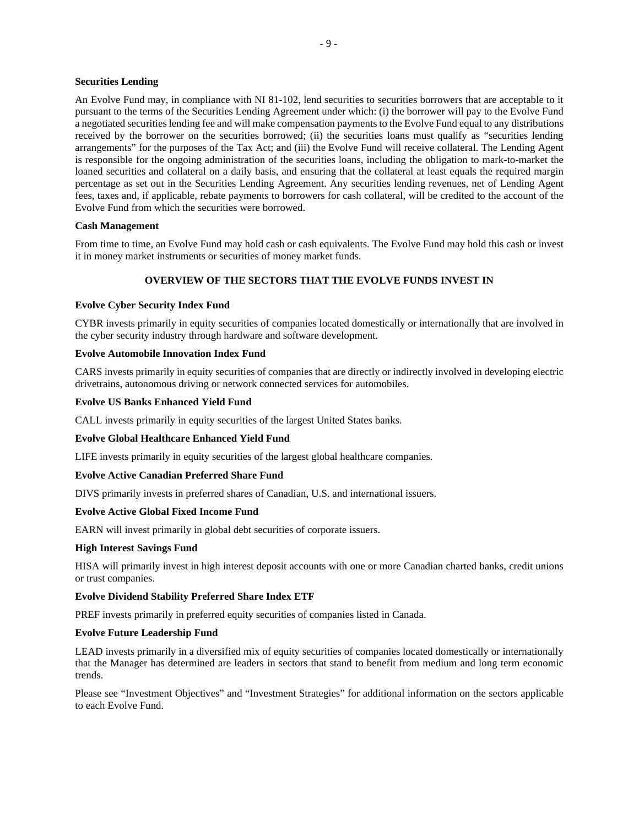### **Securities Lending**

An Evolve Fund may, in compliance with NI 81-102, lend securities to securities borrowers that are acceptable to it pursuant to the terms of the Securities Lending Agreement under which: (i) the borrower will pay to the Evolve Fund a negotiated securities lending fee and will make compensation payments to the Evolve Fund equal to any distributions received by the borrower on the securities borrowed; (ii) the securities loans must qualify as "securities lending arrangements" for the purposes of the Tax Act; and (iii) the Evolve Fund will receive collateral. The Lending Agent is responsible for the ongoing administration of the securities loans, including the obligation to mark-to-market the loaned securities and collateral on a daily basis, and ensuring that the collateral at least equals the required margin percentage as set out in the Securities Lending Agreement. Any securities lending revenues, net of Lending Agent fees, taxes and, if applicable, rebate payments to borrowers for cash collateral, will be credited to the account of the Evolve Fund from which the securities were borrowed.

#### **Cash Management**

From time to time, an Evolve Fund may hold cash or cash equivalents. The Evolve Fund may hold this cash or invest it in money market instruments or securities of money market funds.

## **OVERVIEW OF THE SECTORS THAT THE EVOLVE FUNDS INVEST IN**

### **Evolve Cyber Security Index Fund**

CYBR invests primarily in equity securities of companies located domestically or internationally that are involved in the cyber security industry through hardware and software development.

### **Evolve Automobile Innovation Index Fund**

CARS invests primarily in equity securities of companies that are directly or indirectly involved in developing electric drivetrains, autonomous driving or network connected services for automobiles.

#### **Evolve US Banks Enhanced Yield Fund**

CALL invests primarily in equity securities of the largest United States banks.

### **Evolve Global Healthcare Enhanced Yield Fund**

LIFE invests primarily in equity securities of the largest global healthcare companies.

### **Evolve Active Canadian Preferred Share Fund**

DIVS primarily invests in preferred shares of Canadian, U.S. and international issuers.

### **Evolve Active Global Fixed Income Fund**

EARN will invest primarily in global debt securities of corporate issuers.

#### **High Interest Savings Fund**

HISA will primarily invest in high interest deposit accounts with one or more Canadian charted banks, credit unions or trust companies.

## **Evolve Dividend Stability Preferred Share Index ETF**

PREF invests primarily in preferred equity securities of companies listed in Canada.

#### **Evolve Future Leadership Fund**

LEAD invests primarily in a diversified mix of equity securities of companies located domestically or internationally that the Manager has determined are leaders in sectors that stand to benefit from medium and long term economic trends.

Please see "Investment Objectives" and "Investment Strategies" for additional information on the sectors applicable to each Evolve Fund.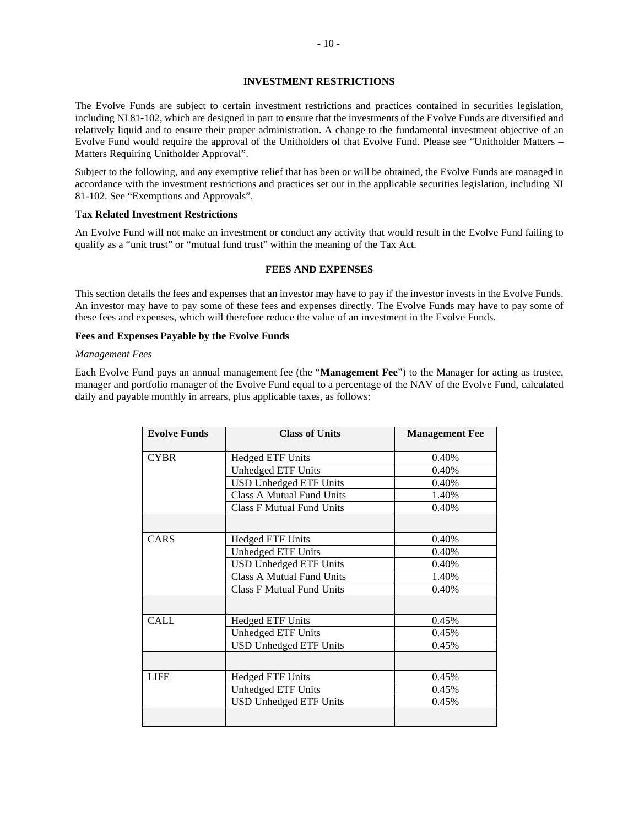## **INVESTMENT RESTRICTIONS**

The Evolve Funds are subject to certain investment restrictions and practices contained in securities legislation, including NI 81-102, which are designed in part to ensure that the investments of the Evolve Funds are diversified and relatively liquid and to ensure their proper administration. A change to the fundamental investment objective of an Evolve Fund would require the approval of the Unitholders of that Evolve Fund. Please see "Unitholder Matters – Matters Requiring Unitholder Approval".

Subject to the following, and any exemptive relief that has been or will be obtained, the Evolve Funds are managed in accordance with the investment restrictions and practices set out in the applicable securities legislation, including NI 81-102. See "Exemptions and Approvals".

## **Tax Related Investment Restrictions**

An Evolve Fund will not make an investment or conduct any activity that would result in the Evolve Fund failing to qualify as a "unit trust" or "mutual fund trust" within the meaning of the Tax Act.

## **FEES AND EXPENSES**

This section details the fees and expenses that an investor may have to pay if the investor invests in the Evolve Funds. An investor may have to pay some of these fees and expenses directly. The Evolve Funds may have to pay some of these fees and expenses, which will therefore reduce the value of an investment in the Evolve Funds.

## **Fees and Expenses Payable by the Evolve Funds**

#### *Management Fees*

Each Evolve Fund pays an annual management fee (the "**Management Fee**") to the Manager for acting as trustee, manager and portfolio manager of the Evolve Fund equal to a percentage of the NAV of the Evolve Fund, calculated daily and payable monthly in arrears, plus applicable taxes, as follows:

| <b>Evolve Funds</b> | <b>Class of Units</b>            | <b>Management Fee</b> |
|---------------------|----------------------------------|-----------------------|
| <b>CYBR</b>         | <b>Hedged ETF Units</b>          | 0.40%                 |
|                     | Unhedged ETF Units               | 0.40%                 |
|                     | <b>USD Unhedged ETF Units</b>    | 0.40%                 |
|                     | <b>Class A Mutual Fund Units</b> | 1.40%                 |
|                     | <b>Class F Mutual Fund Units</b> | 0.40%                 |
|                     |                                  |                       |
| CARS                | <b>Hedged ETF Units</b>          | 0.40%                 |
|                     | Unhedged ETF Units               | 0.40%                 |
|                     | <b>USD Unhedged ETF Units</b>    | 0.40%                 |
|                     | <b>Class A Mutual Fund Units</b> | 1.40%                 |
|                     | <b>Class F Mutual Fund Units</b> | 0.40%                 |
|                     |                                  |                       |
| <b>CALL</b>         | <b>Hedged ETF Units</b>          | 0.45%                 |
|                     | <b>Unhedged ETF Units</b>        | 0.45%                 |
|                     | <b>USD Unhedged ETF Units</b>    | 0.45%                 |
|                     |                                  |                       |
| <b>LIFE</b>         | <b>Hedged ETF Units</b>          | 0.45%                 |
|                     | <b>Unhedged ETF Units</b>        | 0.45%                 |
|                     | <b>USD Unhedged ETF Units</b>    | 0.45%                 |
|                     |                                  |                       |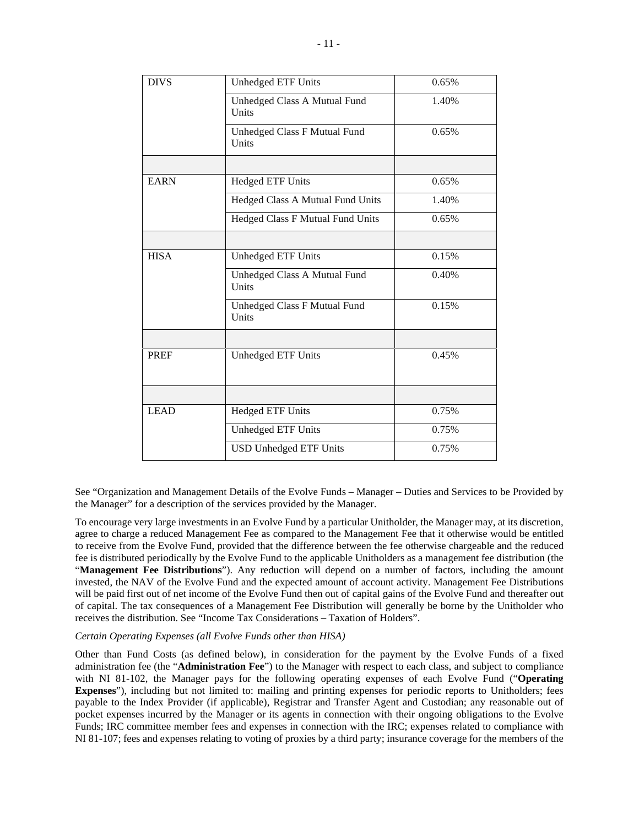| <b>DIVS</b> | Unhedged ETF Units                    | 0.65% |  |  |
|-------------|---------------------------------------|-------|--|--|
|             | Unhedged Class A Mutual Fund<br>Units | 1.40% |  |  |
|             | Unhedged Class F Mutual Fund<br>Units | 0.65% |  |  |
|             |                                       |       |  |  |
| <b>EARN</b> | <b>Hedged ETF Units</b>               | 0.65% |  |  |
|             | Hedged Class A Mutual Fund Units      | 1.40% |  |  |
|             | Hedged Class F Mutual Fund Units      | 0.65% |  |  |
|             |                                       |       |  |  |
| <b>HISA</b> | Unhedged ETF Units                    | 0.15% |  |  |
|             | Unhedged Class A Mutual Fund<br>Units | 0.40% |  |  |
|             | Unhedged Class F Mutual Fund<br>Units | 0.15% |  |  |
|             |                                       |       |  |  |
| <b>PREF</b> | Unhedged ETF Units                    | 0.45% |  |  |
|             |                                       |       |  |  |
| <b>LEAD</b> | <b>Hedged ETF Units</b>               | 0.75% |  |  |
|             | Unhedged ETF Units                    | 0.75% |  |  |
|             | <b>USD Unhedged ETF Units</b>         | 0.75% |  |  |

See "Organization and Management Details of the Evolve Funds – Manager – Duties and Services to be Provided by the Manager" for a description of the services provided by the Manager.

To encourage very large investments in an Evolve Fund by a particular Unitholder, the Manager may, at its discretion, agree to charge a reduced Management Fee as compared to the Management Fee that it otherwise would be entitled to receive from the Evolve Fund, provided that the difference between the fee otherwise chargeable and the reduced fee is distributed periodically by the Evolve Fund to the applicable Unitholders as a management fee distribution (the "**Management Fee Distributions**"). Any reduction will depend on a number of factors, including the amount invested, the NAV of the Evolve Fund and the expected amount of account activity. Management Fee Distributions will be paid first out of net income of the Evolve Fund then out of capital gains of the Evolve Fund and thereafter out of capital. The tax consequences of a Management Fee Distribution will generally be borne by the Unitholder who receives the distribution. See "Income Tax Considerations – Taxation of Holders".

### *Certain Operating Expenses (all Evolve Funds other than HISA)*

Other than Fund Costs (as defined below), in consideration for the payment by the Evolve Funds of a fixed administration fee (the "**Administration Fee**") to the Manager with respect to each class, and subject to compliance with NI 81-102, the Manager pays for the following operating expenses of each Evolve Fund ("**Operating Expenses**"), including but not limited to: mailing and printing expenses for periodic reports to Unitholders; fees payable to the Index Provider (if applicable), Registrar and Transfer Agent and Custodian; any reasonable out of pocket expenses incurred by the Manager or its agents in connection with their ongoing obligations to the Evolve Funds; IRC committee member fees and expenses in connection with the IRC; expenses related to compliance with NI 81-107; fees and expenses relating to voting of proxies by a third party; insurance coverage for the members of the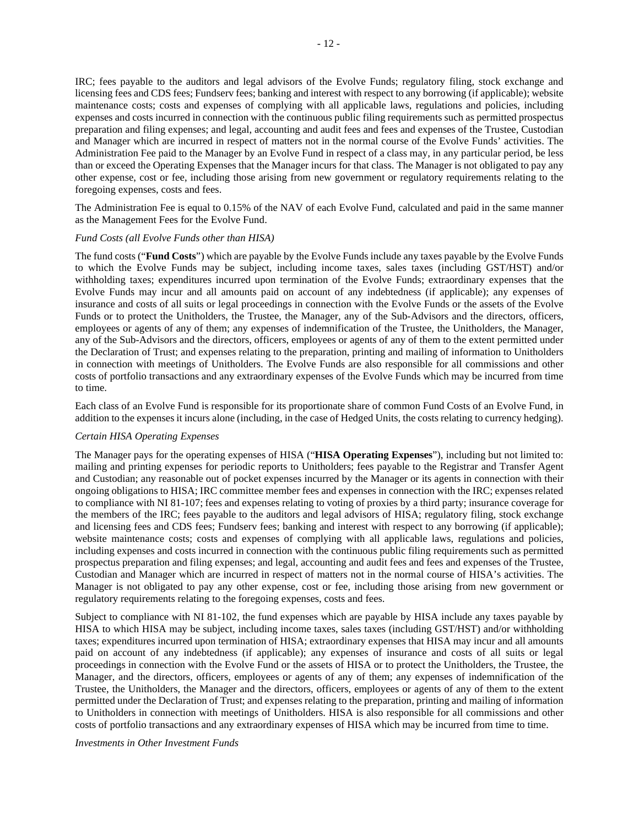IRC; fees payable to the auditors and legal advisors of the Evolve Funds; regulatory filing, stock exchange and licensing fees and CDS fees; Fundserv fees; banking and interest with respect to any borrowing (if applicable); website maintenance costs; costs and expenses of complying with all applicable laws, regulations and policies, including expenses and costs incurred in connection with the continuous public filing requirements such as permitted prospectus preparation and filing expenses; and legal, accounting and audit fees and fees and expenses of the Trustee, Custodian and Manager which are incurred in respect of matters not in the normal course of the Evolve Funds' activities. The Administration Fee paid to the Manager by an Evolve Fund in respect of a class may, in any particular period, be less than or exceed the Operating Expenses that the Manager incurs for that class. The Manager is not obligated to pay any other expense, cost or fee, including those arising from new government or regulatory requirements relating to the foregoing expenses, costs and fees.

The Administration Fee is equal to 0.15% of the NAV of each Evolve Fund, calculated and paid in the same manner as the Management Fees for the Evolve Fund.

#### *Fund Costs (all Evolve Funds other than HISA)*

The fund costs ("**Fund Costs**") which are payable by the Evolve Funds include any taxes payable by the Evolve Funds to which the Evolve Funds may be subject, including income taxes, sales taxes (including GST/HST) and/or withholding taxes; expenditures incurred upon termination of the Evolve Funds; extraordinary expenses that the Evolve Funds may incur and all amounts paid on account of any indebtedness (if applicable); any expenses of insurance and costs of all suits or legal proceedings in connection with the Evolve Funds or the assets of the Evolve Funds or to protect the Unitholders, the Trustee, the Manager, any of the Sub-Advisors and the directors, officers, employees or agents of any of them; any expenses of indemnification of the Trustee, the Unitholders, the Manager, any of the Sub-Advisors and the directors, officers, employees or agents of any of them to the extent permitted under the Declaration of Trust; and expenses relating to the preparation, printing and mailing of information to Unitholders in connection with meetings of Unitholders. The Evolve Funds are also responsible for all commissions and other costs of portfolio transactions and any extraordinary expenses of the Evolve Funds which may be incurred from time to time.

Each class of an Evolve Fund is responsible for its proportionate share of common Fund Costs of an Evolve Fund, in addition to the expenses it incurs alone (including, in the case of Hedged Units, the costs relating to currency hedging).

## *Certain HISA Operating Expenses*

The Manager pays for the operating expenses of HISA ("**HISA Operating Expenses**"), including but not limited to: mailing and printing expenses for periodic reports to Unitholders; fees payable to the Registrar and Transfer Agent and Custodian; any reasonable out of pocket expenses incurred by the Manager or its agents in connection with their ongoing obligations to HISA; IRC committee member fees and expenses in connection with the IRC; expenses related to compliance with NI 81-107; fees and expenses relating to voting of proxies by a third party; insurance coverage for the members of the IRC; fees payable to the auditors and legal advisors of HISA; regulatory filing, stock exchange and licensing fees and CDS fees; Fundserv fees; banking and interest with respect to any borrowing (if applicable); website maintenance costs; costs and expenses of complying with all applicable laws, regulations and policies, including expenses and costs incurred in connection with the continuous public filing requirements such as permitted prospectus preparation and filing expenses; and legal, accounting and audit fees and fees and expenses of the Trustee, Custodian and Manager which are incurred in respect of matters not in the normal course of HISA's activities. The Manager is not obligated to pay any other expense, cost or fee, including those arising from new government or regulatory requirements relating to the foregoing expenses, costs and fees.

Subject to compliance with NI 81-102, the fund expenses which are payable by HISA include any taxes payable by HISA to which HISA may be subject, including income taxes, sales taxes (including GST/HST) and/or withholding taxes; expenditures incurred upon termination of HISA; extraordinary expenses that HISA may incur and all amounts paid on account of any indebtedness (if applicable); any expenses of insurance and costs of all suits or legal proceedings in connection with the Evolve Fund or the assets of HISA or to protect the Unitholders, the Trustee, the Manager, and the directors, officers, employees or agents of any of them; any expenses of indemnification of the Trustee, the Unitholders, the Manager and the directors, officers, employees or agents of any of them to the extent permitted under the Declaration of Trust; and expenses relating to the preparation, printing and mailing of information to Unitholders in connection with meetings of Unitholders. HISA is also responsible for all commissions and other costs of portfolio transactions and any extraordinary expenses of HISA which may be incurred from time to time.

*Investments in Other Investment Funds*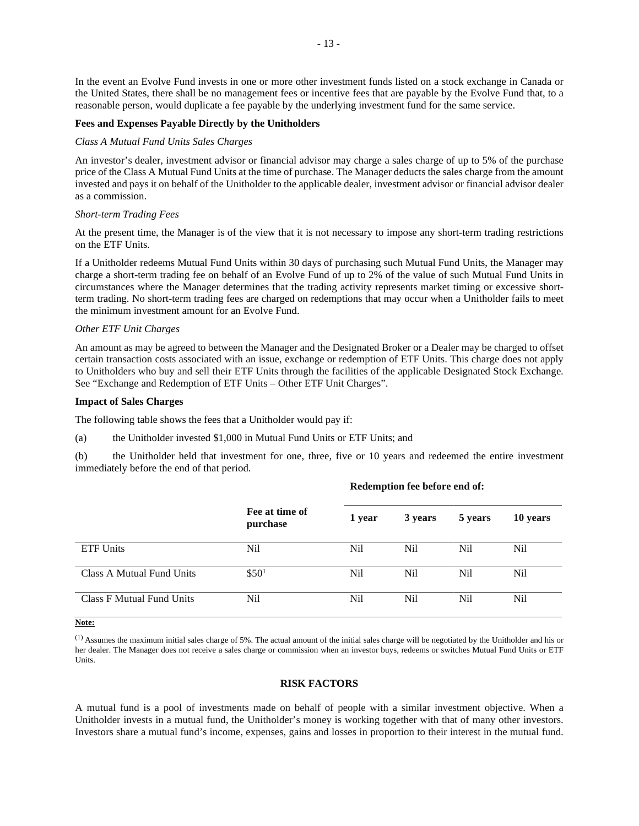In the event an Evolve Fund invests in one or more other investment funds listed on a stock exchange in Canada or the United States, there shall be no management fees or incentive fees that are payable by the Evolve Fund that, to a reasonable person, would duplicate a fee payable by the underlying investment fund for the same service.

### **Fees and Expenses Payable Directly by the Unitholders**

#### *Class A Mutual Fund Units Sales Charges*

An investor's dealer, investment advisor or financial advisor may charge a sales charge of up to 5% of the purchase price of the Class A Mutual Fund Units at the time of purchase. The Manager deducts the sales charge from the amount invested and pays it on behalf of the Unitholder to the applicable dealer, investment advisor or financial advisor dealer as a commission.

#### *Short-term Trading Fees*

At the present time, the Manager is of the view that it is not necessary to impose any short-term trading restrictions on the ETF Units.

If a Unitholder redeems Mutual Fund Units within 30 days of purchasing such Mutual Fund Units, the Manager may charge a short-term trading fee on behalf of an Evolve Fund of up to 2% of the value of such Mutual Fund Units in circumstances where the Manager determines that the trading activity represents market timing or excessive shortterm trading. No short-term trading fees are charged on redemptions that may occur when a Unitholder fails to meet the minimum investment amount for an Evolve Fund.

#### *Other ETF Unit Charges*

An amount as may be agreed to between the Manager and the Designated Broker or a Dealer may be charged to offset certain transaction costs associated with an issue, exchange or redemption of ETF Units. This charge does not apply to Unitholders who buy and sell their ETF Units through the facilities of the applicable Designated Stock Exchange. See "Exchange and Redemption of ETF Units – Other ETF Unit Charges".

#### **Impact of Sales Charges**

The following table shows the fees that a Unitholder would pay if:

(a) the Unitholder invested \$1,000 in Mutual Fund Units or ETF Units; and

(b) the Unitholder held that investment for one, three, five or 10 years and redeemed the entire investment immediately before the end of that period.

|                           |                            | Redemption fee before end of: |         |         |          |  |
|---------------------------|----------------------------|-------------------------------|---------|---------|----------|--|
|                           | Fee at time of<br>purchase | 1 year                        | 3 years | 5 years | 10 years |  |
| <b>ETF Units</b>          | Nil                        | N <sub>i</sub> l              | Nil.    | Nil     | Nil      |  |
| Class A Mutual Fund Units | \$50 <sup>1</sup>          | N <sub>i</sub> l              | Nil.    | Nil     | Nil      |  |
| Class F Mutual Fund Units | Nil                        | Nil                           | Nil     | Nil     | Nil      |  |

**Note:** 

(1) Assumes the maximum initial sales charge of 5%. The actual amount of the initial sales charge will be negotiated by the Unitholder and his or her dealer. The Manager does not receive a sales charge or commission when an investor buys, redeems or switches Mutual Fund Units or ETF Units.

#### **RISK FACTORS**

A mutual fund is a pool of investments made on behalf of people with a similar investment objective. When a Unitholder invests in a mutual fund, the Unitholder's money is working together with that of many other investors. Investors share a mutual fund's income, expenses, gains and losses in proportion to their interest in the mutual fund.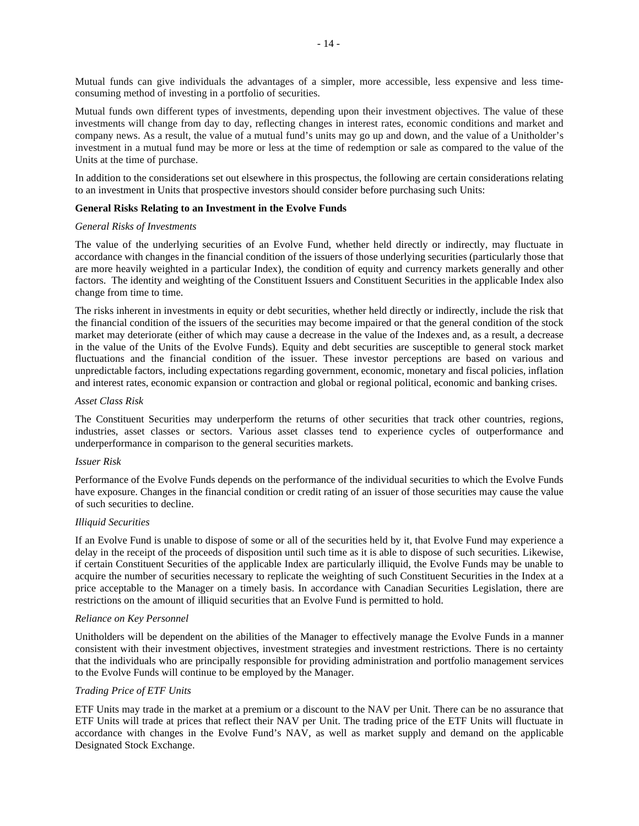Mutual funds can give individuals the advantages of a simpler, more accessible, less expensive and less timeconsuming method of investing in a portfolio of securities.

Mutual funds own different types of investments, depending upon their investment objectives. The value of these investments will change from day to day, reflecting changes in interest rates, economic conditions and market and company news. As a result, the value of a mutual fund's units may go up and down, and the value of a Unitholder's investment in a mutual fund may be more or less at the time of redemption or sale as compared to the value of the Units at the time of purchase.

In addition to the considerations set out elsewhere in this prospectus, the following are certain considerations relating to an investment in Units that prospective investors should consider before purchasing such Units:

### **General Risks Relating to an Investment in the Evolve Funds**

#### *General Risks of Investments*

The value of the underlying securities of an Evolve Fund, whether held directly or indirectly, may fluctuate in accordance with changes in the financial condition of the issuers of those underlying securities (particularly those that are more heavily weighted in a particular Index), the condition of equity and currency markets generally and other factors. The identity and weighting of the Constituent Issuers and Constituent Securities in the applicable Index also change from time to time.

The risks inherent in investments in equity or debt securities, whether held directly or indirectly, include the risk that the financial condition of the issuers of the securities may become impaired or that the general condition of the stock market may deteriorate (either of which may cause a decrease in the value of the Indexes and, as a result, a decrease in the value of the Units of the Evolve Funds). Equity and debt securities are susceptible to general stock market fluctuations and the financial condition of the issuer. These investor perceptions are based on various and unpredictable factors, including expectations regarding government, economic, monetary and fiscal policies, inflation and interest rates, economic expansion or contraction and global or regional political, economic and banking crises.

#### *Asset Class Risk*

The Constituent Securities may underperform the returns of other securities that track other countries, regions, industries, asset classes or sectors. Various asset classes tend to experience cycles of outperformance and underperformance in comparison to the general securities markets.

### *Issuer Risk*

Performance of the Evolve Funds depends on the performance of the individual securities to which the Evolve Funds have exposure. Changes in the financial condition or credit rating of an issuer of those securities may cause the value of such securities to decline.

### *Illiquid Securities*

If an Evolve Fund is unable to dispose of some or all of the securities held by it, that Evolve Fund may experience a delay in the receipt of the proceeds of disposition until such time as it is able to dispose of such securities. Likewise, if certain Constituent Securities of the applicable Index are particularly illiquid, the Evolve Funds may be unable to acquire the number of securities necessary to replicate the weighting of such Constituent Securities in the Index at a price acceptable to the Manager on a timely basis. In accordance with Canadian Securities Legislation, there are restrictions on the amount of illiquid securities that an Evolve Fund is permitted to hold.

#### *Reliance on Key Personnel*

Unitholders will be dependent on the abilities of the Manager to effectively manage the Evolve Funds in a manner consistent with their investment objectives, investment strategies and investment restrictions. There is no certainty that the individuals who are principally responsible for providing administration and portfolio management services to the Evolve Funds will continue to be employed by the Manager.

### *Trading Price of ETF Units*

ETF Units may trade in the market at a premium or a discount to the NAV per Unit. There can be no assurance that ETF Units will trade at prices that reflect their NAV per Unit. The trading price of the ETF Units will fluctuate in accordance with changes in the Evolve Fund's NAV, as well as market supply and demand on the applicable Designated Stock Exchange.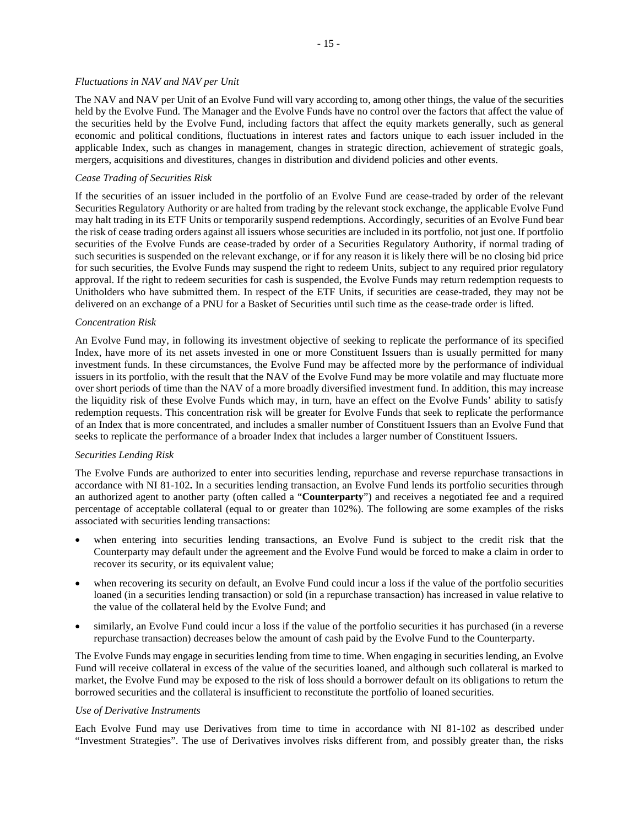#### *Fluctuations in NAV and NAV per Unit*

The NAV and NAV per Unit of an Evolve Fund will vary according to, among other things, the value of the securities held by the Evolve Fund. The Manager and the Evolve Funds have no control over the factors that affect the value of the securities held by the Evolve Fund, including factors that affect the equity markets generally, such as general economic and political conditions, fluctuations in interest rates and factors unique to each issuer included in the applicable Index, such as changes in management, changes in strategic direction, achievement of strategic goals, mergers, acquisitions and divestitures, changes in distribution and dividend policies and other events.

## *Cease Trading of Securities Risk*

If the securities of an issuer included in the portfolio of an Evolve Fund are cease-traded by order of the relevant Securities Regulatory Authority or are halted from trading by the relevant stock exchange, the applicable Evolve Fund may halt trading in its ETF Units or temporarily suspend redemptions. Accordingly, securities of an Evolve Fund bear the risk of cease trading orders against all issuers whose securities are included in its portfolio, not just one. If portfolio securities of the Evolve Funds are cease-traded by order of a Securities Regulatory Authority, if normal trading of such securities is suspended on the relevant exchange, or if for any reason it is likely there will be no closing bid price for such securities, the Evolve Funds may suspend the right to redeem Units, subject to any required prior regulatory approval. If the right to redeem securities for cash is suspended, the Evolve Funds may return redemption requests to Unitholders who have submitted them. In respect of the ETF Units, if securities are cease-traded, they may not be delivered on an exchange of a PNU for a Basket of Securities until such time as the cease-trade order is lifted.

#### *Concentration Risk*

An Evolve Fund may, in following its investment objective of seeking to replicate the performance of its specified Index, have more of its net assets invested in one or more Constituent Issuers than is usually permitted for many investment funds. In these circumstances, the Evolve Fund may be affected more by the performance of individual issuers in its portfolio, with the result that the NAV of the Evolve Fund may be more volatile and may fluctuate more over short periods of time than the NAV of a more broadly diversified investment fund. In addition, this may increase the liquidity risk of these Evolve Funds which may, in turn, have an effect on the Evolve Funds' ability to satisfy redemption requests. This concentration risk will be greater for Evolve Funds that seek to replicate the performance of an Index that is more concentrated, and includes a smaller number of Constituent Issuers than an Evolve Fund that seeks to replicate the performance of a broader Index that includes a larger number of Constituent Issuers.

### *Securities Lending Risk*

The Evolve Funds are authorized to enter into securities lending, repurchase and reverse repurchase transactions in accordance with NI 81-102**.** In a securities lending transaction, an Evolve Fund lends its portfolio securities through an authorized agent to another party (often called a "**Counterparty**") and receives a negotiated fee and a required percentage of acceptable collateral (equal to or greater than 102%). The following are some examples of the risks associated with securities lending transactions:

- when entering into securities lending transactions, an Evolve Fund is subject to the credit risk that the Counterparty may default under the agreement and the Evolve Fund would be forced to make a claim in order to recover its security, or its equivalent value;
- when recovering its security on default, an Evolve Fund could incur a loss if the value of the portfolio securities loaned (in a securities lending transaction) or sold (in a repurchase transaction) has increased in value relative to the value of the collateral held by the Evolve Fund; and
- similarly, an Evolve Fund could incur a loss if the value of the portfolio securities it has purchased (in a reverse repurchase transaction) decreases below the amount of cash paid by the Evolve Fund to the Counterparty.

The Evolve Funds may engage in securities lending from time to time. When engaging in securities lending, an Evolve Fund will receive collateral in excess of the value of the securities loaned, and although such collateral is marked to market, the Evolve Fund may be exposed to the risk of loss should a borrower default on its obligations to return the borrowed securities and the collateral is insufficient to reconstitute the portfolio of loaned securities.

#### *Use of Derivative Instruments*

Each Evolve Fund may use Derivatives from time to time in accordance with NI 81-102 as described under "Investment Strategies". The use of Derivatives involves risks different from, and possibly greater than, the risks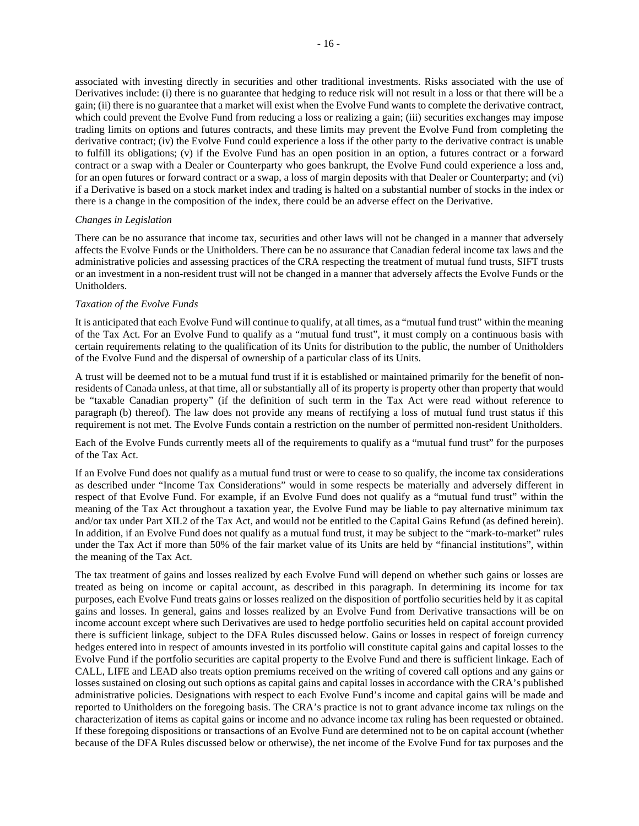associated with investing directly in securities and other traditional investments. Risks associated with the use of Derivatives include: (i) there is no guarantee that hedging to reduce risk will not result in a loss or that there will be a gain; (ii) there is no guarantee that a market will exist when the Evolve Fund wants to complete the derivative contract, which could prevent the Evolve Fund from reducing a loss or realizing a gain; (iii) securities exchanges may impose trading limits on options and futures contracts, and these limits may prevent the Evolve Fund from completing the derivative contract; (iv) the Evolve Fund could experience a loss if the other party to the derivative contract is unable to fulfill its obligations; (v) if the Evolve Fund has an open position in an option, a futures contract or a forward contract or a swap with a Dealer or Counterparty who goes bankrupt, the Evolve Fund could experience a loss and, for an open futures or forward contract or a swap, a loss of margin deposits with that Dealer or Counterparty; and (vi) if a Derivative is based on a stock market index and trading is halted on a substantial number of stocks in the index or there is a change in the composition of the index, there could be an adverse effect on the Derivative.

#### *Changes in Legislation*

There can be no assurance that income tax, securities and other laws will not be changed in a manner that adversely affects the Evolve Funds or the Unitholders. There can be no assurance that Canadian federal income tax laws and the administrative policies and assessing practices of the CRA respecting the treatment of mutual fund trusts, SIFT trusts or an investment in a non-resident trust will not be changed in a manner that adversely affects the Evolve Funds or the Unitholders.

### *Taxation of the Evolve Funds*

It is anticipated that each Evolve Fund will continue to qualify, at all times, as a "mutual fund trust" within the meaning of the Tax Act. For an Evolve Fund to qualify as a "mutual fund trust", it must comply on a continuous basis with certain requirements relating to the qualification of its Units for distribution to the public, the number of Unitholders of the Evolve Fund and the dispersal of ownership of a particular class of its Units.

A trust will be deemed not to be a mutual fund trust if it is established or maintained primarily for the benefit of nonresidents of Canada unless, at that time, all or substantially all of its property is property other than property that would be "taxable Canadian property" (if the definition of such term in the Tax Act were read without reference to paragraph (b) thereof). The law does not provide any means of rectifying a loss of mutual fund trust status if this requirement is not met. The Evolve Funds contain a restriction on the number of permitted non-resident Unitholders.

Each of the Evolve Funds currently meets all of the requirements to qualify as a "mutual fund trust" for the purposes of the Tax Act.

If an Evolve Fund does not qualify as a mutual fund trust or were to cease to so qualify, the income tax considerations as described under "Income Tax Considerations" would in some respects be materially and adversely different in respect of that Evolve Fund. For example, if an Evolve Fund does not qualify as a "mutual fund trust" within the meaning of the Tax Act throughout a taxation year, the Evolve Fund may be liable to pay alternative minimum tax and/or tax under Part XII.2 of the Tax Act, and would not be entitled to the Capital Gains Refund (as defined herein). In addition, if an Evolve Fund does not qualify as a mutual fund trust, it may be subject to the "mark-to-market" rules under the Tax Act if more than 50% of the fair market value of its Units are held by "financial institutions", within the meaning of the Tax Act.

The tax treatment of gains and losses realized by each Evolve Fund will depend on whether such gains or losses are treated as being on income or capital account, as described in this paragraph. In determining its income for tax purposes, each Evolve Fund treats gains or losses realized on the disposition of portfolio securities held by it as capital gains and losses. In general, gains and losses realized by an Evolve Fund from Derivative transactions will be on income account except where such Derivatives are used to hedge portfolio securities held on capital account provided there is sufficient linkage, subject to the DFA Rules discussed below. Gains or losses in respect of foreign currency hedges entered into in respect of amounts invested in its portfolio will constitute capital gains and capital losses to the Evolve Fund if the portfolio securities are capital property to the Evolve Fund and there is sufficient linkage. Each of CALL, LIFE and LEAD also treats option premiums received on the writing of covered call options and any gains or losses sustained on closing out such options as capital gains and capital losses in accordance with the CRA's published administrative policies. Designations with respect to each Evolve Fund's income and capital gains will be made and reported to Unitholders on the foregoing basis. The CRA's practice is not to grant advance income tax rulings on the characterization of items as capital gains or income and no advance income tax ruling has been requested or obtained. If these foregoing dispositions or transactions of an Evolve Fund are determined not to be on capital account (whether because of the DFA Rules discussed below or otherwise), the net income of the Evolve Fund for tax purposes and the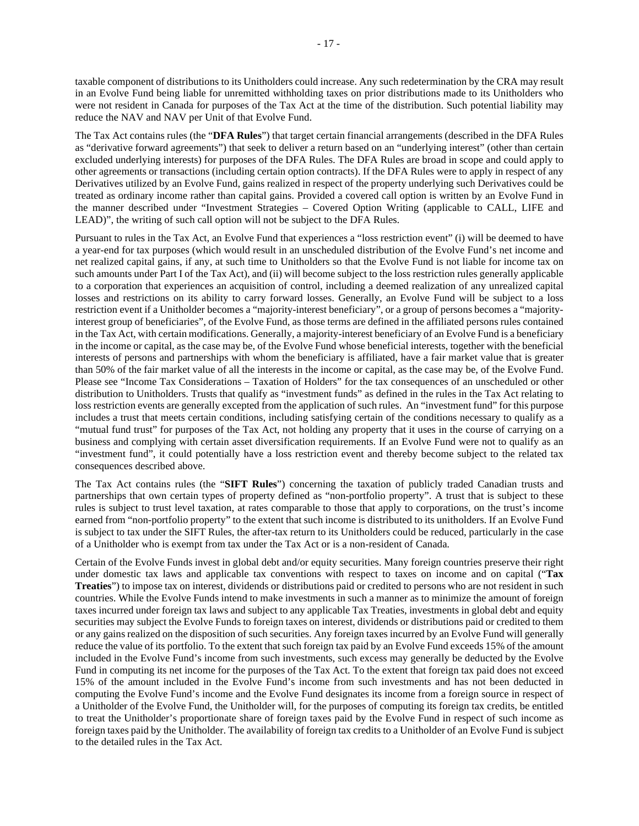- 17 -

taxable component of distributions to its Unitholders could increase. Any such redetermination by the CRA may result in an Evolve Fund being liable for unremitted withholding taxes on prior distributions made to its Unitholders who were not resident in Canada for purposes of the Tax Act at the time of the distribution. Such potential liability may reduce the NAV and NAV per Unit of that Evolve Fund.

The Tax Act contains rules (the "**DFA Rules**") that target certain financial arrangements (described in the DFA Rules as "derivative forward agreements") that seek to deliver a return based on an "underlying interest" (other than certain excluded underlying interests) for purposes of the DFA Rules. The DFA Rules are broad in scope and could apply to other agreements or transactions (including certain option contracts). If the DFA Rules were to apply in respect of any Derivatives utilized by an Evolve Fund, gains realized in respect of the property underlying such Derivatives could be treated as ordinary income rather than capital gains. Provided a covered call option is written by an Evolve Fund in the manner described under "Investment Strategies – Covered Option Writing (applicable to CALL, LIFE and LEAD)", the writing of such call option will not be subject to the DFA Rules.

Pursuant to rules in the Tax Act, an Evolve Fund that experiences a "loss restriction event" (i) will be deemed to have a year-end for tax purposes (which would result in an unscheduled distribution of the Evolve Fund's net income and net realized capital gains, if any, at such time to Unitholders so that the Evolve Fund is not liable for income tax on such amounts under Part I of the Tax Act), and (ii) will become subject to the loss restriction rules generally applicable to a corporation that experiences an acquisition of control, including a deemed realization of any unrealized capital losses and restrictions on its ability to carry forward losses. Generally, an Evolve Fund will be subject to a loss restriction event if a Unitholder becomes a "majority-interest beneficiary", or a group of persons becomes a "majorityinterest group of beneficiaries", of the Evolve Fund, as those terms are defined in the affiliated persons rules contained in the Tax Act, with certain modifications. Generally, a majority-interest beneficiary of an Evolve Fund is a beneficiary in the income or capital, as the case may be, of the Evolve Fund whose beneficial interests, together with the beneficial interests of persons and partnerships with whom the beneficiary is affiliated, have a fair market value that is greater than 50% of the fair market value of all the interests in the income or capital, as the case may be, of the Evolve Fund. Please see "Income Tax Considerations – Taxation of Holders" for the tax consequences of an unscheduled or other distribution to Unitholders. Trusts that qualify as "investment funds" as defined in the rules in the Tax Act relating to loss restriction events are generally excepted from the application of such rules. An "investment fund" for this purpose includes a trust that meets certain conditions, including satisfying certain of the conditions necessary to qualify as a "mutual fund trust" for purposes of the Tax Act, not holding any property that it uses in the course of carrying on a business and complying with certain asset diversification requirements. If an Evolve Fund were not to qualify as an "investment fund", it could potentially have a loss restriction event and thereby become subject to the related tax consequences described above.

The Tax Act contains rules (the "**SIFT Rules**") concerning the taxation of publicly traded Canadian trusts and partnerships that own certain types of property defined as "non-portfolio property". A trust that is subject to these rules is subject to trust level taxation, at rates comparable to those that apply to corporations, on the trust's income earned from "non-portfolio property" to the extent that such income is distributed to its unitholders. If an Evolve Fund is subject to tax under the SIFT Rules, the after-tax return to its Unitholders could be reduced, particularly in the case of a Unitholder who is exempt from tax under the Tax Act or is a non-resident of Canada.

Certain of the Evolve Funds invest in global debt and/or equity securities. Many foreign countries preserve their right under domestic tax laws and applicable tax conventions with respect to taxes on income and on capital ("**Tax Treaties**") to impose tax on interest, dividends or distributions paid or credited to persons who are not resident in such countries. While the Evolve Funds intend to make investments in such a manner as to minimize the amount of foreign taxes incurred under foreign tax laws and subject to any applicable Tax Treaties, investments in global debt and equity securities may subject the Evolve Funds to foreign taxes on interest, dividends or distributions paid or credited to them or any gains realized on the disposition of such securities. Any foreign taxes incurred by an Evolve Fund will generally reduce the value of its portfolio. To the extent that such foreign tax paid by an Evolve Fund exceeds 15% of the amount included in the Evolve Fund's income from such investments, such excess may generally be deducted by the Evolve Fund in computing its net income for the purposes of the Tax Act. To the extent that foreign tax paid does not exceed 15% of the amount included in the Evolve Fund's income from such investments and has not been deducted in computing the Evolve Fund's income and the Evolve Fund designates its income from a foreign source in respect of a Unitholder of the Evolve Fund, the Unitholder will, for the purposes of computing its foreign tax credits, be entitled to treat the Unitholder's proportionate share of foreign taxes paid by the Evolve Fund in respect of such income as foreign taxes paid by the Unitholder. The availability of foreign tax credits to a Unitholder of an Evolve Fund is subject to the detailed rules in the Tax Act.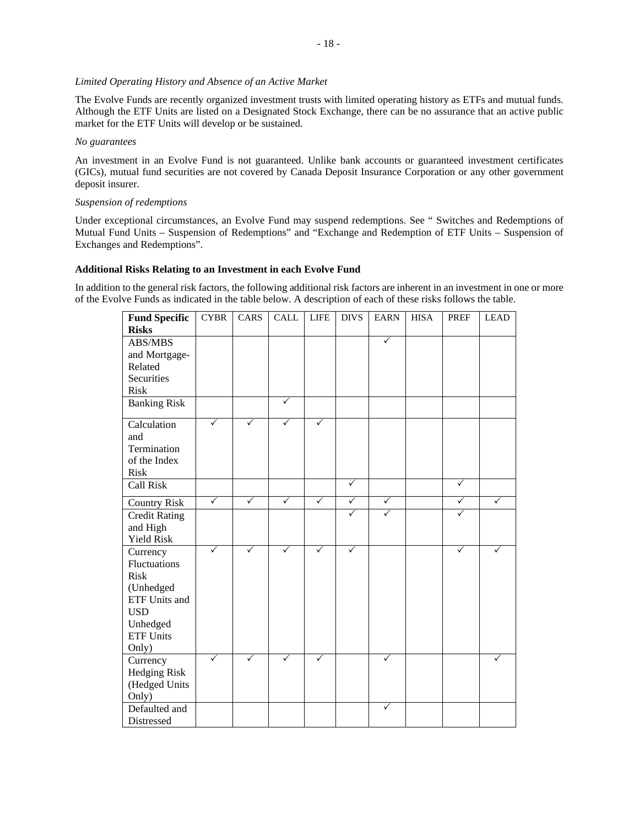## *Limited Operating History and Absence of an Active Market*

The Evolve Funds are recently organized investment trusts with limited operating history as ETFs and mutual funds. Although the ETF Units are listed on a Designated Stock Exchange, there can be no assurance that an active public market for the ETF Units will develop or be sustained.

#### *No guarantees*

An investment in an Evolve Fund is not guaranteed. Unlike bank accounts or guaranteed investment certificates (GICs), mutual fund securities are not covered by Canada Deposit Insurance Corporation or any other government deposit insurer.

## *Suspension of redemptions*

Under exceptional circumstances, an Evolve Fund may suspend redemptions. See " Switches and Redemptions of Mutual Fund Units – Suspension of Redemptions" and "Exchange and Redemption of ETF Units – Suspension of Exchanges and Redemptions".

## **Additional Risks Relating to an Investment in each Evolve Fund**

In addition to the general risk factors, the following additional risk factors are inherent in an investment in one or more of the Evolve Funds as indicated in the table below. A description of each of these risks follows the table.

| <b>Fund Specific</b> | <b>CYBR</b>  | CARS         | <b>CALL</b>  | <b>LIFE</b>  | <b>DIVS</b>  | <b>EARN</b>  | <b>HISA</b> | PREF         | <b>LEAD</b> |
|----------------------|--------------|--------------|--------------|--------------|--------------|--------------|-------------|--------------|-------------|
| <b>Risks</b>         |              |              |              |              |              |              |             |              |             |
| ABS/MBS              |              |              |              |              |              | ✓            |             |              |             |
| and Mortgage-        |              |              |              |              |              |              |             |              |             |
| Related              |              |              |              |              |              |              |             |              |             |
| Securities           |              |              |              |              |              |              |             |              |             |
| <b>Risk</b>          |              |              |              |              |              |              |             |              |             |
| <b>Banking Risk</b>  |              |              | ✓            |              |              |              |             |              |             |
| Calculation          | $\checkmark$ | ✓            | ✓            | ✓            |              |              |             |              |             |
| and                  |              |              |              |              |              |              |             |              |             |
| Termination          |              |              |              |              |              |              |             |              |             |
| of the Index         |              |              |              |              |              |              |             |              |             |
| <b>Risk</b>          |              |              |              |              |              |              |             |              |             |
| <b>Call Risk</b>     |              |              |              |              | $\checkmark$ |              |             | ✓            |             |
| <b>Country Risk</b>  | $\checkmark$ | $\checkmark$ | $\checkmark$ | $\checkmark$ | $\checkmark$ | $\checkmark$ |             | $\checkmark$ | ✓           |
| <b>Credit Rating</b> |              |              |              |              | $\checkmark$ | ✓            |             | $\checkmark$ |             |
| and High             |              |              |              |              |              |              |             |              |             |
| <b>Yield Risk</b>    |              |              |              |              |              |              |             |              |             |
| Currency             |              | ✓            |              |              | ✓            |              |             | ✓            |             |
| <b>Fluctuations</b>  |              |              |              |              |              |              |             |              |             |
| <b>Risk</b>          |              |              |              |              |              |              |             |              |             |
| (Unhedged            |              |              |              |              |              |              |             |              |             |
| ETF Units and        |              |              |              |              |              |              |             |              |             |
| <b>USD</b>           |              |              |              |              |              |              |             |              |             |
| Unhedged             |              |              |              |              |              |              |             |              |             |
| <b>ETF Units</b>     |              |              |              |              |              |              |             |              |             |
| Only)                |              |              |              |              |              |              |             |              |             |
| Currency             | ✓            | ✓            | ✓            | ✓            |              | ✓            |             |              |             |
| Hedging Risk         |              |              |              |              |              |              |             |              |             |
| (Hedged Units        |              |              |              |              |              |              |             |              |             |
| Only)                |              |              |              |              |              |              |             |              |             |
| Defaulted and        |              |              |              |              |              | ✓            |             |              |             |
|                      |              |              |              |              |              |              |             |              |             |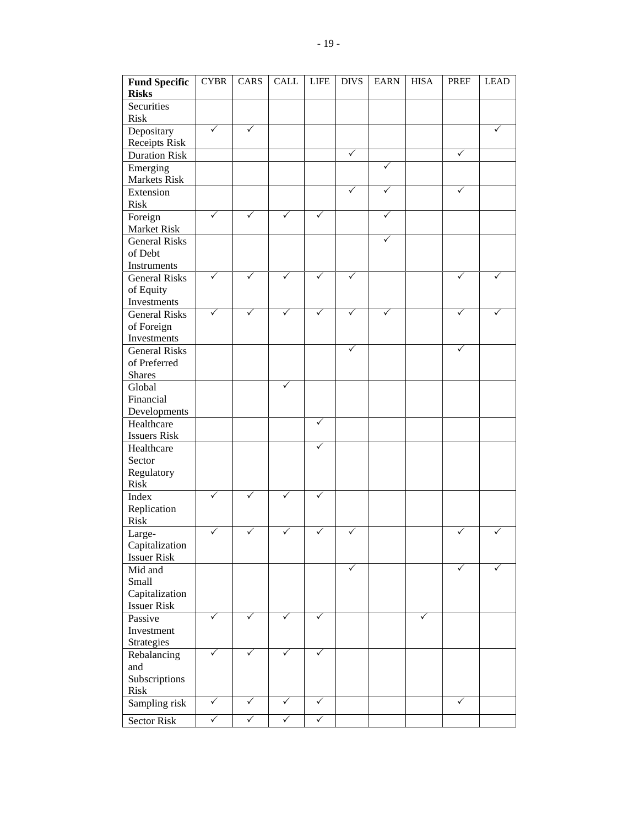| <b>Fund Specific</b><br><b>Risks</b>  | <b>CYBR</b>  | CARS         | <b>CALL</b>  | <b>LIFE</b>  | <b>DIVS</b> | <b>EARN</b> | <b>HISA</b> | <b>PREF</b>  | <b>LEAD</b> |
|---------------------------------------|--------------|--------------|--------------|--------------|-------------|-------------|-------------|--------------|-------------|
| Securities<br><b>Risk</b>             |              |              |              |              |             |             |             |              |             |
| Depositary                            | ✓            | ✓            |              |              |             |             |             |              |             |
| Receipts Risk<br><b>Duration Risk</b> |              |              |              |              | ✓           |             |             | ✓            |             |
|                                       |              |              |              |              |             | ✓           |             |              |             |
| Emerging<br>Markets Risk              |              |              |              |              |             |             |             |              |             |
| Extension<br><b>Risk</b>              |              |              |              |              | ✓           | ✓           |             | ✓            |             |
| Foreign<br>Market Risk                | ✓            |              |              | ✓            |             | ✓           |             |              |             |
| <b>General Risks</b>                  |              |              |              |              |             | ✓           |             |              |             |
| of Debt                               |              |              |              |              |             |             |             |              |             |
| Instruments                           |              |              |              |              |             |             |             |              |             |
| <b>General Risks</b>                  | ✓            | ✓            | ✓            | ✓            | ✓           |             |             | ✓            |             |
| of Equity                             |              |              |              |              |             |             |             |              |             |
| Investments                           |              |              |              |              |             |             |             |              |             |
| <b>General Risks</b>                  | ✓            | $\checkmark$ |              | ✓            | ✓           |             |             | ✓            |             |
| of Foreign                            |              |              |              |              |             |             |             |              |             |
| Investments                           |              |              |              |              |             |             |             |              |             |
| <b>General Risks</b>                  |              |              |              |              | ✓           |             |             | ✓            |             |
| of Preferred                          |              |              |              |              |             |             |             |              |             |
| <b>Shares</b>                         |              |              |              |              |             |             |             |              |             |
| Global                                |              |              | ✓            |              |             |             |             |              |             |
| Financial                             |              |              |              |              |             |             |             |              |             |
| Developments                          |              |              |              |              |             |             |             |              |             |
| Healthcare                            |              |              |              | ✓            |             |             |             |              |             |
| <b>Issuers Risk</b>                   |              |              |              |              |             |             |             |              |             |
| Healthcare                            |              |              |              | ✓            |             |             |             |              |             |
| Sector                                |              |              |              |              |             |             |             |              |             |
| Regulatory                            |              |              |              |              |             |             |             |              |             |
| <b>Risk</b>                           |              |              |              |              |             |             |             |              |             |
| Index                                 | $\checkmark$ | ✓            | ✓            | ✓            |             |             |             |              |             |
| Replication                           |              |              |              |              |             |             |             |              |             |
| Risk                                  |              |              |              |              |             |             |             |              |             |
| Large-                                | ✓            | ✓            |              | ✓            | ✓           |             |             | ✓            |             |
| Capitalization                        |              |              |              |              |             |             |             |              |             |
| <b>Issuer Risk</b>                    |              |              |              |              |             |             |             |              |             |
| Mid and                               |              |              |              |              | ✓           |             |             | ✓            |             |
| Small                                 |              |              |              |              |             |             |             |              |             |
| Capitalization                        |              |              |              |              |             |             |             |              |             |
| <b>Issuer Risk</b>                    |              |              |              |              |             |             |             |              |             |
| Passive                               | ✓            | ✓            | ✓            | ✓            |             |             | ✓           |              |             |
| Investment                            |              |              |              |              |             |             |             |              |             |
| Strategies                            |              |              |              |              |             |             |             |              |             |
| Rebalancing                           | $\checkmark$ | ✓            | ✓            | ✓            |             |             |             |              |             |
| and                                   |              |              |              |              |             |             |             |              |             |
| Subscriptions                         |              |              |              |              |             |             |             |              |             |
| Risk                                  |              |              |              |              |             |             |             |              |             |
| Sampling risk                         | $\checkmark$ | $\checkmark$ | $\checkmark$ | $\checkmark$ |             |             |             | $\checkmark$ |             |
| <b>Sector Risk</b>                    | $\checkmark$ | $\checkmark$ | $\checkmark$ | $\checkmark$ |             |             |             |              |             |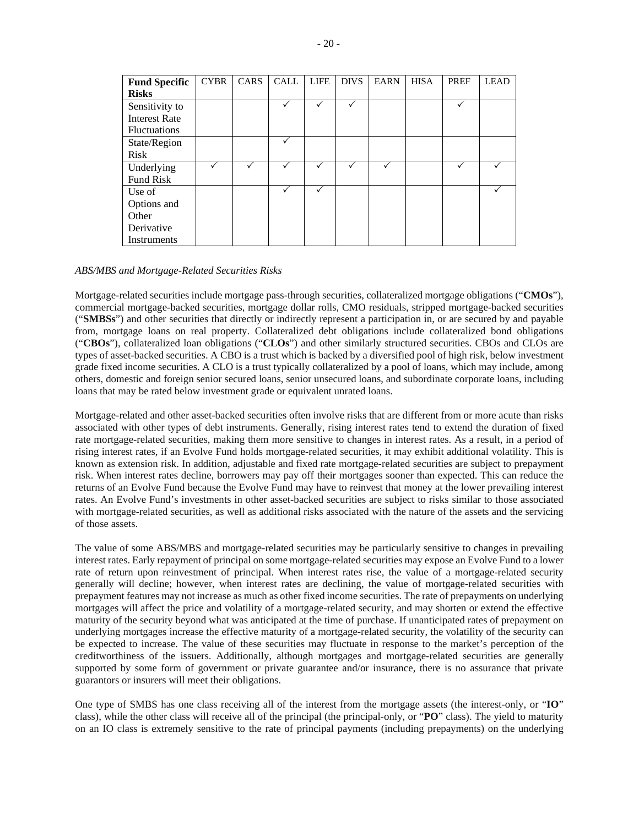| <b>Fund Specific</b> | <b>CYBR</b> | CARS | <b>CALL</b> | <b>LIFE</b> | <b>DIVS</b> | <b>EARN</b> | <b>HISA</b> | PREF | <b>LEAD</b> |
|----------------------|-------------|------|-------------|-------------|-------------|-------------|-------------|------|-------------|
| <b>Risks</b>         |             |      |             |             |             |             |             |      |             |
| Sensitivity to       |             |      |             |             |             |             |             |      |             |
| <b>Interest Rate</b> |             |      |             |             |             |             |             |      |             |
| <b>Fluctuations</b>  |             |      |             |             |             |             |             |      |             |
| State/Region         |             |      |             |             |             |             |             |      |             |
| <b>Risk</b>          |             |      |             |             |             |             |             |      |             |
| Underlying           |             |      |             |             |             |             |             |      |             |
| Fund Risk            |             |      |             |             |             |             |             |      |             |
| Use of               |             |      |             | ✓           |             |             |             |      |             |
| Options and          |             |      |             |             |             |             |             |      |             |
| Other                |             |      |             |             |             |             |             |      |             |
| Derivative           |             |      |             |             |             |             |             |      |             |
| Instruments          |             |      |             |             |             |             |             |      |             |

### *ABS/MBS and Mortgage-Related Securities Risks*

Mortgage-related securities include mortgage pass-through securities, collateralized mortgage obligations ("**CMOs**"), commercial mortgage-backed securities, mortgage dollar rolls, CMO residuals, stripped mortgage-backed securities ("**SMBSs**") and other securities that directly or indirectly represent a participation in, or are secured by and payable from, mortgage loans on real property. Collateralized debt obligations include collateralized bond obligations ("**CBOs**"), collateralized loan obligations ("**CLOs**") and other similarly structured securities. CBOs and CLOs are types of asset-backed securities. A CBO is a trust which is backed by a diversified pool of high risk, below investment grade fixed income securities. A CLO is a trust typically collateralized by a pool of loans, which may include, among others, domestic and foreign senior secured loans, senior unsecured loans, and subordinate corporate loans, including loans that may be rated below investment grade or equivalent unrated loans.

Mortgage-related and other asset-backed securities often involve risks that are different from or more acute than risks associated with other types of debt instruments. Generally, rising interest rates tend to extend the duration of fixed rate mortgage-related securities, making them more sensitive to changes in interest rates. As a result, in a period of rising interest rates, if an Evolve Fund holds mortgage-related securities, it may exhibit additional volatility. This is known as extension risk. In addition, adjustable and fixed rate mortgage-related securities are subject to prepayment risk. When interest rates decline, borrowers may pay off their mortgages sooner than expected. This can reduce the returns of an Evolve Fund because the Evolve Fund may have to reinvest that money at the lower prevailing interest rates. An Evolve Fund's investments in other asset-backed securities are subject to risks similar to those associated with mortgage-related securities, as well as additional risks associated with the nature of the assets and the servicing of those assets.

The value of some ABS/MBS and mortgage-related securities may be particularly sensitive to changes in prevailing interest rates. Early repayment of principal on some mortgage-related securities may expose an Evolve Fund to a lower rate of return upon reinvestment of principal. When interest rates rise, the value of a mortgage-related security generally will decline; however, when interest rates are declining, the value of mortgage-related securities with prepayment features may not increase as much as other fixed income securities. The rate of prepayments on underlying mortgages will affect the price and volatility of a mortgage-related security, and may shorten or extend the effective maturity of the security beyond what was anticipated at the time of purchase. If unanticipated rates of prepayment on underlying mortgages increase the effective maturity of a mortgage-related security, the volatility of the security can be expected to increase. The value of these securities may fluctuate in response to the market's perception of the creditworthiness of the issuers. Additionally, although mortgages and mortgage-related securities are generally supported by some form of government or private guarantee and/or insurance, there is no assurance that private guarantors or insurers will meet their obligations.

One type of SMBS has one class receiving all of the interest from the mortgage assets (the interest-only, or "**IO**" class), while the other class will receive all of the principal (the principal-only, or "**PO**" class). The yield to maturity on an IO class is extremely sensitive to the rate of principal payments (including prepayments) on the underlying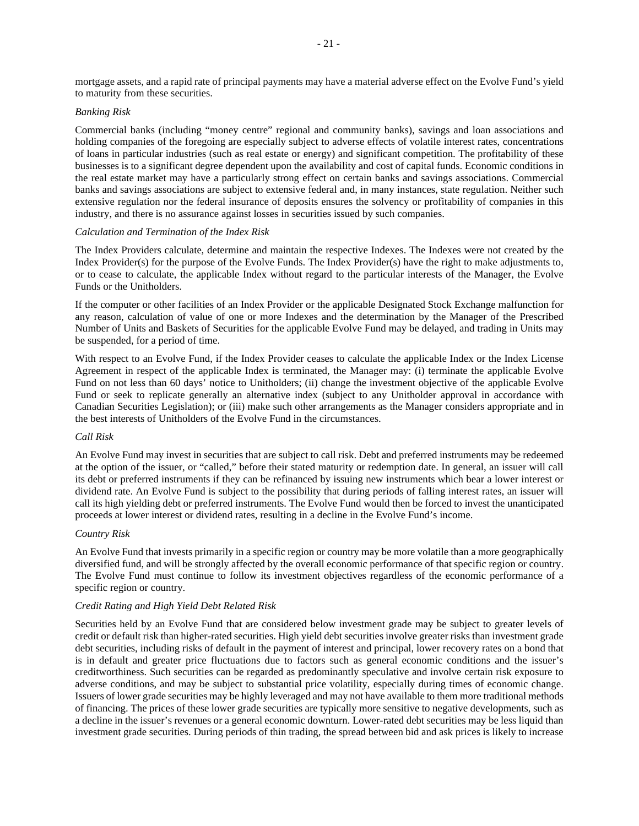mortgage assets, and a rapid rate of principal payments may have a material adverse effect on the Evolve Fund's yield to maturity from these securities.

### *Banking Risk*

Commercial banks (including "money centre" regional and community banks), savings and loan associations and holding companies of the foregoing are especially subject to adverse effects of volatile interest rates, concentrations of loans in particular industries (such as real estate or energy) and significant competition. The profitability of these businesses is to a significant degree dependent upon the availability and cost of capital funds. Economic conditions in the real estate market may have a particularly strong effect on certain banks and savings associations. Commercial banks and savings associations are subject to extensive federal and, in many instances, state regulation. Neither such extensive regulation nor the federal insurance of deposits ensures the solvency or profitability of companies in this industry, and there is no assurance against losses in securities issued by such companies.

### *Calculation and Termination of the Index Risk*

The Index Providers calculate, determine and maintain the respective Indexes. The Indexes were not created by the Index Provider(s) for the purpose of the Evolve Funds. The Index Provider(s) have the right to make adjustments to, or to cease to calculate, the applicable Index without regard to the particular interests of the Manager, the Evolve Funds or the Unitholders.

If the computer or other facilities of an Index Provider or the applicable Designated Stock Exchange malfunction for any reason, calculation of value of one or more Indexes and the determination by the Manager of the Prescribed Number of Units and Baskets of Securities for the applicable Evolve Fund may be delayed, and trading in Units may be suspended, for a period of time.

With respect to an Evolve Fund, if the Index Provider ceases to calculate the applicable Index or the Index License Agreement in respect of the applicable Index is terminated, the Manager may: (i) terminate the applicable Evolve Fund on not less than 60 days' notice to Unitholders; (ii) change the investment objective of the applicable Evolve Fund or seek to replicate generally an alternative index (subject to any Unitholder approval in accordance with Canadian Securities Legislation); or (iii) make such other arrangements as the Manager considers appropriate and in the best interests of Unitholders of the Evolve Fund in the circumstances.

### *Call Risk*

An Evolve Fund may invest in securities that are subject to call risk. Debt and preferred instruments may be redeemed at the option of the issuer, or "called," before their stated maturity or redemption date. In general, an issuer will call its debt or preferred instruments if they can be refinanced by issuing new instruments which bear a lower interest or dividend rate. An Evolve Fund is subject to the possibility that during periods of falling interest rates, an issuer will call its high yielding debt or preferred instruments. The Evolve Fund would then be forced to invest the unanticipated proceeds at lower interest or dividend rates, resulting in a decline in the Evolve Fund's income.

### *Country Risk*

An Evolve Fund that invests primarily in a specific region or country may be more volatile than a more geographically diversified fund, and will be strongly affected by the overall economic performance of that specific region or country. The Evolve Fund must continue to follow its investment objectives regardless of the economic performance of a specific region or country.

## *Credit Rating and High Yield Debt Related Risk*

Securities held by an Evolve Fund that are considered below investment grade may be subject to greater levels of credit or default risk than higher-rated securities. High yield debt securities involve greater risks than investment grade debt securities, including risks of default in the payment of interest and principal, lower recovery rates on a bond that is in default and greater price fluctuations due to factors such as general economic conditions and the issuer's creditworthiness. Such securities can be regarded as predominantly speculative and involve certain risk exposure to adverse conditions, and may be subject to substantial price volatility, especially during times of economic change. Issuers of lower grade securities may be highly leveraged and may not have available to them more traditional methods of financing. The prices of these lower grade securities are typically more sensitive to negative developments, such as a decline in the issuer's revenues or a general economic downturn. Lower-rated debt securities may be less liquid than investment grade securities. During periods of thin trading, the spread between bid and ask prices is likely to increase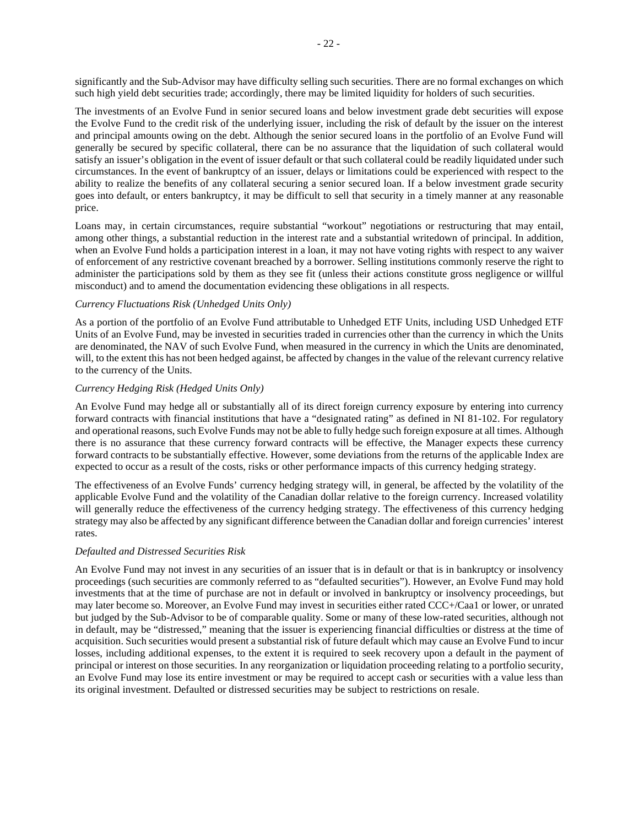significantly and the Sub-Advisor may have difficulty selling such securities. There are no formal exchanges on which such high yield debt securities trade; accordingly, there may be limited liquidity for holders of such securities.

The investments of an Evolve Fund in senior secured loans and below investment grade debt securities will expose the Evolve Fund to the credit risk of the underlying issuer, including the risk of default by the issuer on the interest and principal amounts owing on the debt. Although the senior secured loans in the portfolio of an Evolve Fund will generally be secured by specific collateral, there can be no assurance that the liquidation of such collateral would satisfy an issuer's obligation in the event of issuer default or that such collateral could be readily liquidated under such circumstances. In the event of bankruptcy of an issuer, delays or limitations could be experienced with respect to the ability to realize the benefits of any collateral securing a senior secured loan. If a below investment grade security goes into default, or enters bankruptcy, it may be difficult to sell that security in a timely manner at any reasonable price.

Loans may, in certain circumstances, require substantial "workout" negotiations or restructuring that may entail, among other things, a substantial reduction in the interest rate and a substantial writedown of principal. In addition, when an Evolve Fund holds a participation interest in a loan, it may not have voting rights with respect to any waiver of enforcement of any restrictive covenant breached by a borrower. Selling institutions commonly reserve the right to administer the participations sold by them as they see fit (unless their actions constitute gross negligence or willful misconduct) and to amend the documentation evidencing these obligations in all respects.

## *Currency Fluctuations Risk (Unhedged Units Only)*

As a portion of the portfolio of an Evolve Fund attributable to Unhedged ETF Units, including USD Unhedged ETF Units of an Evolve Fund, may be invested in securities traded in currencies other than the currency in which the Units are denominated, the NAV of such Evolve Fund, when measured in the currency in which the Units are denominated, will, to the extent this has not been hedged against, be affected by changes in the value of the relevant currency relative to the currency of the Units.

### *Currency Hedging Risk (Hedged Units Only)*

An Evolve Fund may hedge all or substantially all of its direct foreign currency exposure by entering into currency forward contracts with financial institutions that have a "designated rating" as defined in NI 81-102. For regulatory and operational reasons, such Evolve Funds may not be able to fully hedge such foreign exposure at all times. Although there is no assurance that these currency forward contracts will be effective, the Manager expects these currency forward contracts to be substantially effective. However, some deviations from the returns of the applicable Index are expected to occur as a result of the costs, risks or other performance impacts of this currency hedging strategy.

The effectiveness of an Evolve Funds' currency hedging strategy will, in general, be affected by the volatility of the applicable Evolve Fund and the volatility of the Canadian dollar relative to the foreign currency. Increased volatility will generally reduce the effectiveness of the currency hedging strategy. The effectiveness of this currency hedging strategy may also be affected by any significant difference between the Canadian dollar and foreign currencies' interest rates.

## *Defaulted and Distressed Securities Risk*

An Evolve Fund may not invest in any securities of an issuer that is in default or that is in bankruptcy or insolvency proceedings (such securities are commonly referred to as "defaulted securities"). However, an Evolve Fund may hold investments that at the time of purchase are not in default or involved in bankruptcy or insolvency proceedings, but may later become so. Moreover, an Evolve Fund may invest in securities either rated CCC+/Caa1 or lower, or unrated but judged by the Sub-Advisor to be of comparable quality. Some or many of these low-rated securities, although not in default, may be "distressed," meaning that the issuer is experiencing financial difficulties or distress at the time of acquisition. Such securities would present a substantial risk of future default which may cause an Evolve Fund to incur losses, including additional expenses, to the extent it is required to seek recovery upon a default in the payment of principal or interest on those securities. In any reorganization or liquidation proceeding relating to a portfolio security, an Evolve Fund may lose its entire investment or may be required to accept cash or securities with a value less than its original investment. Defaulted or distressed securities may be subject to restrictions on resale.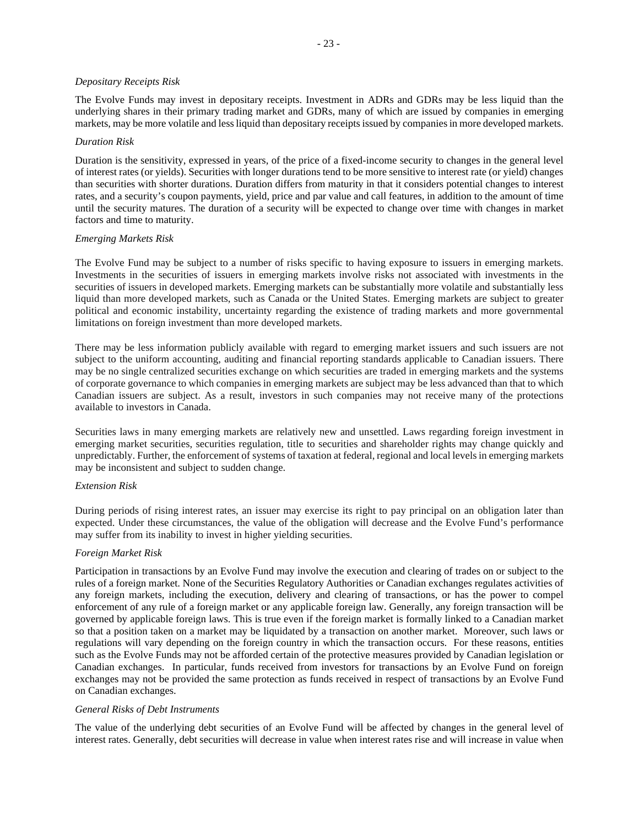### *Depositary Receipts Risk*

The Evolve Funds may invest in depositary receipts. Investment in ADRs and GDRs may be less liquid than the underlying shares in their primary trading market and GDRs, many of which are issued by companies in emerging markets, may be more volatile and less liquid than depositary receipts issued by companies in more developed markets.

## *Duration Risk*

Duration is the sensitivity, expressed in years, of the price of a fixed-income security to changes in the general level of interest rates (or yields). Securities with longer durations tend to be more sensitive to interest rate (or yield) changes than securities with shorter durations. Duration differs from maturity in that it considers potential changes to interest rates, and a security's coupon payments, yield, price and par value and call features, in addition to the amount of time until the security matures. The duration of a security will be expected to change over time with changes in market factors and time to maturity.

## *Emerging Markets Risk*

The Evolve Fund may be subject to a number of risks specific to having exposure to issuers in emerging markets. Investments in the securities of issuers in emerging markets involve risks not associated with investments in the securities of issuers in developed markets. Emerging markets can be substantially more volatile and substantially less liquid than more developed markets, such as Canada or the United States. Emerging markets are subject to greater political and economic instability, uncertainty regarding the existence of trading markets and more governmental limitations on foreign investment than more developed markets.

There may be less information publicly available with regard to emerging market issuers and such issuers are not subject to the uniform accounting, auditing and financial reporting standards applicable to Canadian issuers. There may be no single centralized securities exchange on which securities are traded in emerging markets and the systems of corporate governance to which companies in emerging markets are subject may be less advanced than that to which Canadian issuers are subject. As a result, investors in such companies may not receive many of the protections available to investors in Canada.

Securities laws in many emerging markets are relatively new and unsettled. Laws regarding foreign investment in emerging market securities, securities regulation, title to securities and shareholder rights may change quickly and unpredictably. Further, the enforcement of systems of taxation at federal, regional and local levels in emerging markets may be inconsistent and subject to sudden change.

## *Extension Risk*

During periods of rising interest rates, an issuer may exercise its right to pay principal on an obligation later than expected. Under these circumstances, the value of the obligation will decrease and the Evolve Fund's performance may suffer from its inability to invest in higher yielding securities.

## *Foreign Market Risk*

Participation in transactions by an Evolve Fund may involve the execution and clearing of trades on or subject to the rules of a foreign market. None of the Securities Regulatory Authorities or Canadian exchanges regulates activities of any foreign markets, including the execution, delivery and clearing of transactions, or has the power to compel enforcement of any rule of a foreign market or any applicable foreign law. Generally, any foreign transaction will be governed by applicable foreign laws. This is true even if the foreign market is formally linked to a Canadian market so that a position taken on a market may be liquidated by a transaction on another market. Moreover, such laws or regulations will vary depending on the foreign country in which the transaction occurs. For these reasons, entities such as the Evolve Funds may not be afforded certain of the protective measures provided by Canadian legislation or Canadian exchanges. In particular, funds received from investors for transactions by an Evolve Fund on foreign exchanges may not be provided the same protection as funds received in respect of transactions by an Evolve Fund on Canadian exchanges.

### *General Risks of Debt Instruments*

The value of the underlying debt securities of an Evolve Fund will be affected by changes in the general level of interest rates. Generally, debt securities will decrease in value when interest rates rise and will increase in value when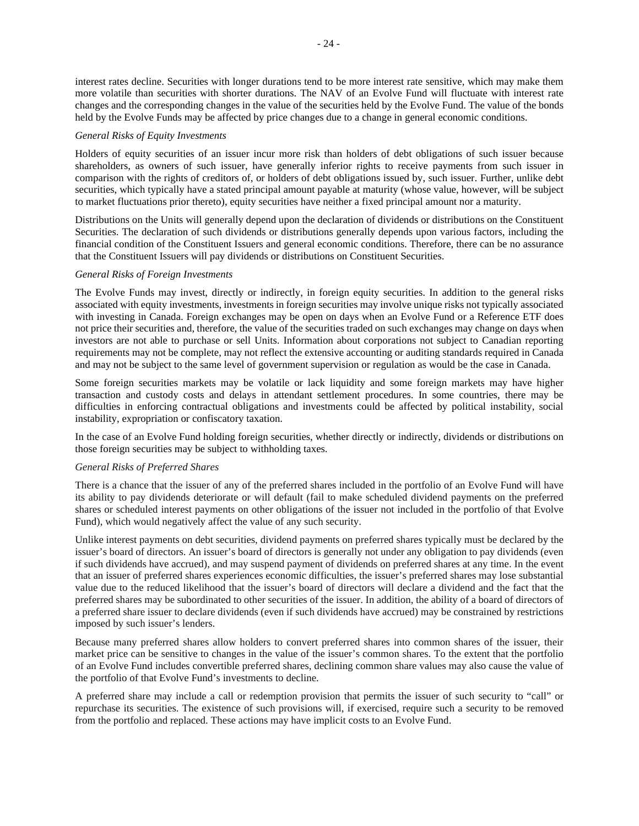interest rates decline. Securities with longer durations tend to be more interest rate sensitive, which may make them more volatile than securities with shorter durations. The NAV of an Evolve Fund will fluctuate with interest rate changes and the corresponding changes in the value of the securities held by the Evolve Fund. The value of the bonds held by the Evolve Funds may be affected by price changes due to a change in general economic conditions.

#### *General Risks of Equity Investments*

Holders of equity securities of an issuer incur more risk than holders of debt obligations of such issuer because shareholders, as owners of such issuer, have generally inferior rights to receive payments from such issuer in comparison with the rights of creditors of, or holders of debt obligations issued by, such issuer. Further, unlike debt securities, which typically have a stated principal amount payable at maturity (whose value, however, will be subject to market fluctuations prior thereto), equity securities have neither a fixed principal amount nor a maturity.

Distributions on the Units will generally depend upon the declaration of dividends or distributions on the Constituent Securities. The declaration of such dividends or distributions generally depends upon various factors, including the financial condition of the Constituent Issuers and general economic conditions. Therefore, there can be no assurance that the Constituent Issuers will pay dividends or distributions on Constituent Securities.

## *General Risks of Foreign Investments*

The Evolve Funds may invest, directly or indirectly, in foreign equity securities. In addition to the general risks associated with equity investments, investments in foreign securities may involve unique risks not typically associated with investing in Canada. Foreign exchanges may be open on days when an Evolve Fund or a Reference ETF does not price their securities and, therefore, the value of the securities traded on such exchanges may change on days when investors are not able to purchase or sell Units. Information about corporations not subject to Canadian reporting requirements may not be complete, may not reflect the extensive accounting or auditing standards required in Canada and may not be subject to the same level of government supervision or regulation as would be the case in Canada.

Some foreign securities markets may be volatile or lack liquidity and some foreign markets may have higher transaction and custody costs and delays in attendant settlement procedures. In some countries, there may be difficulties in enforcing contractual obligations and investments could be affected by political instability, social instability, expropriation or confiscatory taxation.

In the case of an Evolve Fund holding foreign securities, whether directly or indirectly, dividends or distributions on those foreign securities may be subject to withholding taxes.

### *General Risks of Preferred Shares*

There is a chance that the issuer of any of the preferred shares included in the portfolio of an Evolve Fund will have its ability to pay dividends deteriorate or will default (fail to make scheduled dividend payments on the preferred shares or scheduled interest payments on other obligations of the issuer not included in the portfolio of that Evolve Fund), which would negatively affect the value of any such security.

Unlike interest payments on debt securities, dividend payments on preferred shares typically must be declared by the issuer's board of directors. An issuer's board of directors is generally not under any obligation to pay dividends (even if such dividends have accrued), and may suspend payment of dividends on preferred shares at any time. In the event that an issuer of preferred shares experiences economic difficulties, the issuer's preferred shares may lose substantial value due to the reduced likelihood that the issuer's board of directors will declare a dividend and the fact that the preferred shares may be subordinated to other securities of the issuer. In addition, the ability of a board of directors of a preferred share issuer to declare dividends (even if such dividends have accrued) may be constrained by restrictions imposed by such issuer's lenders.

Because many preferred shares allow holders to convert preferred shares into common shares of the issuer, their market price can be sensitive to changes in the value of the issuer's common shares. To the extent that the portfolio of an Evolve Fund includes convertible preferred shares, declining common share values may also cause the value of the portfolio of that Evolve Fund's investments to decline.

A preferred share may include a call or redemption provision that permits the issuer of such security to "call" or repurchase its securities. The existence of such provisions will, if exercised, require such a security to be removed from the portfolio and replaced. These actions may have implicit costs to an Evolve Fund.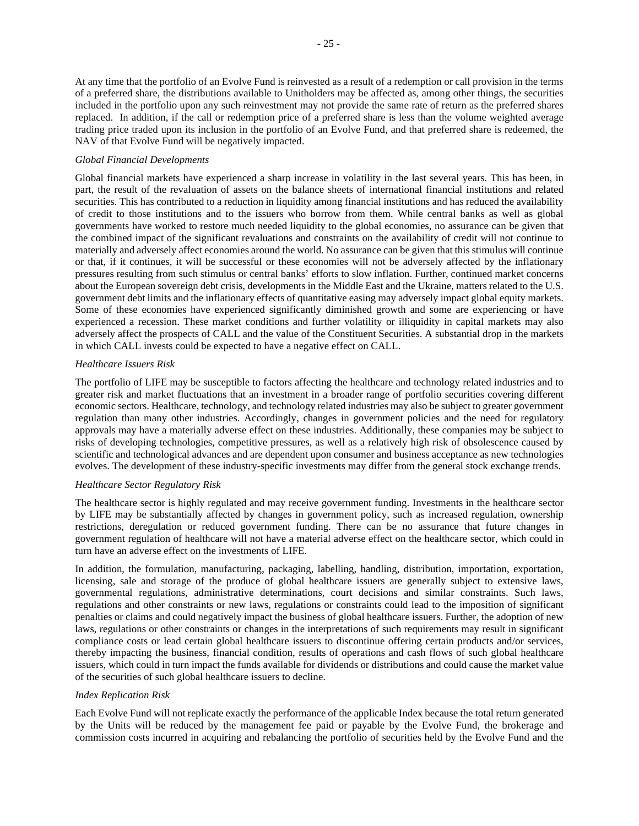At any time that the portfolio of an Evolve Fund is reinvested as a result of a redemption or call provision in the terms of a preferred share, the distributions available to Unitholders may be affected as, among other things, the securities included in the portfolio upon any such reinvestment may not provide the same rate of return as the preferred shares replaced. In addition, if the call or redemption price of a preferred share is less than the volume weighted average trading price traded upon its inclusion in the portfolio of an Evolve Fund, and that preferred share is redeemed, the NAV of that Evolve Fund will be negatively impacted.

## *Global Financial Developments*

Global financial markets have experienced a sharp increase in volatility in the last several years. This has been, in part, the result of the revaluation of assets on the balance sheets of international financial institutions and related securities. This has contributed to a reduction in liquidity among financial institutions and has reduced the availability of credit to those institutions and to the issuers who borrow from them. While central banks as well as global governments have worked to restore much needed liquidity to the global economies, no assurance can be given that the combined impact of the significant revaluations and constraints on the availability of credit will not continue to materially and adversely affect economies around the world. No assurance can be given that this stimulus will continue or that, if it continues, it will be successful or these economies will not be adversely affected by the inflationary pressures resulting from such stimulus or central banks' efforts to slow inflation. Further, continued market concerns about the European sovereign debt crisis, developments in the Middle East and the Ukraine, matters related to the U.S. government debt limits and the inflationary effects of quantitative easing may adversely impact global equity markets. Some of these economies have experienced significantly diminished growth and some are experiencing or have experienced a recession. These market conditions and further volatility or illiquidity in capital markets may also adversely affect the prospects of CALL and the value of the Constituent Securities. A substantial drop in the markets in which CALL invests could be expected to have a negative effect on CALL.

## *Healthcare Issuers Risk*

The portfolio of LIFE may be susceptible to factors affecting the healthcare and technology related industries and to greater risk and market fluctuations that an investment in a broader range of portfolio securities covering different economic sectors. Healthcare, technology, and technology related industries may also be subject to greater government regulation than many other industries. Accordingly, changes in government policies and the need for regulatory approvals may have a materially adverse effect on these industries. Additionally, these companies may be subject to risks of developing technologies, competitive pressures, as well as a relatively high risk of obsolescence caused by scientific and technological advances and are dependent upon consumer and business acceptance as new technologies evolves. The development of these industry-specific investments may differ from the general stock exchange trends.

### *Healthcare Sector Regulatory Risk*

The healthcare sector is highly regulated and may receive government funding. Investments in the healthcare sector by LIFE may be substantially affected by changes in government policy, such as increased regulation, ownership restrictions, deregulation or reduced government funding. There can be no assurance that future changes in government regulation of healthcare will not have a material adverse effect on the healthcare sector, which could in turn have an adverse effect on the investments of LIFE.

In addition, the formulation, manufacturing, packaging, labelling, handling, distribution, importation, exportation, licensing, sale and storage of the produce of global healthcare issuers are generally subject to extensive laws, governmental regulations, administrative determinations, court decisions and similar constraints. Such laws, regulations and other constraints or new laws, regulations or constraints could lead to the imposition of significant penalties or claims and could negatively impact the business of global healthcare issuers. Further, the adoption of new laws, regulations or other constraints or changes in the interpretations of such requirements may result in significant compliance costs or lead certain global healthcare issuers to discontinue offering certain products and/or services, thereby impacting the business, financial condition, results of operations and cash flows of such global healthcare issuers, which could in turn impact the funds available for dividends or distributions and could cause the market value of the securities of such global healthcare issuers to decline.

## *Index Replication Risk*

Each Evolve Fund will not replicate exactly the performance of the applicable Index because the total return generated by the Units will be reduced by the management fee paid or payable by the Evolve Fund, the brokerage and commission costs incurred in acquiring and rebalancing the portfolio of securities held by the Evolve Fund and the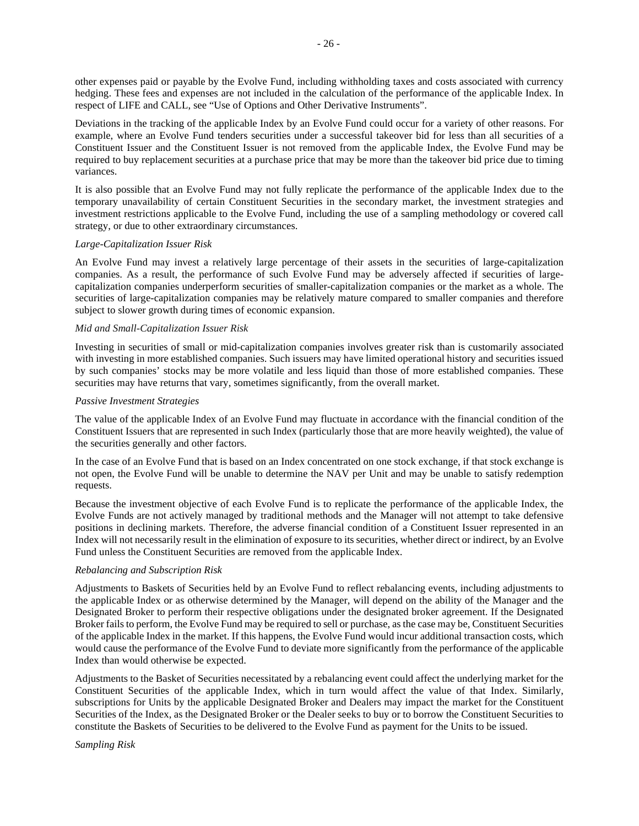other expenses paid or payable by the Evolve Fund, including withholding taxes and costs associated with currency hedging. These fees and expenses are not included in the calculation of the performance of the applicable Index. In respect of LIFE and CALL, see "Use of Options and Other Derivative Instruments".

Deviations in the tracking of the applicable Index by an Evolve Fund could occur for a variety of other reasons. For example, where an Evolve Fund tenders securities under a successful takeover bid for less than all securities of a Constituent Issuer and the Constituent Issuer is not removed from the applicable Index, the Evolve Fund may be required to buy replacement securities at a purchase price that may be more than the takeover bid price due to timing variances.

It is also possible that an Evolve Fund may not fully replicate the performance of the applicable Index due to the temporary unavailability of certain Constituent Securities in the secondary market, the investment strategies and investment restrictions applicable to the Evolve Fund, including the use of a sampling methodology or covered call strategy, or due to other extraordinary circumstances.

### *Large-Capitalization Issuer Risk*

An Evolve Fund may invest a relatively large percentage of their assets in the securities of large-capitalization companies. As a result, the performance of such Evolve Fund may be adversely affected if securities of largecapitalization companies underperform securities of smaller-capitalization companies or the market as a whole. The securities of large-capitalization companies may be relatively mature compared to smaller companies and therefore subject to slower growth during times of economic expansion.

### *Mid and Small-Capitalization Issuer Risk*

Investing in securities of small or mid-capitalization companies involves greater risk than is customarily associated with investing in more established companies. Such issuers may have limited operational history and securities issued by such companies' stocks may be more volatile and less liquid than those of more established companies. These securities may have returns that vary, sometimes significantly, from the overall market.

#### *Passive Investment Strategies*

The value of the applicable Index of an Evolve Fund may fluctuate in accordance with the financial condition of the Constituent Issuers that are represented in such Index (particularly those that are more heavily weighted), the value of the securities generally and other factors.

In the case of an Evolve Fund that is based on an Index concentrated on one stock exchange, if that stock exchange is not open, the Evolve Fund will be unable to determine the NAV per Unit and may be unable to satisfy redemption requests.

Because the investment objective of each Evolve Fund is to replicate the performance of the applicable Index, the Evolve Funds are not actively managed by traditional methods and the Manager will not attempt to take defensive positions in declining markets. Therefore, the adverse financial condition of a Constituent Issuer represented in an Index will not necessarily result in the elimination of exposure to its securities, whether direct or indirect, by an Evolve Fund unless the Constituent Securities are removed from the applicable Index.

#### *Rebalancing and Subscription Risk*

Adjustments to Baskets of Securities held by an Evolve Fund to reflect rebalancing events, including adjustments to the applicable Index or as otherwise determined by the Manager, will depend on the ability of the Manager and the Designated Broker to perform their respective obligations under the designated broker agreement. If the Designated Broker fails to perform, the Evolve Fund may be required to sell or purchase, as the case may be, Constituent Securities of the applicable Index in the market. If this happens, the Evolve Fund would incur additional transaction costs, which would cause the performance of the Evolve Fund to deviate more significantly from the performance of the applicable Index than would otherwise be expected.

Adjustments to the Basket of Securities necessitated by a rebalancing event could affect the underlying market for the Constituent Securities of the applicable Index, which in turn would affect the value of that Index. Similarly, subscriptions for Units by the applicable Designated Broker and Dealers may impact the market for the Constituent Securities of the Index, as the Designated Broker or the Dealer seeks to buy or to borrow the Constituent Securities to constitute the Baskets of Securities to be delivered to the Evolve Fund as payment for the Units to be issued.

# *Sampling Risk*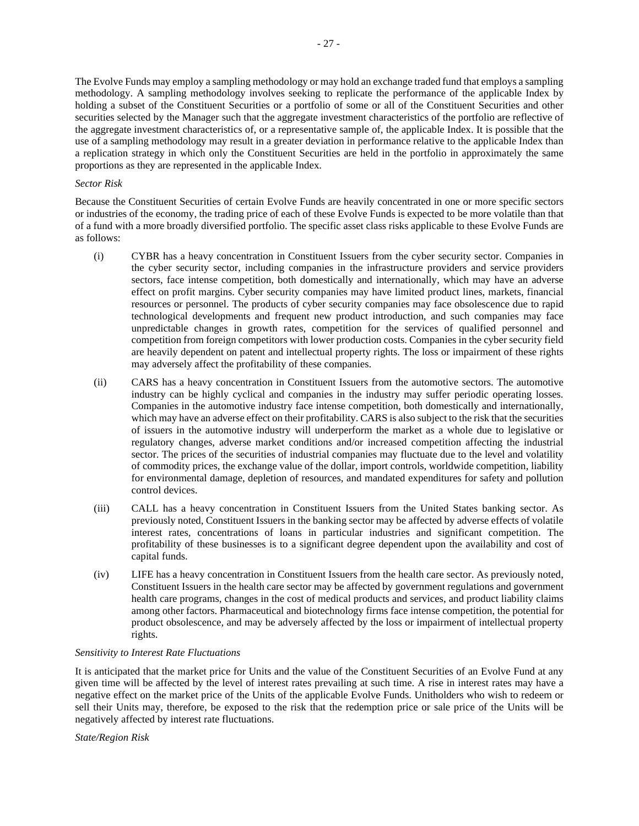The Evolve Funds may employ a sampling methodology or may hold an exchange traded fund that employs a sampling methodology. A sampling methodology involves seeking to replicate the performance of the applicable Index by holding a subset of the Constituent Securities or a portfolio of some or all of the Constituent Securities and other securities selected by the Manager such that the aggregate investment characteristics of the portfolio are reflective of the aggregate investment characteristics of, or a representative sample of, the applicable Index. It is possible that the use of a sampling methodology may result in a greater deviation in performance relative to the applicable Index than a replication strategy in which only the Constituent Securities are held in the portfolio in approximately the same proportions as they are represented in the applicable Index.

#### *Sector Risk*

Because the Constituent Securities of certain Evolve Funds are heavily concentrated in one or more specific sectors or industries of the economy, the trading price of each of these Evolve Funds is expected to be more volatile than that of a fund with a more broadly diversified portfolio. The specific asset class risks applicable to these Evolve Funds are as follows:

- (i) CYBR has a heavy concentration in Constituent Issuers from the cyber security sector. Companies in the cyber security sector, including companies in the infrastructure providers and service providers sectors, face intense competition, both domestically and internationally, which may have an adverse effect on profit margins. Cyber security companies may have limited product lines, markets, financial resources or personnel. The products of cyber security companies may face obsolescence due to rapid technological developments and frequent new product introduction, and such companies may face unpredictable changes in growth rates, competition for the services of qualified personnel and competition from foreign competitors with lower production costs. Companies in the cyber security field are heavily dependent on patent and intellectual property rights. The loss or impairment of these rights may adversely affect the profitability of these companies.
- (ii) CARS has a heavy concentration in Constituent Issuers from the automotive sectors. The automotive industry can be highly cyclical and companies in the industry may suffer periodic operating losses. Companies in the automotive industry face intense competition, both domestically and internationally, which may have an adverse effect on their profitability. CARS is also subject to the risk that the securities of issuers in the automotive industry will underperform the market as a whole due to legislative or regulatory changes, adverse market conditions and/or increased competition affecting the industrial sector. The prices of the securities of industrial companies may fluctuate due to the level and volatility of commodity prices, the exchange value of the dollar, import controls, worldwide competition, liability for environmental damage, depletion of resources, and mandated expenditures for safety and pollution control devices.
- (iii) CALL has a heavy concentration in Constituent Issuers from the United States banking sector. As previously noted, Constituent Issuers in the banking sector may be affected by adverse effects of volatile interest rates, concentrations of loans in particular industries and significant competition. The profitability of these businesses is to a significant degree dependent upon the availability and cost of capital funds.
- (iv) LIFE has a heavy concentration in Constituent Issuers from the health care sector. As previously noted, Constituent Issuers in the health care sector may be affected by government regulations and government health care programs, changes in the cost of medical products and services, and product liability claims among other factors. Pharmaceutical and biotechnology firms face intense competition, the potential for product obsolescence, and may be adversely affected by the loss or impairment of intellectual property rights.

## *Sensitivity to Interest Rate Fluctuations*

It is anticipated that the market price for Units and the value of the Constituent Securities of an Evolve Fund at any given time will be affected by the level of interest rates prevailing at such time. A rise in interest rates may have a negative effect on the market price of the Units of the applicable Evolve Funds. Unitholders who wish to redeem or sell their Units may, therefore, be exposed to the risk that the redemption price or sale price of the Units will be negatively affected by interest rate fluctuations.

*State/Region Risk*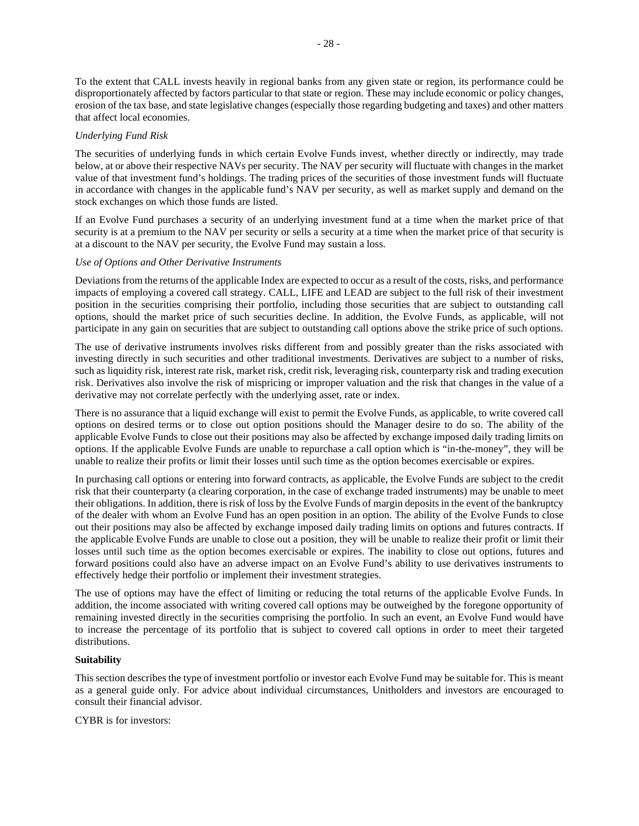To the extent that CALL invests heavily in regional banks from any given state or region, its performance could be disproportionately affected by factors particular to that state or region. These may include economic or policy changes, erosion of the tax base, and state legislative changes (especially those regarding budgeting and taxes) and other matters that affect local economies.

#### *Underlying Fund Risk*

The securities of underlying funds in which certain Evolve Funds invest, whether directly or indirectly, may trade below, at or above their respective NAVs per security. The NAV per security will fluctuate with changes in the market value of that investment fund's holdings. The trading prices of the securities of those investment funds will fluctuate in accordance with changes in the applicable fund's NAV per security, as well as market supply and demand on the stock exchanges on which those funds are listed.

If an Evolve Fund purchases a security of an underlying investment fund at a time when the market price of that security is at a premium to the NAV per security or sells a security at a time when the market price of that security is at a discount to the NAV per security, the Evolve Fund may sustain a loss.

#### *Use of Options and Other Derivative Instruments*

Deviations from the returns of the applicable Index are expected to occur as a result of the costs, risks, and performance impacts of employing a covered call strategy. CALL, LIFE and LEAD are subject to the full risk of their investment position in the securities comprising their portfolio, including those securities that are subject to outstanding call options, should the market price of such securities decline. In addition, the Evolve Funds, as applicable, will not participate in any gain on securities that are subject to outstanding call options above the strike price of such options.

The use of derivative instruments involves risks different from and possibly greater than the risks associated with investing directly in such securities and other traditional investments. Derivatives are subject to a number of risks, such as liquidity risk, interest rate risk, market risk, credit risk, leveraging risk, counterparty risk and trading execution risk. Derivatives also involve the risk of mispricing or improper valuation and the risk that changes in the value of a derivative may not correlate perfectly with the underlying asset, rate or index.

There is no assurance that a liquid exchange will exist to permit the Evolve Funds, as applicable, to write covered call options on desired terms or to close out option positions should the Manager desire to do so. The ability of the applicable Evolve Funds to close out their positions may also be affected by exchange imposed daily trading limits on options. If the applicable Evolve Funds are unable to repurchase a call option which is "in-the-money", they will be unable to realize their profits or limit their losses until such time as the option becomes exercisable or expires.

In purchasing call options or entering into forward contracts, as applicable, the Evolve Funds are subject to the credit risk that their counterparty (a clearing corporation, in the case of exchange traded instruments) may be unable to meet their obligations. In addition, there is risk of loss by the Evolve Funds of margin deposits in the event of the bankruptcy of the dealer with whom an Evolve Fund has an open position in an option. The ability of the Evolve Funds to close out their positions may also be affected by exchange imposed daily trading limits on options and futures contracts. If the applicable Evolve Funds are unable to close out a position, they will be unable to realize their profit or limit their losses until such time as the option becomes exercisable or expires. The inability to close out options, futures and forward positions could also have an adverse impact on an Evolve Fund's ability to use derivatives instruments to effectively hedge their portfolio or implement their investment strategies.

The use of options may have the effect of limiting or reducing the total returns of the applicable Evolve Funds. In addition, the income associated with writing covered call options may be outweighed by the foregone opportunity of remaining invested directly in the securities comprising the portfolio. In such an event, an Evolve Fund would have to increase the percentage of its portfolio that is subject to covered call options in order to meet their targeted distributions.

### **Suitability**

This section describes the type of investment portfolio or investor each Evolve Fund may be suitable for. This is meant as a general guide only. For advice about individual circumstances, Unitholders and investors are encouraged to consult their financial advisor.

CYBR is for investors: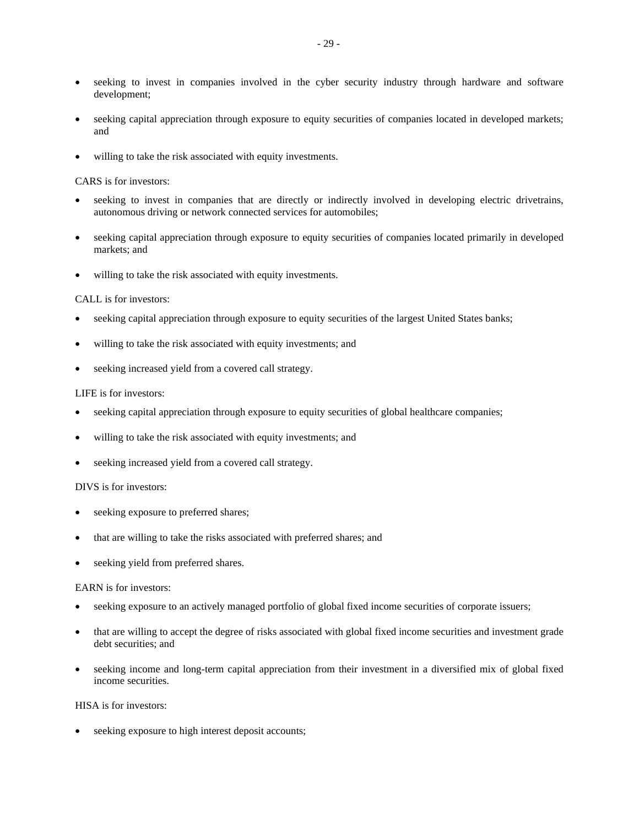- seeking to invest in companies involved in the cyber security industry through hardware and software development;
- seeking capital appreciation through exposure to equity securities of companies located in developed markets; and
- willing to take the risk associated with equity investments.

#### CARS is for investors:

- seeking to invest in companies that are directly or indirectly involved in developing electric drivetrains, autonomous driving or network connected services for automobiles;
- seeking capital appreciation through exposure to equity securities of companies located primarily in developed markets; and
- willing to take the risk associated with equity investments.

#### CALL is for investors:

- seeking capital appreciation through exposure to equity securities of the largest United States banks;
- willing to take the risk associated with equity investments; and
- seeking increased yield from a covered call strategy.

#### LIFE is for investors:

- seeking capital appreciation through exposure to equity securities of global healthcare companies;
- willing to take the risk associated with equity investments; and
- seeking increased yield from a covered call strategy.

## DIVS is for investors:

- seeking exposure to preferred shares;
- that are willing to take the risks associated with preferred shares; and
- seeking yield from preferred shares.

#### EARN is for investors:

- seeking exposure to an actively managed portfolio of global fixed income securities of corporate issuers;
- that are willing to accept the degree of risks associated with global fixed income securities and investment grade debt securities; and
- seeking income and long-term capital appreciation from their investment in a diversified mix of global fixed income securities.

## HISA is for investors:

seeking exposure to high interest deposit accounts;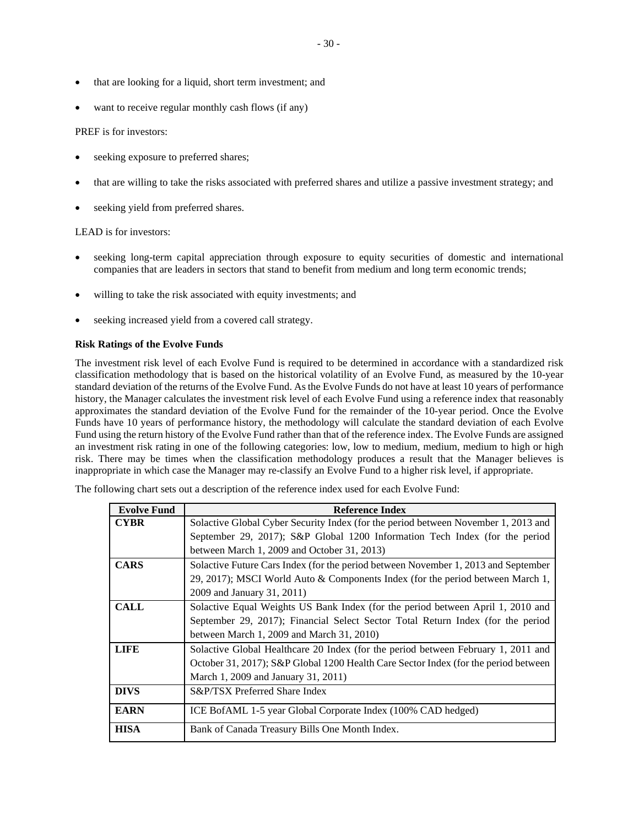- that are looking for a liquid, short term investment; and
- want to receive regular monthly cash flows (if any)

#### PREF is for investors:

- seeking exposure to preferred shares;
- that are willing to take the risks associated with preferred shares and utilize a passive investment strategy; and
- seeking yield from preferred shares.

## LEAD is for investors:

- seeking long-term capital appreciation through exposure to equity securities of domestic and international companies that are leaders in sectors that stand to benefit from medium and long term economic trends;
- willing to take the risk associated with equity investments; and
- seeking increased yield from a covered call strategy.

## **Risk Ratings of the Evolve Funds**

The investment risk level of each Evolve Fund is required to be determined in accordance with a standardized risk classification methodology that is based on the historical volatility of an Evolve Fund, as measured by the 10-year standard deviation of the returns of the Evolve Fund. As the Evolve Funds do not have at least 10 years of performance history, the Manager calculates the investment risk level of each Evolve Fund using a reference index that reasonably approximates the standard deviation of the Evolve Fund for the remainder of the 10-year period. Once the Evolve Funds have 10 years of performance history, the methodology will calculate the standard deviation of each Evolve Fund using the return history of the Evolve Fund rather than that of the reference index. The Evolve Funds are assigned an investment risk rating in one of the following categories: low, low to medium, medium, medium to high or high risk. There may be times when the classification methodology produces a result that the Manager believes is inappropriate in which case the Manager may re-classify an Evolve Fund to a higher risk level, if appropriate.

The following chart sets out a description of the reference index used for each Evolve Fund:

| <b>Evolve Fund</b> | <b>Reference Index</b>                                                              |
|--------------------|-------------------------------------------------------------------------------------|
| <b>CYBR</b>        | Solactive Global Cyber Security Index (for the period between November 1, 2013 and  |
|                    | September 29, 2017); S&P Global 1200 Information Tech Index (for the period         |
|                    | between March 1, 2009 and October 31, 2013)                                         |
| <b>CARS</b>        | Solactive Future Cars Index (for the period between November 1, 2013 and September  |
|                    | 29, 2017); MSCI World Auto & Components Index (for the period between March 1,      |
|                    | 2009 and January 31, 2011)                                                          |
| <b>CALL</b>        | Solactive Equal Weights US Bank Index (for the period between April 1, 2010 and     |
|                    | September 29, 2017); Financial Select Sector Total Return Index (for the period     |
|                    | between March 1, 2009 and March 31, 2010)                                           |
| <b>LIFE</b>        | Solactive Global Healthcare 20 Index (for the period between February 1, 2011 and   |
|                    | October 31, 2017); S&P Global 1200 Health Care Sector Index (for the period between |
|                    | March 1, 2009 and January 31, 2011)                                                 |
| <b>DIVS</b>        | S&P/TSX Preferred Share Index                                                       |
| <b>EARN</b>        | ICE BofAML 1-5 year Global Corporate Index (100% CAD hedged)                        |
| <b>HISA</b>        | Bank of Canada Treasury Bills One Month Index.                                      |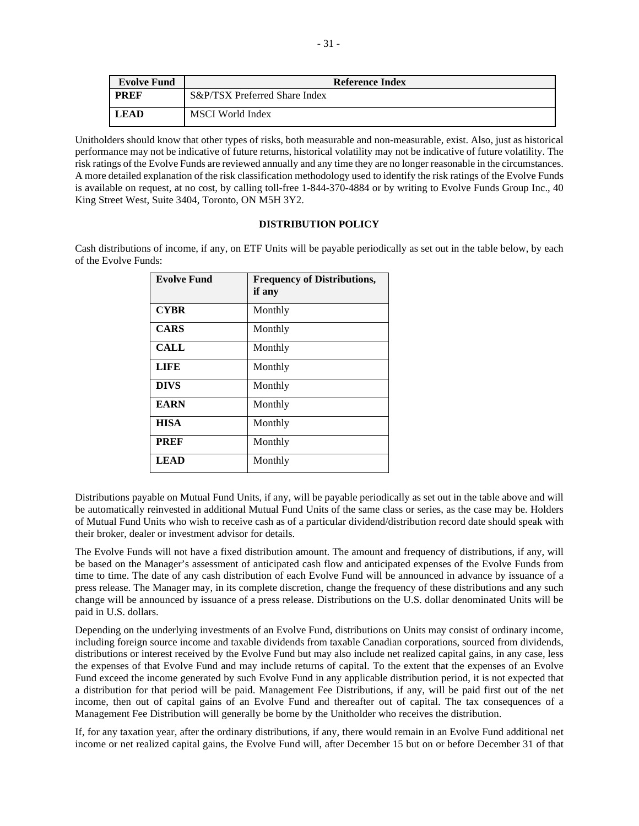| <b>Evolve Fund</b> | Reference Index               |  |  |  |  |  |
|--------------------|-------------------------------|--|--|--|--|--|
| <b>PREF</b>        | S&P/TSX Preferred Share Index |  |  |  |  |  |
| <b>LEAD</b>        | MSCI World Index              |  |  |  |  |  |

Unitholders should know that other types of risks, both measurable and non-measurable, exist. Also, just as historical performance may not be indicative of future returns, historical volatility may not be indicative of future volatility. The risk ratings of the Evolve Funds are reviewed annually and any time they are no longer reasonable in the circumstances. A more detailed explanation of the risk classification methodology used to identify the risk ratings of the Evolve Funds is available on request, at no cost, by calling toll-free 1-844-370-4884 or by writing to Evolve Funds Group Inc., 40 King Street West, Suite 3404, Toronto, ON M5H 3Y2.

### **DISTRIBUTION POLICY**

Cash distributions of income, if any, on ETF Units will be payable periodically as set out in the table below, by each of the Evolve Funds:

| <b>Evolve Fund</b> | <b>Frequency of Distributions,</b><br>if any |
|--------------------|----------------------------------------------|
| <b>CYBR</b>        | Monthly                                      |
| <b>CARS</b>        | Monthly                                      |
| CALL               | Monthly                                      |
| <b>LIFE</b>        | Monthly                                      |
| <b>DIVS</b>        | Monthly                                      |
| <b>EARN</b>        | Monthly                                      |
| <b>HISA</b>        | Monthly                                      |
| <b>PREF</b>        | Monthly                                      |
| <b>LEAD</b>        | Monthly                                      |

Distributions payable on Mutual Fund Units, if any, will be payable periodically as set out in the table above and will be automatically reinvested in additional Mutual Fund Units of the same class or series, as the case may be. Holders of Mutual Fund Units who wish to receive cash as of a particular dividend/distribution record date should speak with their broker, dealer or investment advisor for details.

The Evolve Funds will not have a fixed distribution amount. The amount and frequency of distributions, if any, will be based on the Manager's assessment of anticipated cash flow and anticipated expenses of the Evolve Funds from time to time. The date of any cash distribution of each Evolve Fund will be announced in advance by issuance of a press release. The Manager may, in its complete discretion, change the frequency of these distributions and any such change will be announced by issuance of a press release. Distributions on the U.S. dollar denominated Units will be paid in U.S. dollars.

Depending on the underlying investments of an Evolve Fund, distributions on Units may consist of ordinary income, including foreign source income and taxable dividends from taxable Canadian corporations, sourced from dividends, distributions or interest received by the Evolve Fund but may also include net realized capital gains, in any case, less the expenses of that Evolve Fund and may include returns of capital. To the extent that the expenses of an Evolve Fund exceed the income generated by such Evolve Fund in any applicable distribution period, it is not expected that a distribution for that period will be paid. Management Fee Distributions, if any, will be paid first out of the net income, then out of capital gains of an Evolve Fund and thereafter out of capital. The tax consequences of a Management Fee Distribution will generally be borne by the Unitholder who receives the distribution.

If, for any taxation year, after the ordinary distributions, if any, there would remain in an Evolve Fund additional net income or net realized capital gains, the Evolve Fund will, after December 15 but on or before December 31 of that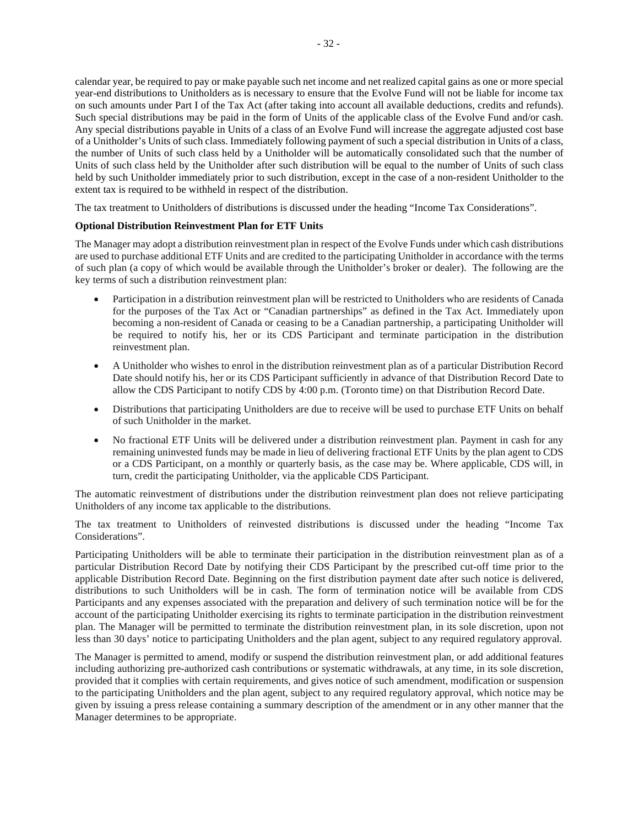held by such Unitholder immediately prior to such distribution, except in the case of a non-resident Unitholder to the extent tax is required to be withheld in respect of the distribution.

The tax treatment to Unitholders of distributions is discussed under the heading "Income Tax Considerations".

# **Optional Distribution Reinvestment Plan for ETF Units**

The Manager may adopt a distribution reinvestment plan in respect of the Evolve Funds under which cash distributions are used to purchase additional ETF Units and are credited to the participating Unitholder in accordance with the terms of such plan (a copy of which would be available through the Unitholder's broker or dealer). The following are the key terms of such a distribution reinvestment plan:

- Participation in a distribution reinvestment plan will be restricted to Unitholders who are residents of Canada for the purposes of the Tax Act or "Canadian partnerships" as defined in the Tax Act. Immediately upon becoming a non-resident of Canada or ceasing to be a Canadian partnership, a participating Unitholder will be required to notify his, her or its CDS Participant and terminate participation in the distribution reinvestment plan.
- A Unitholder who wishes to enrol in the distribution reinvestment plan as of a particular Distribution Record Date should notify his, her or its CDS Participant sufficiently in advance of that Distribution Record Date to allow the CDS Participant to notify CDS by 4:00 p.m. (Toronto time) on that Distribution Record Date.
- Distributions that participating Unitholders are due to receive will be used to purchase ETF Units on behalf of such Unitholder in the market.
- No fractional ETF Units will be delivered under a distribution reinvestment plan. Payment in cash for any remaining uninvested funds may be made in lieu of delivering fractional ETF Units by the plan agent to CDS or a CDS Participant, on a monthly or quarterly basis, as the case may be. Where applicable, CDS will, in turn, credit the participating Unitholder, via the applicable CDS Participant.

The automatic reinvestment of distributions under the distribution reinvestment plan does not relieve participating Unitholders of any income tax applicable to the distributions.

The tax treatment to Unitholders of reinvested distributions is discussed under the heading "Income Tax Considerations".

Participating Unitholders will be able to terminate their participation in the distribution reinvestment plan as of a particular Distribution Record Date by notifying their CDS Participant by the prescribed cut-off time prior to the applicable Distribution Record Date. Beginning on the first distribution payment date after such notice is delivered, distributions to such Unitholders will be in cash. The form of termination notice will be available from CDS Participants and any expenses associated with the preparation and delivery of such termination notice will be for the account of the participating Unitholder exercising its rights to terminate participation in the distribution reinvestment plan. The Manager will be permitted to terminate the distribution reinvestment plan, in its sole discretion, upon not less than 30 days' notice to participating Unitholders and the plan agent, subject to any required regulatory approval.

The Manager is permitted to amend, modify or suspend the distribution reinvestment plan, or add additional features including authorizing pre-authorized cash contributions or systematic withdrawals, at any time, in its sole discretion, provided that it complies with certain requirements, and gives notice of such amendment, modification or suspension to the participating Unitholders and the plan agent, subject to any required regulatory approval, which notice may be given by issuing a press release containing a summary description of the amendment or in any other manner that the Manager determines to be appropriate.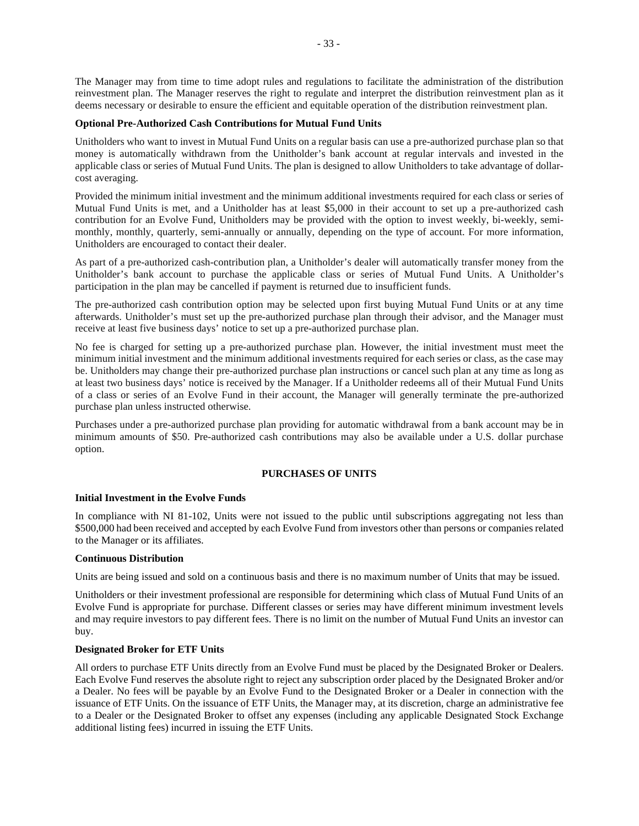The Manager may from time to time adopt rules and regulations to facilitate the administration of the distribution reinvestment plan. The Manager reserves the right to regulate and interpret the distribution reinvestment plan as it deems necessary or desirable to ensure the efficient and equitable operation of the distribution reinvestment plan.

## **Optional Pre-Authorized Cash Contributions for Mutual Fund Units**

Unitholders who want to invest in Mutual Fund Units on a regular basis can use a pre-authorized purchase plan so that money is automatically withdrawn from the Unitholder's bank account at regular intervals and invested in the applicable class or series of Mutual Fund Units. The plan is designed to allow Unitholders to take advantage of dollarcost averaging.

Provided the minimum initial investment and the minimum additional investments required for each class or series of Mutual Fund Units is met, and a Unitholder has at least \$5,000 in their account to set up a pre-authorized cash contribution for an Evolve Fund, Unitholders may be provided with the option to invest weekly, bi-weekly, semimonthly, monthly, quarterly, semi-annually or annually, depending on the type of account. For more information, Unitholders are encouraged to contact their dealer.

As part of a pre-authorized cash-contribution plan, a Unitholder's dealer will automatically transfer money from the Unitholder's bank account to purchase the applicable class or series of Mutual Fund Units. A Unitholder's participation in the plan may be cancelled if payment is returned due to insufficient funds.

The pre-authorized cash contribution option may be selected upon first buying Mutual Fund Units or at any time afterwards. Unitholder's must set up the pre-authorized purchase plan through their advisor, and the Manager must receive at least five business days' notice to set up a pre-authorized purchase plan.

No fee is charged for setting up a pre-authorized purchase plan. However, the initial investment must meet the minimum initial investment and the minimum additional investments required for each series or class, as the case may be. Unitholders may change their pre-authorized purchase plan instructions or cancel such plan at any time as long as at least two business days' notice is received by the Manager. If a Unitholder redeems all of their Mutual Fund Units of a class or series of an Evolve Fund in their account, the Manager will generally terminate the pre-authorized purchase plan unless instructed otherwise.

Purchases under a pre-authorized purchase plan providing for automatic withdrawal from a bank account may be in minimum amounts of \$50. Pre-authorized cash contributions may also be available under a U.S. dollar purchase option.

## **PURCHASES OF UNITS**

### **Initial Investment in the Evolve Funds**

In compliance with NI 81-102, Units were not issued to the public until subscriptions aggregating not less than \$500,000 had been received and accepted by each Evolve Fund from investors other than persons or companies related to the Manager or its affiliates.

### **Continuous Distribution**

Units are being issued and sold on a continuous basis and there is no maximum number of Units that may be issued.

Unitholders or their investment professional are responsible for determining which class of Mutual Fund Units of an Evolve Fund is appropriate for purchase. Different classes or series may have different minimum investment levels and may require investors to pay different fees. There is no limit on the number of Mutual Fund Units an investor can buy.

# **Designated Broker for ETF Units**

All orders to purchase ETF Units directly from an Evolve Fund must be placed by the Designated Broker or Dealers. Each Evolve Fund reserves the absolute right to reject any subscription order placed by the Designated Broker and/or a Dealer. No fees will be payable by an Evolve Fund to the Designated Broker or a Dealer in connection with the issuance of ETF Units. On the issuance of ETF Units, the Manager may, at its discretion, charge an administrative fee to a Dealer or the Designated Broker to offset any expenses (including any applicable Designated Stock Exchange additional listing fees) incurred in issuing the ETF Units.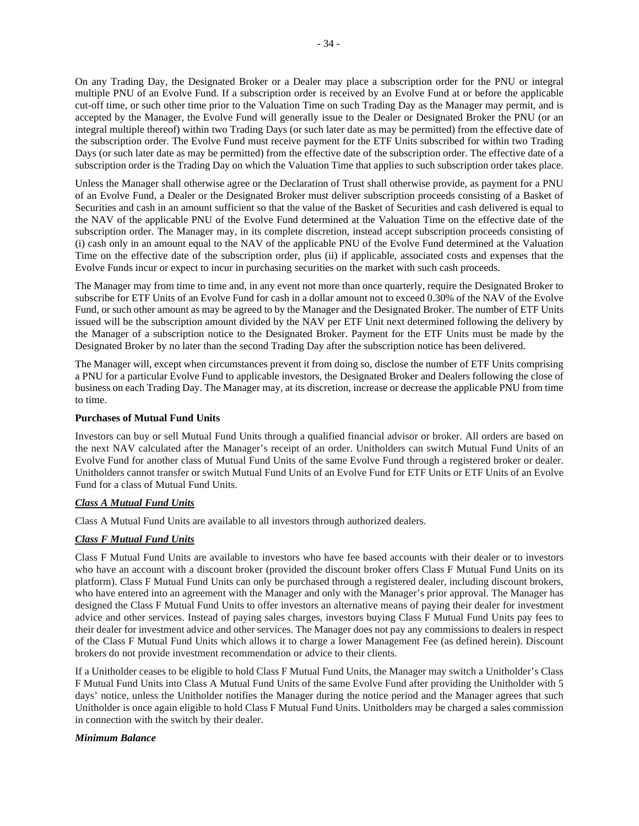On any Trading Day, the Designated Broker or a Dealer may place a subscription order for the PNU or integral multiple PNU of an Evolve Fund. If a subscription order is received by an Evolve Fund at or before the applicable cut-off time, or such other time prior to the Valuation Time on such Trading Day as the Manager may permit, and is accepted by the Manager, the Evolve Fund will generally issue to the Dealer or Designated Broker the PNU (or an integral multiple thereof) within two Trading Days (or such later date as may be permitted) from the effective date of the subscription order. The Evolve Fund must receive payment for the ETF Units subscribed for within two Trading Days (or such later date as may be permitted) from the effective date of the subscription order. The effective date of a subscription order is the Trading Day on which the Valuation Time that applies to such subscription order takes place.

Unless the Manager shall otherwise agree or the Declaration of Trust shall otherwise provide, as payment for a PNU of an Evolve Fund, a Dealer or the Designated Broker must deliver subscription proceeds consisting of a Basket of Securities and cash in an amount sufficient so that the value of the Basket of Securities and cash delivered is equal to the NAV of the applicable PNU of the Evolve Fund determined at the Valuation Time on the effective date of the subscription order. The Manager may, in its complete discretion, instead accept subscription proceeds consisting of (i) cash only in an amount equal to the NAV of the applicable PNU of the Evolve Fund determined at the Valuation Time on the effective date of the subscription order, plus (ii) if applicable, associated costs and expenses that the Evolve Funds incur or expect to incur in purchasing securities on the market with such cash proceeds.

The Manager may from time to time and, in any event not more than once quarterly, require the Designated Broker to subscribe for ETF Units of an Evolve Fund for cash in a dollar amount not to exceed 0.30% of the NAV of the Evolve Fund, or such other amount as may be agreed to by the Manager and the Designated Broker. The number of ETF Units issued will be the subscription amount divided by the NAV per ETF Unit next determined following the delivery by the Manager of a subscription notice to the Designated Broker. Payment for the ETF Units must be made by the Designated Broker by no later than the second Trading Day after the subscription notice has been delivered.

The Manager will, except when circumstances prevent it from doing so, disclose the number of ETF Units comprising a PNU for a particular Evolve Fund to applicable investors, the Designated Broker and Dealers following the close of business on each Trading Day. The Manager may, at its discretion, increase or decrease the applicable PNU from time to time.

## **Purchases of Mutual Fund Units**

Investors can buy or sell Mutual Fund Units through a qualified financial advisor or broker. All orders are based on the next NAV calculated after the Manager's receipt of an order. Unitholders can switch Mutual Fund Units of an Evolve Fund for another class of Mutual Fund Units of the same Evolve Fund through a registered broker or dealer. Unitholders cannot transfer or switch Mutual Fund Units of an Evolve Fund for ETF Units or ETF Units of an Evolve Fund for a class of Mutual Fund Units.

## *Class A Mutual Fund Units*

Class A Mutual Fund Units are available to all investors through authorized dealers.

## *Class F Mutual Fund Units*

Class F Mutual Fund Units are available to investors who have fee based accounts with their dealer or to investors who have an account with a discount broker (provided the discount broker offers Class F Mutual Fund Units on its platform). Class F Mutual Fund Units can only be purchased through a registered dealer, including discount brokers, who have entered into an agreement with the Manager and only with the Manager's prior approval. The Manager has designed the Class F Mutual Fund Units to offer investors an alternative means of paying their dealer for investment advice and other services. Instead of paying sales charges, investors buying Class F Mutual Fund Units pay fees to their dealer for investment advice and other services. The Manager does not pay any commissions to dealers in respect of the Class F Mutual Fund Units which allows it to charge a lower Management Fee (as defined herein). Discount brokers do not provide investment recommendation or advice to their clients.

If a Unitholder ceases to be eligible to hold Class F Mutual Fund Units, the Manager may switch a Unitholder's Class F Mutual Fund Units into Class A Mutual Fund Units of the same Evolve Fund after providing the Unitholder with 5 days' notice, unless the Unitholder notifies the Manager during the notice period and the Manager agrees that such Unitholder is once again eligible to hold Class F Mutual Fund Units. Unitholders may be charged a sales commission in connection with the switch by their dealer.

### *Minimum Balance*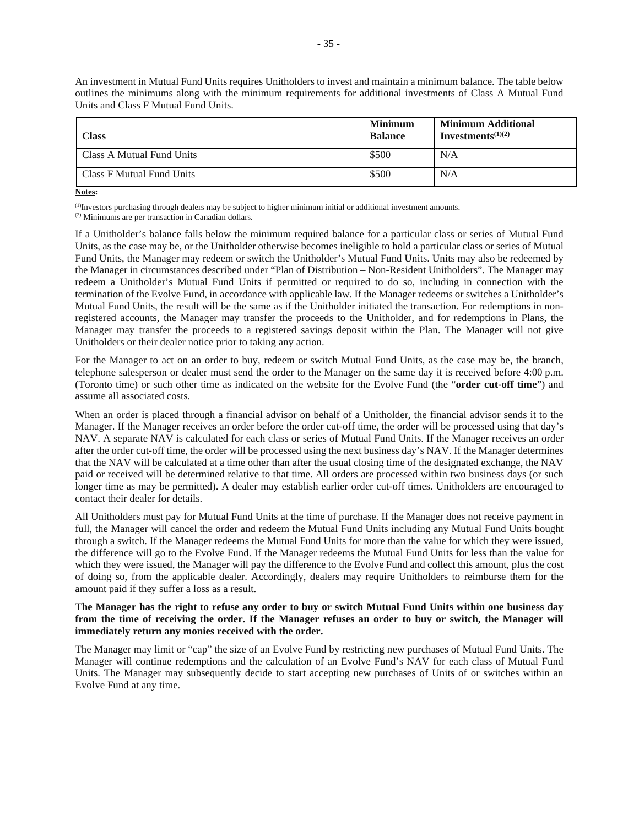An investment in Mutual Fund Units requires Unitholders to invest and maintain a minimum balance. The table below outlines the minimums along with the minimum requirements for additional investments of Class A Mutual Fund Units and Class F Mutual Fund Units.

| Class                     | <b>Minimum</b><br><b>Balance</b> | <b>Minimum Additional</b><br>Investments <sup><math>(1)(2)</math></sup> |
|---------------------------|----------------------------------|-------------------------------------------------------------------------|
| Class A Mutual Fund Units | \$500                            | N/A                                                                     |
| Class F Mutual Fund Units | \$500                            | N/A                                                                     |

**Notes:**

(1)Investors purchasing through dealers may be subject to higher minimum initial or additional investment amounts.

If a Unitholder's balance falls below the minimum required balance for a particular class or series of Mutual Fund Units, as the case may be, or the Unitholder otherwise becomes ineligible to hold a particular class or series of Mutual Fund Units, the Manager may redeem or switch the Unitholder's Mutual Fund Units. Units may also be redeemed by the Manager in circumstances described under "Plan of Distribution – Non-Resident Unitholders". The Manager may redeem a Unitholder's Mutual Fund Units if permitted or required to do so, including in connection with the termination of the Evolve Fund, in accordance with applicable law. If the Manager redeems or switches a Unitholder's Mutual Fund Units, the result will be the same as if the Unitholder initiated the transaction. For redemptions in nonregistered accounts, the Manager may transfer the proceeds to the Unitholder, and for redemptions in Plans, the Manager may transfer the proceeds to a registered savings deposit within the Plan. The Manager will not give Unitholders or their dealer notice prior to taking any action.

For the Manager to act on an order to buy, redeem or switch Mutual Fund Units, as the case may be, the branch, telephone salesperson or dealer must send the order to the Manager on the same day it is received before 4:00 p.m. (Toronto time) or such other time as indicated on the website for the Evolve Fund (the "**order cut-off time**") and assume all associated costs.

When an order is placed through a financial advisor on behalf of a Unitholder, the financial advisor sends it to the Manager. If the Manager receives an order before the order cut-off time, the order will be processed using that day's NAV. A separate NAV is calculated for each class or series of Mutual Fund Units. If the Manager receives an order after the order cut-off time, the order will be processed using the next business day's NAV. If the Manager determines that the NAV will be calculated at a time other than after the usual closing time of the designated exchange, the NAV paid or received will be determined relative to that time. All orders are processed within two business days (or such longer time as may be permitted). A dealer may establish earlier order cut-off times. Unitholders are encouraged to contact their dealer for details.

All Unitholders must pay for Mutual Fund Units at the time of purchase. If the Manager does not receive payment in full, the Manager will cancel the order and redeem the Mutual Fund Units including any Mutual Fund Units bought through a switch. If the Manager redeems the Mutual Fund Units for more than the value for which they were issued, the difference will go to the Evolve Fund. If the Manager redeems the Mutual Fund Units for less than the value for which they were issued, the Manager will pay the difference to the Evolve Fund and collect this amount, plus the cost of doing so, from the applicable dealer. Accordingly, dealers may require Unitholders to reimburse them for the amount paid if they suffer a loss as a result.

## **The Manager has the right to refuse any order to buy or switch Mutual Fund Units within one business day from the time of receiving the order. If the Manager refuses an order to buy or switch, the Manager will immediately return any monies received with the order.**

The Manager may limit or "cap" the size of an Evolve Fund by restricting new purchases of Mutual Fund Units. The Manager will continue redemptions and the calculation of an Evolve Fund's NAV for each class of Mutual Fund Units. The Manager may subsequently decide to start accepting new purchases of Units of or switches within an Evolve Fund at any time.

<sup>(2)</sup> Minimums are per transaction in Canadian dollars.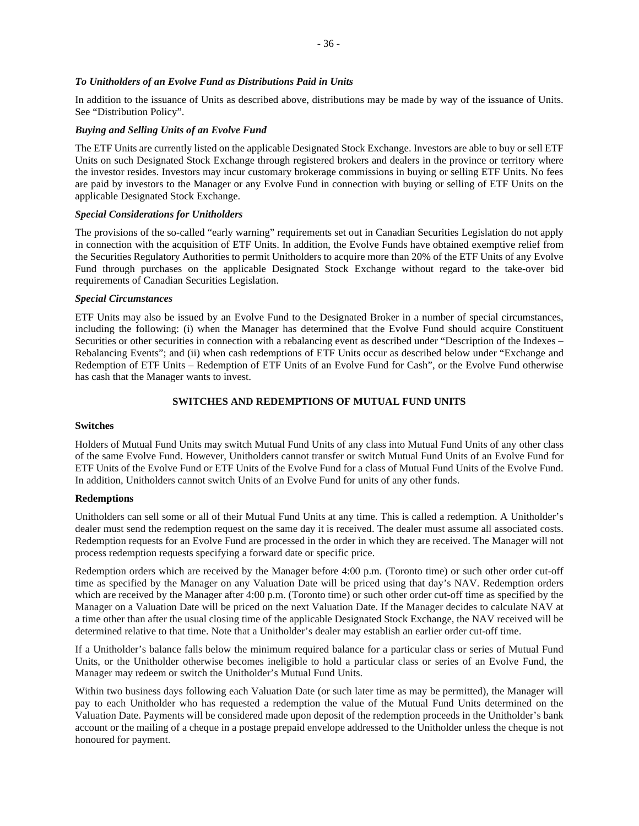# *To Unitholders of an Evolve Fund as Distributions Paid in Units*

In addition to the issuance of Units as described above, distributions may be made by way of the issuance of Units. See "Distribution Policy".

# *Buying and Selling Units of an Evolve Fund*

The ETF Units are currently listed on the applicable Designated Stock Exchange. Investors are able to buy or sell ETF Units on such Designated Stock Exchange through registered brokers and dealers in the province or territory where the investor resides. Investors may incur customary brokerage commissions in buying or selling ETF Units. No fees are paid by investors to the Manager or any Evolve Fund in connection with buying or selling of ETF Units on the applicable Designated Stock Exchange.

# *Special Considerations for Unitholders*

The provisions of the so-called "early warning" requirements set out in Canadian Securities Legislation do not apply in connection with the acquisition of ETF Units. In addition, the Evolve Funds have obtained exemptive relief from the Securities Regulatory Authorities to permit Unitholders to acquire more than 20% of the ETF Units of any Evolve Fund through purchases on the applicable Designated Stock Exchange without regard to the take-over bid requirements of Canadian Securities Legislation.

# *Special Circumstances*

ETF Units may also be issued by an Evolve Fund to the Designated Broker in a number of special circumstances, including the following: (i) when the Manager has determined that the Evolve Fund should acquire Constituent Securities or other securities in connection with a rebalancing event as described under "Description of the Indexes – Rebalancing Events"; and (ii) when cash redemptions of ETF Units occur as described below under "Exchange and Redemption of ETF Units – Redemption of ETF Units of an Evolve Fund for Cash", or the Evolve Fund otherwise has cash that the Manager wants to invest.

# **SWITCHES AND REDEMPTIONS OF MUTUAL FUND UNITS**

# **Switches**

Holders of Mutual Fund Units may switch Mutual Fund Units of any class into Mutual Fund Units of any other class of the same Evolve Fund. However, Unitholders cannot transfer or switch Mutual Fund Units of an Evolve Fund for ETF Units of the Evolve Fund or ETF Units of the Evolve Fund for a class of Mutual Fund Units of the Evolve Fund. In addition, Unitholders cannot switch Units of an Evolve Fund for units of any other funds.

# **Redemptions**

Unitholders can sell some or all of their Mutual Fund Units at any time. This is called a redemption. A Unitholder's dealer must send the redemption request on the same day it is received. The dealer must assume all associated costs. Redemption requests for an Evolve Fund are processed in the order in which they are received. The Manager will not process redemption requests specifying a forward date or specific price.

Redemption orders which are received by the Manager before 4:00 p.m. (Toronto time) or such other order cut-off time as specified by the Manager on any Valuation Date will be priced using that day's NAV. Redemption orders which are received by the Manager after 4:00 p.m. (Toronto time) or such other order cut-off time as specified by the Manager on a Valuation Date will be priced on the next Valuation Date. If the Manager decides to calculate NAV at a time other than after the usual closing time of the applicable Designated Stock Exchange, the NAV received will be determined relative to that time. Note that a Unitholder's dealer may establish an earlier order cut-off time.

If a Unitholder's balance falls below the minimum required balance for a particular class or series of Mutual Fund Units, or the Unitholder otherwise becomes ineligible to hold a particular class or series of an Evolve Fund, the Manager may redeem or switch the Unitholder's Mutual Fund Units.

Within two business days following each Valuation Date (or such later time as may be permitted), the Manager will pay to each Unitholder who has requested a redemption the value of the Mutual Fund Units determined on the Valuation Date. Payments will be considered made upon deposit of the redemption proceeds in the Unitholder's bank account or the mailing of a cheque in a postage prepaid envelope addressed to the Unitholder unless the cheque is not honoured for payment.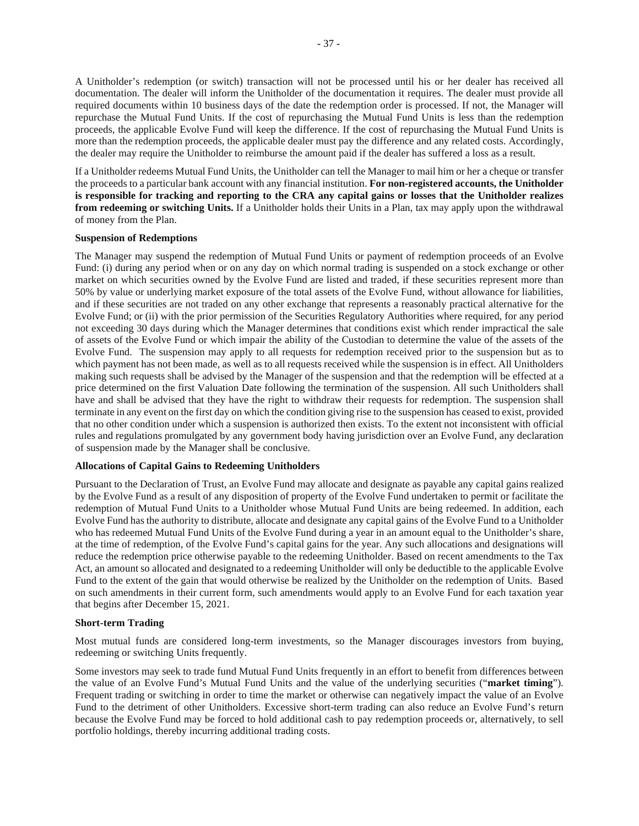A Unitholder's redemption (or switch) transaction will not be processed until his or her dealer has received all documentation. The dealer will inform the Unitholder of the documentation it requires. The dealer must provide all required documents within 10 business days of the date the redemption order is processed. If not, the Manager will repurchase the Mutual Fund Units. If the cost of repurchasing the Mutual Fund Units is less than the redemption proceeds, the applicable Evolve Fund will keep the difference. If the cost of repurchasing the Mutual Fund Units is more than the redemption proceeds, the applicable dealer must pay the difference and any related costs. Accordingly, the dealer may require the Unitholder to reimburse the amount paid if the dealer has suffered a loss as a result.

If a Unitholder redeems Mutual Fund Units, the Unitholder can tell the Manager to mail him or her a cheque or transfer the proceeds to a particular bank account with any financial institution. **For non-registered accounts, the Unitholder is responsible for tracking and reporting to the CRA any capital gains or losses that the Unitholder realizes from redeeming or switching Units.** If a Unitholder holds their Units in a Plan, tax may apply upon the withdrawal of money from the Plan.

## **Suspension of Redemptions**

The Manager may suspend the redemption of Mutual Fund Units or payment of redemption proceeds of an Evolve Fund: (i) during any period when or on any day on which normal trading is suspended on a stock exchange or other market on which securities owned by the Evolve Fund are listed and traded, if these securities represent more than 50% by value or underlying market exposure of the total assets of the Evolve Fund, without allowance for liabilities, and if these securities are not traded on any other exchange that represents a reasonably practical alternative for the Evolve Fund; or (ii) with the prior permission of the Securities Regulatory Authorities where required, for any period not exceeding 30 days during which the Manager determines that conditions exist which render impractical the sale of assets of the Evolve Fund or which impair the ability of the Custodian to determine the value of the assets of the Evolve Fund. The suspension may apply to all requests for redemption received prior to the suspension but as to which payment has not been made, as well as to all requests received while the suspension is in effect. All Unitholders making such requests shall be advised by the Manager of the suspension and that the redemption will be effected at a price determined on the first Valuation Date following the termination of the suspension. All such Unitholders shall have and shall be advised that they have the right to withdraw their requests for redemption. The suspension shall terminate in any event on the first day on which the condition giving rise to the suspension has ceased to exist, provided that no other condition under which a suspension is authorized then exists. To the extent not inconsistent with official rules and regulations promulgated by any government body having jurisdiction over an Evolve Fund, any declaration of suspension made by the Manager shall be conclusive.

## **Allocations of Capital Gains to Redeeming Unitholders**

Pursuant to the Declaration of Trust, an Evolve Fund may allocate and designate as payable any capital gains realized by the Evolve Fund as a result of any disposition of property of the Evolve Fund undertaken to permit or facilitate the redemption of Mutual Fund Units to a Unitholder whose Mutual Fund Units are being redeemed. In addition, each Evolve Fund has the authority to distribute, allocate and designate any capital gains of the Evolve Fund to a Unitholder who has redeemed Mutual Fund Units of the Evolve Fund during a year in an amount equal to the Unitholder's share, at the time of redemption, of the Evolve Fund's capital gains for the year. Any such allocations and designations will reduce the redemption price otherwise payable to the redeeming Unitholder. Based on recent amendments to the Tax Act, an amount so allocated and designated to a redeeming Unitholder will only be deductible to the applicable Evolve Fund to the extent of the gain that would otherwise be realized by the Unitholder on the redemption of Units. Based on such amendments in their current form, such amendments would apply to an Evolve Fund for each taxation year that begins after December 15, 2021.

### **Short-term Trading**

Most mutual funds are considered long-term investments, so the Manager discourages investors from buying, redeeming or switching Units frequently.

Some investors may seek to trade fund Mutual Fund Units frequently in an effort to benefit from differences between the value of an Evolve Fund's Mutual Fund Units and the value of the underlying securities ("**market timing**"). Frequent trading or switching in order to time the market or otherwise can negatively impact the value of an Evolve Fund to the detriment of other Unitholders. Excessive short-term trading can also reduce an Evolve Fund's return because the Evolve Fund may be forced to hold additional cash to pay redemption proceeds or, alternatively, to sell portfolio holdings, thereby incurring additional trading costs.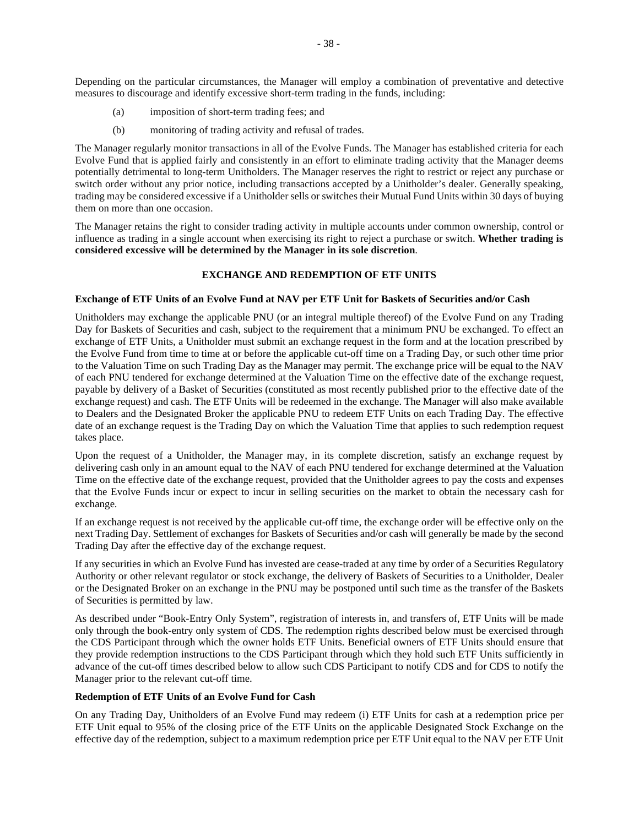Depending on the particular circumstances, the Manager will employ a combination of preventative and detective measures to discourage and identify excessive short-term trading in the funds, including:

- (a) imposition of short-term trading fees; and
- (b) monitoring of trading activity and refusal of trades.

The Manager regularly monitor transactions in all of the Evolve Funds. The Manager has established criteria for each Evolve Fund that is applied fairly and consistently in an effort to eliminate trading activity that the Manager deems potentially detrimental to long-term Unitholders. The Manager reserves the right to restrict or reject any purchase or switch order without any prior notice, including transactions accepted by a Unitholder's dealer. Generally speaking, trading may be considered excessive if a Unitholder sells or switches their Mutual Fund Units within 30 days of buying them on more than one occasion.

The Manager retains the right to consider trading activity in multiple accounts under common ownership, control or influence as trading in a single account when exercising its right to reject a purchase or switch. **Whether trading is considered excessive will be determined by the Manager in its sole discretion**.

## **EXCHANGE AND REDEMPTION OF ETF UNITS**

### **Exchange of ETF Units of an Evolve Fund at NAV per ETF Unit for Baskets of Securities and/or Cash**

Unitholders may exchange the applicable PNU (or an integral multiple thereof) of the Evolve Fund on any Trading Day for Baskets of Securities and cash, subject to the requirement that a minimum PNU be exchanged. To effect an exchange of ETF Units, a Unitholder must submit an exchange request in the form and at the location prescribed by the Evolve Fund from time to time at or before the applicable cut-off time on a Trading Day, or such other time prior to the Valuation Time on such Trading Day as the Manager may permit. The exchange price will be equal to the NAV of each PNU tendered for exchange determined at the Valuation Time on the effective date of the exchange request, payable by delivery of a Basket of Securities (constituted as most recently published prior to the effective date of the exchange request) and cash. The ETF Units will be redeemed in the exchange. The Manager will also make available to Dealers and the Designated Broker the applicable PNU to redeem ETF Units on each Trading Day. The effective date of an exchange request is the Trading Day on which the Valuation Time that applies to such redemption request takes place.

Upon the request of a Unitholder, the Manager may, in its complete discretion, satisfy an exchange request by delivering cash only in an amount equal to the NAV of each PNU tendered for exchange determined at the Valuation Time on the effective date of the exchange request, provided that the Unitholder agrees to pay the costs and expenses that the Evolve Funds incur or expect to incur in selling securities on the market to obtain the necessary cash for exchange.

If an exchange request is not received by the applicable cut-off time, the exchange order will be effective only on the next Trading Day. Settlement of exchanges for Baskets of Securities and/or cash will generally be made by the second Trading Day after the effective day of the exchange request.

If any securities in which an Evolve Fund has invested are cease-traded at any time by order of a Securities Regulatory Authority or other relevant regulator or stock exchange, the delivery of Baskets of Securities to a Unitholder, Dealer or the Designated Broker on an exchange in the PNU may be postponed until such time as the transfer of the Baskets of Securities is permitted by law.

As described under "Book-Entry Only System", registration of interests in, and transfers of, ETF Units will be made only through the book-entry only system of CDS. The redemption rights described below must be exercised through the CDS Participant through which the owner holds ETF Units. Beneficial owners of ETF Units should ensure that they provide redemption instructions to the CDS Participant through which they hold such ETF Units sufficiently in advance of the cut-off times described below to allow such CDS Participant to notify CDS and for CDS to notify the Manager prior to the relevant cut-off time.

### **Redemption of ETF Units of an Evolve Fund for Cash**

On any Trading Day, Unitholders of an Evolve Fund may redeem (i) ETF Units for cash at a redemption price per ETF Unit equal to 95% of the closing price of the ETF Units on the applicable Designated Stock Exchange on the effective day of the redemption, subject to a maximum redemption price per ETF Unit equal to the NAV per ETF Unit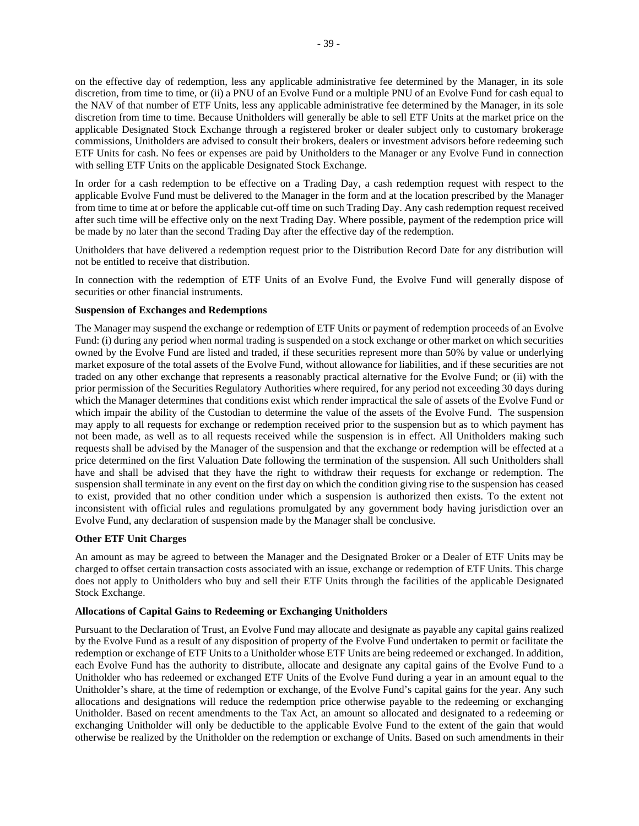on the effective day of redemption, less any applicable administrative fee determined by the Manager, in its sole discretion, from time to time, or (ii) a PNU of an Evolve Fund or a multiple PNU of an Evolve Fund for cash equal to the NAV of that number of ETF Units, less any applicable administrative fee determined by the Manager, in its sole discretion from time to time. Because Unitholders will generally be able to sell ETF Units at the market price on the applicable Designated Stock Exchange through a registered broker or dealer subject only to customary brokerage commissions, Unitholders are advised to consult their brokers, dealers or investment advisors before redeeming such ETF Units for cash. No fees or expenses are paid by Unitholders to the Manager or any Evolve Fund in connection with selling ETF Units on the applicable Designated Stock Exchange.

In order for a cash redemption to be effective on a Trading Day, a cash redemption request with respect to the applicable Evolve Fund must be delivered to the Manager in the form and at the location prescribed by the Manager from time to time at or before the applicable cut-off time on such Trading Day. Any cash redemption request received after such time will be effective only on the next Trading Day. Where possible, payment of the redemption price will be made by no later than the second Trading Day after the effective day of the redemption.

Unitholders that have delivered a redemption request prior to the Distribution Record Date for any distribution will not be entitled to receive that distribution.

In connection with the redemption of ETF Units of an Evolve Fund, the Evolve Fund will generally dispose of securities or other financial instruments.

### **Suspension of Exchanges and Redemptions**

The Manager may suspend the exchange or redemption of ETF Units or payment of redemption proceeds of an Evolve Fund: (i) during any period when normal trading is suspended on a stock exchange or other market on which securities owned by the Evolve Fund are listed and traded, if these securities represent more than 50% by value or underlying market exposure of the total assets of the Evolve Fund, without allowance for liabilities, and if these securities are not traded on any other exchange that represents a reasonably practical alternative for the Evolve Fund; or (ii) with the prior permission of the Securities Regulatory Authorities where required, for any period not exceeding 30 days during which the Manager determines that conditions exist which render impractical the sale of assets of the Evolve Fund or which impair the ability of the Custodian to determine the value of the assets of the Evolve Fund. The suspension may apply to all requests for exchange or redemption received prior to the suspension but as to which payment has not been made, as well as to all requests received while the suspension is in effect. All Unitholders making such requests shall be advised by the Manager of the suspension and that the exchange or redemption will be effected at a price determined on the first Valuation Date following the termination of the suspension. All such Unitholders shall have and shall be advised that they have the right to withdraw their requests for exchange or redemption. The suspension shall terminate in any event on the first day on which the condition giving rise to the suspension has ceased to exist, provided that no other condition under which a suspension is authorized then exists. To the extent not inconsistent with official rules and regulations promulgated by any government body having jurisdiction over an Evolve Fund, any declaration of suspension made by the Manager shall be conclusive.

## **Other ETF Unit Charges**

An amount as may be agreed to between the Manager and the Designated Broker or a Dealer of ETF Units may be charged to offset certain transaction costs associated with an issue, exchange or redemption of ETF Units. This charge does not apply to Unitholders who buy and sell their ETF Units through the facilities of the applicable Designated Stock Exchange.

#### **Allocations of Capital Gains to Redeeming or Exchanging Unitholders**

Pursuant to the Declaration of Trust, an Evolve Fund may allocate and designate as payable any capital gains realized by the Evolve Fund as a result of any disposition of property of the Evolve Fund undertaken to permit or facilitate the redemption or exchange of ETF Units to a Unitholder whose ETF Units are being redeemed or exchanged. In addition, each Evolve Fund has the authority to distribute, allocate and designate any capital gains of the Evolve Fund to a Unitholder who has redeemed or exchanged ETF Units of the Evolve Fund during a year in an amount equal to the Unitholder's share, at the time of redemption or exchange, of the Evolve Fund's capital gains for the year. Any such allocations and designations will reduce the redemption price otherwise payable to the redeeming or exchanging Unitholder. Based on recent amendments to the Tax Act, an amount so allocated and designated to a redeeming or exchanging Unitholder will only be deductible to the applicable Evolve Fund to the extent of the gain that would otherwise be realized by the Unitholder on the redemption or exchange of Units. Based on such amendments in their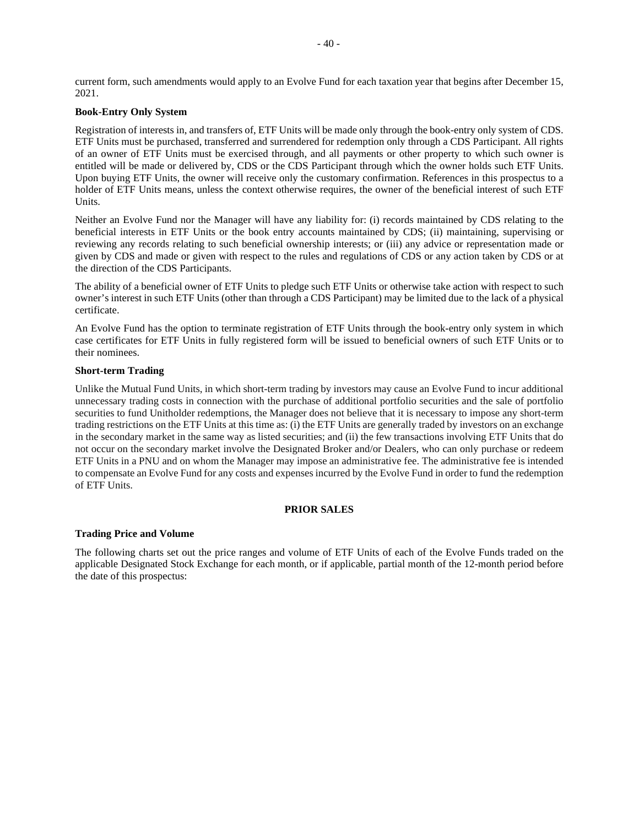current form, such amendments would apply to an Evolve Fund for each taxation year that begins after December 15, 2021.

## **Book-Entry Only System**

Registration of interests in, and transfers of, ETF Units will be made only through the book-entry only system of CDS. ETF Units must be purchased, transferred and surrendered for redemption only through a CDS Participant. All rights of an owner of ETF Units must be exercised through, and all payments or other property to which such owner is entitled will be made or delivered by, CDS or the CDS Participant through which the owner holds such ETF Units. Upon buying ETF Units, the owner will receive only the customary confirmation. References in this prospectus to a holder of ETF Units means, unless the context otherwise requires, the owner of the beneficial interest of such ETF Units.

Neither an Evolve Fund nor the Manager will have any liability for: (i) records maintained by CDS relating to the beneficial interests in ETF Units or the book entry accounts maintained by CDS; (ii) maintaining, supervising or reviewing any records relating to such beneficial ownership interests; or (iii) any advice or representation made or given by CDS and made or given with respect to the rules and regulations of CDS or any action taken by CDS or at the direction of the CDS Participants.

The ability of a beneficial owner of ETF Units to pledge such ETF Units or otherwise take action with respect to such owner's interest in such ETF Units (other than through a CDS Participant) may be limited due to the lack of a physical certificate.

An Evolve Fund has the option to terminate registration of ETF Units through the book-entry only system in which case certificates for ETF Units in fully registered form will be issued to beneficial owners of such ETF Units or to their nominees.

## **Short-term Trading**

Unlike the Mutual Fund Units, in which short-term trading by investors may cause an Evolve Fund to incur additional unnecessary trading costs in connection with the purchase of additional portfolio securities and the sale of portfolio securities to fund Unitholder redemptions, the Manager does not believe that it is necessary to impose any short-term trading restrictions on the ETF Units at this time as: (i) the ETF Units are generally traded by investors on an exchange in the secondary market in the same way as listed securities; and (ii) the few transactions involving ETF Units that do not occur on the secondary market involve the Designated Broker and/or Dealers, who can only purchase or redeem ETF Units in a PNU and on whom the Manager may impose an administrative fee. The administrative fee is intended to compensate an Evolve Fund for any costs and expenses incurred by the Evolve Fund in order to fund the redemption of ETF Units.

## **PRIOR SALES**

### **Trading Price and Volume**

The following charts set out the price ranges and volume of ETF Units of each of the Evolve Funds traded on the applicable Designated Stock Exchange for each month, or if applicable, partial month of the 12-month period before the date of this prospectus: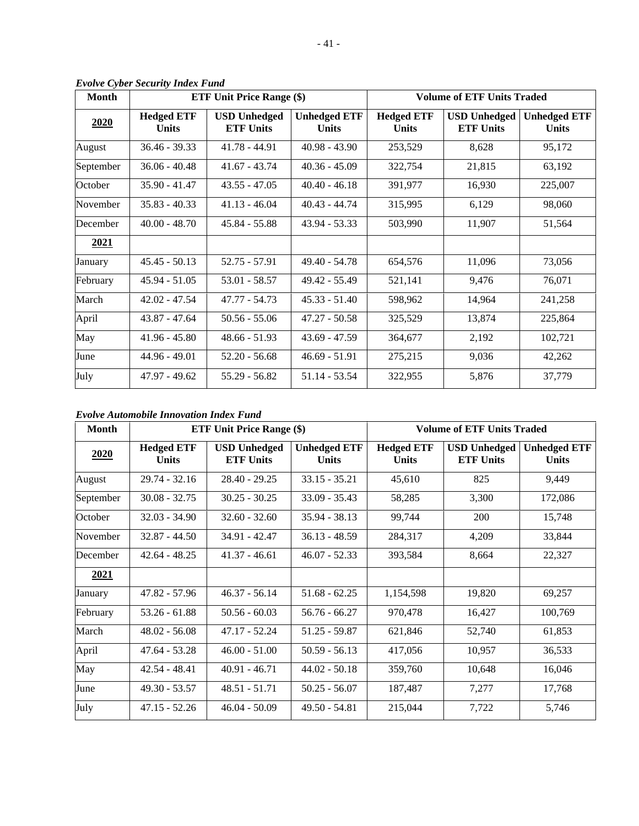| <b>Month</b> |                                   | <b>ETF Unit Price Range (\$)</b>        |                                     | <b>Volume of ETF Units Traded</b> |                                         |                                     |  |
|--------------|-----------------------------------|-----------------------------------------|-------------------------------------|-----------------------------------|-----------------------------------------|-------------------------------------|--|
| 2020         | <b>Hedged ETF</b><br><b>Units</b> | <b>USD Unhedged</b><br><b>ETF Units</b> | <b>Unhedged ETF</b><br><b>Units</b> | <b>Hedged ETF</b><br><b>Units</b> | <b>USD Unhedged</b><br><b>ETF Units</b> | <b>Unhedged ETF</b><br><b>Units</b> |  |
| August       | $36.46 - 39.33$                   | $41.78 - 44.91$                         | $40.98 - 43.90$                     | 253,529                           | 8,628                                   | 95,172                              |  |
| September    | $36.06 - 40.48$                   | $41.67 - 43.74$                         | $40.36 - 45.09$                     | 322,754                           | 21,815                                  | 63,192                              |  |
| October      | 35.90 - 41.47                     | $43.55 - 47.05$                         | $40.40 - 46.18$                     | 391,977                           | 16,930                                  | 225,007                             |  |
| November     | $35.83 - 40.33$                   | $41.13 - 46.04$                         | $40.43 - 44.74$                     | 315,995                           | 6,129                                   | 98,060                              |  |
| December     | $40.00 - 48.70$                   | $45.84 - 55.88$                         | $43.94 - 53.33$                     | 503,990                           | 11,907                                  | 51,564                              |  |
| 2021         |                                   |                                         |                                     |                                   |                                         |                                     |  |
| January      | $45.45 - 50.13$                   | 52.75 - 57.91                           | $49.40 - 54.78$                     | 654,576                           | 11,096                                  | 73,056                              |  |
| February     | $45.94 - 51.05$                   | 53.01 - 58.57                           | 49.42 - 55.49                       | 521,141                           | 9,476                                   | 76,071                              |  |
| March        | $42.02 - 47.54$                   | 47.77 - 54.73                           | $45.33 - 51.40$                     | 598,962                           | 14,964                                  | 241,258                             |  |
| April        | $43.87 - 47.64$                   | $50.56 - 55.06$                         | $47.27 - 50.58$                     | 325,529                           | 13,874                                  | 225,864                             |  |
| May          | $41.96 - 45.80$                   | $48.66 - 51.93$                         | $43.69 - 47.59$                     | 364,677                           | 2,192                                   | 102,721                             |  |
| June         | 44.96 - 49.01                     | $52.20 - 56.68$                         | $46.69 - 51.91$                     | 275,215                           | 9,036                                   | 42,262                              |  |
| July         | $47.97 - 49.62$                   | 55.29 - 56.82                           | $51.14 - 53.54$                     | 322,955                           | 5,876                                   | 37,779                              |  |

*Evolve Cyber Security Index Fund* 

# *Evolve Automobile Innovation Index Fund*

| Month       | <b>ETF Unit Price Range (\$)</b><br><b>Volume of ETF Units Traded</b> |                                         |                                     |                            |                                         |                                     |
|-------------|-----------------------------------------------------------------------|-----------------------------------------|-------------------------------------|----------------------------|-----------------------------------------|-------------------------------------|
| 2020        | <b>Hedged ETF</b><br><b>Units</b>                                     | <b>USD</b> Unhedged<br><b>ETF Units</b> | <b>Unhedged ETF</b><br><b>Units</b> | <b>Hedged ETF</b><br>Units | <b>USD Unhedged</b><br><b>ETF Units</b> | <b>Unhedged ETF</b><br><b>Units</b> |
| August      | $29.74 - 32.16$                                                       | $28.40 - 29.25$                         | $33.15 - 35.21$                     | 45,610                     | 825                                     | 9,449                               |
| September   | $30.08 - 32.75$                                                       | $30.25 - 30.25$                         | $33.09 - 35.43$                     | 58,285                     | 3,300                                   | 172,086                             |
| October     | $32.03 - 34.90$                                                       | $32.60 - 32.60$                         | $35.94 - 38.13$                     | 99,744                     | 200                                     | 15,748                              |
| November    | $32.87 - 44.50$                                                       | 34.91 - 42.47                           | $36.13 - 48.59$                     | 284,317                    | 4,209                                   | 33,844                              |
| December    | $42.64 - 48.25$                                                       | $41.37 - 46.61$                         | $46.07 - 52.33$                     | 393,584                    | 8,664                                   | 22,327                              |
| <u>2021</u> |                                                                       |                                         |                                     |                            |                                         |                                     |
| January     | $47.82 - 57.96$                                                       | $46.37 - 56.14$                         | $51.68 - 62.25$                     | 1,154,598                  | 19,820                                  | 69,257                              |
| February    | $53.26 - 61.88$                                                       | $50.56 - 60.03$                         | $56.76 - 66.27$                     | 970,478                    | 16,427                                  | 100,769                             |
| March       | $48.02 - 56.08$                                                       | $47.17 - 52.24$                         | 51.25 - 59.87                       | 621,846                    | 52,740                                  | 61,853                              |
| April       | $47.64 - 53.28$                                                       | $46.00 - 51.00$                         | $50.59 - 56.13$                     | 417,056                    | 10,957                                  | 36,533                              |
| May         | $42.54 - 48.41$                                                       | $40.91 - 46.71$                         | $44.02 - 50.18$                     | 359,760                    | 10,648                                  | 16,046                              |
| June        | $49.30 - 53.57$                                                       | $48.51 - 51.71$                         | $50.25 - 56.07$                     | 187,487                    | 7,277                                   | 17,768                              |
| July        | $47.15 - 52.26$                                                       | $46.04 - 50.09$                         | $49.50 - 54.81$                     | 215,044                    | 7,722                                   | 5,746                               |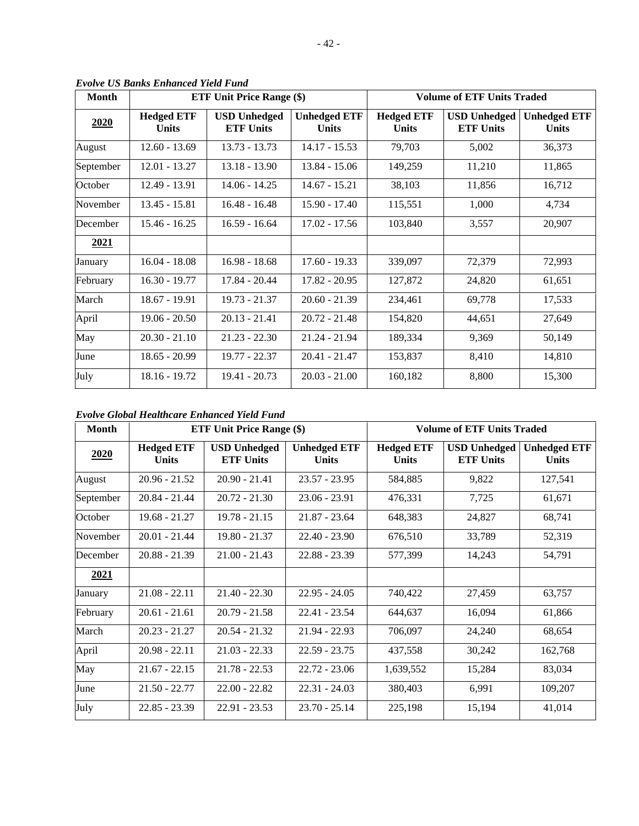| <b>Month</b> | <b>ETF Unit Price Range (\$)</b>  |                                         | <b>Volume of ETF Units Traded</b>   |                            |                                         |                                     |
|--------------|-----------------------------------|-----------------------------------------|-------------------------------------|----------------------------|-----------------------------------------|-------------------------------------|
| 2020         | <b>Hedged ETF</b><br><b>Units</b> | <b>USD</b> Unhedged<br><b>ETF Units</b> | <b>Unhedged ETF</b><br><b>Units</b> | <b>Hedged ETF</b><br>Units | <b>USD</b> Unhedged<br><b>ETF Units</b> | <b>Unhedged ETF</b><br><b>Units</b> |
| August       | $12.60 - 13.69$                   | $13.73 - 13.73$                         | $14.17 - 15.53$                     | 79,703                     | 5,002                                   | 36,373                              |
| September    | $12.01 - 13.27$                   | $13.18 - 13.90$                         | $13.84 - 15.06$                     | 149,259                    | 11,210                                  | 11,865                              |
| October      | 12.49 - 13.91                     | $14.06 - 14.25$                         | $14.67 - 15.21$                     | 38,103                     | 11,856                                  | 16,712                              |
| November     | 13.45 - 15.81                     | $16.48 - 16.48$                         | $15.90 - 17.40$                     | 115,551                    | 1,000                                   | 4,734                               |
| December     | $15.46 - 16.25$                   | $16.59 - 16.64$                         | $17.02 - 17.56$                     | 103,840                    | 3,557                                   | 20,907                              |
| 2021         |                                   |                                         |                                     |                            |                                         |                                     |
| January      | $16.04 - 18.08$                   | $16.98 - 18.68$                         | $17.60 - 19.33$                     | 339,097                    | 72,379                                  | 72,993                              |
| February     | $16.30 - 19.77$                   | 17.84 - 20.44                           | $17.82 - 20.95$                     | 127,872                    | 24,820                                  | 61,651                              |
| March        | 18.67 - 19.91                     | $19.73 - 21.37$                         | $20.60 - 21.39$                     | 234,461                    | 69,778                                  | 17,533                              |
| April        | $19.06 - 20.50$                   | $20.13 - 21.41$                         | $20.72 - 21.48$                     | 154,820                    | 44,651                                  | 27,649                              |
| May          | $20.30 - 21.10$                   | $21.23 - 22.30$                         | $21.24 - 21.94$                     | 189,334                    | 9,369                                   | 50,149                              |
| June         | $18.65 - 20.99$                   | 19.77 - 22.37                           | $20.41 - 21.47$                     | 153,837                    | 8,410                                   | 14,810                              |
| July         | 18.16 - 19.72                     | $19.41 - 20.73$                         | $20.03 - 21.00$                     | 160,182                    | 8,800                                   | 15,300                              |

*Evolve US Banks Enhanced Yield Fund* 

*Evolve Global Healthcare Enhanced Yield Fund* 

| <b>Month</b> | <b>ETF Unit Price Range (\$)</b>  |                                         | <b>Volume of ETF Units Traded</b>   |                            |                                         |                                     |
|--------------|-----------------------------------|-----------------------------------------|-------------------------------------|----------------------------|-----------------------------------------|-------------------------------------|
| 2020         | <b>Hedged ETF</b><br><b>Units</b> | <b>USD</b> Unhedged<br><b>ETF Units</b> | <b>Unhedged ETF</b><br><b>Units</b> | <b>Hedged ETF</b><br>Units | <b>USD Unhedged</b><br><b>ETF Units</b> | <b>Unhedged ETF</b><br><b>Units</b> |
| August       | $20.96 - 21.52$                   | $20.90 - 21.41$                         | $23.57 - 23.95$                     | 584,885                    | 9,822                                   | 127,541                             |
| September    | $20.84 - 21.44$                   | $20.72 - 21.30$                         | $23.06 - 23.91$                     | 476,331                    | 7,725                                   | 61,671                              |
| October      | $19.68 - 21.27$                   | $19.78 - 21.15$                         | $21.87 - 23.64$                     | 648,383                    | 24,827                                  | 68,741                              |
| November     | $20.01 - 21.44$                   | $19.80 - 21.37$                         | $22.40 - 23.90$                     | 676,510                    | 33,789                                  | 52,319                              |
| December     | $20.88 - 21.39$                   | $21.00 - 21.43$                         | $22.88 - 23.39$                     | 577,399                    | 14,243                                  | 54,791                              |
| 2021         |                                   |                                         |                                     |                            |                                         |                                     |
| January      | $21.08 - 22.11$                   | $21.40 - 22.30$                         | $22.95 - 24.05$                     | 740,422                    | 27,459                                  | 63,757                              |
| February     | $20.61 - 21.61$                   | $20.79 - 21.58$                         | $22.41 - 23.54$                     | 644,637                    | 16,094                                  | 61,866                              |
| March        | $20.23 - 21.27$                   | $20.54 - 21.32$                         | $21.94 - 22.93$                     | 706,097                    | 24,240                                  | 68,654                              |
| April        | $20.98 - 22.11$                   | $21.03 - 22.33$                         | $22.59 - 23.75$                     | 437,558                    | 30,242                                  | 162,768                             |
| May          | $21.67 - 22.15$                   | $21.78 - 22.53$                         | $22.72 - 23.06$                     | 1,639,552                  | 15,284                                  | 83,034                              |
| June         | $21.50 - 22.77$                   | $22.00 - 22.82$                         | $22.31 - 24.03$                     | 380,403                    | 6,991                                   | 109,207                             |
| July         | $22.85 - 23.39$                   | $22.91 - 23.53$                         | $23.70 - 25.14$                     | 225,198                    | 15,194                                  | 41,014                              |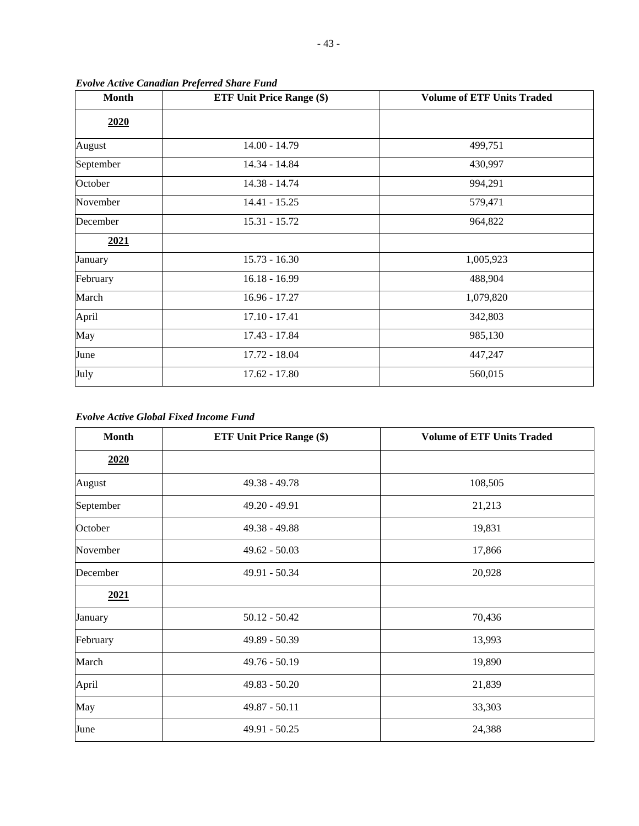| <b>Month</b> | <b>ETF Unit Price Range (\$)</b> | <b>Volume of ETF Units Traded</b> |  |  |
|--------------|----------------------------------|-----------------------------------|--|--|
| 2020         |                                  |                                   |  |  |
| August       | $14.00 - 14.79$                  | 499,751                           |  |  |
| September    | 14.34 - 14.84                    | 430,997                           |  |  |
| October      | 14.38 - 14.74                    | 994,291                           |  |  |
| November     | $14.41 - 15.25$                  | 579,471                           |  |  |
| December     | $15.31 - 15.72$                  | 964,822                           |  |  |
| 2021         |                                  |                                   |  |  |
| January      | $15.73 - 16.30$                  | 1,005,923                         |  |  |
| February     | $16.18 - 16.99$                  | 488,904                           |  |  |
| March        | 16.96 - 17.27                    | 1,079,820                         |  |  |
| April        | $17.10 - 17.41$                  | 342,803                           |  |  |
| May          | 17.43 - 17.84                    | 985,130                           |  |  |
| June         | 17.72 - 18.04                    | 447,247                           |  |  |
| July         | $17.62 - 17.80$                  | 560,015                           |  |  |

*Evolve Active Canadian Preferred Share Fund* 

# *Evolve Active Global Fixed Income Fund*

| <b>Month</b> | <b>ETF Unit Price Range (\$)</b> | <b>Volume of ETF Units Traded</b> |
|--------------|----------------------------------|-----------------------------------|
| 2020         |                                  |                                   |
| August       | $49.38 - 49.78$                  | 108,505                           |
| September    | 49.20 - 49.91                    | 21,213                            |
| October      | $49.38 - 49.88$                  | 19,831                            |
| November     | $49.62 - 50.03$                  | 17,866                            |
| December     | 49.91 - 50.34                    | 20,928                            |
| 2021         |                                  |                                   |
| January      | $50.12 - 50.42$                  | 70,436                            |
| February     | $49.89 - 50.39$                  | 13,993                            |
| March        | $49.76 - 50.19$                  | 19,890                            |
| April        | $49.83 - 50.20$                  | 21,839                            |
| May          | 49.87 - 50.11                    | 33,303                            |
| June         | 49.91 - 50.25                    | 24,388                            |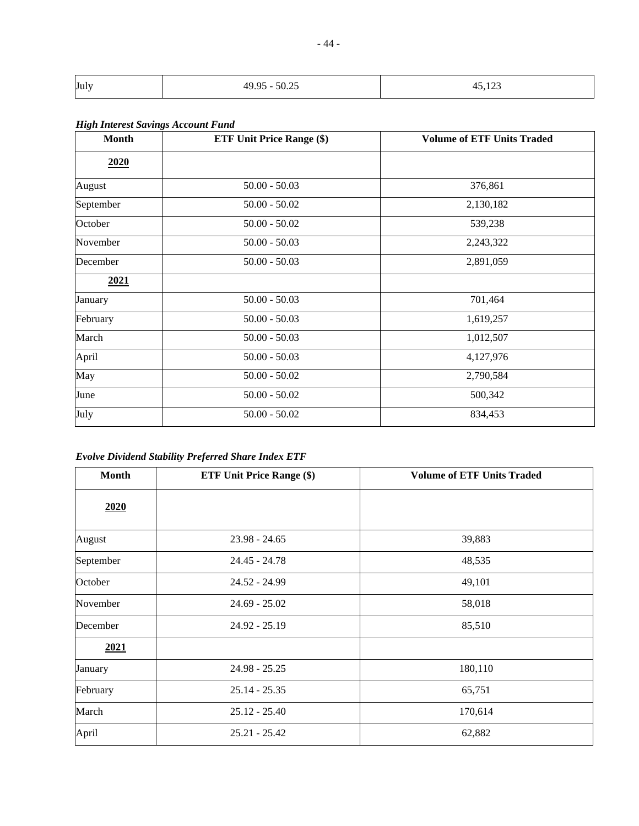| July | $E \cap \bigcap E$<br>10.05<br>,,,<br>$\cup$ $\cup$ $\sim$ | $1 \wedge$<br>$-$ , $  -$ |
|------|------------------------------------------------------------|---------------------------|

# *High Interest Savings Account Fund*

| <b>Month</b> | <b>ETF Unit Price Range (\$)</b> | <b>Volume of ETF Units Traded</b> |
|--------------|----------------------------------|-----------------------------------|
| 2020         |                                  |                                   |
| August       | $50.00 - 50.03$                  | 376,861                           |
| September    | $50.00 - 50.02$                  | 2,130,182                         |
| October      | $50.00 - 50.02$                  | 539,238                           |
| November     | $50.00 - 50.03$                  | 2,243,322                         |
| December     | $50.00 - 50.03$                  | 2,891,059                         |
| 2021         |                                  |                                   |
| January      | $50.00 - 50.03$                  | 701,464                           |
| February     | $50.00 - 50.03$                  | 1,619,257                         |
| March        | $50.00 - 50.03$                  | 1,012,507                         |
| April        | $50.00 - 50.03$                  | 4,127,976                         |
| May          | $50.00 - 50.02$                  | 2,790,584                         |
| June         | $50.00 - 50.02$                  | 500,342                           |
| July         | $50.00 - 50.02$                  | 834,453                           |

*Evolve Dividend Stability Preferred Share Index ETF* 

| <b>Month</b> | <b>ETF Unit Price Range (\$)</b> | <b>Volume of ETF Units Traded</b> |
|--------------|----------------------------------|-----------------------------------|
| 2020         |                                  |                                   |
| August       | $23.98 - 24.65$                  | 39,883                            |
| September    | $24.45 - 24.78$                  | 48,535                            |
| October      | $24.52 - 24.99$                  | 49,101                            |
| November     | $24.69 - 25.02$                  | 58,018                            |
| December     | $24.92 - 25.19$                  | 85,510                            |
| 2021         |                                  |                                   |
| January      | $24.98 - 25.25$                  | 180,110                           |
| February     | $25.14 - 25.35$                  | 65,751                            |
| March        | $25.12 - 25.40$                  | 170,614                           |
| April        | $25.21 - 25.42$                  | 62,882                            |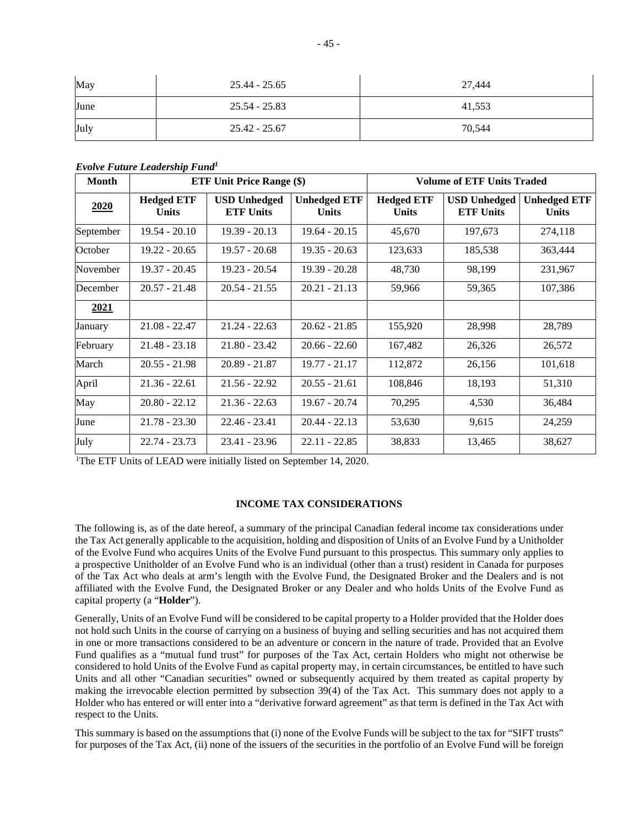| May  | 25.44 - 25.65   | 27,444 |
|------|-----------------|--------|
| June | 25.54 - 25.83   | 41,553 |
| July | $25.42 - 25.67$ | 70,544 |

*Evolve Future Leadership Fund<sup>1</sup>*

| <b>Month</b> | <b>ETF Unit Price Range (\$)</b>  |                                         |                                     | <b>Volume of ETF Units Traded</b> |                                         |                                     |  |  |
|--------------|-----------------------------------|-----------------------------------------|-------------------------------------|-----------------------------------|-----------------------------------------|-------------------------------------|--|--|
| 2020         | <b>Hedged ETF</b><br><b>Units</b> | <b>USD</b> Unhedged<br><b>ETF Units</b> | <b>Unhedged ETF</b><br><b>Units</b> | <b>Hedged ETF</b><br><b>Units</b> | <b>USD Unhedged</b><br><b>ETF Units</b> | <b>Unhedged ETF</b><br><b>Units</b> |  |  |
| September    | $19.54 - 20.10$                   | $19.39 - 20.13$                         | $19.64 - 20.15$                     | 45,670                            | 197,673                                 | 274,118                             |  |  |
| October      | $19.22 - 20.65$                   | $19.57 - 20.68$                         | $19.35 - 20.63$                     | 123,633                           | 185,538                                 | 363,444                             |  |  |
| November     | $19.37 - 20.45$                   | $19.23 - 20.54$                         | $19.39 - 20.28$                     | 48,730                            | 98,199                                  | 231,967                             |  |  |
| December     | $20.57 - 21.48$                   | $20.54 - 21.55$                         | $20.21 - 21.13$                     | 59,966                            | 59,365                                  | 107,386                             |  |  |
| 2021         |                                   |                                         |                                     |                                   |                                         |                                     |  |  |
| January      | $21.08 - 22.47$                   | $21.24 - 22.63$                         | $20.62 - 21.85$                     | 155,920                           | 28,998                                  | 28,789                              |  |  |
| February     | $21.48 - 23.18$                   | $21.80 - 23.42$                         | $20.66 - 22.60$                     | 167,482                           | 26,326                                  | 26,572                              |  |  |
| March        | $20.55 - 21.98$                   | $20.89 - 21.87$                         | $19.77 - 21.17$                     | 112,872                           | 26,156                                  | 101,618                             |  |  |
| April        | $21.36 - 22.61$                   | $21.56 - 22.92$                         | $20.55 - 21.61$                     | 108,846                           | 18,193                                  | 51,310                              |  |  |
| May          | $20.80 - 22.12$                   | $21.36 - 22.63$                         | $19.67 - 20.74$                     | 70,295                            | 4,530                                   | 36,484                              |  |  |
| June         | $21.78 - 23.30$                   | $22.46 - 23.41$                         | $20.44 - 22.13$                     | 53,630                            | 9,615                                   | 24,259                              |  |  |
| July         | $22.74 - 23.73$                   | $23.41 - 23.96$                         | $22.11 - 22.85$                     | 38,833                            | 13,465                                  | 38,627                              |  |  |

<sup>1</sup>The ETF Units of LEAD were initially listed on September 14, 2020.

## **INCOME TAX CONSIDERATIONS**

The following is, as of the date hereof, a summary of the principal Canadian federal income tax considerations under the Tax Act generally applicable to the acquisition, holding and disposition of Units of an Evolve Fund by a Unitholder of the Evolve Fund who acquires Units of the Evolve Fund pursuant to this prospectus. This summary only applies to a prospective Unitholder of an Evolve Fund who is an individual (other than a trust) resident in Canada for purposes of the Tax Act who deals at arm's length with the Evolve Fund, the Designated Broker and the Dealers and is not affiliated with the Evolve Fund, the Designated Broker or any Dealer and who holds Units of the Evolve Fund as capital property (a "**Holder**").

Generally, Units of an Evolve Fund will be considered to be capital property to a Holder provided that the Holder does not hold such Units in the course of carrying on a business of buying and selling securities and has not acquired them in one or more transactions considered to be an adventure or concern in the nature of trade. Provided that an Evolve Fund qualifies as a "mutual fund trust" for purposes of the Tax Act, certain Holders who might not otherwise be considered to hold Units of the Evolve Fund as capital property may, in certain circumstances, be entitled to have such Units and all other "Canadian securities" owned or subsequently acquired by them treated as capital property by making the irrevocable election permitted by subsection 39(4) of the Tax Act. This summary does not apply to a Holder who has entered or will enter into a "derivative forward agreement" as that term is defined in the Tax Act with respect to the Units.

This summary is based on the assumptions that (i) none of the Evolve Funds will be subject to the tax for "SIFT trusts" for purposes of the Tax Act, (ii) none of the issuers of the securities in the portfolio of an Evolve Fund will be foreign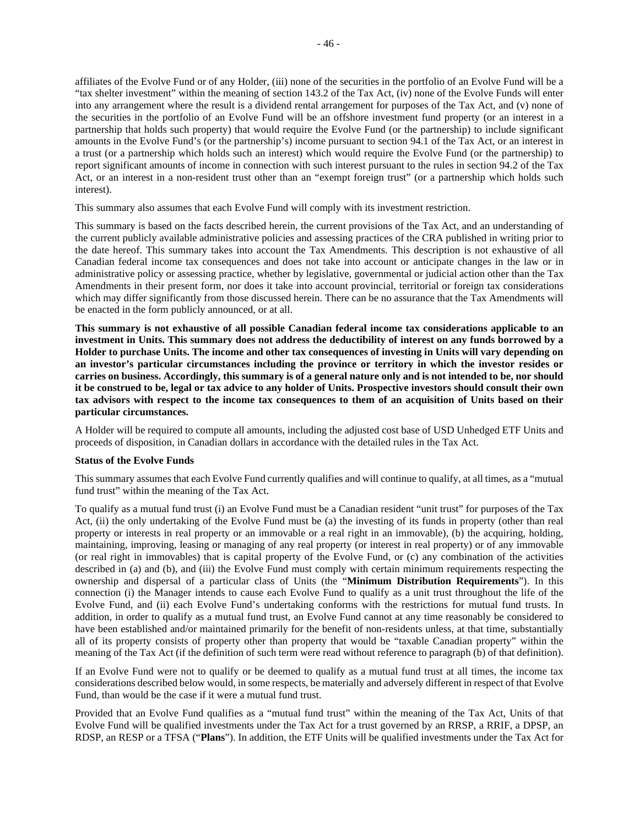affiliates of the Evolve Fund or of any Holder, (iii) none of the securities in the portfolio of an Evolve Fund will be a "tax shelter investment" within the meaning of section 143.2 of the Tax Act, (iv) none of the Evolve Funds will enter into any arrangement where the result is a dividend rental arrangement for purposes of the Tax Act, and (v) none of the securities in the portfolio of an Evolve Fund will be an offshore investment fund property (or an interest in a partnership that holds such property) that would require the Evolve Fund (or the partnership) to include significant amounts in the Evolve Fund's (or the partnership's) income pursuant to section 94.1 of the Tax Act, or an interest in a trust (or a partnership which holds such an interest) which would require the Evolve Fund (or the partnership) to report significant amounts of income in connection with such interest pursuant to the rules in section 94.2 of the Tax Act, or an interest in a non-resident trust other than an "exempt foreign trust" (or a partnership which holds such interest).

This summary also assumes that each Evolve Fund will comply with its investment restriction.

This summary is based on the facts described herein, the current provisions of the Tax Act, and an understanding of the current publicly available administrative policies and assessing practices of the CRA published in writing prior to the date hereof. This summary takes into account the Tax Amendments. This description is not exhaustive of all Canadian federal income tax consequences and does not take into account or anticipate changes in the law or in administrative policy or assessing practice, whether by legislative, governmental or judicial action other than the Tax Amendments in their present form, nor does it take into account provincial, territorial or foreign tax considerations which may differ significantly from those discussed herein. There can be no assurance that the Tax Amendments will be enacted in the form publicly announced, or at all.

**This summary is not exhaustive of all possible Canadian federal income tax considerations applicable to an investment in Units. This summary does not address the deductibility of interest on any funds borrowed by a Holder to purchase Units. The income and other tax consequences of investing in Units will vary depending on an investor's particular circumstances including the province or territory in which the investor resides or carries on business. Accordingly, this summary is of a general nature only and is not intended to be, nor should it be construed to be, legal or tax advice to any holder of Units. Prospective investors should consult their own tax advisors with respect to the income tax consequences to them of an acquisition of Units based on their particular circumstances.** 

A Holder will be required to compute all amounts, including the adjusted cost base of USD Unhedged ETF Units and proceeds of disposition, in Canadian dollars in accordance with the detailed rules in the Tax Act.

## **Status of the Evolve Funds**

This summary assumes that each Evolve Fund currently qualifies and will continue to qualify, at all times, as a "mutual fund trust" within the meaning of the Tax Act.

To qualify as a mutual fund trust (i) an Evolve Fund must be a Canadian resident "unit trust" for purposes of the Tax Act, (ii) the only undertaking of the Evolve Fund must be (a) the investing of its funds in property (other than real property or interests in real property or an immovable or a real right in an immovable), (b) the acquiring, holding, maintaining, improving, leasing or managing of any real property (or interest in real property) or of any immovable (or real right in immovables) that is capital property of the Evolve Fund, or (c) any combination of the activities described in (a) and (b), and (iii) the Evolve Fund must comply with certain minimum requirements respecting the ownership and dispersal of a particular class of Units (the "**Minimum Distribution Requirements**"). In this connection (i) the Manager intends to cause each Evolve Fund to qualify as a unit trust throughout the life of the Evolve Fund, and (ii) each Evolve Fund's undertaking conforms with the restrictions for mutual fund trusts. In addition, in order to qualify as a mutual fund trust, an Evolve Fund cannot at any time reasonably be considered to have been established and/or maintained primarily for the benefit of non-residents unless, at that time, substantially all of its property consists of property other than property that would be "taxable Canadian property" within the meaning of the Tax Act (if the definition of such term were read without reference to paragraph (b) of that definition).

If an Evolve Fund were not to qualify or be deemed to qualify as a mutual fund trust at all times, the income tax considerations described below would, in some respects, be materially and adversely different in respect of that Evolve Fund, than would be the case if it were a mutual fund trust.

Provided that an Evolve Fund qualifies as a "mutual fund trust" within the meaning of the Tax Act, Units of that Evolve Fund will be qualified investments under the Tax Act for a trust governed by an RRSP, a RRIF, a DPSP, an RDSP, an RESP or a TFSA ("**Plans**"). In addition, the ETF Units will be qualified investments under the Tax Act for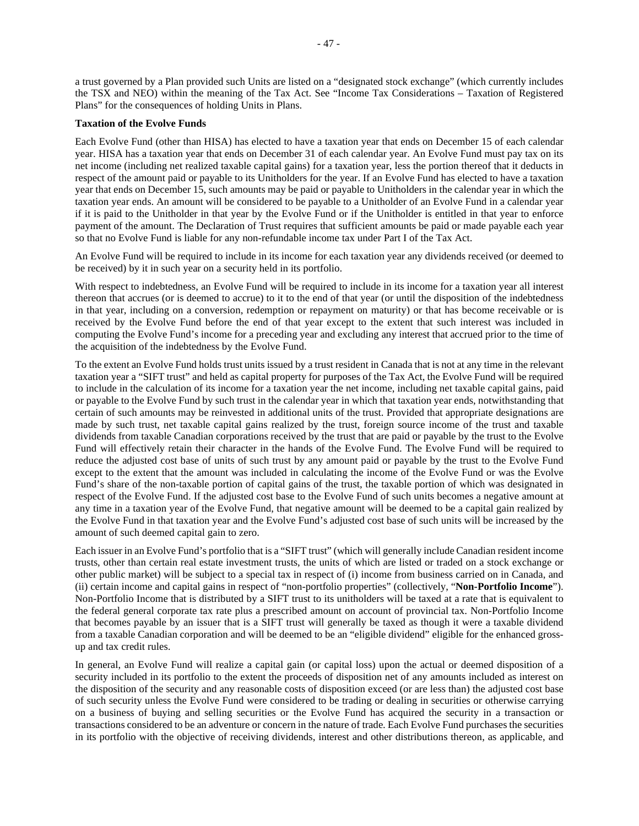a trust governed by a Plan provided such Units are listed on a "designated stock exchange" (which currently includes the TSX and NEO) within the meaning of the Tax Act. See "Income Tax Considerations – Taxation of Registered Plans" for the consequences of holding Units in Plans.

#### **Taxation of the Evolve Funds**

Each Evolve Fund (other than HISA) has elected to have a taxation year that ends on December 15 of each calendar year. HISA has a taxation year that ends on December 31 of each calendar year. An Evolve Fund must pay tax on its net income (including net realized taxable capital gains) for a taxation year, less the portion thereof that it deducts in respect of the amount paid or payable to its Unitholders for the year. If an Evolve Fund has elected to have a taxation year that ends on December 15, such amounts may be paid or payable to Unitholders in the calendar year in which the taxation year ends. An amount will be considered to be payable to a Unitholder of an Evolve Fund in a calendar year if it is paid to the Unitholder in that year by the Evolve Fund or if the Unitholder is entitled in that year to enforce payment of the amount. The Declaration of Trust requires that sufficient amounts be paid or made payable each year so that no Evolve Fund is liable for any non-refundable income tax under Part I of the Tax Act.

An Evolve Fund will be required to include in its income for each taxation year any dividends received (or deemed to be received) by it in such year on a security held in its portfolio.

With respect to indebtedness, an Evolve Fund will be required to include in its income for a taxation year all interest thereon that accrues (or is deemed to accrue) to it to the end of that year (or until the disposition of the indebtedness in that year, including on a conversion, redemption or repayment on maturity) or that has become receivable or is received by the Evolve Fund before the end of that year except to the extent that such interest was included in computing the Evolve Fund's income for a preceding year and excluding any interest that accrued prior to the time of the acquisition of the indebtedness by the Evolve Fund.

To the extent an Evolve Fund holds trust units issued by a trust resident in Canada that is not at any time in the relevant taxation year a "SIFT trust" and held as capital property for purposes of the Tax Act, the Evolve Fund will be required to include in the calculation of its income for a taxation year the net income, including net taxable capital gains, paid or payable to the Evolve Fund by such trust in the calendar year in which that taxation year ends, notwithstanding that certain of such amounts may be reinvested in additional units of the trust. Provided that appropriate designations are made by such trust, net taxable capital gains realized by the trust, foreign source income of the trust and taxable dividends from taxable Canadian corporations received by the trust that are paid or payable by the trust to the Evolve Fund will effectively retain their character in the hands of the Evolve Fund. The Evolve Fund will be required to reduce the adjusted cost base of units of such trust by any amount paid or payable by the trust to the Evolve Fund except to the extent that the amount was included in calculating the income of the Evolve Fund or was the Evolve Fund's share of the non-taxable portion of capital gains of the trust, the taxable portion of which was designated in respect of the Evolve Fund. If the adjusted cost base to the Evolve Fund of such units becomes a negative amount at any time in a taxation year of the Evolve Fund, that negative amount will be deemed to be a capital gain realized by the Evolve Fund in that taxation year and the Evolve Fund's adjusted cost base of such units will be increased by the amount of such deemed capital gain to zero.

Each issuer in an Evolve Fund's portfolio that is a "SIFT trust" (which will generally include Canadian resident income trusts, other than certain real estate investment trusts, the units of which are listed or traded on a stock exchange or other public market) will be subject to a special tax in respect of (i) income from business carried on in Canada, and (ii) certain income and capital gains in respect of "non-portfolio properties" (collectively, "**Non-Portfolio Income**"). Non-Portfolio Income that is distributed by a SIFT trust to its unitholders will be taxed at a rate that is equivalent to the federal general corporate tax rate plus a prescribed amount on account of provincial tax. Non-Portfolio Income that becomes payable by an issuer that is a SIFT trust will generally be taxed as though it were a taxable dividend from a taxable Canadian corporation and will be deemed to be an "eligible dividend" eligible for the enhanced grossup and tax credit rules.

In general, an Evolve Fund will realize a capital gain (or capital loss) upon the actual or deemed disposition of a security included in its portfolio to the extent the proceeds of disposition net of any amounts included as interest on the disposition of the security and any reasonable costs of disposition exceed (or are less than) the adjusted cost base of such security unless the Evolve Fund were considered to be trading or dealing in securities or otherwise carrying on a business of buying and selling securities or the Evolve Fund has acquired the security in a transaction or transactions considered to be an adventure or concern in the nature of trade. Each Evolve Fund purchases the securities in its portfolio with the objective of receiving dividends, interest and other distributions thereon, as applicable, and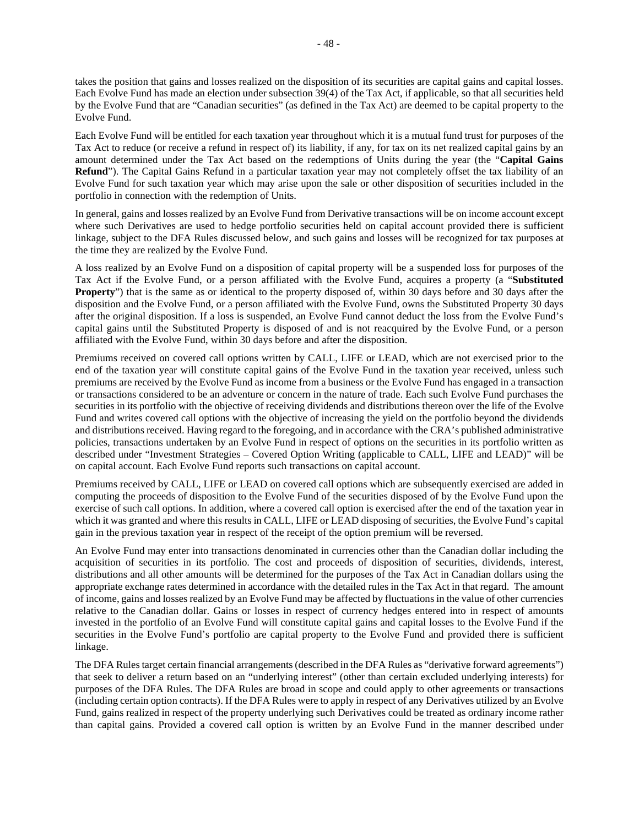takes the position that gains and losses realized on the disposition of its securities are capital gains and capital losses. Each Evolve Fund has made an election under subsection 39(4) of the Tax Act, if applicable, so that all securities held by the Evolve Fund that are "Canadian securities" (as defined in the Tax Act) are deemed to be capital property to the Evolve Fund.

Each Evolve Fund will be entitled for each taxation year throughout which it is a mutual fund trust for purposes of the Tax Act to reduce (or receive a refund in respect of) its liability, if any, for tax on its net realized capital gains by an amount determined under the Tax Act based on the redemptions of Units during the year (the "**Capital Gains Refund**"). The Capital Gains Refund in a particular taxation year may not completely offset the tax liability of an Evolve Fund for such taxation year which may arise upon the sale or other disposition of securities included in the portfolio in connection with the redemption of Units.

In general, gains and losses realized by an Evolve Fund from Derivative transactions will be on income account except where such Derivatives are used to hedge portfolio securities held on capital account provided there is sufficient linkage, subject to the DFA Rules discussed below, and such gains and losses will be recognized for tax purposes at the time they are realized by the Evolve Fund.

A loss realized by an Evolve Fund on a disposition of capital property will be a suspended loss for purposes of the Tax Act if the Evolve Fund, or a person affiliated with the Evolve Fund, acquires a property (a "**Substituted Property**") that is the same as or identical to the property disposed of, within 30 days before and 30 days after the disposition and the Evolve Fund, or a person affiliated with the Evolve Fund, owns the Substituted Property 30 days after the original disposition. If a loss is suspended, an Evolve Fund cannot deduct the loss from the Evolve Fund's capital gains until the Substituted Property is disposed of and is not reacquired by the Evolve Fund, or a person affiliated with the Evolve Fund, within 30 days before and after the disposition.

Premiums received on covered call options written by CALL, LIFE or LEAD, which are not exercised prior to the end of the taxation year will constitute capital gains of the Evolve Fund in the taxation year received, unless such premiums are received by the Evolve Fund as income from a business or the Evolve Fund has engaged in a transaction or transactions considered to be an adventure or concern in the nature of trade. Each such Evolve Fund purchases the securities in its portfolio with the objective of receiving dividends and distributions thereon over the life of the Evolve Fund and writes covered call options with the objective of increasing the yield on the portfolio beyond the dividends and distributions received. Having regard to the foregoing, and in accordance with the CRA's published administrative policies, transactions undertaken by an Evolve Fund in respect of options on the securities in its portfolio written as described under "Investment Strategies – Covered Option Writing (applicable to CALL, LIFE and LEAD)" will be on capital account. Each Evolve Fund reports such transactions on capital account.

Premiums received by CALL, LIFE or LEAD on covered call options which are subsequently exercised are added in computing the proceeds of disposition to the Evolve Fund of the securities disposed of by the Evolve Fund upon the exercise of such call options. In addition, where a covered call option is exercised after the end of the taxation year in which it was granted and where this results in CALL, LIFE or LEAD disposing of securities, the Evolve Fund's capital gain in the previous taxation year in respect of the receipt of the option premium will be reversed.

An Evolve Fund may enter into transactions denominated in currencies other than the Canadian dollar including the acquisition of securities in its portfolio. The cost and proceeds of disposition of securities, dividends, interest, distributions and all other amounts will be determined for the purposes of the Tax Act in Canadian dollars using the appropriate exchange rates determined in accordance with the detailed rules in the Tax Act in that regard. The amount of income, gains and losses realized by an Evolve Fund may be affected by fluctuations in the value of other currencies relative to the Canadian dollar. Gains or losses in respect of currency hedges entered into in respect of amounts invested in the portfolio of an Evolve Fund will constitute capital gains and capital losses to the Evolve Fund if the securities in the Evolve Fund's portfolio are capital property to the Evolve Fund and provided there is sufficient linkage.

The DFA Rules target certain financial arrangements (described in the DFA Rules as "derivative forward agreements") that seek to deliver a return based on an "underlying interest" (other than certain excluded underlying interests) for purposes of the DFA Rules. The DFA Rules are broad in scope and could apply to other agreements or transactions (including certain option contracts). If the DFA Rules were to apply in respect of any Derivatives utilized by an Evolve Fund, gains realized in respect of the property underlying such Derivatives could be treated as ordinary income rather than capital gains. Provided a covered call option is written by an Evolve Fund in the manner described under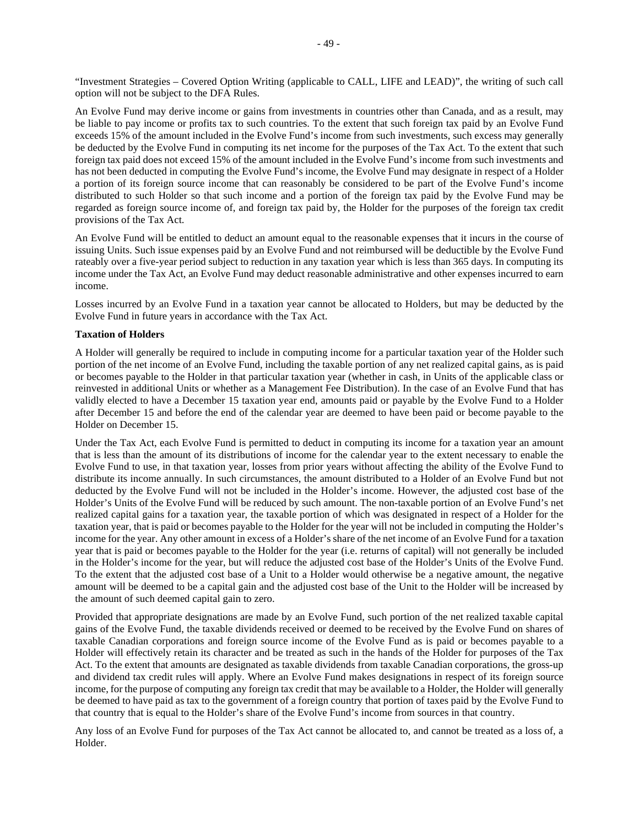"Investment Strategies – Covered Option Writing (applicable to CALL, LIFE and LEAD)", the writing of such call option will not be subject to the DFA Rules.

An Evolve Fund may derive income or gains from investments in countries other than Canada, and as a result, may be liable to pay income or profits tax to such countries. To the extent that such foreign tax paid by an Evolve Fund exceeds 15% of the amount included in the Evolve Fund's income from such investments, such excess may generally be deducted by the Evolve Fund in computing its net income for the purposes of the Tax Act. To the extent that such foreign tax paid does not exceed 15% of the amount included in the Evolve Fund's income from such investments and has not been deducted in computing the Evolve Fund's income, the Evolve Fund may designate in respect of a Holder a portion of its foreign source income that can reasonably be considered to be part of the Evolve Fund's income distributed to such Holder so that such income and a portion of the foreign tax paid by the Evolve Fund may be regarded as foreign source income of, and foreign tax paid by, the Holder for the purposes of the foreign tax credit provisions of the Tax Act.

An Evolve Fund will be entitled to deduct an amount equal to the reasonable expenses that it incurs in the course of issuing Units. Such issue expenses paid by an Evolve Fund and not reimbursed will be deductible by the Evolve Fund rateably over a five-year period subject to reduction in any taxation year which is less than 365 days. In computing its income under the Tax Act, an Evolve Fund may deduct reasonable administrative and other expenses incurred to earn income.

Losses incurred by an Evolve Fund in a taxation year cannot be allocated to Holders, but may be deducted by the Evolve Fund in future years in accordance with the Tax Act.

## **Taxation of Holders**

A Holder will generally be required to include in computing income for a particular taxation year of the Holder such portion of the net income of an Evolve Fund, including the taxable portion of any net realized capital gains, as is paid or becomes payable to the Holder in that particular taxation year (whether in cash, in Units of the applicable class or reinvested in additional Units or whether as a Management Fee Distribution). In the case of an Evolve Fund that has validly elected to have a December 15 taxation year end, amounts paid or payable by the Evolve Fund to a Holder after December 15 and before the end of the calendar year are deemed to have been paid or become payable to the Holder on December 15.

Under the Tax Act, each Evolve Fund is permitted to deduct in computing its income for a taxation year an amount that is less than the amount of its distributions of income for the calendar year to the extent necessary to enable the Evolve Fund to use, in that taxation year, losses from prior years without affecting the ability of the Evolve Fund to distribute its income annually. In such circumstances, the amount distributed to a Holder of an Evolve Fund but not deducted by the Evolve Fund will not be included in the Holder's income. However, the adjusted cost base of the Holder's Units of the Evolve Fund will be reduced by such amount. The non-taxable portion of an Evolve Fund's net realized capital gains for a taxation year, the taxable portion of which was designated in respect of a Holder for the taxation year, that is paid or becomes payable to the Holder for the year will not be included in computing the Holder's income for the year. Any other amount in excess of a Holder's share of the net income of an Evolve Fund for a taxation year that is paid or becomes payable to the Holder for the year (i.e. returns of capital) will not generally be included in the Holder's income for the year, but will reduce the adjusted cost base of the Holder's Units of the Evolve Fund. To the extent that the adjusted cost base of a Unit to a Holder would otherwise be a negative amount, the negative amount will be deemed to be a capital gain and the adjusted cost base of the Unit to the Holder will be increased by the amount of such deemed capital gain to zero.

Provided that appropriate designations are made by an Evolve Fund, such portion of the net realized taxable capital gains of the Evolve Fund, the taxable dividends received or deemed to be received by the Evolve Fund on shares of taxable Canadian corporations and foreign source income of the Evolve Fund as is paid or becomes payable to a Holder will effectively retain its character and be treated as such in the hands of the Holder for purposes of the Tax Act. To the extent that amounts are designated as taxable dividends from taxable Canadian corporations, the gross-up and dividend tax credit rules will apply. Where an Evolve Fund makes designations in respect of its foreign source income, for the purpose of computing any foreign tax credit that may be available to a Holder, the Holder will generally be deemed to have paid as tax to the government of a foreign country that portion of taxes paid by the Evolve Fund to that country that is equal to the Holder's share of the Evolve Fund's income from sources in that country.

Any loss of an Evolve Fund for purposes of the Tax Act cannot be allocated to, and cannot be treated as a loss of, a Holder.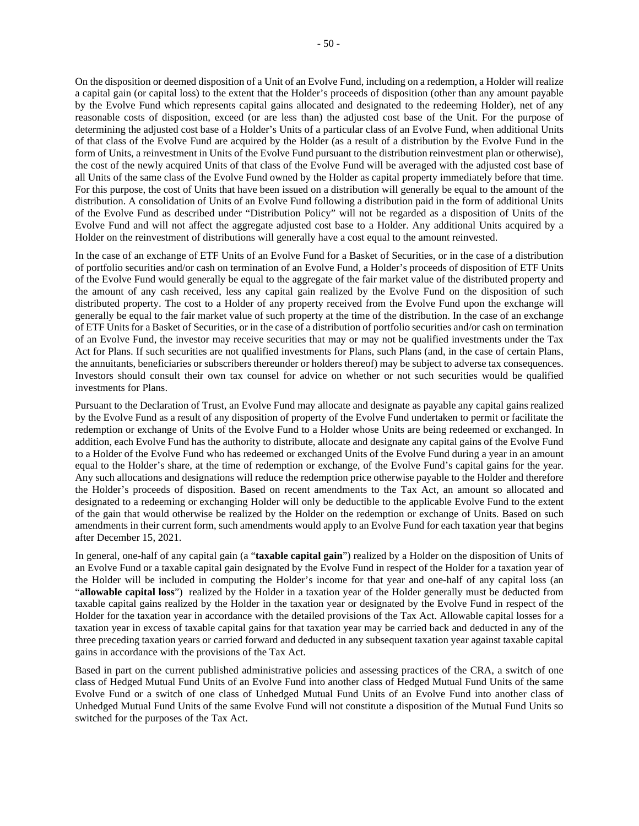On the disposition or deemed disposition of a Unit of an Evolve Fund, including on a redemption, a Holder will realize a capital gain (or capital loss) to the extent that the Holder's proceeds of disposition (other than any amount payable by the Evolve Fund which represents capital gains allocated and designated to the redeeming Holder), net of any reasonable costs of disposition, exceed (or are less than) the adjusted cost base of the Unit. For the purpose of determining the adjusted cost base of a Holder's Units of a particular class of an Evolve Fund, when additional Units of that class of the Evolve Fund are acquired by the Holder (as a result of a distribution by the Evolve Fund in the form of Units, a reinvestment in Units of the Evolve Fund pursuant to the distribution reinvestment plan or otherwise), the cost of the newly acquired Units of that class of the Evolve Fund will be averaged with the adjusted cost base of all Units of the same class of the Evolve Fund owned by the Holder as capital property immediately before that time. For this purpose, the cost of Units that have been issued on a distribution will generally be equal to the amount of the distribution. A consolidation of Units of an Evolve Fund following a distribution paid in the form of additional Units of the Evolve Fund as described under "Distribution Policy" will not be regarded as a disposition of Units of the Evolve Fund and will not affect the aggregate adjusted cost base to a Holder. Any additional Units acquired by a Holder on the reinvestment of distributions will generally have a cost equal to the amount reinvested.

In the case of an exchange of ETF Units of an Evolve Fund for a Basket of Securities, or in the case of a distribution of portfolio securities and/or cash on termination of an Evolve Fund, a Holder's proceeds of disposition of ETF Units of the Evolve Fund would generally be equal to the aggregate of the fair market value of the distributed property and the amount of any cash received, less any capital gain realized by the Evolve Fund on the disposition of such distributed property. The cost to a Holder of any property received from the Evolve Fund upon the exchange will generally be equal to the fair market value of such property at the time of the distribution. In the case of an exchange of ETF Units for a Basket of Securities, or in the case of a distribution of portfolio securities and/or cash on termination of an Evolve Fund, the investor may receive securities that may or may not be qualified investments under the Tax Act for Plans. If such securities are not qualified investments for Plans, such Plans (and, in the case of certain Plans, the annuitants, beneficiaries or subscribers thereunder or holders thereof) may be subject to adverse tax consequences. Investors should consult their own tax counsel for advice on whether or not such securities would be qualified investments for Plans.

Pursuant to the Declaration of Trust, an Evolve Fund may allocate and designate as payable any capital gains realized by the Evolve Fund as a result of any disposition of property of the Evolve Fund undertaken to permit or facilitate the redemption or exchange of Units of the Evolve Fund to a Holder whose Units are being redeemed or exchanged. In addition, each Evolve Fund has the authority to distribute, allocate and designate any capital gains of the Evolve Fund to a Holder of the Evolve Fund who has redeemed or exchanged Units of the Evolve Fund during a year in an amount equal to the Holder's share, at the time of redemption or exchange, of the Evolve Fund's capital gains for the year. Any such allocations and designations will reduce the redemption price otherwise payable to the Holder and therefore the Holder's proceeds of disposition. Based on recent amendments to the Tax Act, an amount so allocated and designated to a redeeming or exchanging Holder will only be deductible to the applicable Evolve Fund to the extent of the gain that would otherwise be realized by the Holder on the redemption or exchange of Units. Based on such amendments in their current form, such amendments would apply to an Evolve Fund for each taxation year that begins after December 15, 2021.

In general, one-half of any capital gain (a "**taxable capital gain**") realized by a Holder on the disposition of Units of an Evolve Fund or a taxable capital gain designated by the Evolve Fund in respect of the Holder for a taxation year of the Holder will be included in computing the Holder's income for that year and one-half of any capital loss (an "**allowable capital loss**") realized by the Holder in a taxation year of the Holder generally must be deducted from taxable capital gains realized by the Holder in the taxation year or designated by the Evolve Fund in respect of the Holder for the taxation year in accordance with the detailed provisions of the Tax Act. Allowable capital losses for a taxation year in excess of taxable capital gains for that taxation year may be carried back and deducted in any of the three preceding taxation years or carried forward and deducted in any subsequent taxation year against taxable capital gains in accordance with the provisions of the Tax Act.

Based in part on the current published administrative policies and assessing practices of the CRA, a switch of one class of Hedged Mutual Fund Units of an Evolve Fund into another class of Hedged Mutual Fund Units of the same Evolve Fund or a switch of one class of Unhedged Mutual Fund Units of an Evolve Fund into another class of Unhedged Mutual Fund Units of the same Evolve Fund will not constitute a disposition of the Mutual Fund Units so switched for the purposes of the Tax Act.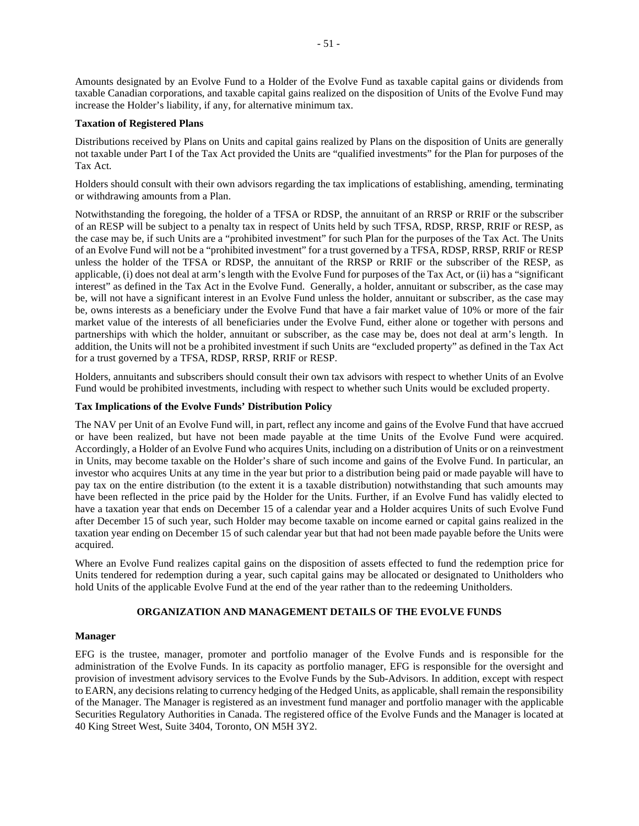Amounts designated by an Evolve Fund to a Holder of the Evolve Fund as taxable capital gains or dividends from taxable Canadian corporations, and taxable capital gains realized on the disposition of Units of the Evolve Fund may increase the Holder's liability, if any, for alternative minimum tax.

## **Taxation of Registered Plans**

Distributions received by Plans on Units and capital gains realized by Plans on the disposition of Units are generally not taxable under Part I of the Tax Act provided the Units are "qualified investments" for the Plan for purposes of the Tax Act.

Holders should consult with their own advisors regarding the tax implications of establishing, amending, terminating or withdrawing amounts from a Plan.

Notwithstanding the foregoing, the holder of a TFSA or RDSP, the annuitant of an RRSP or RRIF or the subscriber of an RESP will be subject to a penalty tax in respect of Units held by such TFSA, RDSP, RRSP, RRIF or RESP, as the case may be, if such Units are a "prohibited investment" for such Plan for the purposes of the Tax Act. The Units of an Evolve Fund will not be a "prohibited investment" for a trust governed by a TFSA, RDSP, RRSP, RRIF or RESP unless the holder of the TFSA or RDSP, the annuitant of the RRSP or RRIF or the subscriber of the RESP, as applicable, (i) does not deal at arm's length with the Evolve Fund for purposes of the Tax Act, or (ii) has a "significant interest" as defined in the Tax Act in the Evolve Fund. Generally, a holder, annuitant or subscriber, as the case may be, will not have a significant interest in an Evolve Fund unless the holder, annuitant or subscriber, as the case may be, owns interests as a beneficiary under the Evolve Fund that have a fair market value of 10% or more of the fair market value of the interests of all beneficiaries under the Evolve Fund, either alone or together with persons and partnerships with which the holder, annuitant or subscriber, as the case may be, does not deal at arm's length. In addition, the Units will not be a prohibited investment if such Units are "excluded property" as defined in the Tax Act for a trust governed by a TFSA, RDSP, RRSP, RRIF or RESP.

Holders, annuitants and subscribers should consult their own tax advisors with respect to whether Units of an Evolve Fund would be prohibited investments, including with respect to whether such Units would be excluded property.

## **Tax Implications of the Evolve Funds' Distribution Policy**

The NAV per Unit of an Evolve Fund will, in part, reflect any income and gains of the Evolve Fund that have accrued or have been realized, but have not been made payable at the time Units of the Evolve Fund were acquired. Accordingly, a Holder of an Evolve Fund who acquires Units, including on a distribution of Units or on a reinvestment in Units, may become taxable on the Holder's share of such income and gains of the Evolve Fund. In particular, an investor who acquires Units at any time in the year but prior to a distribution being paid or made payable will have to pay tax on the entire distribution (to the extent it is a taxable distribution) notwithstanding that such amounts may have been reflected in the price paid by the Holder for the Units. Further, if an Evolve Fund has validly elected to have a taxation year that ends on December 15 of a calendar year and a Holder acquires Units of such Evolve Fund after December 15 of such year, such Holder may become taxable on income earned or capital gains realized in the taxation year ending on December 15 of such calendar year but that had not been made payable before the Units were acquired.

Where an Evolve Fund realizes capital gains on the disposition of assets effected to fund the redemption price for Units tendered for redemption during a year, such capital gains may be allocated or designated to Unitholders who hold Units of the applicable Evolve Fund at the end of the year rather than to the redeeming Unitholders.

## **ORGANIZATION AND MANAGEMENT DETAILS OF THE EVOLVE FUNDS**

## **Manager**

EFG is the trustee, manager, promoter and portfolio manager of the Evolve Funds and is responsible for the administration of the Evolve Funds. In its capacity as portfolio manager, EFG is responsible for the oversight and provision of investment advisory services to the Evolve Funds by the Sub-Advisors. In addition, except with respect to EARN, any decisions relating to currency hedging of the Hedged Units, as applicable, shall remain the responsibility of the Manager. The Manager is registered as an investment fund manager and portfolio manager with the applicable Securities Regulatory Authorities in Canada. The registered office of the Evolve Funds and the Manager is located at 40 King Street West, Suite 3404, Toronto, ON M5H 3Y2.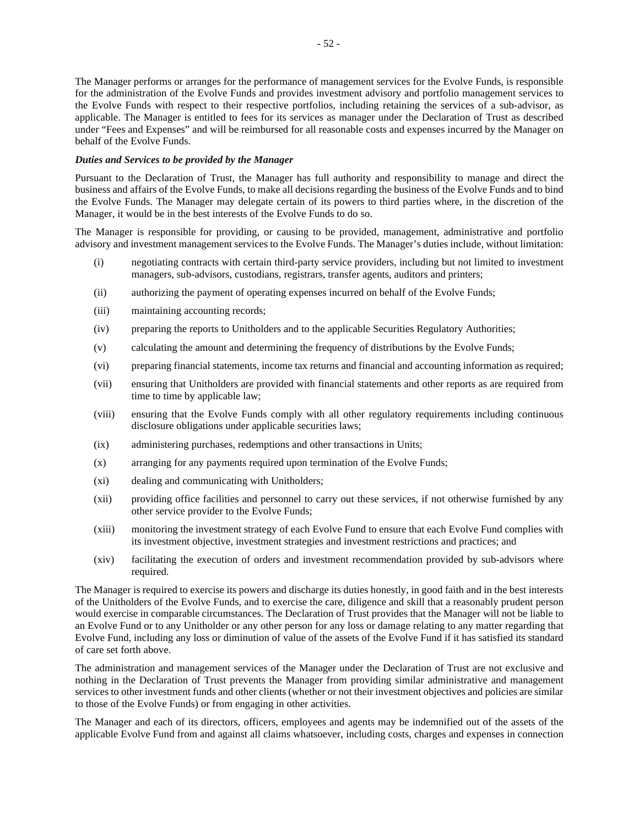The Manager performs or arranges for the performance of management services for the Evolve Funds, is responsible for the administration of the Evolve Funds and provides investment advisory and portfolio management services to the Evolve Funds with respect to their respective portfolios, including retaining the services of a sub-advisor, as applicable. The Manager is entitled to fees for its services as manager under the Declaration of Trust as described under "Fees and Expenses" and will be reimbursed for all reasonable costs and expenses incurred by the Manager on behalf of the Evolve Funds.

## *Duties and Services to be provided by the Manager*

Pursuant to the Declaration of Trust, the Manager has full authority and responsibility to manage and direct the business and affairs of the Evolve Funds, to make all decisions regarding the business of the Evolve Funds and to bind the Evolve Funds. The Manager may delegate certain of its powers to third parties where, in the discretion of the Manager, it would be in the best interests of the Evolve Funds to do so.

The Manager is responsible for providing, or causing to be provided, management, administrative and portfolio advisory and investment management services to the Evolve Funds. The Manager's duties include, without limitation:

- (i) negotiating contracts with certain third-party service providers, including but not limited to investment managers, sub-advisors, custodians, registrars, transfer agents, auditors and printers;
- (ii) authorizing the payment of operating expenses incurred on behalf of the Evolve Funds;
- (iii) maintaining accounting records;
- (iv) preparing the reports to Unitholders and to the applicable Securities Regulatory Authorities;
- (v) calculating the amount and determining the frequency of distributions by the Evolve Funds;
- (vi) preparing financial statements, income tax returns and financial and accounting information as required;
- (vii) ensuring that Unitholders are provided with financial statements and other reports as are required from time to time by applicable law;
- (viii) ensuring that the Evolve Funds comply with all other regulatory requirements including continuous disclosure obligations under applicable securities laws;
- (ix) administering purchases, redemptions and other transactions in Units;
- (x) arranging for any payments required upon termination of the Evolve Funds;
- (xi) dealing and communicating with Unitholders;
- (xii) providing office facilities and personnel to carry out these services, if not otherwise furnished by any other service provider to the Evolve Funds;
- (xiii) monitoring the investment strategy of each Evolve Fund to ensure that each Evolve Fund complies with its investment objective, investment strategies and investment restrictions and practices; and
- (xiv) facilitating the execution of orders and investment recommendation provided by sub-advisors where required.

The Manager is required to exercise its powers and discharge its duties honestly, in good faith and in the best interests of the Unitholders of the Evolve Funds, and to exercise the care, diligence and skill that a reasonably prudent person would exercise in comparable circumstances. The Declaration of Trust provides that the Manager will not be liable to an Evolve Fund or to any Unitholder or any other person for any loss or damage relating to any matter regarding that Evolve Fund, including any loss or diminution of value of the assets of the Evolve Fund if it has satisfied its standard of care set forth above.

The administration and management services of the Manager under the Declaration of Trust are not exclusive and nothing in the Declaration of Trust prevents the Manager from providing similar administrative and management services to other investment funds and other clients (whether or not their investment objectives and policies are similar to those of the Evolve Funds) or from engaging in other activities.

The Manager and each of its directors, officers, employees and agents may be indemnified out of the assets of the applicable Evolve Fund from and against all claims whatsoever, including costs, charges and expenses in connection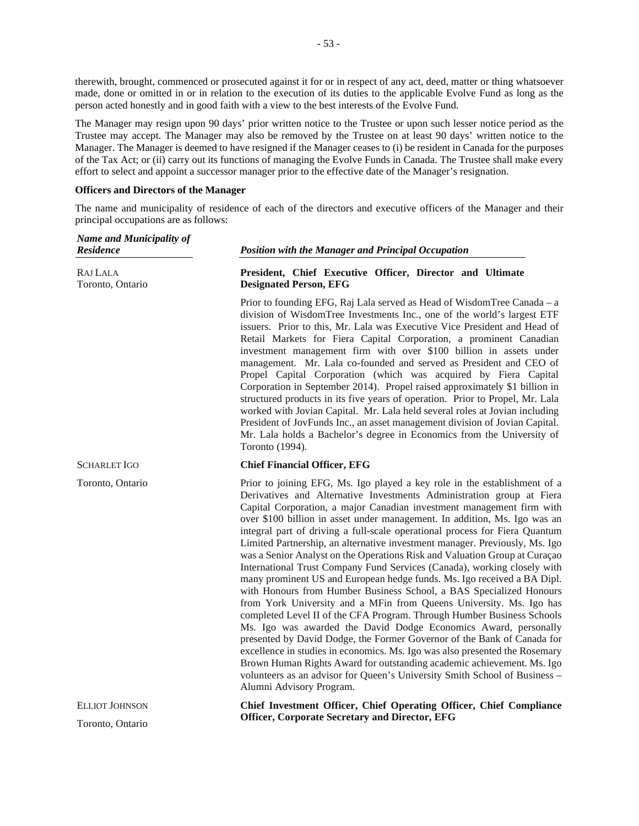therewith, brought, commenced or prosecuted against it for or in respect of any act, deed, matter or thing whatsoever made, done or omitted in or in relation to the execution of its duties to the applicable Evolve Fund as long as the person acted honestly and in good faith with a view to the best interests of the Evolve Fund.

The Manager may resign upon 90 days' prior written notice to the Trustee or upon such lesser notice period as the Trustee may accept. The Manager may also be removed by the Trustee on at least 90 days' written notice to the Manager. The Manager is deemed to have resigned if the Manager ceases to (i) be resident in Canada for the purposes of the Tax Act; or (ii) carry out its functions of managing the Evolve Funds in Canada. The Trustee shall make every effort to select and appoint a successor manager prior to the effective date of the Manager's resignation.

## **Officers and Directors of the Manager**

The name and municipality of residence of each of the directors and executive officers of the Manager and their principal occupations are as follows:

| <b>Name and Municipality of</b><br><b>Residence</b> | <b>Position with the Manager and Principal Occupation</b>                                                                                                                                                                                                                                                                                                                                                                                                                                                                                                                                                                                                                                                                                                                                                                                                                                                                                                                                                                                                                                                                                                                                                                                                                                                                                            |  |  |  |
|-----------------------------------------------------|------------------------------------------------------------------------------------------------------------------------------------------------------------------------------------------------------------------------------------------------------------------------------------------------------------------------------------------------------------------------------------------------------------------------------------------------------------------------------------------------------------------------------------------------------------------------------------------------------------------------------------------------------------------------------------------------------------------------------------------------------------------------------------------------------------------------------------------------------------------------------------------------------------------------------------------------------------------------------------------------------------------------------------------------------------------------------------------------------------------------------------------------------------------------------------------------------------------------------------------------------------------------------------------------------------------------------------------------------|--|--|--|
| RAJ LALA<br>Toronto, Ontario                        | President, Chief Executive Officer, Director and Ultimate<br><b>Designated Person, EFG</b>                                                                                                                                                                                                                                                                                                                                                                                                                                                                                                                                                                                                                                                                                                                                                                                                                                                                                                                                                                                                                                                                                                                                                                                                                                                           |  |  |  |
|                                                     | Prior to founding EFG, Raj Lala served as Head of WisdomTree Canada – a<br>division of WisdomTree Investments Inc., one of the world's largest ETF<br>issuers. Prior to this, Mr. Lala was Executive Vice President and Head of<br>Retail Markets for Fiera Capital Corporation, a prominent Canadian<br>investment management firm with over \$100 billion in assets under<br>management. Mr. Lala co-founded and served as President and CEO of<br>Propel Capital Corporation (which was acquired by Fiera Capital<br>Corporation in September 2014). Propel raised approximately \$1 billion in<br>structured products in its five years of operation. Prior to Propel, Mr. Lala<br>worked with Jovian Capital. Mr. Lala held several roles at Jovian including<br>President of JovFunds Inc., an asset management division of Jovian Capital.<br>Mr. Lala holds a Bachelor's degree in Economics from the University of<br>Toronto (1994).                                                                                                                                                                                                                                                                                                                                                                                                       |  |  |  |
| <b>SCHARLET IGO</b>                                 | <b>Chief Financial Officer, EFG</b>                                                                                                                                                                                                                                                                                                                                                                                                                                                                                                                                                                                                                                                                                                                                                                                                                                                                                                                                                                                                                                                                                                                                                                                                                                                                                                                  |  |  |  |
| Toronto, Ontario                                    | Prior to joining EFG, Ms. Igo played a key role in the establishment of a<br>Derivatives and Alternative Investments Administration group at Fiera<br>Capital Corporation, a major Canadian investment management firm with<br>over \$100 billion in asset under management. In addition, Ms. Igo was an<br>integral part of driving a full-scale operational process for Fiera Quantum<br>Limited Partnership, an alternative investment manager. Previously, Ms. Igo<br>was a Senior Analyst on the Operations Risk and Valuation Group at Curaçao<br>International Trust Company Fund Services (Canada), working closely with<br>many prominent US and European hedge funds. Ms. Igo received a BA Dipl.<br>with Honours from Humber Business School, a BAS Specialized Honours<br>from York University and a MFin from Queens University. Ms. Igo has<br>completed Level II of the CFA Program. Through Humber Business Schools<br>Ms. Igo was awarded the David Dodge Economics Award, personally<br>presented by David Dodge, the Former Governor of the Bank of Canada for<br>excellence in studies in economics. Ms. Igo was also presented the Rosemary<br>Brown Human Rights Award for outstanding academic achievement. Ms. Igo<br>volunteers as an advisor for Queen's University Smith School of Business -<br>Alumni Advisory Program. |  |  |  |
| <b>ELLIOT JOHNSON</b>                               | Chief Investment Officer, Chief Operating Officer, Chief Compliance<br><b>Officer, Corporate Secretary and Director, EFG</b>                                                                                                                                                                                                                                                                                                                                                                                                                                                                                                                                                                                                                                                                                                                                                                                                                                                                                                                                                                                                                                                                                                                                                                                                                         |  |  |  |
| Toronto, Ontario                                    |                                                                                                                                                                                                                                                                                                                                                                                                                                                                                                                                                                                                                                                                                                                                                                                                                                                                                                                                                                                                                                                                                                                                                                                                                                                                                                                                                      |  |  |  |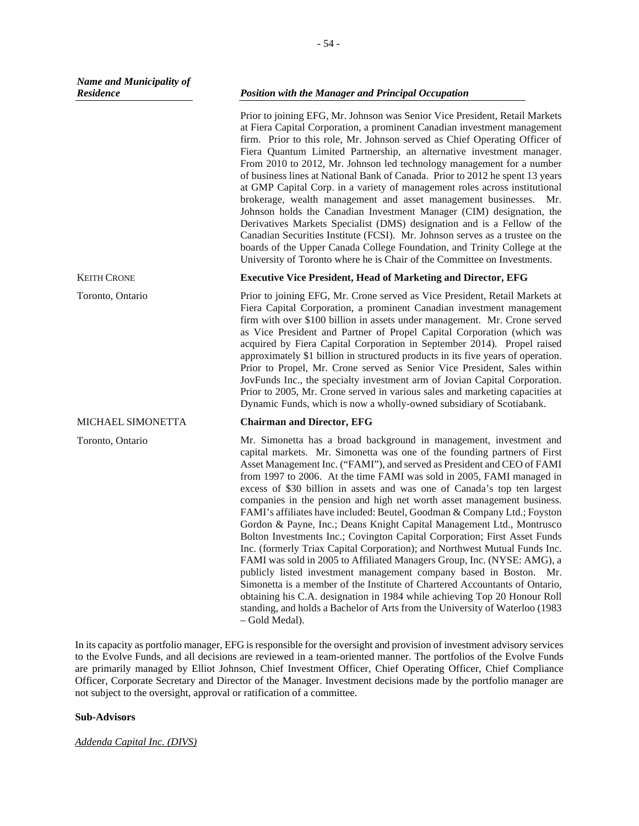KEITH CRONE

Toronto, Ontario

MICHAEL SIMONETTA

Toronto, Ontario

Prior to joining EFG, Mr. Johnson was Senior Vice President, Retail Markets at Fiera Capital Corporation, a prominent Canadian investment management firm. Prior to this role, Mr. Johnson served as Chief Operating Officer of Fiera Quantum Limited Partnership, an alternative investment manager. From 2010 to 2012, Mr. Johnson led technology management for a number of business lines at National Bank of Canada. Prior to 2012 he spent 13 years at GMP Capital Corp. in a variety of management roles across institutional brokerage, wealth management and asset management businesses. Mr. Johnson holds the Canadian Investment Manager (CIM) designation, the Derivatives Markets Specialist (DMS) designation and is a Fellow of the Canadian Securities Institute (FCSI). Mr. Johnson serves as a trustee on the boards of the Upper Canada College Foundation, and Trinity College at the University of Toronto where he is Chair of the Committee on Investments.

## **Executive Vice President, Head of Marketing and Director, EFG**

Prior to joining EFG, Mr. Crone served as Vice President, Retail Markets at Fiera Capital Corporation, a prominent Canadian investment management firm with over \$100 billion in assets under management. Mr. Crone served as Vice President and Partner of Propel Capital Corporation (which was acquired by Fiera Capital Corporation in September 2014). Propel raised approximately \$1 billion in structured products in its five years of operation. Prior to Propel, Mr. Crone served as Senior Vice President, Sales within JovFunds Inc., the specialty investment arm of Jovian Capital Corporation. Prior to 2005, Mr. Crone served in various sales and marketing capacities at Dynamic Funds, which is now a wholly-owned subsidiary of Scotiabank.

## **Chairman and Director, EFG**

Mr. Simonetta has a broad background in management, investment and capital markets. Mr. Simonetta was one of the founding partners of First Asset Management Inc. ("FAMI"), and served as President and CEO of FAMI from 1997 to 2006. At the time FAMI was sold in 2005, FAMI managed in excess of \$30 billion in assets and was one of Canada's top ten largest companies in the pension and high net worth asset management business. FAMI's affiliates have included: Beutel, Goodman & Company Ltd.; Foyston Gordon & Payne, Inc.; Deans Knight Capital Management Ltd., Montrusco Bolton Investments Inc.; Covington Capital Corporation; First Asset Funds Inc. (formerly Triax Capital Corporation); and Northwest Mutual Funds Inc. FAMI was sold in 2005 to Affiliated Managers Group, Inc. (NYSE: AMG), a publicly listed investment management company based in Boston. Mr. Simonetta is a member of the Institute of Chartered Accountants of Ontario, obtaining his C.A. designation in 1984 while achieving Top 20 Honour Roll standing, and holds a Bachelor of Arts from the University of Waterloo (1983 – Gold Medal).

In its capacity as portfolio manager, EFG is responsible for the oversight and provision of investment advisory services to the Evolve Funds, and all decisions are reviewed in a team-oriented manner. The portfolios of the Evolve Funds are primarily managed by Elliot Johnson, Chief Investment Officer, Chief Operating Officer, Chief Compliance Officer, Corporate Secretary and Director of the Manager. Investment decisions made by the portfolio manager are not subject to the oversight, approval or ratification of a committee.

## **Sub-Advisors**

*Addenda Capital Inc. (DIVS)*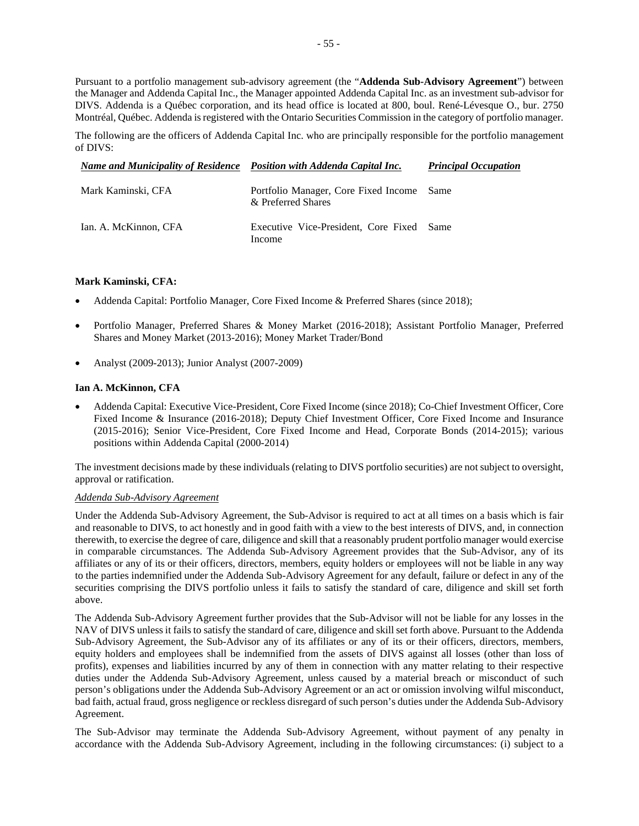Pursuant to a portfolio management sub-advisory agreement (the "**Addenda Sub-Advisory Agreement**") between the Manager and Addenda Capital Inc., the Manager appointed Addenda Capital Inc. as an investment sub-advisor for DIVS. Addenda is a Québec corporation, and its head office is located at 800, boul. René-Lévesque O., bur. 2750 Montréal, Québec. Addenda is registered with the Ontario Securities Commission in the category of portfolio manager.

The following are the officers of Addenda Capital Inc. who are principally responsible for the portfolio management of DIVS:

| Name and Municipality of Residence Position with Addenda Capital Inc. |                                                                 | <b>Principal Occupation</b> |
|-----------------------------------------------------------------------|-----------------------------------------------------------------|-----------------------------|
| Mark Kaminski, CFA                                                    | Portfolio Manager, Core Fixed Income Same<br>& Preferred Shares |                             |
| Ian. A. McKinnon, CFA                                                 | Executive Vice-President, Core Fixed Same<br>Income             |                             |

## **Mark Kaminski, CFA:**

- Addenda Capital: Portfolio Manager, Core Fixed Income & Preferred Shares (since 2018);
- Portfolio Manager, Preferred Shares & Money Market (2016-2018); Assistant Portfolio Manager, Preferred Shares and Money Market (2013-2016); Money Market Trader/Bond
- Analyst (2009-2013); Junior Analyst (2007-2009)

## **Ian A. McKinnon, CFA**

 Addenda Capital: Executive Vice-President, Core Fixed Income (since 2018); Co-Chief Investment Officer, Core Fixed Income & Insurance (2016-2018); Deputy Chief Investment Officer, Core Fixed Income and Insurance (2015-2016); Senior Vice-President, Core Fixed Income and Head, Corporate Bonds (2014-2015); various positions within Addenda Capital (2000-2014)

The investment decisions made by these individuals (relating to DIVS portfolio securities) are not subject to oversight, approval or ratification.

## *Addenda Sub-Advisory Agreement*

Under the Addenda Sub-Advisory Agreement, the Sub-Advisor is required to act at all times on a basis which is fair and reasonable to DIVS, to act honestly and in good faith with a view to the best interests of DIVS, and, in connection therewith, to exercise the degree of care, diligence and skill that a reasonably prudent portfolio manager would exercise in comparable circumstances. The Addenda Sub-Advisory Agreement provides that the Sub-Advisor, any of its affiliates or any of its or their officers, directors, members, equity holders or employees will not be liable in any way to the parties indemnified under the Addenda Sub-Advisory Agreement for any default, failure or defect in any of the securities comprising the DIVS portfolio unless it fails to satisfy the standard of care, diligence and skill set forth above.

The Addenda Sub-Advisory Agreement further provides that the Sub-Advisor will not be liable for any losses in the NAV of DIVS unless it fails to satisfy the standard of care, diligence and skill set forth above. Pursuant to the Addenda Sub-Advisory Agreement, the Sub-Advisor any of its affiliates or any of its or their officers, directors, members, equity holders and employees shall be indemnified from the assets of DIVS against all losses (other than loss of profits), expenses and liabilities incurred by any of them in connection with any matter relating to their respective duties under the Addenda Sub-Advisory Agreement, unless caused by a material breach or misconduct of such person's obligations under the Addenda Sub-Advisory Agreement or an act or omission involving wilful misconduct, bad faith, actual fraud, gross negligence or reckless disregard of such person's duties under the Addenda Sub-Advisory Agreement.

The Sub-Advisor may terminate the Addenda Sub-Advisory Agreement, without payment of any penalty in accordance with the Addenda Sub-Advisory Agreement, including in the following circumstances: (i) subject to a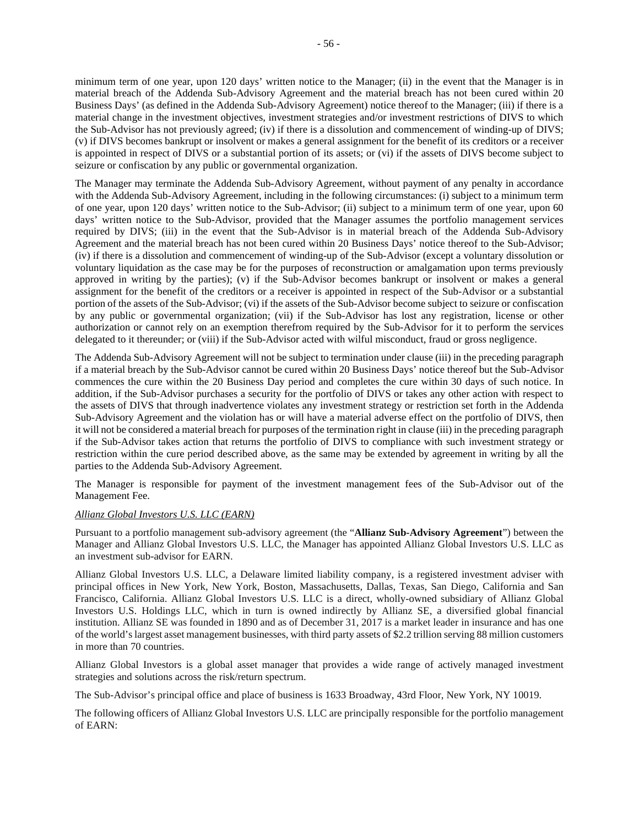minimum term of one year, upon 120 days' written notice to the Manager; (ii) in the event that the Manager is in material breach of the Addenda Sub-Advisory Agreement and the material breach has not been cured within 20 Business Days' (as defined in the Addenda Sub-Advisory Agreement) notice thereof to the Manager; (iii) if there is a material change in the investment objectives, investment strategies and/or investment restrictions of DIVS to which the Sub-Advisor has not previously agreed; (iv) if there is a dissolution and commencement of winding-up of DIVS; (v) if DIVS becomes bankrupt or insolvent or makes a general assignment for the benefit of its creditors or a receiver is appointed in respect of DIVS or a substantial portion of its assets; or (vi) if the assets of DIVS become subject to seizure or confiscation by any public or governmental organization.

The Manager may terminate the Addenda Sub-Advisory Agreement, without payment of any penalty in accordance with the Addenda Sub-Advisory Agreement, including in the following circumstances: (i) subject to a minimum term of one year, upon 120 days' written notice to the Sub-Advisor; (ii) subject to a minimum term of one year, upon 60 days' written notice to the Sub-Advisor, provided that the Manager assumes the portfolio management services required by DIVS; (iii) in the event that the Sub-Advisor is in material breach of the Addenda Sub-Advisory Agreement and the material breach has not been cured within 20 Business Days' notice thereof to the Sub-Advisor; (iv) if there is a dissolution and commencement of winding-up of the Sub-Advisor (except a voluntary dissolution or voluntary liquidation as the case may be for the purposes of reconstruction or amalgamation upon terms previously approved in writing by the parties); (v) if the Sub-Advisor becomes bankrupt or insolvent or makes a general assignment for the benefit of the creditors or a receiver is appointed in respect of the Sub-Advisor or a substantial portion of the assets of the Sub-Advisor; (vi) if the assets of the Sub-Advisor become subject to seizure or confiscation by any public or governmental organization; (vii) if the Sub-Advisor has lost any registration, license or other authorization or cannot rely on an exemption therefrom required by the Sub-Advisor for it to perform the services delegated to it thereunder; or (viii) if the Sub-Advisor acted with wilful misconduct, fraud or gross negligence.

The Addenda Sub-Advisory Agreement will not be subject to termination under clause (iii) in the preceding paragraph if a material breach by the Sub-Advisor cannot be cured within 20 Business Days' notice thereof but the Sub-Advisor commences the cure within the 20 Business Day period and completes the cure within 30 days of such notice. In addition, if the Sub-Advisor purchases a security for the portfolio of DIVS or takes any other action with respect to the assets of DIVS that through inadvertence violates any investment strategy or restriction set forth in the Addenda Sub-Advisory Agreement and the violation has or will have a material adverse effect on the portfolio of DIVS, then it will not be considered a material breach for purposes of the termination right in clause (iii) in the preceding paragraph if the Sub-Advisor takes action that returns the portfolio of DIVS to compliance with such investment strategy or restriction within the cure period described above, as the same may be extended by agreement in writing by all the parties to the Addenda Sub-Advisory Agreement.

The Manager is responsible for payment of the investment management fees of the Sub-Advisor out of the Management Fee.

## *Allianz Global Investors U.S. LLC (EARN)*

Pursuant to a portfolio management sub-advisory agreement (the "**Allianz Sub-Advisory Agreement**") between the Manager and Allianz Global Investors U.S. LLC, the Manager has appointed Allianz Global Investors U.S. LLC as an investment sub-advisor for EARN.

Allianz Global Investors U.S. LLC, a Delaware limited liability company, is a registered investment adviser with principal offices in New York, New York, Boston, Massachusetts, Dallas, Texas, San Diego, California and San Francisco, California. Allianz Global Investors U.S. LLC is a direct, wholly-owned subsidiary of Allianz Global Investors U.S. Holdings LLC, which in turn is owned indirectly by Allianz SE, a diversified global financial institution. Allianz SE was founded in 1890 and as of December 31, 2017 is a market leader in insurance and has one of the world's largest asset management businesses, with third party assets of \$2.2 trillion serving 88 million customers in more than 70 countries.

Allianz Global Investors is a global asset manager that provides a wide range of actively managed investment strategies and solutions across the risk/return spectrum.

The Sub-Advisor's principal office and place of business is 1633 Broadway, 43rd Floor, New York, NY 10019.

The following officers of Allianz Global Investors U.S. LLC are principally responsible for the portfolio management of EARN: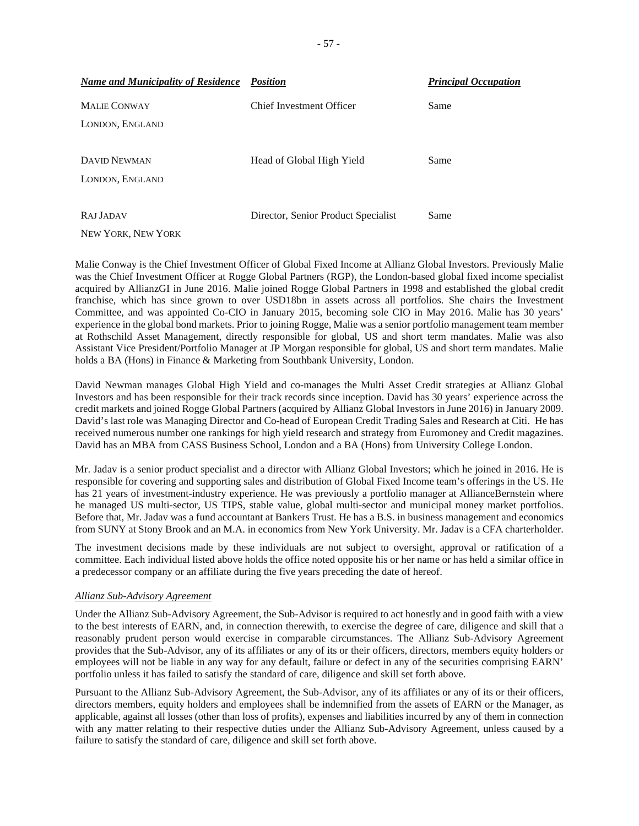| <b>Name and Municipality of Residence</b> | Position                            | <b>Principal Occupation</b> |
|-------------------------------------------|-------------------------------------|-----------------------------|
| <b>MALIE CONWAY</b>                       | Chief Investment Officer            | Same                        |
| LONDON, ENGLAND                           |                                     |                             |
| <b>DAVID NEWMAN</b>                       | Head of Global High Yield           | Same                        |
| LONDON, ENGLAND                           |                                     |                             |
|                                           |                                     |                             |
| RAJ JADAV                                 | Director, Senior Product Specialist | Same                        |

NEW YORK, NEW YORK

Malie Conway is the Chief Investment Officer of Global Fixed Income at Allianz Global Investors. Previously Malie was the Chief Investment Officer at Rogge Global Partners (RGP), the London-based global fixed income specialist acquired by AllianzGI in June 2016. Malie joined Rogge Global Partners in 1998 and established the global credit franchise, which has since grown to over USD18bn in assets across all portfolios. She chairs the Investment Committee, and was appointed Co-CIO in January 2015, becoming sole CIO in May 2016. Malie has 30 years' experience in the global bond markets. Prior to joining Rogge, Malie was a senior portfolio management team member at Rothschild Asset Management, directly responsible for global, US and short term mandates. Malie was also Assistant Vice President/Portfolio Manager at JP Morgan responsible for global, US and short term mandates. Malie holds a BA (Hons) in Finance & Marketing from Southbank University, London.

David Newman manages Global High Yield and co-manages the Multi Asset Credit strategies at Allianz Global Investors and has been responsible for their track records since inception. David has 30 years' experience across the credit markets and joined Rogge Global Partners (acquired by Allianz Global Investors in June 2016) in January 2009. David's last role was Managing Director and Co-head of European Credit Trading Sales and Research at Citi. He has received numerous number one rankings for high yield research and strategy from Euromoney and Credit magazines. David has an MBA from CASS Business School, London and a BA (Hons) from University College London.

Mr. Jadav is a senior product specialist and a director with Allianz Global Investors; which he joined in 2016. He is responsible for covering and supporting sales and distribution of Global Fixed Income team's offerings in the US. He has 21 years of investment-industry experience. He was previously a portfolio manager at AllianceBernstein where he managed US multi-sector, US TIPS, stable value, global multi-sector and municipal money market portfolios. Before that, Mr. Jadav was a fund accountant at Bankers Trust. He has a B.S. in business management and economics from SUNY at Stony Brook and an M.A. in economics from New York University. Mr. Jadav is a CFA charterholder.

The investment decisions made by these individuals are not subject to oversight, approval or ratification of a committee. Each individual listed above holds the office noted opposite his or her name or has held a similar office in a predecessor company or an affiliate during the five years preceding the date of hereof.

## *Allianz Sub-Advisory Agreement*

Under the Allianz Sub-Advisory Agreement, the Sub-Advisor is required to act honestly and in good faith with a view to the best interests of EARN, and, in connection therewith, to exercise the degree of care, diligence and skill that a reasonably prudent person would exercise in comparable circumstances. The Allianz Sub-Advisory Agreement provides that the Sub-Advisor, any of its affiliates or any of its or their officers, directors, members equity holders or employees will not be liable in any way for any default, failure or defect in any of the securities comprising EARN' portfolio unless it has failed to satisfy the standard of care, diligence and skill set forth above.

Pursuant to the Allianz Sub-Advisory Agreement, the Sub-Advisor, any of its affiliates or any of its or their officers, directors members, equity holders and employees shall be indemnified from the assets of EARN or the Manager, as applicable, against all losses (other than loss of profits), expenses and liabilities incurred by any of them in connection with any matter relating to their respective duties under the Allianz Sub-Advisory Agreement, unless caused by a failure to satisfy the standard of care, diligence and skill set forth above.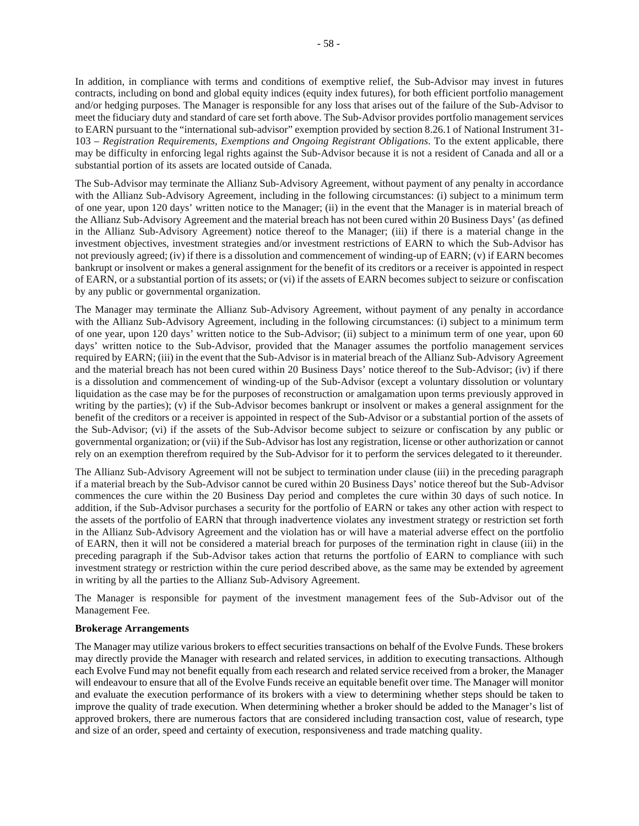In addition, in compliance with terms and conditions of exemptive relief, the Sub-Advisor may invest in futures contracts, including on bond and global equity indices (equity index futures), for both efficient portfolio management and/or hedging purposes. The Manager is responsible for any loss that arises out of the failure of the Sub-Advisor to meet the fiduciary duty and standard of care set forth above. The Sub-Advisor provides portfolio management services to EARN pursuant to the "international sub-advisor" exemption provided by section 8.26.1 of National Instrument 31- 103 – *Registration Requirements, Exemptions and Ongoing Registrant Obligations*. To the extent applicable, there may be difficulty in enforcing legal rights against the Sub-Advisor because it is not a resident of Canada and all or a substantial portion of its assets are located outside of Canada.

The Sub-Advisor may terminate the Allianz Sub-Advisory Agreement, without payment of any penalty in accordance with the Allianz Sub-Advisory Agreement, including in the following circumstances: (i) subject to a minimum term of one year, upon 120 days' written notice to the Manager; (ii) in the event that the Manager is in material breach of the Allianz Sub-Advisory Agreement and the material breach has not been cured within 20 Business Days' (as defined in the Allianz Sub-Advisory Agreement) notice thereof to the Manager; (iii) if there is a material change in the investment objectives, investment strategies and/or investment restrictions of EARN to which the Sub-Advisor has not previously agreed; (iv) if there is a dissolution and commencement of winding-up of EARN; (v) if EARN becomes bankrupt or insolvent or makes a general assignment for the benefit of its creditors or a receiver is appointed in respect of EARN, or a substantial portion of its assets; or (vi) if the assets of EARN becomes subject to seizure or confiscation by any public or governmental organization.

The Manager may terminate the Allianz Sub-Advisory Agreement, without payment of any penalty in accordance with the Allianz Sub-Advisory Agreement, including in the following circumstances: (i) subject to a minimum term of one year, upon 120 days' written notice to the Sub-Advisor; (ii) subject to a minimum term of one year, upon 60 days' written notice to the Sub-Advisor, provided that the Manager assumes the portfolio management services required by EARN; (iii) in the event that the Sub-Advisor is in material breach of the Allianz Sub-Advisory Agreement and the material breach has not been cured within 20 Business Days' notice thereof to the Sub-Advisor; (iv) if there is a dissolution and commencement of winding-up of the Sub-Advisor (except a voluntary dissolution or voluntary liquidation as the case may be for the purposes of reconstruction or amalgamation upon terms previously approved in writing by the parties); (v) if the Sub-Advisor becomes bankrupt or insolvent or makes a general assignment for the benefit of the creditors or a receiver is appointed in respect of the Sub-Advisor or a substantial portion of the assets of the Sub-Advisor; (vi) if the assets of the Sub-Advisor become subject to seizure or confiscation by any public or governmental organization; or (vii) if the Sub-Advisor has lost any registration, license or other authorization or cannot rely on an exemption therefrom required by the Sub-Advisor for it to perform the services delegated to it thereunder.

The Allianz Sub-Advisory Agreement will not be subject to termination under clause (iii) in the preceding paragraph if a material breach by the Sub-Advisor cannot be cured within 20 Business Days' notice thereof but the Sub-Advisor commences the cure within the 20 Business Day period and completes the cure within 30 days of such notice. In addition, if the Sub-Advisor purchases a security for the portfolio of EARN or takes any other action with respect to the assets of the portfolio of EARN that through inadvertence violates any investment strategy or restriction set forth in the Allianz Sub-Advisory Agreement and the violation has or will have a material adverse effect on the portfolio of EARN, then it will not be considered a material breach for purposes of the termination right in clause (iii) in the preceding paragraph if the Sub-Advisor takes action that returns the portfolio of EARN to compliance with such investment strategy or restriction within the cure period described above, as the same may be extended by agreement in writing by all the parties to the Allianz Sub-Advisory Agreement.

The Manager is responsible for payment of the investment management fees of the Sub-Advisor out of the Management Fee.

## **Brokerage Arrangements**

The Manager may utilize various brokers to effect securities transactions on behalf of the Evolve Funds. These brokers may directly provide the Manager with research and related services, in addition to executing transactions. Although each Evolve Fund may not benefit equally from each research and related service received from a broker, the Manager will endeavour to ensure that all of the Evolve Funds receive an equitable benefit over time. The Manager will monitor and evaluate the execution performance of its brokers with a view to determining whether steps should be taken to improve the quality of trade execution. When determining whether a broker should be added to the Manager's list of approved brokers, there are numerous factors that are considered including transaction cost, value of research, type and size of an order, speed and certainty of execution, responsiveness and trade matching quality.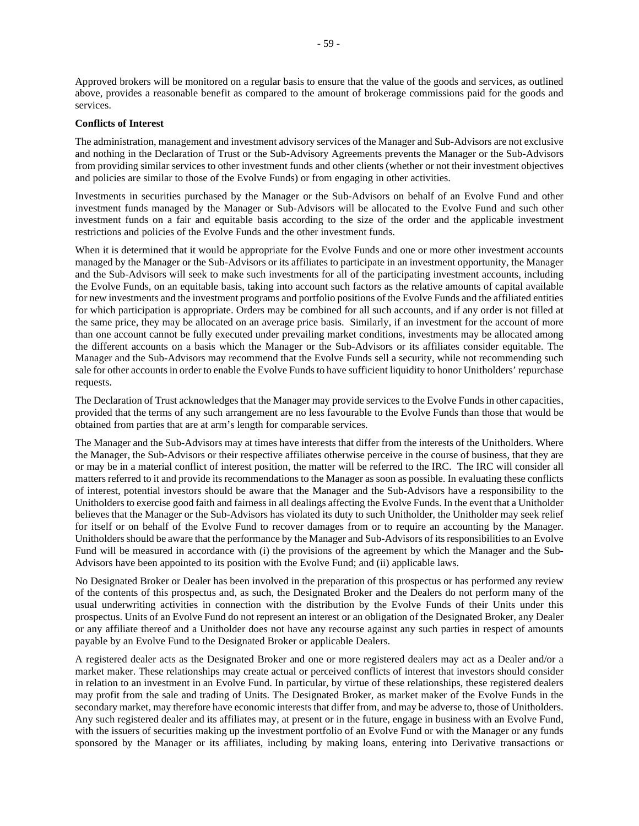Approved brokers will be monitored on a regular basis to ensure that the value of the goods and services, as outlined above, provides a reasonable benefit as compared to the amount of brokerage commissions paid for the goods and services.

#### **Conflicts of Interest**

The administration, management and investment advisory services of the Manager and Sub-Advisors are not exclusive and nothing in the Declaration of Trust or the Sub-Advisory Agreements prevents the Manager or the Sub-Advisors from providing similar services to other investment funds and other clients (whether or not their investment objectives and policies are similar to those of the Evolve Funds) or from engaging in other activities.

Investments in securities purchased by the Manager or the Sub-Advisors on behalf of an Evolve Fund and other investment funds managed by the Manager or Sub-Advisors will be allocated to the Evolve Fund and such other investment funds on a fair and equitable basis according to the size of the order and the applicable investment restrictions and policies of the Evolve Funds and the other investment funds.

When it is determined that it would be appropriate for the Evolve Funds and one or more other investment accounts managed by the Manager or the Sub-Advisors or its affiliates to participate in an investment opportunity, the Manager and the Sub-Advisors will seek to make such investments for all of the participating investment accounts, including the Evolve Funds, on an equitable basis, taking into account such factors as the relative amounts of capital available for new investments and the investment programs and portfolio positions of the Evolve Funds and the affiliated entities for which participation is appropriate. Orders may be combined for all such accounts, and if any order is not filled at the same price, they may be allocated on an average price basis. Similarly, if an investment for the account of more than one account cannot be fully executed under prevailing market conditions, investments may be allocated among the different accounts on a basis which the Manager or the Sub-Advisors or its affiliates consider equitable. The Manager and the Sub-Advisors may recommend that the Evolve Funds sell a security, while not recommending such sale for other accounts in order to enable the Evolve Funds to have sufficient liquidity to honor Unitholders' repurchase requests.

The Declaration of Trust acknowledges that the Manager may provide services to the Evolve Funds in other capacities, provided that the terms of any such arrangement are no less favourable to the Evolve Funds than those that would be obtained from parties that are at arm's length for comparable services.

The Manager and the Sub-Advisors may at times have interests that differ from the interests of the Unitholders. Where the Manager, the Sub-Advisors or their respective affiliates otherwise perceive in the course of business, that they are or may be in a material conflict of interest position, the matter will be referred to the IRC. The IRC will consider all matters referred to it and provide its recommendations to the Manager as soon as possible. In evaluating these conflicts of interest, potential investors should be aware that the Manager and the Sub-Advisors have a responsibility to the Unitholders to exercise good faith and fairness in all dealings affecting the Evolve Funds. In the event that a Unitholder believes that the Manager or the Sub-Advisors has violated its duty to such Unitholder, the Unitholder may seek relief for itself or on behalf of the Evolve Fund to recover damages from or to require an accounting by the Manager. Unitholders should be aware that the performance by the Manager and Sub-Advisors of its responsibilities to an Evolve Fund will be measured in accordance with (i) the provisions of the agreement by which the Manager and the Sub-Advisors have been appointed to its position with the Evolve Fund; and (ii) applicable laws.

No Designated Broker or Dealer has been involved in the preparation of this prospectus or has performed any review of the contents of this prospectus and, as such, the Designated Broker and the Dealers do not perform many of the usual underwriting activities in connection with the distribution by the Evolve Funds of their Units under this prospectus. Units of an Evolve Fund do not represent an interest or an obligation of the Designated Broker, any Dealer or any affiliate thereof and a Unitholder does not have any recourse against any such parties in respect of amounts payable by an Evolve Fund to the Designated Broker or applicable Dealers.

A registered dealer acts as the Designated Broker and one or more registered dealers may act as a Dealer and/or a market maker. These relationships may create actual or perceived conflicts of interest that investors should consider in relation to an investment in an Evolve Fund. In particular, by virtue of these relationships, these registered dealers may profit from the sale and trading of Units. The Designated Broker, as market maker of the Evolve Funds in the secondary market, may therefore have economic interests that differ from, and may be adverse to, those of Unitholders. Any such registered dealer and its affiliates may, at present or in the future, engage in business with an Evolve Fund, with the issuers of securities making up the investment portfolio of an Evolve Fund or with the Manager or any funds sponsored by the Manager or its affiliates, including by making loans, entering into Derivative transactions or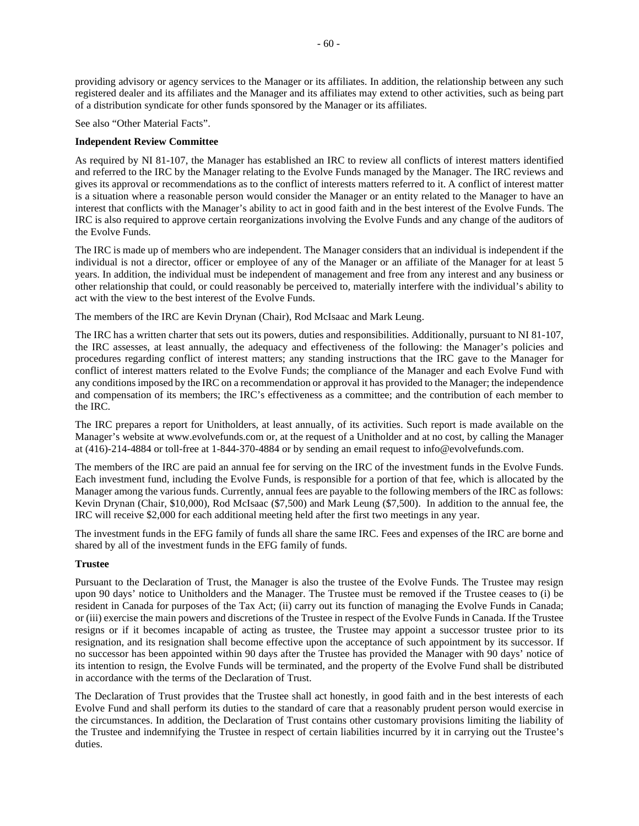providing advisory or agency services to the Manager or its affiliates. In addition, the relationship between any such registered dealer and its affiliates and the Manager and its affiliates may extend to other activities, such as being part of a distribution syndicate for other funds sponsored by the Manager or its affiliates.

See also "Other Material Facts".

#### **Independent Review Committee**

As required by NI 81-107, the Manager has established an IRC to review all conflicts of interest matters identified and referred to the IRC by the Manager relating to the Evolve Funds managed by the Manager. The IRC reviews and gives its approval or recommendations as to the conflict of interests matters referred to it. A conflict of interest matter is a situation where a reasonable person would consider the Manager or an entity related to the Manager to have an interest that conflicts with the Manager's ability to act in good faith and in the best interest of the Evolve Funds. The IRC is also required to approve certain reorganizations involving the Evolve Funds and any change of the auditors of the Evolve Funds.

The IRC is made up of members who are independent. The Manager considers that an individual is independent if the individual is not a director, officer or employee of any of the Manager or an affiliate of the Manager for at least 5 years. In addition, the individual must be independent of management and free from any interest and any business or other relationship that could, or could reasonably be perceived to, materially interfere with the individual's ability to act with the view to the best interest of the Evolve Funds.

The members of the IRC are Kevin Drynan (Chair), Rod McIsaac and Mark Leung.

The IRC has a written charter that sets out its powers, duties and responsibilities. Additionally, pursuant to NI 81-107, the IRC assesses, at least annually, the adequacy and effectiveness of the following: the Manager's policies and procedures regarding conflict of interest matters; any standing instructions that the IRC gave to the Manager for conflict of interest matters related to the Evolve Funds; the compliance of the Manager and each Evolve Fund with any conditions imposed by the IRC on a recommendation or approval it has provided to the Manager; the independence and compensation of its members; the IRC's effectiveness as a committee; and the contribution of each member to the IRC.

The IRC prepares a report for Unitholders, at least annually, of its activities. Such report is made available on the Manager's website at www.evolvefunds.com or, at the request of a Unitholder and at no cost, by calling the Manager at (416)-214-4884 or toll-free at 1-844-370-4884 or by sending an email request to info@evolvefunds.com.

The members of the IRC are paid an annual fee for serving on the IRC of the investment funds in the Evolve Funds. Each investment fund, including the Evolve Funds, is responsible for a portion of that fee, which is allocated by the Manager among the various funds. Currently, annual fees are payable to the following members of the IRC as follows: Kevin Drynan (Chair, \$10,000), Rod McIsaac (\$7,500) and Mark Leung (\$7,500). In addition to the annual fee, the IRC will receive \$2,000 for each additional meeting held after the first two meetings in any year.

The investment funds in the EFG family of funds all share the same IRC. Fees and expenses of the IRC are borne and shared by all of the investment funds in the EFG family of funds.

#### **Trustee**

Pursuant to the Declaration of Trust, the Manager is also the trustee of the Evolve Funds. The Trustee may resign upon 90 days' notice to Unitholders and the Manager. The Trustee must be removed if the Trustee ceases to (i) be resident in Canada for purposes of the Tax Act; (ii) carry out its function of managing the Evolve Funds in Canada; or (iii) exercise the main powers and discretions of the Trustee in respect of the Evolve Funds in Canada. If the Trustee resigns or if it becomes incapable of acting as trustee, the Trustee may appoint a successor trustee prior to its resignation, and its resignation shall become effective upon the acceptance of such appointment by its successor. If no successor has been appointed within 90 days after the Trustee has provided the Manager with 90 days' notice of its intention to resign, the Evolve Funds will be terminated, and the property of the Evolve Fund shall be distributed in accordance with the terms of the Declaration of Trust.

The Declaration of Trust provides that the Trustee shall act honestly, in good faith and in the best interests of each Evolve Fund and shall perform its duties to the standard of care that a reasonably prudent person would exercise in the circumstances. In addition, the Declaration of Trust contains other customary provisions limiting the liability of the Trustee and indemnifying the Trustee in respect of certain liabilities incurred by it in carrying out the Trustee's duties.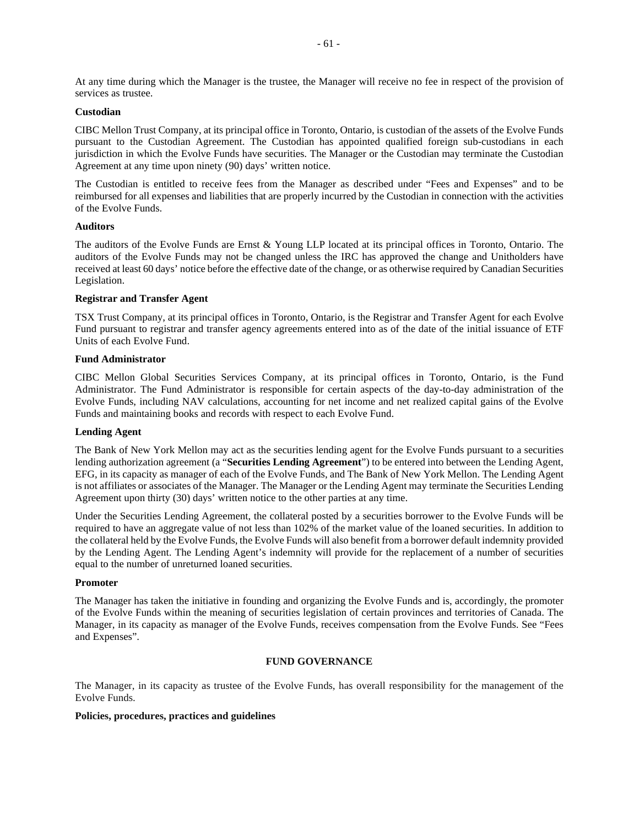At any time during which the Manager is the trustee, the Manager will receive no fee in respect of the provision of services as trustee.

## **Custodian**

CIBC Mellon Trust Company, at its principal office in Toronto, Ontario, is custodian of the assets of the Evolve Funds pursuant to the Custodian Agreement. The Custodian has appointed qualified foreign sub-custodians in each jurisdiction in which the Evolve Funds have securities. The Manager or the Custodian may terminate the Custodian Agreement at any time upon ninety (90) days' written notice.

The Custodian is entitled to receive fees from the Manager as described under "Fees and Expenses" and to be reimbursed for all expenses and liabilities that are properly incurred by the Custodian in connection with the activities of the Evolve Funds.

#### **Auditors**

The auditors of the Evolve Funds are Ernst & Young LLP located at its principal offices in Toronto, Ontario. The auditors of the Evolve Funds may not be changed unless the IRC has approved the change and Unitholders have received at least 60 days' notice before the effective date of the change, or as otherwise required by Canadian Securities Legislation.

### **Registrar and Transfer Agent**

TSX Trust Company, at its principal offices in Toronto, Ontario, is the Registrar and Transfer Agent for each Evolve Fund pursuant to registrar and transfer agency agreements entered into as of the date of the initial issuance of ETF Units of each Evolve Fund.

#### **Fund Administrator**

CIBC Mellon Global Securities Services Company, at its principal offices in Toronto, Ontario, is the Fund Administrator. The Fund Administrator is responsible for certain aspects of the day-to-day administration of the Evolve Funds, including NAV calculations, accounting for net income and net realized capital gains of the Evolve Funds and maintaining books and records with respect to each Evolve Fund.

## **Lending Agent**

The Bank of New York Mellon may act as the securities lending agent for the Evolve Funds pursuant to a securities lending authorization agreement (a "**Securities Lending Agreement**") to be entered into between the Lending Agent, EFG, in its capacity as manager of each of the Evolve Funds, and The Bank of New York Mellon. The Lending Agent is not affiliates or associates of the Manager. The Manager or the Lending Agent may terminate the Securities Lending Agreement upon thirty (30) days' written notice to the other parties at any time.

Under the Securities Lending Agreement, the collateral posted by a securities borrower to the Evolve Funds will be required to have an aggregate value of not less than 102% of the market value of the loaned securities. In addition to the collateral held by the Evolve Funds, the Evolve Funds will also benefit from a borrower default indemnity provided by the Lending Agent. The Lending Agent's indemnity will provide for the replacement of a number of securities equal to the number of unreturned loaned securities.

#### **Promoter**

The Manager has taken the initiative in founding and organizing the Evolve Funds and is, accordingly, the promoter of the Evolve Funds within the meaning of securities legislation of certain provinces and territories of Canada. The Manager, in its capacity as manager of the Evolve Funds, receives compensation from the Evolve Funds. See "Fees and Expenses".

## **FUND GOVERNANCE**

The Manager, in its capacity as trustee of the Evolve Funds, has overall responsibility for the management of the Evolve Funds.

#### **Policies, procedures, practices and guidelines**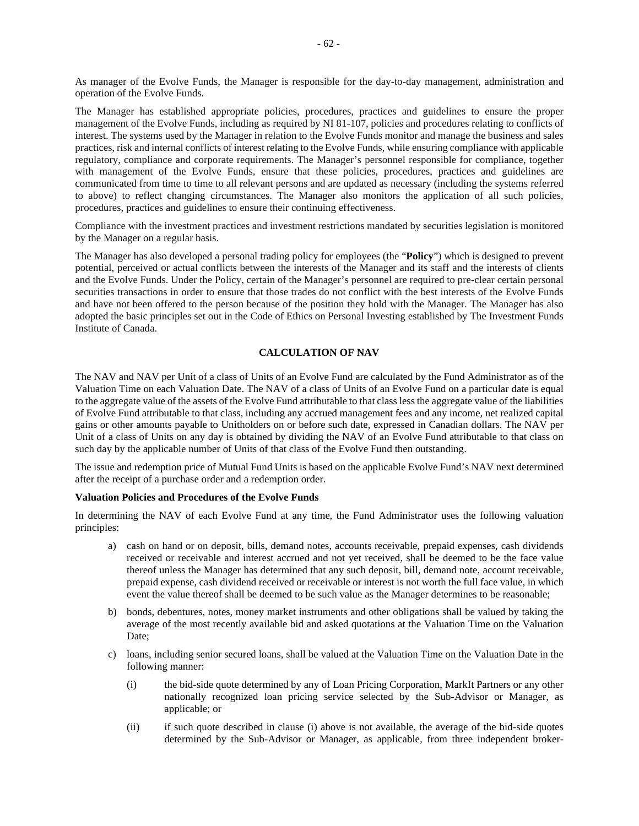As manager of the Evolve Funds, the Manager is responsible for the day-to-day management, administration and operation of the Evolve Funds.

The Manager has established appropriate policies, procedures, practices and guidelines to ensure the proper management of the Evolve Funds, including as required by NI 81-107, policies and procedures relating to conflicts of interest. The systems used by the Manager in relation to the Evolve Funds monitor and manage the business and sales practices, risk and internal conflicts of interest relating to the Evolve Funds, while ensuring compliance with applicable regulatory, compliance and corporate requirements. The Manager's personnel responsible for compliance, together with management of the Evolve Funds, ensure that these policies, procedures, practices and guidelines are communicated from time to time to all relevant persons and are updated as necessary (including the systems referred to above) to reflect changing circumstances. The Manager also monitors the application of all such policies, procedures, practices and guidelines to ensure their continuing effectiveness.

Compliance with the investment practices and investment restrictions mandated by securities legislation is monitored by the Manager on a regular basis.

The Manager has also developed a personal trading policy for employees (the "**Policy**") which is designed to prevent potential, perceived or actual conflicts between the interests of the Manager and its staff and the interests of clients and the Evolve Funds. Under the Policy, certain of the Manager's personnel are required to pre-clear certain personal securities transactions in order to ensure that those trades do not conflict with the best interests of the Evolve Funds and have not been offered to the person because of the position they hold with the Manager. The Manager has also adopted the basic principles set out in the Code of Ethics on Personal Investing established by The Investment Funds Institute of Canada.

## **CALCULATION OF NAV**

The NAV and NAV per Unit of a class of Units of an Evolve Fund are calculated by the Fund Administrator as of the Valuation Time on each Valuation Date. The NAV of a class of Units of an Evolve Fund on a particular date is equal to the aggregate value of the assets of the Evolve Fund attributable to that class less the aggregate value of the liabilities of Evolve Fund attributable to that class, including any accrued management fees and any income, net realized capital gains or other amounts payable to Unitholders on or before such date, expressed in Canadian dollars. The NAV per Unit of a class of Units on any day is obtained by dividing the NAV of an Evolve Fund attributable to that class on such day by the applicable number of Units of that class of the Evolve Fund then outstanding.

The issue and redemption price of Mutual Fund Units is based on the applicable Evolve Fund's NAV next determined after the receipt of a purchase order and a redemption order.

#### **Valuation Policies and Procedures of the Evolve Funds**

In determining the NAV of each Evolve Fund at any time, the Fund Administrator uses the following valuation principles:

- a) cash on hand or on deposit, bills, demand notes, accounts receivable, prepaid expenses, cash dividends received or receivable and interest accrued and not yet received, shall be deemed to be the face value thereof unless the Manager has determined that any such deposit, bill, demand note, account receivable, prepaid expense, cash dividend received or receivable or interest is not worth the full face value, in which event the value thereof shall be deemed to be such value as the Manager determines to be reasonable;
- b) bonds, debentures, notes, money market instruments and other obligations shall be valued by taking the average of the most recently available bid and asked quotations at the Valuation Time on the Valuation Date;
- c) loans, including senior secured loans, shall be valued at the Valuation Time on the Valuation Date in the following manner:
	- (i) the bid-side quote determined by any of Loan Pricing Corporation, MarkIt Partners or any other nationally recognized loan pricing service selected by the Sub-Advisor or Manager, as applicable; or
	- (ii) if such quote described in clause (i) above is not available, the average of the bid-side quotes determined by the Sub-Advisor or Manager, as applicable, from three independent broker-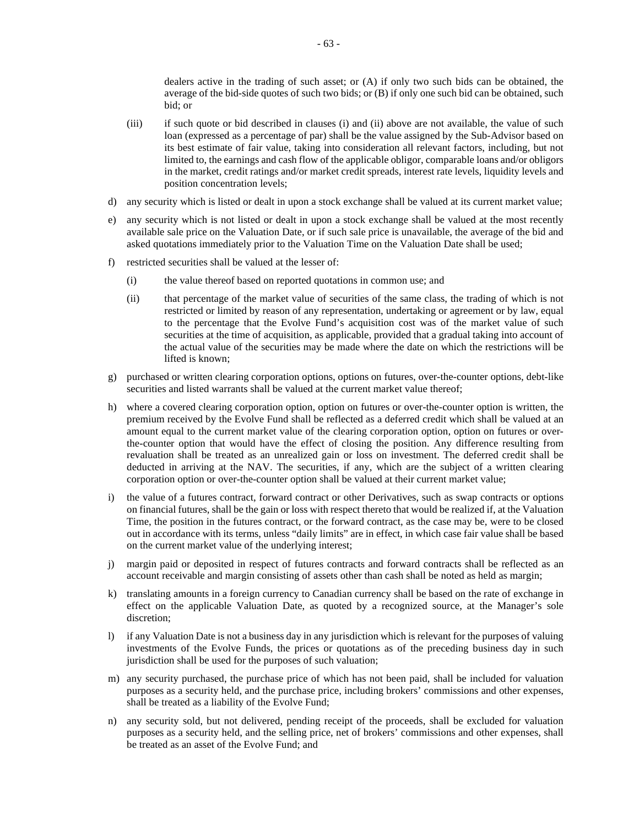dealers active in the trading of such asset; or (A) if only two such bids can be obtained, the average of the bid-side quotes of such two bids; or (B) if only one such bid can be obtained, such bid; or

- (iii) if such quote or bid described in clauses (i) and (ii) above are not available, the value of such loan (expressed as a percentage of par) shall be the value assigned by the Sub-Advisor based on its best estimate of fair value, taking into consideration all relevant factors, including, but not limited to, the earnings and cash flow of the applicable obligor, comparable loans and/or obligors in the market, credit ratings and/or market credit spreads, interest rate levels, liquidity levels and position concentration levels;
- d) any security which is listed or dealt in upon a stock exchange shall be valued at its current market value;
- e) any security which is not listed or dealt in upon a stock exchange shall be valued at the most recently available sale price on the Valuation Date, or if such sale price is unavailable, the average of the bid and asked quotations immediately prior to the Valuation Time on the Valuation Date shall be used;
- f) restricted securities shall be valued at the lesser of:
	- (i) the value thereof based on reported quotations in common use; and
	- (ii) that percentage of the market value of securities of the same class, the trading of which is not restricted or limited by reason of any representation, undertaking or agreement or by law, equal to the percentage that the Evolve Fund's acquisition cost was of the market value of such securities at the time of acquisition, as applicable, provided that a gradual taking into account of the actual value of the securities may be made where the date on which the restrictions will be lifted is known;
- g) purchased or written clearing corporation options, options on futures, over-the-counter options, debt-like securities and listed warrants shall be valued at the current market value thereof;
- h) where a covered clearing corporation option, option on futures or over-the-counter option is written, the premium received by the Evolve Fund shall be reflected as a deferred credit which shall be valued at an amount equal to the current market value of the clearing corporation option, option on futures or overthe-counter option that would have the effect of closing the position. Any difference resulting from revaluation shall be treated as an unrealized gain or loss on investment. The deferred credit shall be deducted in arriving at the NAV. The securities, if any, which are the subject of a written clearing corporation option or over-the-counter option shall be valued at their current market value;
- i) the value of a futures contract, forward contract or other Derivatives, such as swap contracts or options on financial futures, shall be the gain or loss with respect thereto that would be realized if, at the Valuation Time, the position in the futures contract, or the forward contract, as the case may be, were to be closed out in accordance with its terms, unless "daily limits" are in effect, in which case fair value shall be based on the current market value of the underlying interest;
- j) margin paid or deposited in respect of futures contracts and forward contracts shall be reflected as an account receivable and margin consisting of assets other than cash shall be noted as held as margin;
- k) translating amounts in a foreign currency to Canadian currency shall be based on the rate of exchange in effect on the applicable Valuation Date, as quoted by a recognized source, at the Manager's sole discretion;
- l) if any Valuation Date is not a business day in any jurisdiction which is relevant for the purposes of valuing investments of the Evolve Funds, the prices or quotations as of the preceding business day in such jurisdiction shall be used for the purposes of such valuation;
- m) any security purchased, the purchase price of which has not been paid, shall be included for valuation purposes as a security held, and the purchase price, including brokers' commissions and other expenses, shall be treated as a liability of the Evolve Fund;
- n) any security sold, but not delivered, pending receipt of the proceeds, shall be excluded for valuation purposes as a security held, and the selling price, net of brokers' commissions and other expenses, shall be treated as an asset of the Evolve Fund; and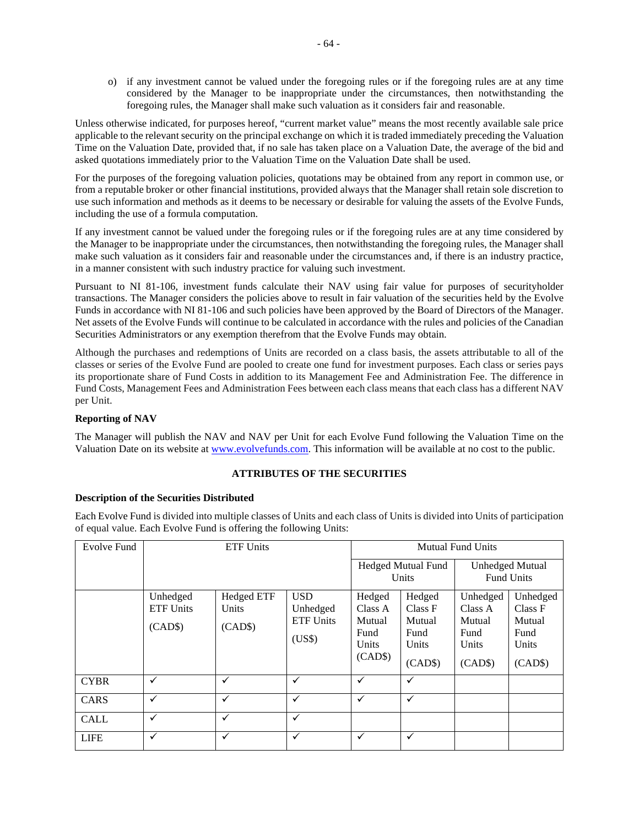o) if any investment cannot be valued under the foregoing rules or if the foregoing rules are at any time considered by the Manager to be inappropriate under the circumstances, then notwithstanding the foregoing rules, the Manager shall make such valuation as it considers fair and reasonable.

Unless otherwise indicated, for purposes hereof, "current market value" means the most recently available sale price applicable to the relevant security on the principal exchange on which it is traded immediately preceding the Valuation Time on the Valuation Date, provided that, if no sale has taken place on a Valuation Date, the average of the bid and asked quotations immediately prior to the Valuation Time on the Valuation Date shall be used.

For the purposes of the foregoing valuation policies, quotations may be obtained from any report in common use, or from a reputable broker or other financial institutions, provided always that the Manager shall retain sole discretion to use such information and methods as it deems to be necessary or desirable for valuing the assets of the Evolve Funds, including the use of a formula computation.

If any investment cannot be valued under the foregoing rules or if the foregoing rules are at any time considered by the Manager to be inappropriate under the circumstances, then notwithstanding the foregoing rules, the Manager shall make such valuation as it considers fair and reasonable under the circumstances and, if there is an industry practice, in a manner consistent with such industry practice for valuing such investment.

Pursuant to NI 81-106, investment funds calculate their NAV using fair value for purposes of securityholder transactions. The Manager considers the policies above to result in fair valuation of the securities held by the Evolve Funds in accordance with NI 81-106 and such policies have been approved by the Board of Directors of the Manager. Net assets of the Evolve Funds will continue to be calculated in accordance with the rules and policies of the Canadian Securities Administrators or any exemption therefrom that the Evolve Funds may obtain.

Although the purchases and redemptions of Units are recorded on a class basis, the assets attributable to all of the classes or series of the Evolve Fund are pooled to create one fund for investment purposes. Each class or series pays its proportionate share of Fund Costs in addition to its Management Fee and Administration Fee. The difference in Fund Costs, Management Fees and Administration Fees between each class means that each class has a different NAV per Unit.

# **Reporting of NAV**

The Manager will publish the NAV and NAV per Unit for each Evolve Fund following the Valuation Time on the Valuation Date on its website at www.evolvefunds.com. This information will be available at no cost to the public.

## **ATTRIBUTES OF THE SECURITIES**

## **Description of the Securities Distributed**

Each Evolve Fund is divided into multiple classes of Units and each class of Units is divided into Units of participation of equal value. Each Evolve Fund is offering the following Units:

| Evolve Fund | <b>ETF Units</b>                        |                                       |                                                      |                                                         |                                                         | <b>Mutual Fund Units</b>                                  |                                                           |  |  |
|-------------|-----------------------------------------|---------------------------------------|------------------------------------------------------|---------------------------------------------------------|---------------------------------------------------------|-----------------------------------------------------------|-----------------------------------------------------------|--|--|
|             |                                         |                                       |                                                      | <b>Hedged Mutual Fund</b><br>Units                      | <b>Unhedged Mutual</b><br><b>Fund Units</b>             |                                                           |                                                           |  |  |
|             | Unhedged<br><b>ETF Units</b><br>(CAD\$) | <b>Hedged ETF</b><br>Units<br>(CAD\$) | <b>USD</b><br>Unhedged<br><b>ETF Units</b><br>(US\$) | Hedged<br>Class A<br>Mutual<br>Fund<br>Units<br>(CAD\$) | Hedged<br>Class F<br>Mutual<br>Fund<br>Units<br>(CAD\$) | Unhedged<br>Class A<br>Mutual<br>Fund<br>Units<br>(CAD\$) | Unhedged<br>Class F<br>Mutual<br>Fund<br>Units<br>(CAD\$) |  |  |
| <b>CYBR</b> | $\checkmark$                            | ✓                                     | ✓                                                    | $\checkmark$                                            | ✓                                                       |                                                           |                                                           |  |  |
| CARS        | $\checkmark$                            | ✓                                     | $\checkmark$                                         | ✓                                                       | ✓                                                       |                                                           |                                                           |  |  |
| <b>CALL</b> | ✓                                       | ✓                                     | ✓                                                    |                                                         |                                                         |                                                           |                                                           |  |  |
| <b>LIFE</b> | ✓                                       | ✓                                     | ✓                                                    | ✓                                                       | ✓                                                       |                                                           |                                                           |  |  |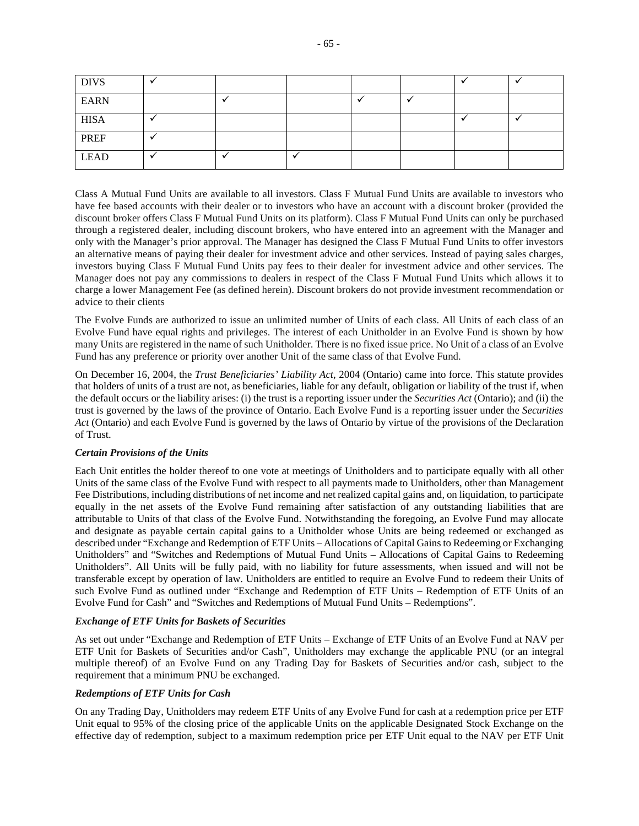| <b>DIVS</b> |  |  |  |  |
|-------------|--|--|--|--|
| <b>EARN</b> |  |  |  |  |
| <b>HISA</b> |  |  |  |  |
| <b>PREF</b> |  |  |  |  |
| <b>LEAD</b> |  |  |  |  |

Class A Mutual Fund Units are available to all investors. Class F Mutual Fund Units are available to investors who have fee based accounts with their dealer or to investors who have an account with a discount broker (provided the discount broker offers Class F Mutual Fund Units on its platform). Class F Mutual Fund Units can only be purchased through a registered dealer, including discount brokers, who have entered into an agreement with the Manager and only with the Manager's prior approval. The Manager has designed the Class F Mutual Fund Units to offer investors an alternative means of paying their dealer for investment advice and other services. Instead of paying sales charges, investors buying Class F Mutual Fund Units pay fees to their dealer for investment advice and other services. The Manager does not pay any commissions to dealers in respect of the Class F Mutual Fund Units which allows it to charge a lower Management Fee (as defined herein). Discount brokers do not provide investment recommendation or advice to their clients

The Evolve Funds are authorized to issue an unlimited number of Units of each class. All Units of each class of an Evolve Fund have equal rights and privileges. The interest of each Unitholder in an Evolve Fund is shown by how many Units are registered in the name of such Unitholder. There is no fixed issue price. No Unit of a class of an Evolve Fund has any preference or priority over another Unit of the same class of that Evolve Fund.

On December 16, 2004, the *Trust Beneficiaries' Liability Act*, 2004 (Ontario) came into force. This statute provides that holders of units of a trust are not, as beneficiaries, liable for any default, obligation or liability of the trust if, when the default occurs or the liability arises: (i) the trust is a reporting issuer under the *Securities Act* (Ontario); and (ii) the trust is governed by the laws of the province of Ontario. Each Evolve Fund is a reporting issuer under the *Securities Act* (Ontario) and each Evolve Fund is governed by the laws of Ontario by virtue of the provisions of the Declaration of Trust.

## *Certain Provisions of the Units*

Each Unit entitles the holder thereof to one vote at meetings of Unitholders and to participate equally with all other Units of the same class of the Evolve Fund with respect to all payments made to Unitholders, other than Management Fee Distributions, including distributions of net income and net realized capital gains and, on liquidation, to participate equally in the net assets of the Evolve Fund remaining after satisfaction of any outstanding liabilities that are attributable to Units of that class of the Evolve Fund. Notwithstanding the foregoing, an Evolve Fund may allocate and designate as payable certain capital gains to a Unitholder whose Units are being redeemed or exchanged as described under "Exchange and Redemption of ETF Units – Allocations of Capital Gains to Redeeming or Exchanging Unitholders" and "Switches and Redemptions of Mutual Fund Units – Allocations of Capital Gains to Redeeming Unitholders". All Units will be fully paid, with no liability for future assessments, when issued and will not be transferable except by operation of law. Unitholders are entitled to require an Evolve Fund to redeem their Units of such Evolve Fund as outlined under "Exchange and Redemption of ETF Units – Redemption of ETF Units of an Evolve Fund for Cash" and "Switches and Redemptions of Mutual Fund Units – Redemptions".

## *Exchange of ETF Units for Baskets of Securities*

As set out under "Exchange and Redemption of ETF Units – Exchange of ETF Units of an Evolve Fund at NAV per ETF Unit for Baskets of Securities and/or Cash", Unitholders may exchange the applicable PNU (or an integral multiple thereof) of an Evolve Fund on any Trading Day for Baskets of Securities and/or cash, subject to the requirement that a minimum PNU be exchanged.

## *Redemptions of ETF Units for Cash*

On any Trading Day, Unitholders may redeem ETF Units of any Evolve Fund for cash at a redemption price per ETF Unit equal to 95% of the closing price of the applicable Units on the applicable Designated Stock Exchange on the effective day of redemption, subject to a maximum redemption price per ETF Unit equal to the NAV per ETF Unit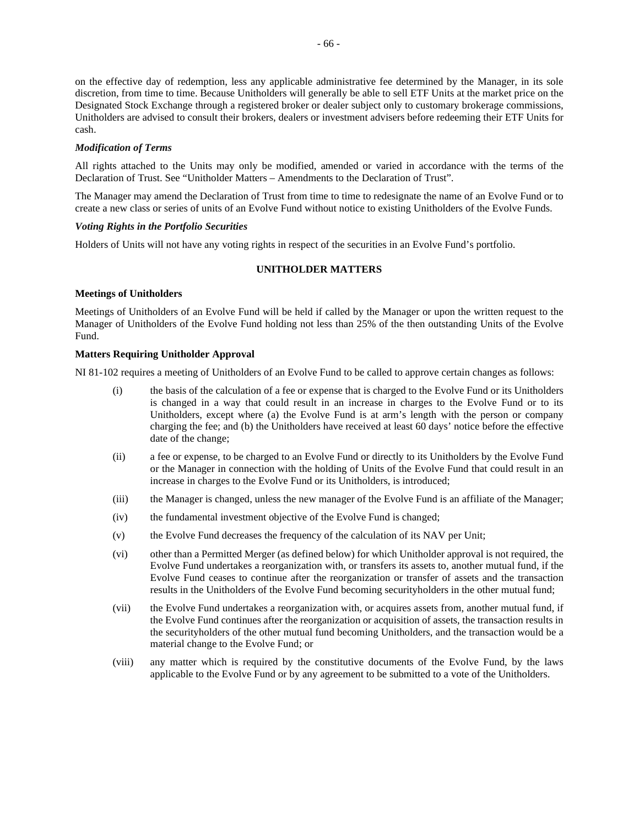on the effective day of redemption, less any applicable administrative fee determined by the Manager, in its sole discretion, from time to time. Because Unitholders will generally be able to sell ETF Units at the market price on the Designated Stock Exchange through a registered broker or dealer subject only to customary brokerage commissions, Unitholders are advised to consult their brokers, dealers or investment advisers before redeeming their ETF Units for cash.

## *Modification of Terms*

All rights attached to the Units may only be modified, amended or varied in accordance with the terms of the Declaration of Trust. See "Unitholder Matters – Amendments to the Declaration of Trust".

The Manager may amend the Declaration of Trust from time to time to redesignate the name of an Evolve Fund or to create a new class or series of units of an Evolve Fund without notice to existing Unitholders of the Evolve Funds.

## *Voting Rights in the Portfolio Securities*

Holders of Units will not have any voting rights in respect of the securities in an Evolve Fund's portfolio.

## **UNITHOLDER MATTERS**

#### **Meetings of Unitholders**

Meetings of Unitholders of an Evolve Fund will be held if called by the Manager or upon the written request to the Manager of Unitholders of the Evolve Fund holding not less than 25% of the then outstanding Units of the Evolve Fund.

#### **Matters Requiring Unitholder Approval**

NI 81-102 requires a meeting of Unitholders of an Evolve Fund to be called to approve certain changes as follows:

- (i) the basis of the calculation of a fee or expense that is charged to the Evolve Fund or its Unitholders is changed in a way that could result in an increase in charges to the Evolve Fund or to its Unitholders, except where (a) the Evolve Fund is at arm's length with the person or company charging the fee; and (b) the Unitholders have received at least 60 days' notice before the effective date of the change;
- (ii) a fee or expense, to be charged to an Evolve Fund or directly to its Unitholders by the Evolve Fund or the Manager in connection with the holding of Units of the Evolve Fund that could result in an increase in charges to the Evolve Fund or its Unitholders, is introduced;
- (iii) the Manager is changed, unless the new manager of the Evolve Fund is an affiliate of the Manager;
- (iv) the fundamental investment objective of the Evolve Fund is changed;
- (v) the Evolve Fund decreases the frequency of the calculation of its NAV per Unit;
- (vi) other than a Permitted Merger (as defined below) for which Unitholder approval is not required, the Evolve Fund undertakes a reorganization with, or transfers its assets to, another mutual fund, if the Evolve Fund ceases to continue after the reorganization or transfer of assets and the transaction results in the Unitholders of the Evolve Fund becoming securityholders in the other mutual fund;
- (vii) the Evolve Fund undertakes a reorganization with, or acquires assets from, another mutual fund, if the Evolve Fund continues after the reorganization or acquisition of assets, the transaction results in the securityholders of the other mutual fund becoming Unitholders, and the transaction would be a material change to the Evolve Fund; or
- (viii) any matter which is required by the constitutive documents of the Evolve Fund, by the laws applicable to the Evolve Fund or by any agreement to be submitted to a vote of the Unitholders.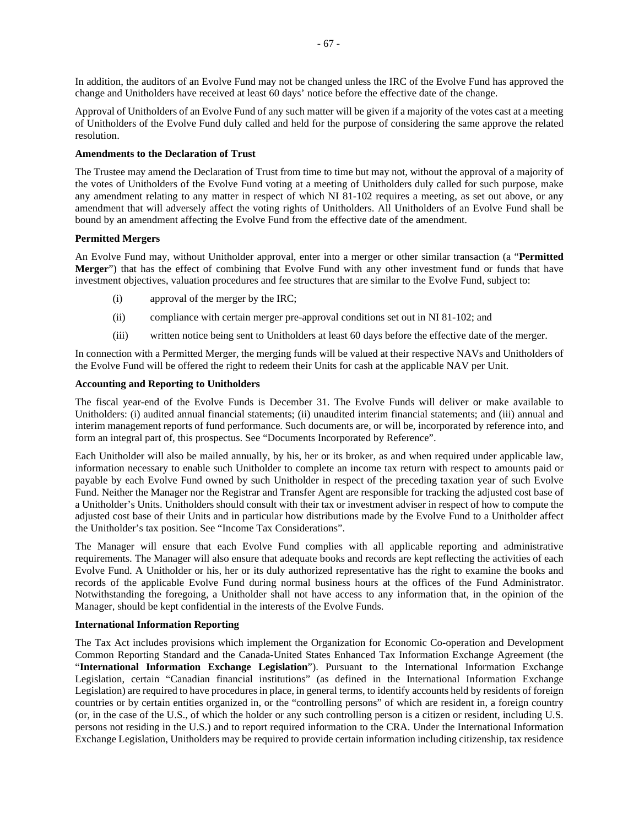In addition, the auditors of an Evolve Fund may not be changed unless the IRC of the Evolve Fund has approved the change and Unitholders have received at least 60 days' notice before the effective date of the change.

Approval of Unitholders of an Evolve Fund of any such matter will be given if a majority of the votes cast at a meeting of Unitholders of the Evolve Fund duly called and held for the purpose of considering the same approve the related resolution.

## **Amendments to the Declaration of Trust**

The Trustee may amend the Declaration of Trust from time to time but may not, without the approval of a majority of the votes of Unitholders of the Evolve Fund voting at a meeting of Unitholders duly called for such purpose, make any amendment relating to any matter in respect of which NI 81-102 requires a meeting, as set out above, or any amendment that will adversely affect the voting rights of Unitholders. All Unitholders of an Evolve Fund shall be bound by an amendment affecting the Evolve Fund from the effective date of the amendment.

## **Permitted Mergers**

An Evolve Fund may, without Unitholder approval, enter into a merger or other similar transaction (a "**Permitted Merger**") that has the effect of combining that Evolve Fund with any other investment fund or funds that have investment objectives, valuation procedures and fee structures that are similar to the Evolve Fund, subject to:

- (i) approval of the merger by the IRC;
- (ii) compliance with certain merger pre-approval conditions set out in NI 81-102; and
- (iii) written notice being sent to Unitholders at least 60 days before the effective date of the merger.

In connection with a Permitted Merger, the merging funds will be valued at their respective NAVs and Unitholders of the Evolve Fund will be offered the right to redeem their Units for cash at the applicable NAV per Unit.

## **Accounting and Reporting to Unitholders**

The fiscal year-end of the Evolve Funds is December 31. The Evolve Funds will deliver or make available to Unitholders: (i) audited annual financial statements; (ii) unaudited interim financial statements; and (iii) annual and interim management reports of fund performance. Such documents are, or will be, incorporated by reference into, and form an integral part of, this prospectus. See "Documents Incorporated by Reference".

Each Unitholder will also be mailed annually, by his, her or its broker, as and when required under applicable law, information necessary to enable such Unitholder to complete an income tax return with respect to amounts paid or payable by each Evolve Fund owned by such Unitholder in respect of the preceding taxation year of such Evolve Fund. Neither the Manager nor the Registrar and Transfer Agent are responsible for tracking the adjusted cost base of a Unitholder's Units. Unitholders should consult with their tax or investment adviser in respect of how to compute the adjusted cost base of their Units and in particular how distributions made by the Evolve Fund to a Unitholder affect the Unitholder's tax position. See "Income Tax Considerations".

The Manager will ensure that each Evolve Fund complies with all applicable reporting and administrative requirements. The Manager will also ensure that adequate books and records are kept reflecting the activities of each Evolve Fund. A Unitholder or his, her or its duly authorized representative has the right to examine the books and records of the applicable Evolve Fund during normal business hours at the offices of the Fund Administrator. Notwithstanding the foregoing, a Unitholder shall not have access to any information that, in the opinion of the Manager, should be kept confidential in the interests of the Evolve Funds.

## **International Information Reporting**

The Tax Act includes provisions which implement the Organization for Economic Co-operation and Development Common Reporting Standard and the Canada-United States Enhanced Tax Information Exchange Agreement (the "**International Information Exchange Legislation**"). Pursuant to the International Information Exchange Legislation, certain "Canadian financial institutions" (as defined in the International Information Exchange Legislation) are required to have procedures in place, in general terms, to identify accounts held by residents of foreign countries or by certain entities organized in, or the "controlling persons" of which are resident in, a foreign country (or, in the case of the U.S., of which the holder or any such controlling person is a citizen or resident, including U.S. persons not residing in the U.S.) and to report required information to the CRA. Under the International Information Exchange Legislation, Unitholders may be required to provide certain information including citizenship, tax residence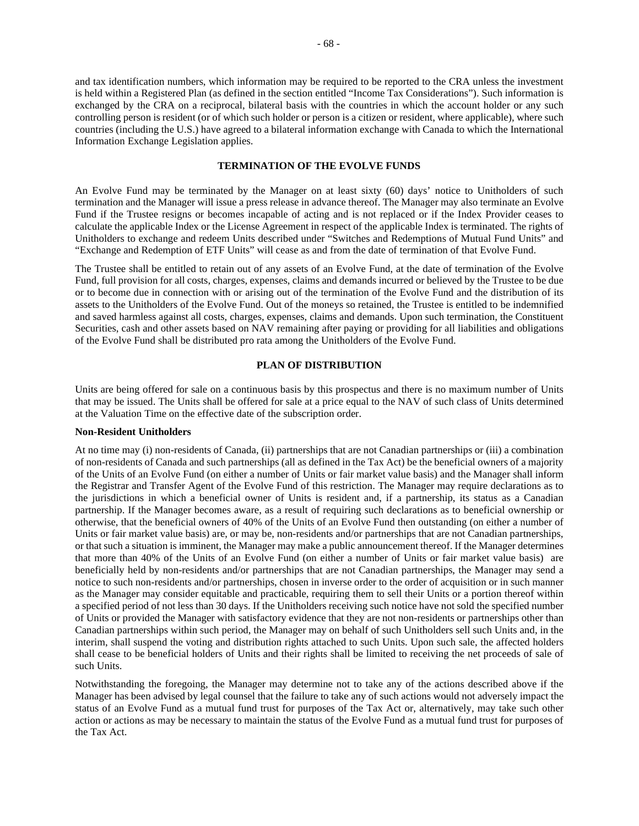and tax identification numbers, which information may be required to be reported to the CRA unless the investment is held within a Registered Plan (as defined in the section entitled "Income Tax Considerations"). Such information is exchanged by the CRA on a reciprocal, bilateral basis with the countries in which the account holder or any such controlling person is resident (or of which such holder or person is a citizen or resident, where applicable), where such countries (including the U.S.) have agreed to a bilateral information exchange with Canada to which the International Information Exchange Legislation applies.

## **TERMINATION OF THE EVOLVE FUNDS**

An Evolve Fund may be terminated by the Manager on at least sixty (60) days' notice to Unitholders of such termination and the Manager will issue a press release in advance thereof. The Manager may also terminate an Evolve Fund if the Trustee resigns or becomes incapable of acting and is not replaced or if the Index Provider ceases to calculate the applicable Index or the License Agreement in respect of the applicable Index is terminated. The rights of Unitholders to exchange and redeem Units described under "Switches and Redemptions of Mutual Fund Units" and "Exchange and Redemption of ETF Units" will cease as and from the date of termination of that Evolve Fund.

The Trustee shall be entitled to retain out of any assets of an Evolve Fund, at the date of termination of the Evolve Fund, full provision for all costs, charges, expenses, claims and demands incurred or believed by the Trustee to be due or to become due in connection with or arising out of the termination of the Evolve Fund and the distribution of its assets to the Unitholders of the Evolve Fund. Out of the moneys so retained, the Trustee is entitled to be indemnified and saved harmless against all costs, charges, expenses, claims and demands. Upon such termination, the Constituent Securities, cash and other assets based on NAV remaining after paying or providing for all liabilities and obligations of the Evolve Fund shall be distributed pro rata among the Unitholders of the Evolve Fund.

## **PLAN OF DISTRIBUTION**

Units are being offered for sale on a continuous basis by this prospectus and there is no maximum number of Units that may be issued. The Units shall be offered for sale at a price equal to the NAV of such class of Units determined at the Valuation Time on the effective date of the subscription order.

#### **Non-Resident Unitholders**

At no time may (i) non-residents of Canada, (ii) partnerships that are not Canadian partnerships or (iii) a combination of non-residents of Canada and such partnerships (all as defined in the Tax Act) be the beneficial owners of a majority of the Units of an Evolve Fund (on either a number of Units or fair market value basis) and the Manager shall inform the Registrar and Transfer Agent of the Evolve Fund of this restriction. The Manager may require declarations as to the jurisdictions in which a beneficial owner of Units is resident and, if a partnership, its status as a Canadian partnership. If the Manager becomes aware, as a result of requiring such declarations as to beneficial ownership or otherwise, that the beneficial owners of 40% of the Units of an Evolve Fund then outstanding (on either a number of Units or fair market value basis) are, or may be, non-residents and/or partnerships that are not Canadian partnerships, or that such a situation is imminent, the Manager may make a public announcement thereof. If the Manager determines that more than 40% of the Units of an Evolve Fund (on either a number of Units or fair market value basis) are beneficially held by non-residents and/or partnerships that are not Canadian partnerships, the Manager may send a notice to such non-residents and/or partnerships, chosen in inverse order to the order of acquisition or in such manner as the Manager may consider equitable and practicable, requiring them to sell their Units or a portion thereof within a specified period of not less than 30 days. If the Unitholders receiving such notice have not sold the specified number of Units or provided the Manager with satisfactory evidence that they are not non-residents or partnerships other than Canadian partnerships within such period, the Manager may on behalf of such Unitholders sell such Units and, in the interim, shall suspend the voting and distribution rights attached to such Units. Upon such sale, the affected holders shall cease to be beneficial holders of Units and their rights shall be limited to receiving the net proceeds of sale of such Units.

Notwithstanding the foregoing, the Manager may determine not to take any of the actions described above if the Manager has been advised by legal counsel that the failure to take any of such actions would not adversely impact the status of an Evolve Fund as a mutual fund trust for purposes of the Tax Act or, alternatively, may take such other action or actions as may be necessary to maintain the status of the Evolve Fund as a mutual fund trust for purposes of the Tax Act.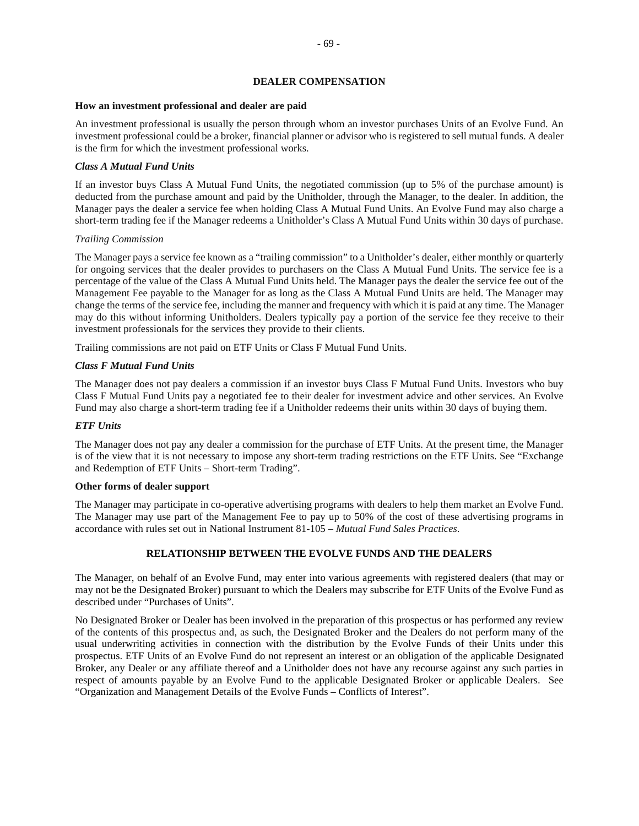## **DEALER COMPENSATION**

#### **How an investment professional and dealer are paid**

An investment professional is usually the person through whom an investor purchases Units of an Evolve Fund. An investment professional could be a broker, financial planner or advisor who is registered to sell mutual funds. A dealer is the firm for which the investment professional works.

## *Class A Mutual Fund Units*

If an investor buys Class A Mutual Fund Units, the negotiated commission (up to 5% of the purchase amount) is deducted from the purchase amount and paid by the Unitholder, through the Manager, to the dealer. In addition, the Manager pays the dealer a service fee when holding Class A Mutual Fund Units. An Evolve Fund may also charge a short-term trading fee if the Manager redeems a Unitholder's Class A Mutual Fund Units within 30 days of purchase.

## *Trailing Commission*

The Manager pays a service fee known as a "trailing commission" to a Unitholder's dealer, either monthly or quarterly for ongoing services that the dealer provides to purchasers on the Class A Mutual Fund Units. The service fee is a percentage of the value of the Class A Mutual Fund Units held. The Manager pays the dealer the service fee out of the Management Fee payable to the Manager for as long as the Class A Mutual Fund Units are held. The Manager may change the terms of the service fee, including the manner and frequency with which it is paid at any time. The Manager may do this without informing Unitholders. Dealers typically pay a portion of the service fee they receive to their investment professionals for the services they provide to their clients.

Trailing commissions are not paid on ETF Units or Class F Mutual Fund Units.

## *Class F Mutual Fund Units*

The Manager does not pay dealers a commission if an investor buys Class F Mutual Fund Units. Investors who buy Class F Mutual Fund Units pay a negotiated fee to their dealer for investment advice and other services. An Evolve Fund may also charge a short-term trading fee if a Unitholder redeems their units within 30 days of buying them.

## *ETF Units*

The Manager does not pay any dealer a commission for the purchase of ETF Units. At the present time, the Manager is of the view that it is not necessary to impose any short-term trading restrictions on the ETF Units. See "Exchange and Redemption of ETF Units – Short-term Trading".

## **Other forms of dealer support**

The Manager may participate in co-operative advertising programs with dealers to help them market an Evolve Fund. The Manager may use part of the Management Fee to pay up to 50% of the cost of these advertising programs in accordance with rules set out in National Instrument 81-105 – *Mutual Fund Sales Practices*.

## **RELATIONSHIP BETWEEN THE EVOLVE FUNDS AND THE DEALERS**

The Manager, on behalf of an Evolve Fund, may enter into various agreements with registered dealers (that may or may not be the Designated Broker) pursuant to which the Dealers may subscribe for ETF Units of the Evolve Fund as described under "Purchases of Units".

No Designated Broker or Dealer has been involved in the preparation of this prospectus or has performed any review of the contents of this prospectus and, as such, the Designated Broker and the Dealers do not perform many of the usual underwriting activities in connection with the distribution by the Evolve Funds of their Units under this prospectus. ETF Units of an Evolve Fund do not represent an interest or an obligation of the applicable Designated Broker, any Dealer or any affiliate thereof and a Unitholder does not have any recourse against any such parties in respect of amounts payable by an Evolve Fund to the applicable Designated Broker or applicable Dealers. See "Organization and Management Details of the Evolve Funds – Conflicts of Interest".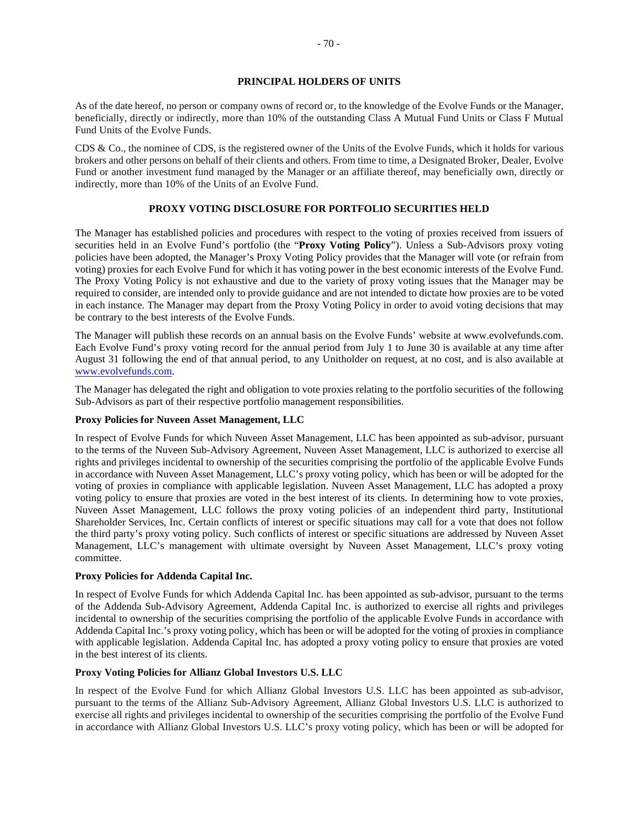## **PRINCIPAL HOLDERS OF UNITS**

As of the date hereof, no person or company owns of record or, to the knowledge of the Evolve Funds or the Manager, beneficially, directly or indirectly, more than 10% of the outstanding Class A Mutual Fund Units or Class F Mutual Fund Units of the Evolve Funds.

CDS & Co., the nominee of CDS, is the registered owner of the Units of the Evolve Funds, which it holds for various brokers and other persons on behalf of their clients and others. From time to time, a Designated Broker, Dealer, Evolve Fund or another investment fund managed by the Manager or an affiliate thereof, may beneficially own, directly or indirectly, more than 10% of the Units of an Evolve Fund.

## **PROXY VOTING DISCLOSURE FOR PORTFOLIO SECURITIES HELD**

The Manager has established policies and procedures with respect to the voting of proxies received from issuers of securities held in an Evolve Fund's portfolio (the "**Proxy Voting Policy**"). Unless a Sub-Advisors proxy voting policies have been adopted, the Manager's Proxy Voting Policy provides that the Manager will vote (or refrain from voting) proxies for each Evolve Fund for which it has voting power in the best economic interests of the Evolve Fund. The Proxy Voting Policy is not exhaustive and due to the variety of proxy voting issues that the Manager may be required to consider, are intended only to provide guidance and are not intended to dictate how proxies are to be voted in each instance. The Manager may depart from the Proxy Voting Policy in order to avoid voting decisions that may be contrary to the best interests of the Evolve Funds.

The Manager will publish these records on an annual basis on the Evolve Funds' website at www.evolvefunds.com. Each Evolve Fund's proxy voting record for the annual period from July 1 to June 30 is available at any time after August 31 following the end of that annual period, to any Unitholder on request, at no cost, and is also available at www.evolvefunds.com.

The Manager has delegated the right and obligation to vote proxies relating to the portfolio securities of the following Sub-Advisors as part of their respective portfolio management responsibilities.

## **Proxy Policies for Nuveen Asset Management, LLC**

In respect of Evolve Funds for which Nuveen Asset Management, LLC has been appointed as sub-advisor, pursuant to the terms of the Nuveen Sub-Advisory Agreement, Nuveen Asset Management, LLC is authorized to exercise all rights and privileges incidental to ownership of the securities comprising the portfolio of the applicable Evolve Funds in accordance with Nuveen Asset Management, LLC's proxy voting policy, which has been or will be adopted for the voting of proxies in compliance with applicable legislation. Nuveen Asset Management, LLC has adopted a proxy voting policy to ensure that proxies are voted in the best interest of its clients. In determining how to vote proxies, Nuveen Asset Management, LLC follows the proxy voting policies of an independent third party, Institutional Shareholder Services, Inc. Certain conflicts of interest or specific situations may call for a vote that does not follow the third party's proxy voting policy. Such conflicts of interest or specific situations are addressed by Nuveen Asset Management, LLC's management with ultimate oversight by Nuveen Asset Management, LLC's proxy voting committee.

## **Proxy Policies for Addenda Capital Inc.**

In respect of Evolve Funds for which Addenda Capital Inc. has been appointed as sub-advisor, pursuant to the terms of the Addenda Sub-Advisory Agreement, Addenda Capital Inc. is authorized to exercise all rights and privileges incidental to ownership of the securities comprising the portfolio of the applicable Evolve Funds in accordance with Addenda Capital Inc.'s proxy voting policy, which has been or will be adopted for the voting of proxies in compliance with applicable legislation. Addenda Capital Inc. has adopted a proxy voting policy to ensure that proxies are voted in the best interest of its clients.

## **Proxy Voting Policies for Allianz Global Investors U.S. LLC**

In respect of the Evolve Fund for which Allianz Global Investors U.S. LLC has been appointed as sub-advisor, pursuant to the terms of the Allianz Sub-Advisory Agreement, Allianz Global Investors U.S. LLC is authorized to exercise all rights and privileges incidental to ownership of the securities comprising the portfolio of the Evolve Fund in accordance with Allianz Global Investors U.S. LLC's proxy voting policy, which has been or will be adopted for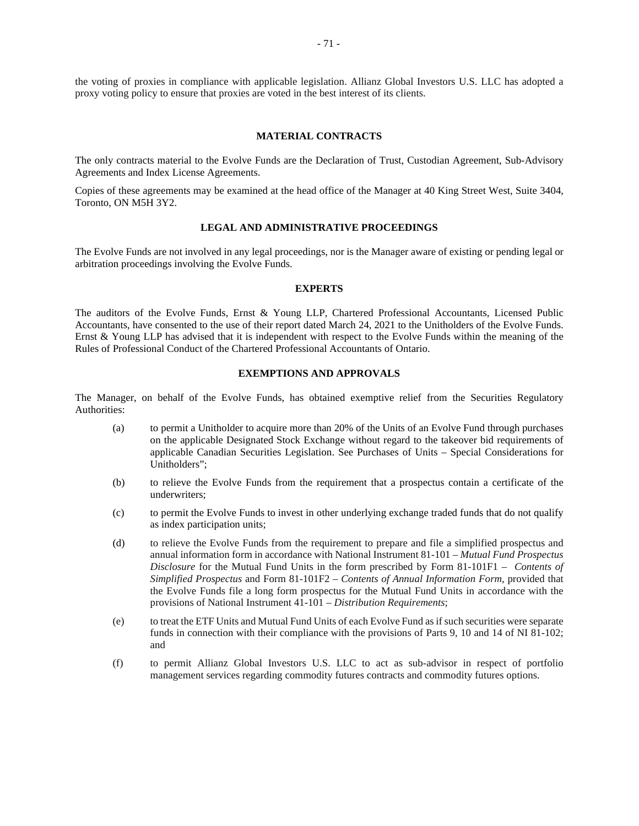the voting of proxies in compliance with applicable legislation. Allianz Global Investors U.S. LLC has adopted a proxy voting policy to ensure that proxies are voted in the best interest of its clients.

#### **MATERIAL CONTRACTS**

The only contracts material to the Evolve Funds are the Declaration of Trust, Custodian Agreement, Sub-Advisory Agreements and Index License Agreements.

Copies of these agreements may be examined at the head office of the Manager at 40 King Street West, Suite 3404, Toronto, ON M5H 3Y2.

## **LEGAL AND ADMINISTRATIVE PROCEEDINGS**

The Evolve Funds are not involved in any legal proceedings, nor is the Manager aware of existing or pending legal or arbitration proceedings involving the Evolve Funds.

## **EXPERTS**

The auditors of the Evolve Funds, Ernst & Young LLP, Chartered Professional Accountants, Licensed Public Accountants, have consented to the use of their report dated March 24, 2021 to the Unitholders of the Evolve Funds. Ernst & Young LLP has advised that it is independent with respect to the Evolve Funds within the meaning of the Rules of Professional Conduct of the Chartered Professional Accountants of Ontario.

## **EXEMPTIONS AND APPROVALS**

The Manager, on behalf of the Evolve Funds, has obtained exemptive relief from the Securities Regulatory Authorities:

- (a) to permit a Unitholder to acquire more than 20% of the Units of an Evolve Fund through purchases on the applicable Designated Stock Exchange without regard to the takeover bid requirements of applicable Canadian Securities Legislation. See Purchases of Units – Special Considerations for Unitholders";
- (b) to relieve the Evolve Funds from the requirement that a prospectus contain a certificate of the underwriters;
- (c) to permit the Evolve Funds to invest in other underlying exchange traded funds that do not qualify as index participation units;
- (d) to relieve the Evolve Funds from the requirement to prepare and file a simplified prospectus and annual information form in accordance with National Instrument 81-101 – *Mutual Fund Prospectus Disclosure* for the Mutual Fund Units in the form prescribed by Form 81-101F1 – *Contents of Simplified Prospectus* and Form 81-101F2 – *Contents of Annual Information Form*, provided that the Evolve Funds file a long form prospectus for the Mutual Fund Units in accordance with the provisions of National Instrument 41-101 – *Distribution Requirements*;
- (e) to treat the ETF Units and Mutual Fund Units of each Evolve Fund as if such securities were separate funds in connection with their compliance with the provisions of Parts 9, 10 and 14 of NI 81-102; and
- (f) to permit Allianz Global Investors U.S. LLC to act as sub-advisor in respect of portfolio management services regarding commodity futures contracts and commodity futures options.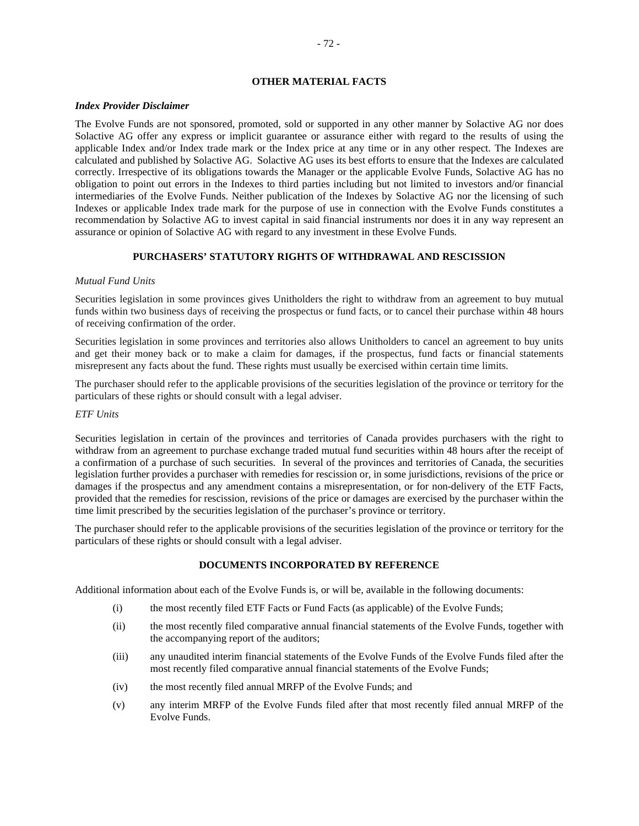## **OTHER MATERIAL FACTS**

## *Index Provider Disclaimer*

The Evolve Funds are not sponsored, promoted, sold or supported in any other manner by Solactive AG nor does Solactive AG offer any express or implicit guarantee or assurance either with regard to the results of using the applicable Index and/or Index trade mark or the Index price at any time or in any other respect. The Indexes are calculated and published by Solactive AG. Solactive AG uses its best efforts to ensure that the Indexes are calculated correctly. Irrespective of its obligations towards the Manager or the applicable Evolve Funds, Solactive AG has no obligation to point out errors in the Indexes to third parties including but not limited to investors and/or financial intermediaries of the Evolve Funds. Neither publication of the Indexes by Solactive AG nor the licensing of such Indexes or applicable Index trade mark for the purpose of use in connection with the Evolve Funds constitutes a recommendation by Solactive AG to invest capital in said financial instruments nor does it in any way represent an assurance or opinion of Solactive AG with regard to any investment in these Evolve Funds.

## **PURCHASERS' STATUTORY RIGHTS OF WITHDRAWAL AND RESCISSION**

## *Mutual Fund Units*

Securities legislation in some provinces gives Unitholders the right to withdraw from an agreement to buy mutual funds within two business days of receiving the prospectus or fund facts, or to cancel their purchase within 48 hours of receiving confirmation of the order.

Securities legislation in some provinces and territories also allows Unitholders to cancel an agreement to buy units and get their money back or to make a claim for damages, if the prospectus, fund facts or financial statements misrepresent any facts about the fund. These rights must usually be exercised within certain time limits.

The purchaser should refer to the applicable provisions of the securities legislation of the province or territory for the particulars of these rights or should consult with a legal adviser.

## *ETF Units*

Securities legislation in certain of the provinces and territories of Canada provides purchasers with the right to withdraw from an agreement to purchase exchange traded mutual fund securities within 48 hours after the receipt of a confirmation of a purchase of such securities. In several of the provinces and territories of Canada, the securities legislation further provides a purchaser with remedies for rescission or, in some jurisdictions, revisions of the price or damages if the prospectus and any amendment contains a misrepresentation, or for non-delivery of the ETF Facts, provided that the remedies for rescission, revisions of the price or damages are exercised by the purchaser within the time limit prescribed by the securities legislation of the purchaser's province or territory.

The purchaser should refer to the applicable provisions of the securities legislation of the province or territory for the particulars of these rights or should consult with a legal adviser.

# **DOCUMENTS INCORPORATED BY REFERENCE**

Additional information about each of the Evolve Funds is, or will be, available in the following documents:

- (i) the most recently filed ETF Facts or Fund Facts (as applicable) of the Evolve Funds;
- (ii) the most recently filed comparative annual financial statements of the Evolve Funds, together with the accompanying report of the auditors;
- (iii) any unaudited interim financial statements of the Evolve Funds of the Evolve Funds filed after the most recently filed comparative annual financial statements of the Evolve Funds;
- (iv) the most recently filed annual MRFP of the Evolve Funds; and
- (v) any interim MRFP of the Evolve Funds filed after that most recently filed annual MRFP of the Evolve Funds.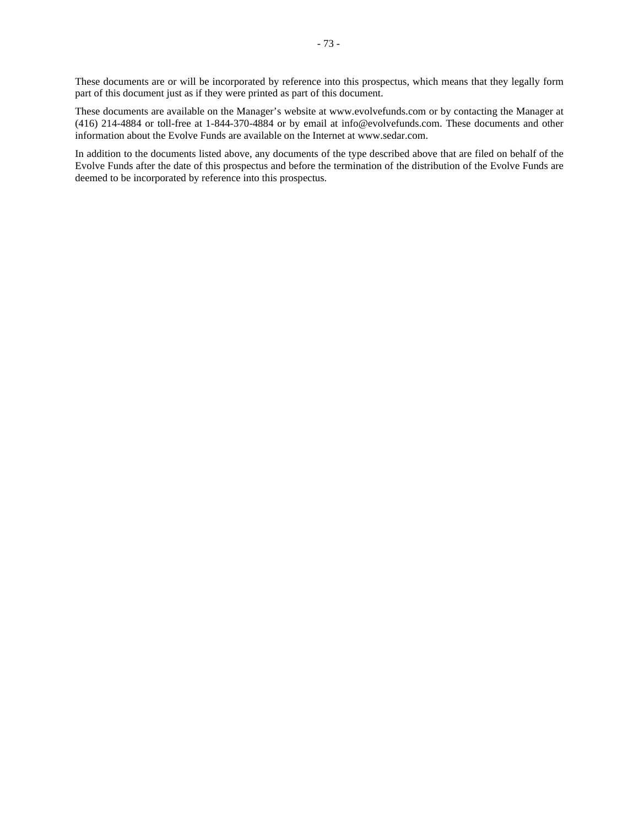These documents are or will be incorporated by reference into this prospectus, which means that they legally form part of this document just as if they were printed as part of this document.

These documents are available on the Manager's website at www.evolvefunds.com or by contacting the Manager at (416) 214-4884 or toll-free at 1-844-370-4884 or by email at info@evolvefunds.com. These documents and other information about the Evolve Funds are available on the Internet at www.sedar.com.

In addition to the documents listed above, any documents of the type described above that are filed on behalf of the Evolve Funds after the date of this prospectus and before the termination of the distribution of the Evolve Funds are deemed to be incorporated by reference into this prospectus.